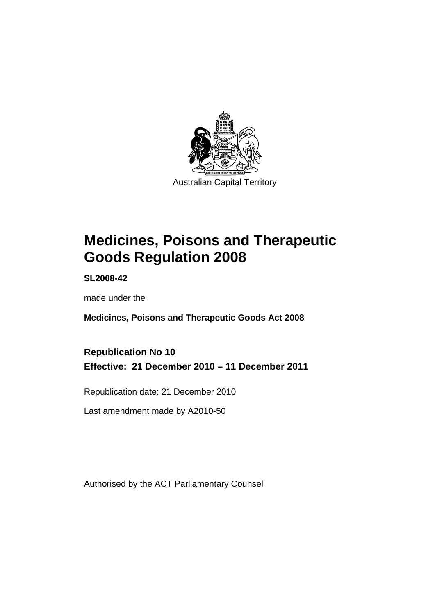

# **Medicines, Poisons and Therapeutic Goods Regulation 2008**

**SL2008-42** 

made under the

**Medicines, Poisons and Therapeutic Goods Act 2008** 

# **Republication No 10 Effective: 21 December 2010 – 11 December 2011**

Republication date: 21 December 2010

Last amendment made by A2010-50

Authorised by the ACT Parliamentary Counsel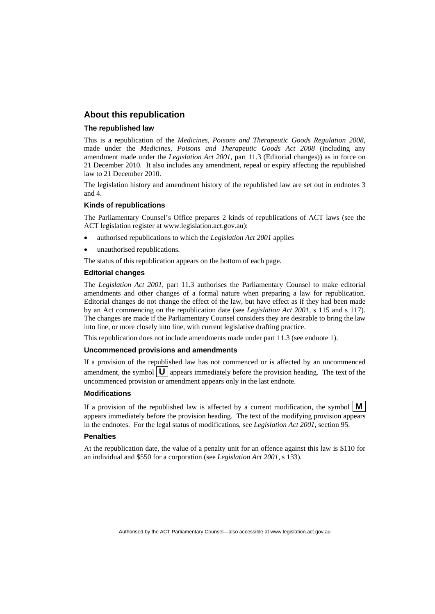#### **About this republication**

#### **The republished law**

This is a republication of the *Medicines, Poisons and Therapeutic Goods Regulation 2008*, made under the *Medicines, Poisons and Therapeutic Goods Act 2008* (including any amendment made under the *Legislation Act 2001*, part 11.3 (Editorial changes)) as in force on 21 December 2010*.* It also includes any amendment, repeal or expiry affecting the republished law to 21 December 2010.

The legislation history and amendment history of the republished law are set out in endnotes 3 and 4.

#### **Kinds of republications**

The Parliamentary Counsel's Office prepares 2 kinds of republications of ACT laws (see the ACT legislation register at www.legislation.act.gov.au):

- authorised republications to which the *Legislation Act 2001* applies
- unauthorised republications.

The status of this republication appears on the bottom of each page.

#### **Editorial changes**

The *Legislation Act 2001*, part 11.3 authorises the Parliamentary Counsel to make editorial amendments and other changes of a formal nature when preparing a law for republication. Editorial changes do not change the effect of the law, but have effect as if they had been made by an Act commencing on the republication date (see *Legislation Act 2001*, s 115 and s 117). The changes are made if the Parliamentary Counsel considers they are desirable to bring the law into line, or more closely into line, with current legislative drafting practice.

This republication does not include amendments made under part 11.3 (see endnote 1).

#### **Uncommenced provisions and amendments**

If a provision of the republished law has not commenced or is affected by an uncommenced amendment, the symbol  $\mathbf{U}$  appears immediately before the provision heading. The text of the uncommenced provision or amendment appears only in the last endnote.

#### **Modifications**

If a provision of the republished law is affected by a current modification, the symbol  $\vert \mathbf{M} \vert$ appears immediately before the provision heading. The text of the modifying provision appears in the endnotes. For the legal status of modifications, see *Legislation Act 2001*, section 95.

#### **Penalties**

At the republication date, the value of a penalty unit for an offence against this law is \$110 for an individual and \$550 for a corporation (see *Legislation Act 2001*, s 133).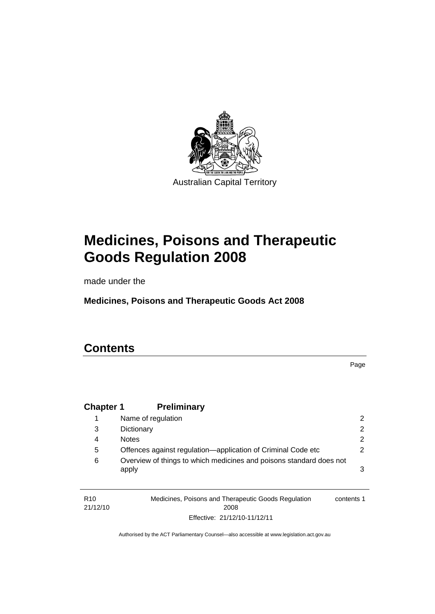

# **Medicines, Poisons and Therapeutic Goods Regulation 2008**

made under the

**Medicines, Poisons and Therapeutic Goods Act 2008** 

# **Contents**

21/12/10

R10 Medicines, Poisons and Therapeutic Goods Regulation contents 1 **Chapter 1 [Preliminary](#page-25-0)** 1 [Name of regulation 2](#page-25-1) 3 [Dictionary 2](#page-25-2) 4 [Notes 2](#page-25-3) 5 [Offences against regulation—application of Criminal Code etc 2](#page-25-4) 6 [Overview of things to which medicines and poisons standard does not](#page-26-0)  [apply 3](#page-26-0)0 and 30 and 30 and 30 and 30 and 30 and 30 and 30 and 30 and 30 and 30 and 30 and 30 and 30 and 30 and

Page

2008 Effective: 21/12/10-11/12/11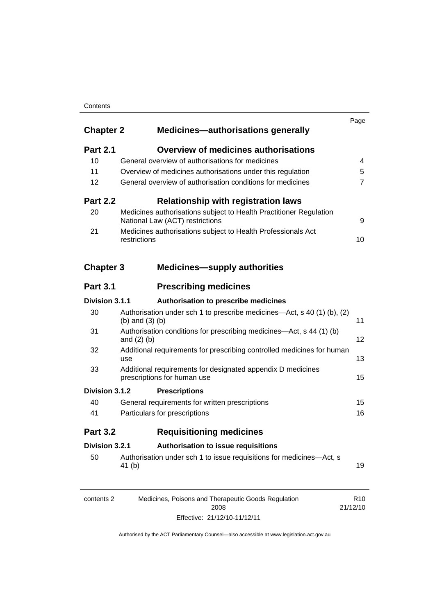### **Contents**

| <b>Chapter 2</b> | <b>Medicines-authorisations generally</b>                                                             | Page           |
|------------------|-------------------------------------------------------------------------------------------------------|----------------|
| <b>Part 2.1</b>  | <b>Overview of medicines authorisations</b>                                                           |                |
| 10               | General overview of authorisations for medicines                                                      | 4              |
| 11               | Overview of medicines authorisations under this regulation                                            | 5              |
| 12               | General overview of authorisation conditions for medicines                                            | $\overline{7}$ |
| <b>Part 2.2</b>  | <b>Relationship with registration laws</b>                                                            |                |
| 20               | Medicines authorisations subject to Health Practitioner Regulation<br>National Law (ACT) restrictions | 9              |
| 21               | Medicines authorisations subject to Health Professionals Act                                          |                |
|                  | restrictions                                                                                          | 10             |
|                  |                                                                                                       |                |
| <b>Chapter 3</b> | <b>Medicines-supply authorities</b>                                                                   |                |
| <b>Part 3.1</b>  | <b>Prescribing medicines</b>                                                                          |                |
| Division 3.1.1   | Authorisation to prescribe medicines                                                                  |                |
| 30               | Authorisation under sch 1 to prescribe medicines—Act, s 40 (1) (b), (2)<br>(b) and $(3)$ (b)          | 11             |
| 31               | Authorisation conditions for prescribing medicines—Act, s 44 (1) (b)<br>and $(2)$ $(b)$               | 12             |
| 32               | Additional requirements for prescribing controlled medicines for human<br>use                         | 13             |
| 33               | Additional requirements for designated appendix D medicines<br>prescriptions for human use            | 15             |
| Division 3.1.2   | <b>Prescriptions</b>                                                                                  |                |
| 40               | General requirements for written prescriptions                                                        | 15             |
| 41               | Particulars for prescriptions                                                                         | 16             |
| <b>Part 3.2</b>  | <b>Requisitioning medicines</b>                                                                       |                |
| Division 3.2.1   | Authorisation to issue requisitions                                                                   |                |
| 50               | Authorisation under sch 1 to issue requisitions for medicines-Act, s<br>41 (b)                        | 19             |

| contents 2 | Medicines, Poisons and Therapeutic Goods Regulation | R <sub>10</sub> |
|------------|-----------------------------------------------------|-----------------|
|            | 2008                                                | 21/12/10        |
|            | Effective: 21/12/10-11/12/11                        |                 |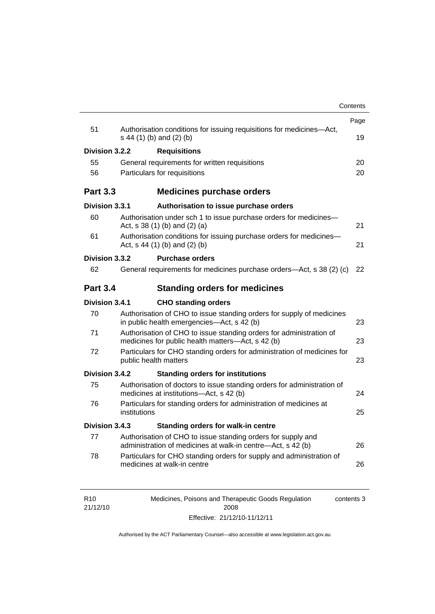|                 |              |                                                                                                                             | Contents |
|-----------------|--------------|-----------------------------------------------------------------------------------------------------------------------------|----------|
| 51              |              | Authorisation conditions for issuing requisitions for medicines-Act,                                                        | Page     |
|                 |              | s 44 (1) (b) and (2) (b)                                                                                                    | 19       |
| Division 3.2.2  |              | <b>Requisitions</b>                                                                                                         |          |
| 55              |              | General requirements for written requisitions                                                                               | 20       |
| 56              |              | Particulars for requisitions                                                                                                | 20       |
| <b>Part 3.3</b> |              | <b>Medicines purchase orders</b>                                                                                            |          |
| Division 3.3.1  |              | Authorisation to issue purchase orders                                                                                      |          |
| 60              |              | Authorisation under sch 1 to issue purchase orders for medicines-<br>Act, s $38(1)$ (b) and (2) (a)                         | 21       |
| 61              |              | Authorisation conditions for issuing purchase orders for medicines-<br>Act, $s$ 44 (1) (b) and (2) (b)                      | 21       |
| Division 3.3.2  |              | <b>Purchase orders</b>                                                                                                      |          |
| 62              |              | General requirements for medicines purchase orders—Act, s 38 (2) (c)                                                        | 22       |
| <b>Part 3.4</b> |              | <b>Standing orders for medicines</b>                                                                                        |          |
| Division 3.4.1  |              | <b>CHO standing orders</b>                                                                                                  |          |
| 70              |              | Authorisation of CHO to issue standing orders for supply of medicines<br>in public health emergencies—Act, s 42 (b)         | 23       |
| 71              |              | Authorisation of CHO to issue standing orders for administration of<br>medicines for public health matters-Act, s 42 (b)    | 23       |
| 72              |              | Particulars for CHO standing orders for administration of medicines for<br>public health matters                            | 23       |
| Division 3.4.2  |              | <b>Standing orders for institutions</b>                                                                                     |          |
| 75              |              | Authorisation of doctors to issue standing orders for administration of<br>medicines at institutions-Act, s 42 (b)          | 24       |
| 76              | institutions | Particulars for standing orders for administration of medicines at                                                          | 25       |
|                 |              |                                                                                                                             |          |
| Division 3.4.3  |              | Standing orders for walk-in centre                                                                                          |          |
| 77              |              | Authorisation of CHO to issue standing orders for supply and<br>administration of medicines at walk-in centre-Act, s 42 (b) | 26       |

| R10      | Medicines, Poisons and Therapeutic Goods Regulation | contents 3 |
|----------|-----------------------------------------------------|------------|
| 21/12/10 | 2008                                                |            |
|          | Effective: 21/12/10-11/12/11                        |            |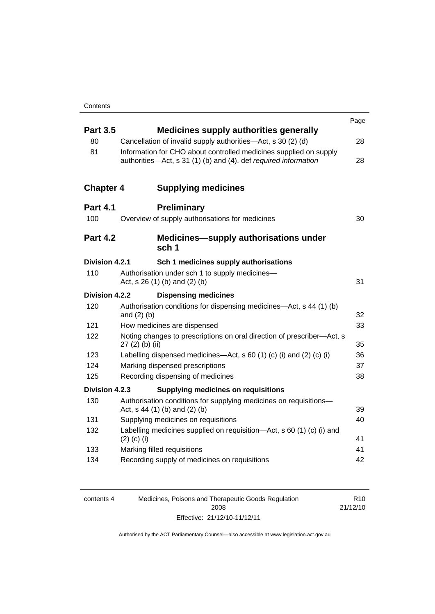|                  |                                                                                                                                      | Page |
|------------------|--------------------------------------------------------------------------------------------------------------------------------------|------|
| <b>Part 3.5</b>  | <b>Medicines supply authorities generally</b>                                                                                        |      |
| 80               | Cancellation of invalid supply authorities—Act, s 30 (2) (d)                                                                         | 28   |
| 81               | Information for CHO about controlled medicines supplied on supply<br>authorities-Act, s 31 (1) (b) and (4), def required information | 28   |
| <b>Chapter 4</b> | <b>Supplying medicines</b>                                                                                                           |      |
| <b>Part 4.1</b>  | <b>Preliminary</b>                                                                                                                   |      |
| 100              | Overview of supply authorisations for medicines                                                                                      | 30   |
| <b>Part 4.2</b>  | <b>Medicines—supply authorisations under</b><br>sch <sub>1</sub>                                                                     |      |
| Division 4.2.1   | Sch 1 medicines supply authorisations                                                                                                |      |
| 110              | Authorisation under sch 1 to supply medicines-<br>Act, s 26 (1) (b) and (2) (b)                                                      | 31   |
| Division 4.2.2   | <b>Dispensing medicines</b>                                                                                                          |      |
| 120              | Authorisation conditions for dispensing medicines—Act, s 44 (1) (b)<br>and $(2)$ $(b)$                                               | 32   |
| 121              | How medicines are dispensed                                                                                                          | 33   |
| 122              | Noting changes to prescriptions on oral direction of prescriber-Act, s<br>$27(2)$ (b) (ii)                                           | 35   |
| 123              | Labelling dispensed medicines—Act, s 60 (1) (c) (i) and (2) (c) (i)                                                                  | 36   |
| 124              | Marking dispensed prescriptions                                                                                                      | 37   |
| 125              | Recording dispensing of medicines                                                                                                    | 38   |
| Division 4.2.3   | <b>Supplying medicines on requisitions</b>                                                                                           |      |
| 130              | Authorisation conditions for supplying medicines on requisitions-<br>Act, s 44 (1) (b) and (2) (b)                                   | 39   |
| 131              | Supplying medicines on requisitions                                                                                                  | 40   |
| 132              | Labelling medicines supplied on requisition—Act, s 60 (1) (c) (i) and<br>$(2)$ (c) (i)                                               | 41   |
| 133              | Marking filled requisitions                                                                                                          | 41   |
| 134              | Recording supply of medicines on requisitions                                                                                        | 42   |
|                  |                                                                                                                                      |      |

| contents 4 | Medicines, Poisons and Therapeutic Goods Regulation | R <sub>10</sub> |
|------------|-----------------------------------------------------|-----------------|
|            | 2008                                                | 21/12/10        |
|            | Effective: 21/12/10-11/12/11                        |                 |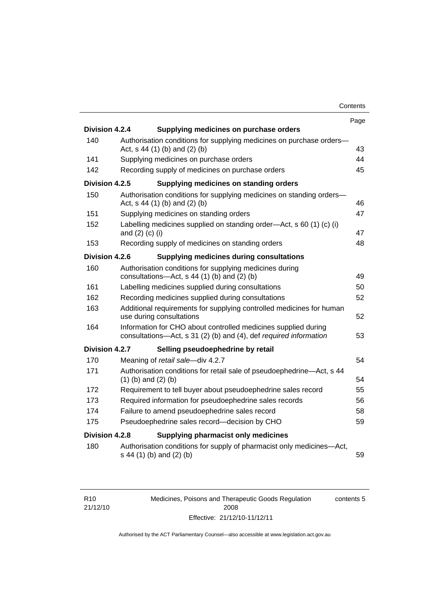| Contents |
|----------|
|----------|

|                |                                                                                                                                     | Page |
|----------------|-------------------------------------------------------------------------------------------------------------------------------------|------|
| Division 4.2.4 | Supplying medicines on purchase orders                                                                                              |      |
| 140            | Authorisation conditions for supplying medicines on purchase orders-<br>Act, s 44 (1) (b) and (2) (b)                               | 43   |
| 141            | Supplying medicines on purchase orders                                                                                              | 44   |
| 142            | Recording supply of medicines on purchase orders                                                                                    | 45   |
| Division 4.2.5 | Supplying medicines on standing orders                                                                                              |      |
| 150            | Authorisation conditions for supplying medicines on standing orders-<br>Act, s 44 (1) (b) and (2) (b)                               | 46   |
| 151            | Supplying medicines on standing orders                                                                                              | 47   |
| 152            | Labelling medicines supplied on standing order-Act, s 60 (1) (c) (i)<br>and $(2)$ $(c)$ $(i)$                                       | 47   |
| 153            | Recording supply of medicines on standing orders                                                                                    | 48   |
| Division 4.2.6 | <b>Supplying medicines during consultations</b>                                                                                     |      |
| 160            | Authorisation conditions for supplying medicines during<br>consultations- $-\text{Act}$ , s 44 (1) (b) and (2) (b)                  | 49   |
| 161            | Labelling medicines supplied during consultations                                                                                   | 50   |
| 162            | Recording medicines supplied during consultations                                                                                   | 52   |
| 163            | Additional requirements for supplying controlled medicines for human<br>use during consultations                                    | 52   |
| 164            | Information for CHO about controlled medicines supplied during<br>consultations-Act, s 31 (2) (b) and (4), def required information | 53   |
| Division 4.2.7 | Selling pseudoephedrine by retail                                                                                                   |      |
| 170            | Meaning of retail sale-div 4.2.7                                                                                                    | 54   |
| 171            | Authorisation conditions for retail sale of pseudoephedrine-Act, s 44<br>$(1)$ (b) and $(2)$ (b)                                    | 54   |
| 172            | Requirement to tell buyer about pseudoephedrine sales record                                                                        | 55   |
| 173            | Required information for pseudoephedrine sales records                                                                              | 56   |
| 174            | Failure to amend pseudoephedrine sales record                                                                                       | 58   |
| 175            | Pseudoephedrine sales record-decision by CHO                                                                                        | 59   |
| Division 4.2.8 | Supplying pharmacist only medicines                                                                                                 |      |
| 180            | Authorisation conditions for supply of pharmacist only medicines—Act,<br>s 44 (1) (b) and (2) (b)                                   | 59   |

Medicines, Poisons and Therapeutic Goods Regulation 2008 Effective: 21/12/10-11/12/11 contents 5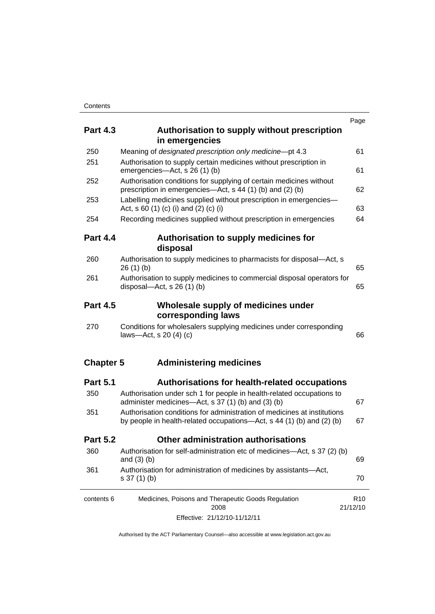|                  |                                                                                                                                                   | Page                        |
|------------------|---------------------------------------------------------------------------------------------------------------------------------------------------|-----------------------------|
| <b>Part 4.3</b>  | Authorisation to supply without prescription<br>in emergencies                                                                                    |                             |
| 250              | Meaning of designated prescription only medicine-pt 4.3                                                                                           | 61                          |
| 251              | Authorisation to supply certain medicines without prescription in<br>emergencies-Act, s 26 (1) (b)                                                | 61                          |
| 252              | Authorisation conditions for supplying of certain medicines without<br>prescription in emergencies—Act, s 44 (1) (b) and (2) (b)                  | 62                          |
| 253              | Labelling medicines supplied without prescription in emergencies-<br>Act, s 60 (1) (c) (i) and (2) (c) (i)                                        | 63                          |
| 254              | Recording medicines supplied without prescription in emergencies                                                                                  | 64                          |
| <b>Part 4.4</b>  | Authorisation to supply medicines for<br>disposal                                                                                                 |                             |
| 260              | Authorisation to supply medicines to pharmacists for disposal-Act, s<br>26(1)(b)                                                                  | 65                          |
| 261              | Authorisation to supply medicines to commercial disposal operators for<br>disposal—Act, s $26(1)(b)$                                              | 65                          |
| <b>Part 4.5</b>  | Wholesale supply of medicines under<br>corresponding laws                                                                                         |                             |
| 270              | Conditions for wholesalers supplying medicines under corresponding<br>laws-Act, s $20(4)(c)$                                                      | 66                          |
| <b>Chapter 5</b> | <b>Administering medicines</b>                                                                                                                    |                             |
| <b>Part 5.1</b>  | <b>Authorisations for health-related occupations</b>                                                                                              |                             |
| 350              | Authorisation under sch 1 for people in health-related occupations to<br>administer medicines—Act, s 37 (1) (b) and (3) (b)                       | 67                          |
| 351              | Authorisation conditions for administration of medicines at institutions<br>by people in health-related occupations—Act, s 44 (1) (b) and (2) (b) | 67                          |
| <b>Part 5.2</b>  | Other administration authorisations                                                                                                               |                             |
| 360              | Authorisation for self-administration etc of medicines—Act, s 37 (2) (b)<br>and $(3)$ $(b)$                                                       | 69                          |
| 361              | Authorisation for administration of medicines by assistants-Act,<br>$s 37(1)$ (b)                                                                 | 70                          |
| contents 6       | Medicines, Poisons and Therapeutic Goods Regulation<br>2008                                                                                       | R <sub>10</sub><br>21/12/10 |
|                  | Effective: 21/12/10-11/12/11                                                                                                                      |                             |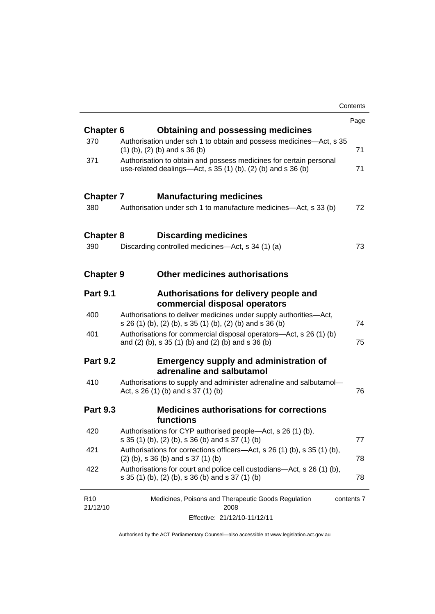|                             |                                                                                                                                        | Page       |
|-----------------------------|----------------------------------------------------------------------------------------------------------------------------------------|------------|
| <b>Chapter 6</b>            | <b>Obtaining and possessing medicines</b>                                                                                              |            |
| 370                         | Authorisation under sch 1 to obtain and possess medicines—Act, s 35<br>$(1)$ (b), (2) (b) and s 36 (b)                                 | 71         |
| 371                         | Authorisation to obtain and possess medicines for certain personal<br>use-related dealings—Act, $s$ 35 (1) (b), (2) (b) and $s$ 36 (b) | 71         |
| <b>Chapter 7</b>            | <b>Manufacturing medicines</b>                                                                                                         |            |
| 380                         | Authorisation under sch 1 to manufacture medicines—Act, s 33 (b)                                                                       | 72         |
| <b>Chapter 8</b>            | <b>Discarding medicines</b>                                                                                                            |            |
| 390                         | Discarding controlled medicines-Act, s 34 (1) (a)                                                                                      | 73         |
| <b>Chapter 9</b>            | <b>Other medicines authorisations</b>                                                                                                  |            |
| <b>Part 9.1</b>             | Authorisations for delivery people and<br>commercial disposal operators                                                                |            |
| 400                         | Authorisations to deliver medicines under supply authorities-Act,<br>s 26 (1) (b), (2) (b), s 35 (1) (b), (2) (b) and s 36 (b)         | 74         |
| 401                         | Authorisations for commercial disposal operators-Act, s 26 (1) (b)<br>and (2) (b), s 35 (1) (b) and (2) (b) and s 36 (b)               | 75         |
| <b>Part 9.2</b>             | <b>Emergency supply and administration of</b><br>adrenaline and salbutamol                                                             |            |
| 410                         | Authorisations to supply and administer adrenaline and salbutamol-<br>Act, s 26 (1) (b) and s 37 (1) (b)                               | 76         |
| <b>Part 9.3</b>             | <b>Medicines authorisations for corrections</b><br>functions                                                                           |            |
| 420                         | Authorisations for CYP authorised people—Act, s 26 (1) (b),<br>s 35 (1) (b), (2) (b), s 36 (b) and s 37 (1) (b)                        | 77         |
| 421                         | Authorisations for corrections officers—Act, s 26 (1) (b), s 35 (1) (b),<br>$(2)$ (b), s 36 (b) and s 37 (1) (b)                       | 78         |
| 422                         | Authorisations for court and police cell custodians-Act, s 26 (1) (b),<br>s 35 (1) (b), (2) (b), s 36 (b) and s 37 (1) (b)             | 78         |
| R <sub>10</sub><br>21/12/10 | Medicines, Poisons and Therapeutic Goods Regulation<br>2008<br>Effective: 21/12/10-11/12/11                                            | contents 7 |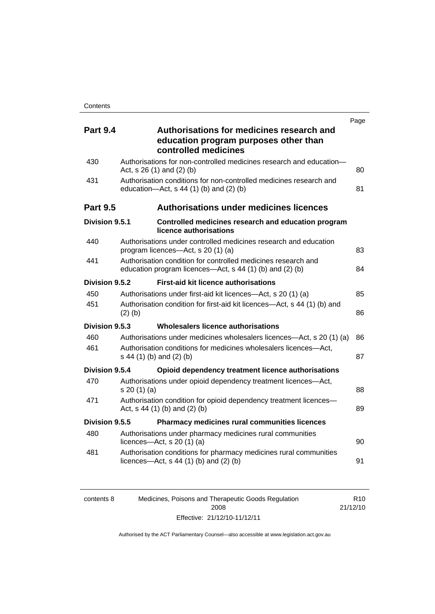|                 |                                                                                                                           | Page |
|-----------------|---------------------------------------------------------------------------------------------------------------------------|------|
| <b>Part 9.4</b> | Authorisations for medicines research and<br>education program purposes other than<br>controlled medicines                |      |
| 430             | Authorisations for non-controlled medicines research and education-<br>Act, $s$ 26 (1) and (2) (b)                        | 80   |
| 431             | Authorisation conditions for non-controlled medicines research and<br>education- $Act$ , s 44 (1) (b) and (2) (b)         | 81   |
| <b>Part 9.5</b> | <b>Authorisations under medicines licences</b>                                                                            |      |
| Division 9.5.1  | Controlled medicines research and education program<br>licence authorisations                                             |      |
| 440             | Authorisations under controlled medicines research and education<br>program licences—Act, s 20 (1) (a)                    | 83   |
| 441             | Authorisation condition for controlled medicines research and<br>education program licences—Act, s 44 (1) (b) and (2) (b) | 84   |
| Division 9.5.2  | <b>First-aid kit licence authorisations</b>                                                                               |      |
| 450             | Authorisations under first-aid kit licences—Act, s 20 (1) (a)                                                             | 85   |
| 451             | Authorisation condition for first-aid kit licences—Act, s 44 (1) (b) and<br>$(2)$ (b)                                     | 86   |
| Division 9.5.3  | Wholesalers licence authorisations                                                                                        |      |
| 460             | Authorisations under medicines wholesalers licences—Act, s 20 (1) (a)                                                     | 86   |
| 461             | Authorisation conditions for medicines wholesalers licences-Act,<br>s 44 (1) (b) and (2) (b)                              | 87   |
| Division 9.5.4  | Opioid dependency treatment licence authorisations                                                                        |      |
| 470             | Authorisations under opioid dependency treatment licences-Act,<br>s 20(1)(a)                                              | 88   |
| 471             | Authorisation condition for opioid dependency treatment licences-<br>Act, s 44 (1) (b) and (2) (b)                        | 89   |
| Division 9.5.5  | Pharmacy medicines rural communities licences                                                                             |      |
| 480             | Authorisations under pharmacy medicines rural communities<br>licences- $-\text{Act}$ , s 20 (1) (a)                       | 90   |
| 481             | Authorisation conditions for pharmacy medicines rural communities<br>licences- $-\text{Act}$ , s 44 (1) (b) and (2) (b)   | 91   |
|                 |                                                                                                                           |      |

| contents 8 | Medicines, Poisons and Therapeutic Goods Regulation | R <sub>10</sub> |
|------------|-----------------------------------------------------|-----------------|
|            | 2008                                                | 21/12/10        |
|            | Effective: 21/12/10-11/12/11                        |                 |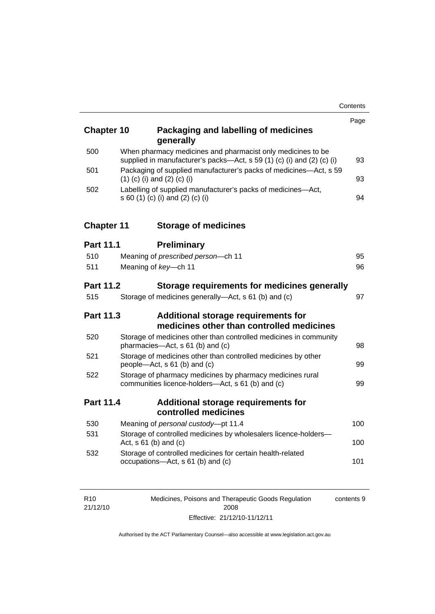| <b>Chapter 10</b> | Packaging and labelling of medicines<br>generally                                                                                     | Page |
|-------------------|---------------------------------------------------------------------------------------------------------------------------------------|------|
| 500               | When pharmacy medicines and pharmacist only medicines to be<br>supplied in manufacturer's packs-Act, s 59 (1) (c) (i) and (2) (c) (i) | 93   |
| 501               | Packaging of supplied manufacturer's packs of medicines-Act, s 59<br>$(1)$ (c) (i) and (2) (c) (i)                                    | 93   |
| 502               | Labelling of supplied manufacturer's packs of medicines-Act,<br>s 60 (1) (c) (i) and (2) (c) (i)                                      | 94   |
| <b>Chapter 11</b> | <b>Storage of medicines</b>                                                                                                           |      |
| <b>Part 11.1</b>  | <b>Preliminary</b>                                                                                                                    |      |
| 510               | Meaning of prescribed person-ch 11                                                                                                    | 95   |
| 511               | Meaning of key-ch 11                                                                                                                  | 96   |
| <b>Part 11.2</b>  | Storage requirements for medicines generally                                                                                          |      |
| 515               | Storage of medicines generally-Act, s 61 (b) and (c)                                                                                  | 97   |
| <b>Part 11.3</b>  | Additional storage requirements for<br>medicines other than controlled medicines                                                      |      |
| 520               | Storage of medicines other than controlled medicines in community<br>pharmacies-Act, s 61 (b) and (c)                                 | 98   |
| 521               | Storage of medicines other than controlled medicines by other<br>people—Act, s 61 (b) and (c)                                         | 99   |
| 522               | Storage of pharmacy medicines by pharmacy medicines rural<br>communities licence-holders-Act, s 61 (b) and (c)                        | 99   |
| <b>Part 11.4</b>  | Additional storage requirements for<br>controlled medicines                                                                           |      |
| 530               | Meaning of personal custody-pt 11.4                                                                                                   | 100  |
| 531               | Storage of controlled medicines by wholesalers licence-holders-<br>Act, $s \, 61$ (b) and (c)                                         | 100  |
| 532               | Storage of controlled medicines for certain health-related<br>occupations-Act, s 61 (b) and (c)                                       | 101  |

| R <sub>10</sub> | Medicines, Poisons and Therapeutic Goods Regulation | contents 9 |
|-----------------|-----------------------------------------------------|------------|
| 21/12/10        | 2008                                                |            |
|                 | Effective: 21/12/10-11/12/11                        |            |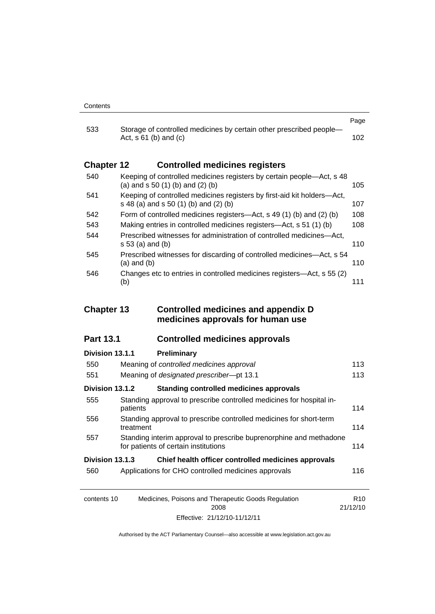| 533               |                                                                                                                  | Page |
|-------------------|------------------------------------------------------------------------------------------------------------------|------|
|                   | Storage of controlled medicines by certain other prescribed people-<br>Act, $s \, 61$ (b) and (c)                | 102  |
| <b>Chapter 12</b> | <b>Controlled medicines registers</b>                                                                            |      |
| 540               | Keeping of controlled medicines registers by certain people-Act, s 48<br>(a) and $s$ 50 (1) (b) and (2) (b)      | 105. |
| 541               | Keeping of controlled medicines registers by first-aid kit holders—Act,<br>s 48 (a) and s 50 (1) (b) and (2) (b) | 107  |
| 542               | Form of controlled medicines registers—Act, s 49 (1) (b) and (2) (b)                                             | 108  |
| 543               | Making entries in controlled medicines registers—Act, s 51 (1) (b)                                               | 108  |
| 544               | Prescribed witnesses for administration of controlled medicines—Act,<br>s 53 (a) and (b)                         | 110  |
| 545               | Prescribed witnesses for discarding of controlled medicines—Act, s 54<br>$(a)$ and $(b)$                         | 110  |
| 546               | Changes etc to entries in controlled medicines registers—Act, s 55 (2)<br>(b)                                    | 111  |

### **Chapter 13 [Controlled medicines and appendix D](#page-136-0)  [medicines approvals for human use](#page-136-0)**

### **Part 13.1 [Controlled medicines approvals](#page-136-1)**

# contents 10 Medicines, Poisons and Therapeutic Goods Regulation **[Division 13.1.1](#page-136-2) Preliminary** 550 Meaning of *controlled medicines approval* [113](#page-136-3) 551 Meaning of *designated prescriber*[—pt 13.1 113](#page-136-4) **Division 13.1.2 [Standing controlled medicines approvals](#page-137-0)** 555 [Standing approval to prescribe controlled medicines for hospital in](#page-137-1)[patients 114](#page-137-1) 556 [Standing approval to prescribe controlled medicines for short-term](#page-137-2)  [treatment 114](#page-137-2) 557 [Standing interim approval to prescribe buprenorphine and methadone](#page-137-3)  [for patients of certain institutions 114](#page-137-3) **Division 13.1.3 [Chief health officer controlled medicines approvals](#page-139-0)** 560 [Applications for CHO controlled medicines approvals 116](#page-139-1)

2008 Effective: 21/12/10-11/12/11 R10 21/12/10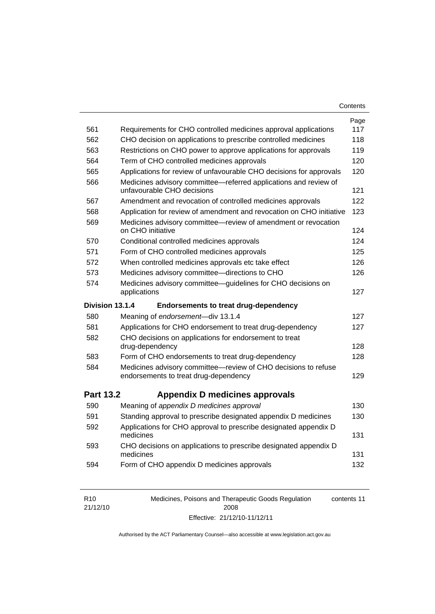| Contents |  |
|----------|--|
|----------|--|

|                  |                                                                                                         | Page |
|------------------|---------------------------------------------------------------------------------------------------------|------|
| 561              | Requirements for CHO controlled medicines approval applications                                         | 117  |
| 562              | CHO decision on applications to prescribe controlled medicines                                          | 118  |
| 563              | Restrictions on CHO power to approve applications for approvals                                         | 119  |
| 564              | Term of CHO controlled medicines approvals                                                              | 120  |
| 565              | Applications for review of unfavourable CHO decisions for approvals                                     | 120  |
| 566              | Medicines advisory committee-referred applications and review of<br>unfavourable CHO decisions          | 121  |
| 567              | Amendment and revocation of controlled medicines approvals                                              | 122  |
| 568              | Application for review of amendment and revocation on CHO initiative                                    | 123  |
| 569              | Medicines advisory committee-review of amendment or revocation<br>on CHO initiative                     | 124  |
| 570              | Conditional controlled medicines approvals                                                              | 124  |
| 571              | Form of CHO controlled medicines approvals                                                              | 125  |
| 572              | When controlled medicines approvals etc take effect                                                     | 126  |
| 573              | Medicines advisory committee-directions to CHO                                                          | 126  |
| 574              | Medicines advisory committee-guidelines for CHO decisions on<br>applications                            | 127  |
|                  |                                                                                                         |      |
| Division 13.1.4  | <b>Endorsements to treat drug-dependency</b>                                                            |      |
| 580              | Meaning of endorsement-div 13.1.4                                                                       | 127  |
| 581              | Applications for CHO endorsement to treat drug-dependency                                               | 127  |
| 582              | CHO decisions on applications for endorsement to treat<br>drug-dependency                               | 128  |
| 583              | Form of CHO endorsements to treat drug-dependency                                                       | 128  |
| 584              | Medicines advisory committee-review of CHO decisions to refuse<br>endorsements to treat drug-dependency | 129  |
| <b>Part 13.2</b> | Appendix D medicines approvals                                                                          |      |
| 590              | Meaning of appendix D medicines approval                                                                | 130  |
| 591              | Standing approval to prescribe designated appendix D medicines                                          | 130  |
| 592              | Applications for CHO approval to prescribe designated appendix D<br>medicines                           | 131  |
| 593              | CHO decisions on applications to prescribe designated appendix D<br>medicines                           | 131  |

| R <sub>10</sub> | Medicines, Poisons and Therapeutic Goods Regulation | contents 11 |
|-----------------|-----------------------------------------------------|-------------|
| 21/12/10        | 2008                                                |             |
|                 | Effective: 21/12/10-11/12/11                        |             |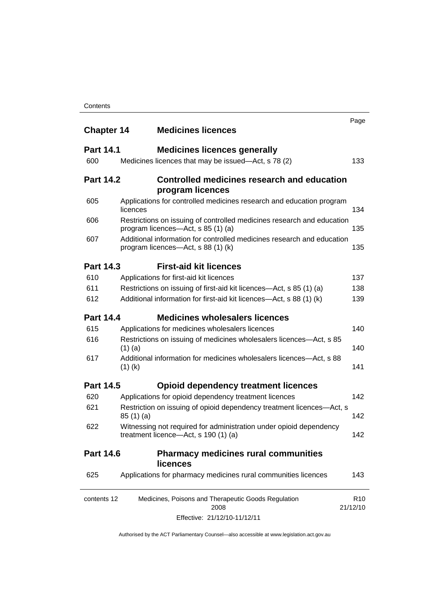| <b>Chapter 14</b> | <b>Medicines licences</b>                                                                                    | Page                        |
|-------------------|--------------------------------------------------------------------------------------------------------------|-----------------------------|
| <b>Part 14.1</b>  | <b>Medicines licences generally</b>                                                                          |                             |
| 600               | Medicines licences that may be issued—Act, s 78 (2)                                                          | 133                         |
| <b>Part 14.2</b>  | Controlled medicines research and education<br>program licences                                              |                             |
| 605               | Applications for controlled medicines research and education program<br>licences                             | 134                         |
| 606               | Restrictions on issuing of controlled medicines research and education<br>program licences—Act, s 85 (1) (a) | 135                         |
| 607               | Additional information for controlled medicines research and education<br>program licences—Act, s 88 (1) (k) | 135                         |
| <b>Part 14.3</b>  | <b>First-aid kit licences</b>                                                                                |                             |
| 610               | Applications for first-aid kit licences                                                                      | 137                         |
| 611               | Restrictions on issuing of first-aid kit licences—Act, s 85 (1) (a)                                          | 138                         |
| 612               | Additional information for first-aid kit licences—Act, s 88 (1) (k)                                          | 139                         |
| <b>Part 14.4</b>  | <b>Medicines wholesalers licences</b>                                                                        |                             |
| 615               | Applications for medicines wholesalers licences                                                              | 140                         |
| 616               | Restrictions on issuing of medicines wholesalers licences—Act, s 85<br>$(1)$ (a)                             | 140                         |
| 617               | Additional information for medicines wholesalers licences—Act, s 88<br>$(1)$ (k)                             | 141                         |
| <b>Part 14.5</b>  | <b>Opioid dependency treatment licences</b>                                                                  |                             |
| 620               | Applications for opioid dependency treatment licences                                                        | 142                         |
| 621               | Restriction on issuing of opioid dependency treatment licences-Act, s<br>85(1)(a)                            | 142                         |
| 622               | Witnessing not required for administration under opioid dependency<br>treatment licence-Act, s 190 (1) (a)   | 142                         |
| <b>Part 14.6</b>  | <b>Pharmacy medicines rural communities</b><br><b>licences</b>                                               |                             |
| 625               | Applications for pharmacy medicines rural communities licences                                               | 143                         |
| contents 12       | Medicines, Poisons and Therapeutic Goods Regulation<br>2008                                                  | R <sub>10</sub><br>21/12/10 |
|                   | Effective: 21/12/10-11/12/11                                                                                 |                             |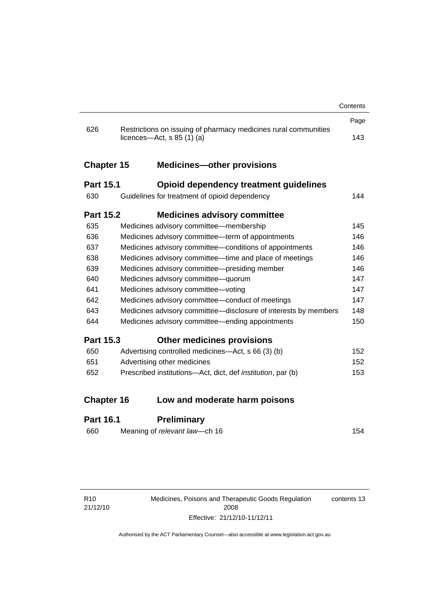|                   |                                                                                                           | Contents |
|-------------------|-----------------------------------------------------------------------------------------------------------|----------|
|                   |                                                                                                           | Page     |
| 626               | Restrictions on issuing of pharmacy medicines rural communities<br>licences- $-\text{Act}$ , s 85 (1) (a) | 143      |
| <b>Chapter 15</b> | <b>Medicines-other provisions</b>                                                                         |          |
| <b>Part 15.1</b>  | Opioid dependency treatment guidelines                                                                    |          |
| 630               | Guidelines for treatment of opioid dependency                                                             | 144      |
| <b>Part 15.2</b>  | <b>Medicines advisory committee</b>                                                                       |          |
| 635               | Medicines advisory committee-membership                                                                   | 145      |
| 636               | Medicines advisory committee-term of appointments                                                         | 146      |
| 637               | Medicines advisory committee-conditions of appointments                                                   | 146      |
| 638               | Medicines advisory committee-time and place of meetings                                                   | 146      |
| 639               | Medicines advisory committee-presiding member                                                             | 146      |
| 640               | Medicines advisory committee-quorum                                                                       | 147      |
| 641               | Medicines advisory committee-voting                                                                       | 147      |
| 642               | Medicines advisory committee-conduct of meetings                                                          | 147      |
| 643               | Medicines advisory committee-disclosure of interests by members                                           | 148      |
| 644               | Medicines advisory committee—ending appointments                                                          | 150      |
| <b>Part 15.3</b>  | <b>Other medicines provisions</b>                                                                         |          |
| 650               | Advertising controlled medicines—Act, s 66 (3) (b)                                                        | 152      |
| 651               | Advertising other medicines                                                                               | 152      |
| 652               | Prescribed institutions-Act, dict, def <i>institution</i> , par (b)                                       | 153      |
| <b>Chapter 16</b> | Low and moderate harm poisons                                                                             |          |
| <b>Part 16.1</b>  | <b>Preliminary</b>                                                                                        |          |

## 660 Meaning of *relevant law*[—ch 16 154](#page-177-2)

Medicines, Poisons and Therapeutic Goods Regulation 2008 Effective: 21/12/10-11/12/11 contents 13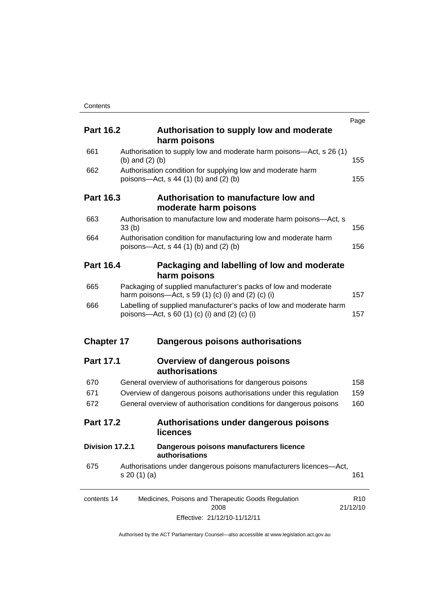|                   |                                                                                                                                  |          | Page            |
|-------------------|----------------------------------------------------------------------------------------------------------------------------------|----------|-----------------|
| <b>Part 16.2</b>  | Authorisation to supply low and moderate<br>harm poisons                                                                         |          |                 |
| 661               | Authorisation to supply low and moderate harm poisons—Act, s 26 (1)<br>(b) and $(2)$ (b)                                         |          | 155             |
| 662               | Authorisation condition for supplying low and moderate harm<br>poisons—Act, s 44 (1) (b) and (2) (b)                             |          | 155             |
| <b>Part 16.3</b>  | Authorisation to manufacture low and<br>moderate harm poisons                                                                    |          |                 |
| 663               | Authorisation to manufacture low and moderate harm poisons—Act, s<br>33 <sub>(b)</sub>                                           |          | 156             |
| 664               | Authorisation condition for manufacturing low and moderate harm<br>poisons—Act, s 44 (1) (b) and (2) (b)                         |          | 156             |
| <b>Part 16.4</b>  | Packaging and labelling of low and moderate<br>harm poisons                                                                      |          |                 |
| 665               | Packaging of supplied manufacturer's packs of low and moderate<br>harm poisons—Act, s 59 (1) (c) (i) and (2) (c) (i)             |          | 157             |
| 666               | Labelling of supplied manufacturer's packs of low and moderate harm<br>poisons—Act, s 60 $(1)$ $(c)$ $(i)$ and $(2)$ $(c)$ $(i)$ |          | 157             |
| <b>Chapter 17</b> | Dangerous poisons authorisations                                                                                                 |          |                 |
| <b>Part 17.1</b>  | <b>Overview of dangerous poisons</b><br>authorisations                                                                           |          |                 |
| 670               | General overview of authorisations for dangerous poisons                                                                         |          | 158             |
| 671               | Overview of dangerous poisons authorisations under this regulation                                                               |          | 159             |
| 672               | General overview of authorisation conditions for dangerous poisons                                                               |          | 160             |
| <b>Part 17.2</b>  | Authorisations under dangerous poisons<br>licences                                                                               |          |                 |
| Division 17.2.1   | Dangerous poisons manufacturers licence<br>authorisations                                                                        |          |                 |
| 675               | Authorisations under dangerous poisons manufacturers licences-Act,<br>s 20(1)(a)                                                 |          | 161             |
| contents 14       | Medicines, Poisons and Therapeutic Goods Regulation<br>2008                                                                      | 21/12/10 | R <sub>10</sub> |
|                   |                                                                                                                                  |          |                 |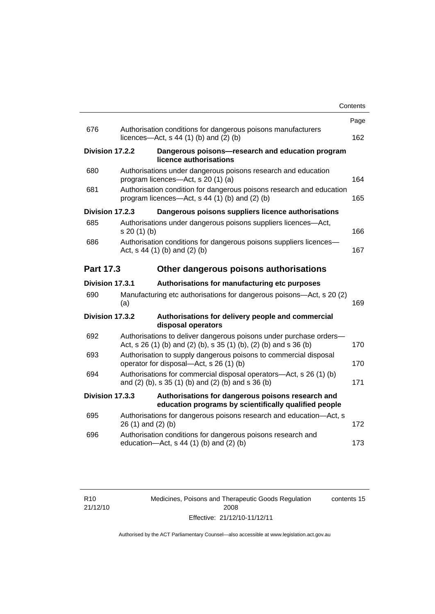|                  |                                                                                                                                         | Contents |
|------------------|-----------------------------------------------------------------------------------------------------------------------------------------|----------|
|                  |                                                                                                                                         | Page     |
| 676              | Authorisation conditions for dangerous poisons manufacturers<br>licences- $-\text{Act}$ , s 44 (1) (b) and (2) (b)                      | 162      |
| Division 17.2.2  | Dangerous poisons-research and education program<br>licence authorisations                                                              |          |
| 680              | Authorisations under dangerous poisons research and education<br>program licences—Act, s 20 (1) (a)                                     | 164      |
| 681              | Authorisation condition for dangerous poisons research and education<br>program licences—Act, s 44 (1) (b) and (2) (b)                  | 165      |
| Division 17.2.3  | Dangerous poisons suppliers licence authorisations                                                                                      |          |
| 685              | Authorisations under dangerous poisons suppliers licences—Act,<br>s 20 (1) (b)                                                          | 166      |
| 686              | Authorisation conditions for dangerous poisons suppliers licences-<br>Act, $s$ 44 (1) (b) and (2) (b)                                   | 167      |
| <b>Part 17.3</b> | Other dangerous poisons authorisations                                                                                                  |          |
| Division 17.3.1  | Authorisations for manufacturing etc purposes                                                                                           |          |
| 690              | Manufacturing etc authorisations for dangerous poisons—Act, s 20 (2)<br>(a)                                                             | 169      |
| Division 17.3.2  | Authorisations for delivery people and commercial<br>disposal operators                                                                 |          |
| 692              | Authorisations to deliver dangerous poisons under purchase orders-<br>Act, s 26 (1) (b) and (2) (b), s 35 (1) (b), (2) (b) and s 36 (b) | 170      |
| 693              | Authorisation to supply dangerous poisons to commercial disposal<br>operator for disposal—Act, s 26 (1) (b)                             | 170      |
| 694              | Authorisations for commercial disposal operators-Act, s 26 (1) (b)<br>and (2) (b), s 35 (1) (b) and (2) (b) and s 36 (b)                | 171      |
| Division 17.3.3  | Authorisations for dangerous poisons research and<br>education programs by scientifically qualified people                              |          |
| 695              | Authorisations for dangerous poisons research and education-Act, s<br>26 (1) and (2) (b)                                                | 172      |
| 696              | Authorisation conditions for dangerous poisons research and<br>education-Act, s 44 (1) (b) and (2) (b)                                  | 173      |
|                  |                                                                                                                                         |          |

Medicines, Poisons and Therapeutic Goods Regulation 2008 Effective: 21/12/10-11/12/11 contents 15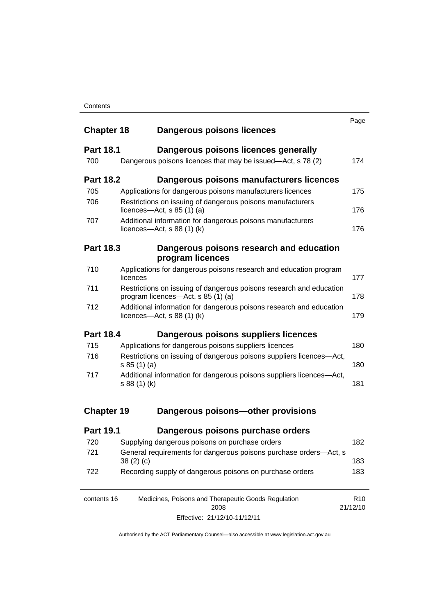| <b>Chapter 18</b> | Dangerous poisons licences                                                                                | Page                        |
|-------------------|-----------------------------------------------------------------------------------------------------------|-----------------------------|
| <b>Part 18.1</b>  | Dangerous poisons licences generally                                                                      |                             |
| 700               | Dangerous poisons licences that may be issued—Act, s 78 (2)                                               | 174                         |
| <b>Part 18.2</b>  | Dangerous poisons manufacturers licences                                                                  |                             |
| 705               | Applications for dangerous poisons manufacturers licences                                                 | 175                         |
| 706               | Restrictions on issuing of dangerous poisons manufacturers<br>licences- $-\text{Act}$ , s 85 (1) (a)      | 176                         |
| 707               | Additional information for dangerous poisons manufacturers<br>licences—Act, $s$ 88 (1) (k)                | 176                         |
| <b>Part 18.3</b>  | Dangerous poisons research and education<br>program licences                                              |                             |
| 710               | Applications for dangerous poisons research and education program<br>licences                             | 177                         |
| 711               | Restrictions on issuing of dangerous poisons research and education<br>program licences—Act, s 85 (1) (a) | 178                         |
| 712               | Additional information for dangerous poisons research and education<br>licences—Act, $s$ 88 (1) (k)       | 179                         |
| <b>Part 18.4</b>  | Dangerous poisons suppliers licences                                                                      |                             |
| 715               | Applications for dangerous poisons suppliers licences                                                     | 180                         |
| 716               | Restrictions on issuing of dangerous poisons suppliers licences-Act,<br>s 85(1)(a)                        | 180                         |
| 717               | Additional information for dangerous poisons suppliers licences-Act,<br>s 88 (1) (k)                      | 181                         |
| <b>Chapter 19</b> | Dangerous poisons-other provisions                                                                        |                             |
| <b>Part 19.1</b>  | Dangerous poisons purchase orders                                                                         |                             |
| 720               | Supplying dangerous poisons on purchase orders                                                            | 182                         |
| 721               | General requirements for dangerous poisons purchase orders-Act, s<br>38(2)(c)                             | 183                         |
| 722               | Recording supply of dangerous poisons on purchase orders                                                  | 183                         |
| contents 16       | Medicines, Poisons and Therapeutic Goods Regulation<br>2008                                               | R <sub>10</sub><br>21/12/10 |

Effective: 21/12/10-11/12/11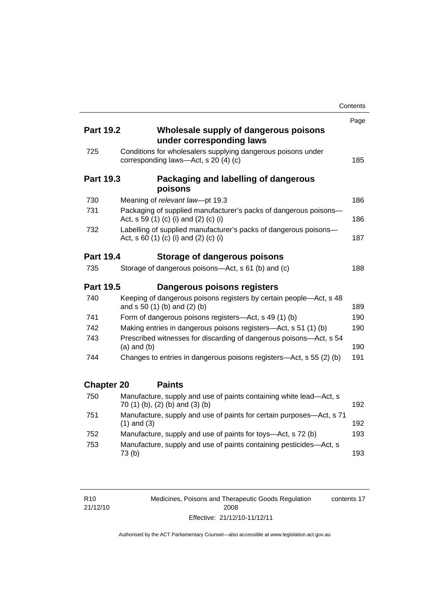|                   |                                                                                                           | Contents |
|-------------------|-----------------------------------------------------------------------------------------------------------|----------|
|                   |                                                                                                           | Page     |
| <b>Part 19.2</b>  | Wholesale supply of dangerous poisons<br>under corresponding laws                                         |          |
| 725               | Conditions for wholesalers supplying dangerous poisons under<br>corresponding laws-Act, s 20 (4) (c)      | 185      |
| <b>Part 19.3</b>  | Packaging and labelling of dangerous<br>poisons                                                           |          |
| 730               | Meaning of relevant law-pt 19.3                                                                           | 186      |
| 731               | Packaging of supplied manufacturer's packs of dangerous poisons-<br>Act, s 59 (1) (c) (i) and (2) (c) (i) | 186      |
| 732               | Labelling of supplied manufacturer's packs of dangerous poisons-<br>Act, s 60 (1) (c) (i) and (2) (c) (i) | 187      |
| <b>Part 19.4</b>  | Storage of dangerous poisons                                                                              |          |
| 735               | Storage of dangerous poisons-Act, s 61 (b) and (c)                                                        | 188      |
| <b>Part 19.5</b>  | Dangerous poisons registers                                                                               |          |
| 740               | Keeping of dangerous poisons registers by certain people-Act, s 48<br>and s 50 (1) (b) and (2) (b)        | 189      |
| 741               | Form of dangerous poisons registers-Act, s 49 (1) (b)                                                     | 190      |
| 742               | Making entries in dangerous poisons registers—Act, s 51 (1) (b)                                           | 190      |
| 743               | Prescribed witnesses for discarding of dangerous poisons-Act, s 54<br>$(a)$ and $(b)$                     | 190      |
| 744               | Changes to entries in dangerous poisons registers-Act, s 55 (2) (b)                                       | 191      |
| <b>Chapter 20</b> | <b>Paints</b>                                                                                             |          |
| 750               | Manufacture, supply and use of paints containing white lead-Act, s<br>70 (1) (b), (2) (b) and (3) (b)     | 192      |
| 751               | Manufacture, supply and use of paints for certain purposes-Act, s 71<br>$(1)$ and $(3)$                   | 192      |
| 752               | Manufacture, supply and use of paints for toys-Act, s 72 (b)                                              | 193      |
| 753               | Manufacture, supply and use of paints containing pesticides-Act, s<br>73(b)                               | 193      |

Medicines, Poisons and Therapeutic Goods Regulation 2008 Effective: 21/12/10-11/12/11 contents 17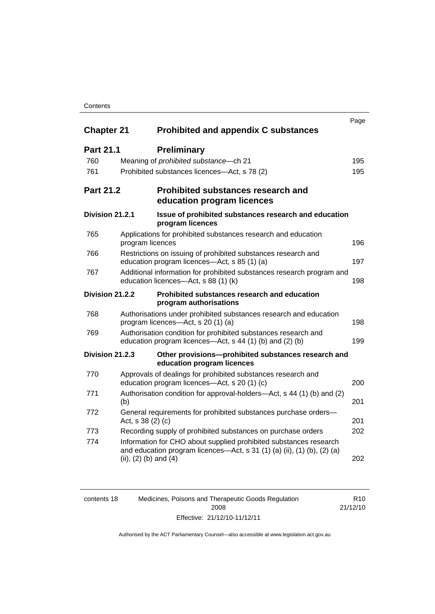### **Contents**

| <b>Chapter 21</b> |                                                                                                                                                                           | <b>Prohibited and appendix C substances</b>           | Page |
|-------------------|---------------------------------------------------------------------------------------------------------------------------------------------------------------------------|-------------------------------------------------------|------|
| <b>Part 21.1</b>  | <b>Preliminary</b>                                                                                                                                                        |                                                       |      |
| 760               | Meaning of prohibited substance-ch 21                                                                                                                                     |                                                       | 195  |
| 761               | Prohibited substances licences-Act, s 78 (2)                                                                                                                              |                                                       | 195  |
| <b>Part 21.2</b>  | <b>Prohibited substances research and</b><br>education program licences                                                                                                   |                                                       |      |
| Division 21.2.1   | program licences                                                                                                                                                          | Issue of prohibited substances research and education |      |
| 765               | Applications for prohibited substances research and education<br>program licences                                                                                         |                                                       | 196  |
| 766               | Restrictions on issuing of prohibited substances research and<br>education program licences-Act, s 85 (1) (a)                                                             |                                                       | 197  |
| 767               | Additional information for prohibited substances research program and<br>education licences-Act, s 88 (1) (k)                                                             |                                                       | 198  |
| Division 21.2.2   | program authorisations                                                                                                                                                    | Prohibited substances research and education          |      |
| 768               | Authorisations under prohibited substances research and education<br>program licences—Act, s 20 (1) (a)                                                                   |                                                       | 198  |
| 769               | Authorisation condition for prohibited substances research and<br>education program licences—Act, s 44 (1) (b) and (2) (b)                                                |                                                       | 199  |
| Division 21.2.3   | education program licences                                                                                                                                                | Other provisions-prohibited substances research and   |      |
| 770               | Approvals of dealings for prohibited substances research and<br>education program licences-Act, s 20 (1) (c)                                                              |                                                       | 200  |
| 771               | Authorisation condition for approval-holders—Act, s 44 (1) (b) and (2)<br>(b)                                                                                             |                                                       | 201  |
| 772               | General requirements for prohibited substances purchase orders-<br>Act, s 38 (2) (c)                                                                                      |                                                       | 201  |
| 773               | Recording supply of prohibited substances on purchase orders                                                                                                              |                                                       | 202  |
| 774               | Information for CHO about supplied prohibited substances research<br>and education program licences—Act, s 31 (1) (a) (ii), (1) (b), (2) (a)<br>(ii), $(2)$ (b) and $(4)$ |                                                       | 202  |

| contents 18 | Medicines, Poisons and Therapeutic Goods Regulation | R <sub>10</sub> |
|-------------|-----------------------------------------------------|-----------------|
|             | 2008                                                | 21/12/10        |
|             | Effective: 21/12/10-11/12/11                        |                 |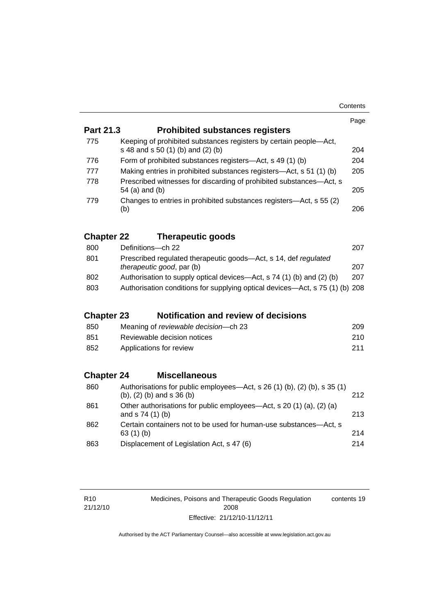| Contents |
|----------|
|----------|

|                   |                                                                                                                | Page |
|-------------------|----------------------------------------------------------------------------------------------------------------|------|
| <b>Part 21.3</b>  | <b>Prohibited substances registers</b>                                                                         |      |
| 775               | Keeping of prohibited substances registers by certain people—Act,<br>s 48 and s 50 (1) (b) and (2) (b)         | 204  |
| 776               | Form of prohibited substances registers-Act, s 49 (1) (b)                                                      | 204  |
| 777               | Making entries in prohibited substances registers—Act, s 51 (1) (b)                                            | 205  |
| 778               | Prescribed witnesses for discarding of prohibited substances-Act, s<br>54 (a) and (b)                          | 205  |
| 779               | Changes to entries in prohibited substances registers—Act, s 55 (2)<br>(b)                                     | 206  |
| <b>Chapter 22</b> | <b>Therapeutic goods</b>                                                                                       |      |
| 800               | Definitions-ch 22                                                                                              | 207  |
| 801               | Prescribed regulated therapeutic goods-Act, s 14, def regulated<br>therapeutic good, par (b)                   | 207  |
| 802               | Authorisation to supply optical devices—Act, s 74 (1) (b) and (2) (b)                                          | 207  |
| 803               | Authorisation conditions for supplying optical devices—Act, s 75 (1) (b) 208                                   |      |
| <b>Chapter 23</b> | <b>Notification and review of decisions</b>                                                                    |      |
| 850               | Meaning of reviewable decision-ch 23                                                                           | 209  |
| 851               | Reviewable decision notices                                                                                    | 210  |
| 852               | Applications for review                                                                                        | 211  |
| <b>Chapter 24</b> | <b>Miscellaneous</b>                                                                                           |      |
| 860               | Authorisations for public employees—Act, s 26 (1) (b), (2) (b), s 35 (1)<br>$(b)$ , $(2)$ $(b)$ and s 36 $(b)$ | 212  |
| 861               | Other authorisations for public employees—Act, s 20 (1) (a), (2) (a)<br>and s 74 (1) (b)                       | 213  |
| 862               | Certain containers not to be used for human-use substances—Act, s<br>63(1)(b)                                  | 214  |
| 863               | Displacement of Legislation Act, s 47 (6)                                                                      | 214  |

| R <sub>10</sub> |  |
|-----------------|--|
| 21/12/10        |  |

Medicines, Poisons and Therapeutic Goods Regulation 2008 Effective: 21/12/10-11/12/11 contents 19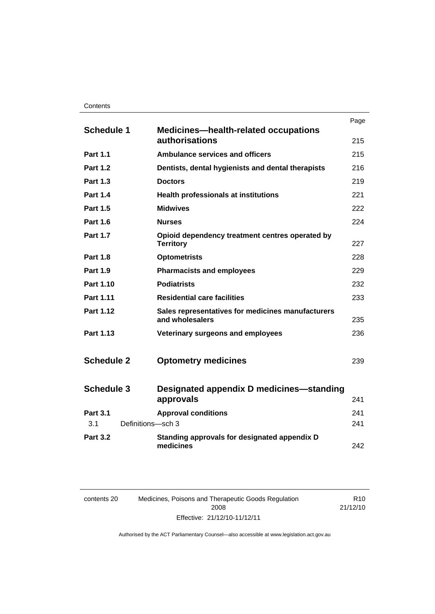|                          |                                                                      | Page |
|--------------------------|----------------------------------------------------------------------|------|
| <b>Schedule 1</b>        | <b>Medicines-health-related occupations</b><br>authorisations        | 215  |
| <b>Part 1.1</b>          | <b>Ambulance services and officers</b>                               | 215  |
| <b>Part 1.2</b>          | Dentists, dental hygienists and dental therapists                    | 216  |
| <b>Part 1.3</b>          | <b>Doctors</b>                                                       | 219  |
| <b>Part 1.4</b>          | <b>Health professionals at institutions</b>                          | 221  |
| <b>Part 1.5</b>          | <b>Midwives</b>                                                      | 222  |
| <b>Part 1.6</b>          | <b>Nurses</b>                                                        | 224  |
| <b>Part 1.7</b>          | Opioid dependency treatment centres operated by<br><b>Territory</b>  | 227  |
| <b>Part 1.8</b>          | <b>Optometrists</b>                                                  | 228  |
| <b>Part 1.9</b>          | <b>Pharmacists and employees</b>                                     | 229  |
| Part 1.10                | <b>Podiatrists</b>                                                   | 232  |
| Part 1.11                | <b>Residential care facilities</b>                                   | 233  |
| Part 1.12                | Sales representatives for medicines manufacturers<br>and wholesalers | 235  |
| Part 1.13                | Veterinary surgeons and employees                                    | 236  |
|                          |                                                                      |      |
| <b>Schedule 2</b>        | <b>Optometry medicines</b>                                           | 239  |
|                          |                                                                      |      |
| <b>Schedule 3</b>        | Designated appendix D medicines—standing                             |      |
|                          | approvals                                                            | 241  |
| <b>Part 3.1</b>          | <b>Approval conditions</b>                                           | 241  |
| Definitions-sch 3<br>3.1 |                                                                      | 241  |
| <b>Part 3.2</b>          | Standing approvals for designated appendix D<br>medicines            | 242  |
|                          |                                                                      |      |

| contents 20 | Medicines, Poisons and Therapeutic Goods Regulation |  |
|-------------|-----------------------------------------------------|--|
|             | 2008                                                |  |
|             | Effective: 21/12/10-11/12/11                        |  |

R10 21/12/10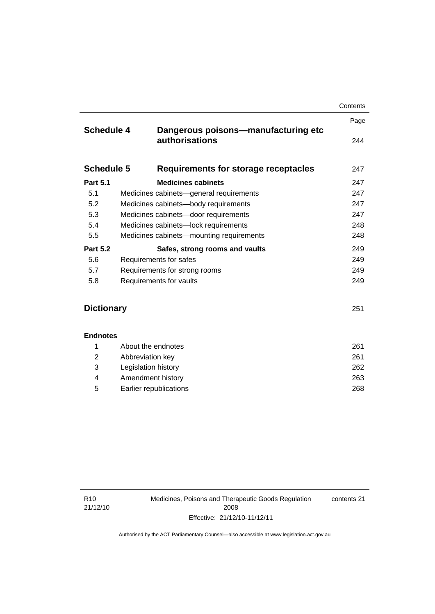|                   |                                                       | Contents |
|-------------------|-------------------------------------------------------|----------|
| <b>Schedule 4</b> |                                                       | Page     |
|                   | Dangerous poisons—manufacturing etc<br>authorisations | 244      |
| <b>Schedule 5</b> | Requirements for storage receptacles                  | 247      |
| <b>Part 5.1</b>   | <b>Medicines cabinets</b>                             | 247      |
| 5.1               | Medicines cabinets-general requirements               | 247      |
| 5.2               | Medicines cabinets-body requirements<br>247           |          |
| 5.3               | 247<br>Medicines cabinets-door requirements           |          |
| 5.4               | 248<br>Medicines cabinets-lock requirements           |          |
| 5.5               | 248<br>Medicines cabinets—mounting requirements       |          |
| <b>Part 5.2</b>   | Safes, strong rooms and vaults                        | 249      |
| 5.6               | Requirements for safes                                |          |
| 5.7               | Requirements for strong rooms<br>249                  |          |
| 5.8               | Requirements for vaults<br>249                        |          |
| <b>Dictionary</b> |                                                       | 251      |
| <b>Endnotes</b>   |                                                       |          |
| 1                 | About the endnotes                                    | 261      |
| 2                 | Abbreviation key                                      | 261      |
| 3                 | Legislation history                                   | 262      |
| 4                 | Amendment history                                     | 263      |

5 [Earlier republications 268](#page-291-0)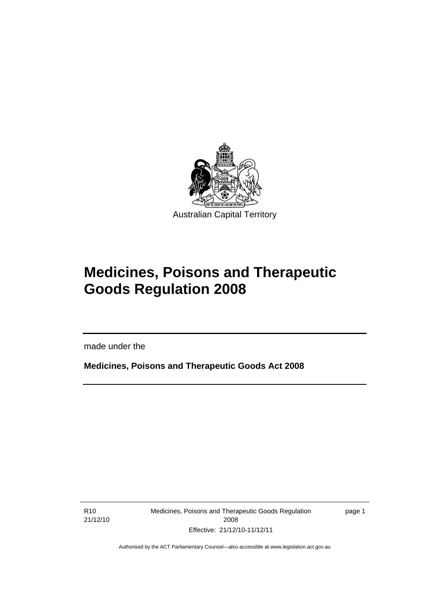

# **Medicines, Poisons and Therapeutic Goods Regulation 2008**

made under the

**Medicines, Poisons and Therapeutic Goods Act 2008** 

R10 21/12/10

l

Medicines, Poisons and Therapeutic Goods Regulation 2008 Effective: 21/12/10-11/12/11

page 1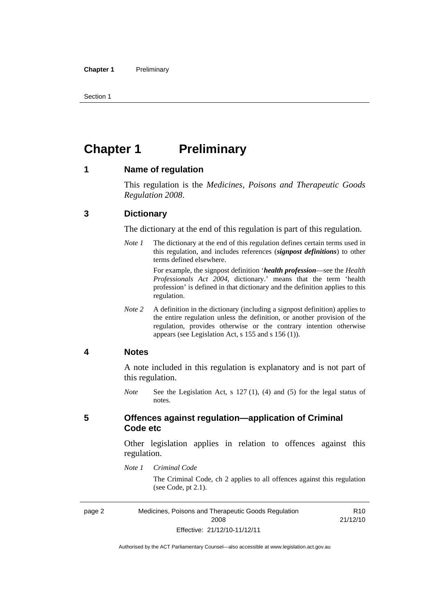Section 1

# <span id="page-25-0"></span>**Chapter 1** Preliminary

#### <span id="page-25-1"></span>**1 Name of regulation**

This regulation is the *Medicines, Poisons and Therapeutic Goods Regulation 2008*.

#### <span id="page-25-2"></span>**3 Dictionary**

The dictionary at the end of this regulation is part of this regulation.

*Note 1* The dictionary at the end of this regulation defines certain terms used in this regulation, and includes references (*signpost definitions*) to other terms defined elsewhere.

> For example, the signpost definition '*health profession*—see the *Health Professionals Act 2004*, dictionary.' means that the term 'health profession' is defined in that dictionary and the definition applies to this regulation.

*Note 2* A definition in the dictionary (including a signpost definition) applies to the entire regulation unless the definition, or another provision of the regulation, provides otherwise or the contrary intention otherwise appears (see Legislation Act, s 155 and s 156 (1)).

#### <span id="page-25-3"></span>**4 Notes**

A note included in this regulation is explanatory and is not part of this regulation.

*Note* See the Legislation Act, s 127 (1), (4) and (5) for the legal status of notes.

<span id="page-25-4"></span>

#### **5 Offences against regulation—application of Criminal Code etc**

Other legislation applies in relation to offences against this regulation.

*Note 1 Criminal Code*

The Criminal Code, ch 2 applies to all offences against this regulation (see Code, pt 2.1).

| × |
|---|
|---|

Medicines, Poisons and Therapeutic Goods Regulation 2008 Effective: 21/12/10-11/12/11

R10 21/12/10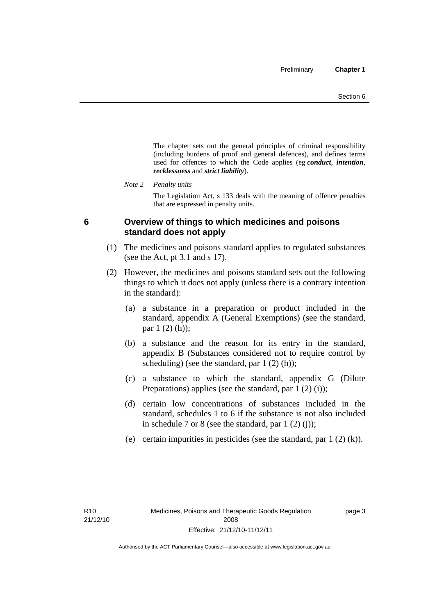The chapter sets out the general principles of criminal responsibility (including burdens of proof and general defences), and defines terms used for offences to which the Code applies (eg *conduct*, *intention*, *recklessness* and *strict liability*).

*Note 2 Penalty units* 

The Legislation Act, s 133 deals with the meaning of offence penalties that are expressed in penalty units.

### <span id="page-26-0"></span>**6 Overview of things to which medicines and poisons standard does not apply**

- (1) The medicines and poisons standard applies to regulated substances (see the Act, pt 3.1 and s 17).
- (2) However, the medicines and poisons standard sets out the following things to which it does not apply (unless there is a contrary intention in the standard):
	- (a) a substance in a preparation or product included in the standard, appendix A (General Exemptions) (see the standard, par 1 (2) (h));
	- (b) a substance and the reason for its entry in the standard, appendix B (Substances considered not to require control by scheduling) (see the standard, par  $1(2)(h)$ );
	- (c) a substance to which the standard, appendix G (Dilute Preparations) applies (see the standard, par 1 (2) (i));
	- (d) certain low concentrations of substances included in the standard, schedules 1 to 6 if the substance is not also included in schedule 7 or 8 (see the standard, par  $1(2)(i)$ );
	- (e) certain impurities in pesticides (see the standard, par 1 (2) (k)).

page 3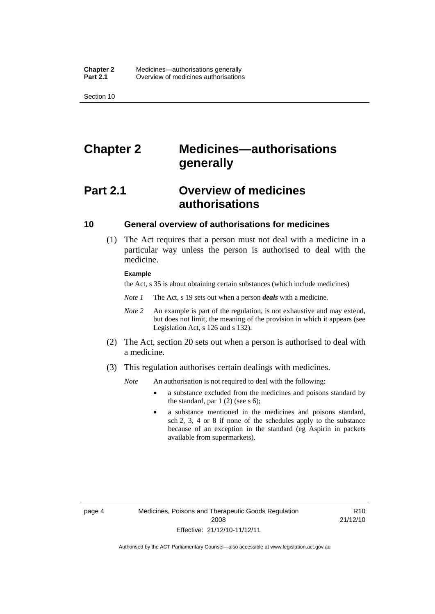Section 10

# <span id="page-27-0"></span>**Chapter 2 Medicines—authorisations generally**

# <span id="page-27-1"></span>**Part 2.1 Overview of medicines authorisations**

#### <span id="page-27-2"></span>**10 General overview of authorisations for medicines**

 (1) The Act requires that a person must not deal with a medicine in a particular way unless the person is authorised to deal with the medicine.

#### **Example**

the Act, s 35 is about obtaining certain substances (which include medicines)

- *Note 1* The Act, s 19 sets out when a person *deals* with a medicine.
- *Note 2* An example is part of the regulation, is not exhaustive and may extend, but does not limit, the meaning of the provision in which it appears (see Legislation Act, s 126 and s 132).
- (2) The Act, section 20 sets out when a person is authorised to deal with a medicine.
- (3) This regulation authorises certain dealings with medicines.

*Note* An authorisation is not required to deal with the following:

- a substance excluded from the medicines and poisons standard by the standard, par  $1(2)$  (see s 6);
- a substance mentioned in the medicines and poisons standard, sch 2, 3, 4 or 8 if none of the schedules apply to the substance because of an exception in the standard (eg Aspirin in packets available from supermarkets).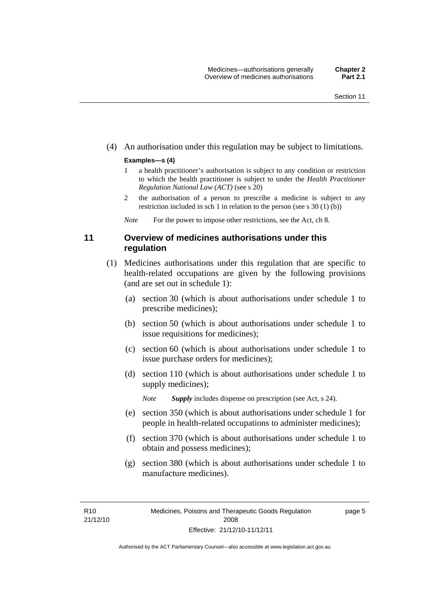### (4) An authorisation under this regulation may be subject to limitations.

#### **Examples—s (4)**

- 1 a health practitioner's authorisation is subject to any condition or restriction to which the health practitioner is subject to under the *Health Practitioner Regulation National Law (ACT)* (see s 20)
- 2 the authorisation of a person to prescribe a medicine is subject to any restriction included in sch 1 in relation to the person (see s 30 (1) (b))

*Note* For the power to impose other restrictions, see the Act, ch 8.

### <span id="page-28-0"></span>**11 Overview of medicines authorisations under this regulation**

- (1) Medicines authorisations under this regulation that are specific to health-related occupations are given by the following provisions (and are set out in schedule 1):
	- (a) section 30 (which is about authorisations under schedule 1 to prescribe medicines);
	- (b) section 50 (which is about authorisations under schedule 1 to issue requisitions for medicines);
	- (c) section 60 (which is about authorisations under schedule 1 to issue purchase orders for medicines);
	- (d) section 110 (which is about authorisations under schedule 1 to supply medicines);

*Note Supply* includes dispense on prescription (see Act, s 24).

- (e) section 350 (which is about authorisations under schedule 1 for people in health-related occupations to administer medicines);
- (f) section 370 (which is about authorisations under schedule 1 to obtain and possess medicines);
- (g) section 380 (which is about authorisations under schedule 1 to manufacture medicines).

page 5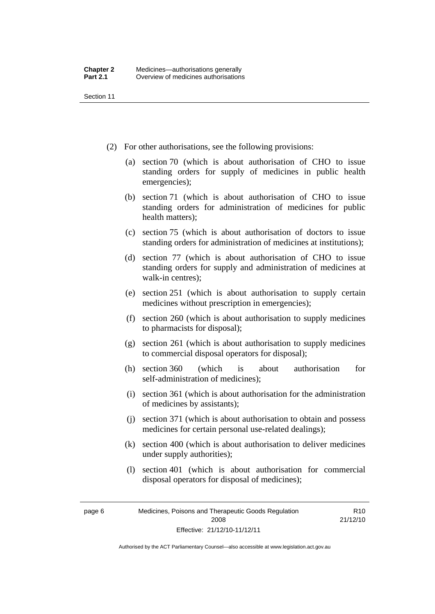Section 11

- (2) For other authorisations, see the following provisions:
	- (a) section 70 (which is about authorisation of CHO to issue standing orders for supply of medicines in public health emergencies);
	- (b) section 71 (which is about authorisation of CHO to issue standing orders for administration of medicines for public health matters);
	- (c) section 75 (which is about authorisation of doctors to issue standing orders for administration of medicines at institutions);
	- (d) section 77 (which is about authorisation of CHO to issue standing orders for supply and administration of medicines at walk-in centres);
	- (e) section 251 (which is about authorisation to supply certain medicines without prescription in emergencies);
	- (f) section 260 (which is about authorisation to supply medicines to pharmacists for disposal);
	- (g) section 261 (which is about authorisation to supply medicines to commercial disposal operators for disposal);
	- (h) section 360 (which is about authorisation for self-administration of medicines);
	- (i) section 361 (which is about authorisation for the administration of medicines by assistants);
	- (j) section 371 (which is about authorisation to obtain and possess medicines for certain personal use-related dealings);
	- (k) section 400 (which is about authorisation to deliver medicines under supply authorities);
	- (l) section 401 (which is about authorisation for commercial disposal operators for disposal of medicines);

R10 21/12/10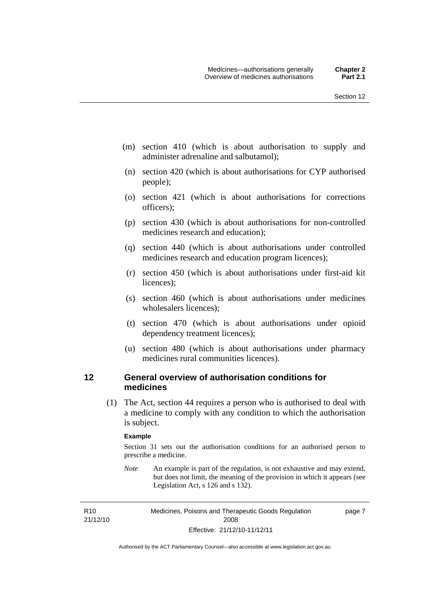- (m) section 410 (which is about authorisation to supply and administer adrenaline and salbutamol);
- (n) section 420 (which is about authorisations for CYP authorised people);
- (o) section 421 (which is about authorisations for corrections officers);
- (p) section 430 (which is about authorisations for non-controlled medicines research and education);
- (q) section 440 (which is about authorisations under controlled medicines research and education program licences);
- (r) section 450 (which is about authorisations under first-aid kit licences);
- (s) section 460 (which is about authorisations under medicines wholesalers licences);
- (t) section 470 (which is about authorisations under opioid dependency treatment licences);
- (u) section 480 (which is about authorisations under pharmacy medicines rural communities licences).

### <span id="page-30-0"></span>**12 General overview of authorisation conditions for medicines**

(1) The Act, section 44 requires a person who is authorised to deal with a medicine to comply with any condition to which the authorisation is subject.

#### **Example**

Section 31 sets out the authorisation conditions for an authorised person to prescribe a medicine.

*Note* An example is part of the regulation, is not exhaustive and may extend, but does not limit, the meaning of the provision in which it appears (see Legislation Act, s 126 and s 132).

 $R10$ 21/12/10 Medicines, Poisons and Therapeutic Goods Regulation 2008 Effective: 21/12/10-11/12/11

page 7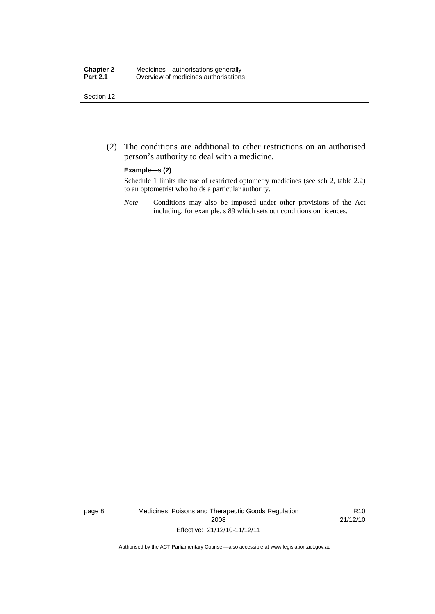| <b>Chapter 2</b> | Medicines—authorisations generally   |
|------------------|--------------------------------------|
| <b>Part 2.1</b>  | Overview of medicines authorisations |

Section 12

 (2) The conditions are additional to other restrictions on an authorised person's authority to deal with a medicine.

#### **Example—s (2)**

Schedule 1 limits the use of restricted optometry medicines (see sch 2, table 2.2) to an optometrist who holds a particular authority.

*Note* Conditions may also be imposed under other provisions of the Act including, for example, s 89 which sets out conditions on licences.

page 8 Medicines, Poisons and Therapeutic Goods Regulation 2008 Effective: 21/12/10-11/12/11

R10 21/12/10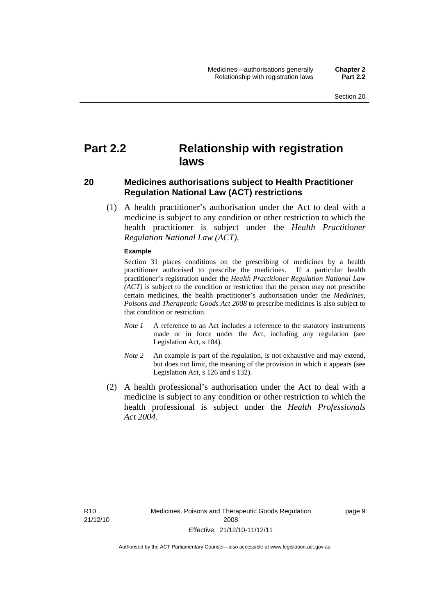# <span id="page-32-0"></span>**Part 2.2 Relationship with registration laws**

#### <span id="page-32-1"></span>**20 Medicines authorisations subject to Health Practitioner Regulation National Law (ACT) restrictions**

 (1) A health practitioner's authorisation under the Act to deal with a medicine is subject to any condition or other restriction to which the health practitioner is subject under the *Health Practitioner Regulation National Law (ACT)*.

#### **Example**

Section 31 places conditions on the prescribing of medicines by a health practitioner authorised to prescribe the medicines. If a particular health practitioner's registration under the *Health Practitioner Regulation National Law (ACT)* is subject to the condition or restriction that the person may not prescribe certain medicines, the health practitioner's authorisation under the *Medicines, Poisons and Therapeutic Goods Act 2008* to prescribe medicines is also subject to that condition or restriction.

- *Note 1* A reference to an Act includes a reference to the statutory instruments made or in force under the Act, including any regulation (see Legislation Act, s 104).
- *Note 2* An example is part of the regulation, is not exhaustive and may extend, but does not limit, the meaning of the provision in which it appears (see Legislation Act, s 126 and s 132).
- (2) A health professional's authorisation under the Act to deal with a medicine is subject to any condition or other restriction to which the health professional is subject under the *Health Professionals Act 2004*.

page 9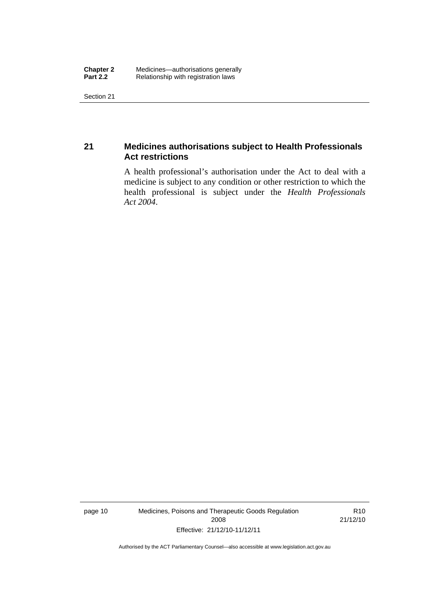Section 21

## <span id="page-33-0"></span>**21 Medicines authorisations subject to Health Professionals Act restrictions**

A health professional's authorisation under the Act to deal with a medicine is subject to any condition or other restriction to which the health professional is subject under the *Health Professionals Act 2004*.

page 10 Medicines, Poisons and Therapeutic Goods Regulation 2008 Effective: 21/12/10-11/12/11

R10 21/12/10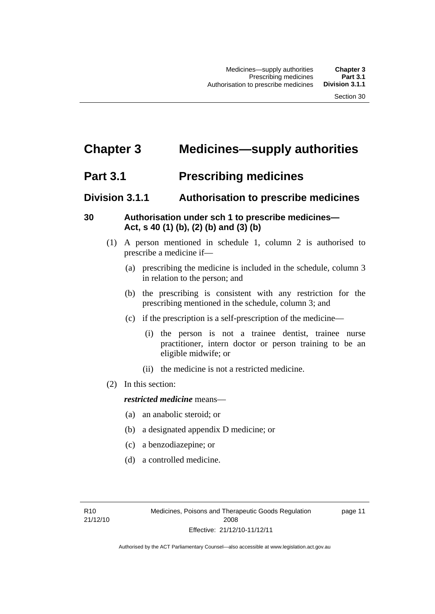# <span id="page-34-0"></span>**Chapter 3 Medicines—supply authorities**

# <span id="page-34-1"></span>**Part 3.1 Prescribing medicines**

# <span id="page-34-2"></span>**Division 3.1.1 Authorisation to prescribe medicines**

## <span id="page-34-3"></span>**30 Authorisation under sch 1 to prescribe medicines— Act, s 40 (1) (b), (2) (b) and (3) (b)**

- (1) A person mentioned in schedule 1, column 2 is authorised to prescribe a medicine if—
	- (a) prescribing the medicine is included in the schedule, column 3 in relation to the person; and
	- (b) the prescribing is consistent with any restriction for the prescribing mentioned in the schedule, column 3; and
	- (c) if the prescription is a self-prescription of the medicine—
		- (i) the person is not a trainee dentist, trainee nurse practitioner, intern doctor or person training to be an eligible midwife; or
		- (ii) the medicine is not a restricted medicine.
- (2) In this section:

## *restricted medicine* means—

- (a) an anabolic steroid; or
- (b) a designated appendix D medicine; or
- (c) a benzodiazepine; or
- (d) a controlled medicine.

page 11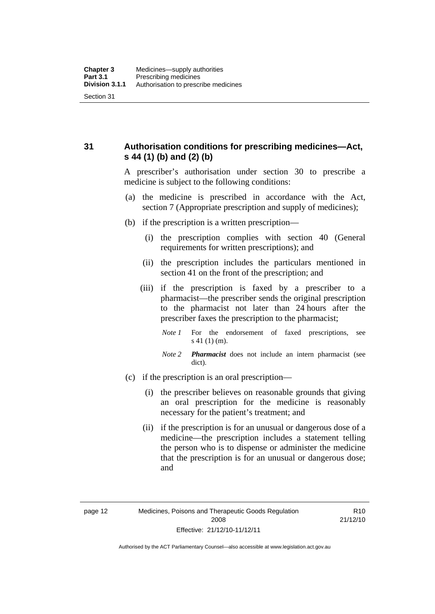<span id="page-35-0"></span>**31 Authorisation conditions for prescribing medicines—Act, s 44 (1) (b) and (2) (b)** 

> A prescriber's authorisation under section 30 to prescribe a medicine is subject to the following conditions:

- (a) the medicine is prescribed in accordance with the Act, section 7 (Appropriate prescription and supply of medicines);
- (b) if the prescription is a written prescription—
	- (i) the prescription complies with section 40 (General requirements for written prescriptions); and
	- (ii) the prescription includes the particulars mentioned in section 41 on the front of the prescription; and
	- (iii) if the prescription is faxed by a prescriber to a pharmacist—the prescriber sends the original prescription to the pharmacist not later than 24 hours after the prescriber faxes the prescription to the pharmacist;
		- *Note 1* For the endorsement of faxed prescriptions, see s 41 (1) (m).
		- *Note 2 Pharmacist* does not include an intern pharmacist (see dict).
- (c) if the prescription is an oral prescription—
	- (i) the prescriber believes on reasonable grounds that giving an oral prescription for the medicine is reasonably necessary for the patient's treatment; and
	- (ii) if the prescription is for an unusual or dangerous dose of a medicine—the prescription includes a statement telling the person who is to dispense or administer the medicine that the prescription is for an unusual or dangerous dose; and

page 12 Medicines, Poisons and Therapeutic Goods Regulation 2008 Effective: 21/12/10-11/12/11

R10 21/12/10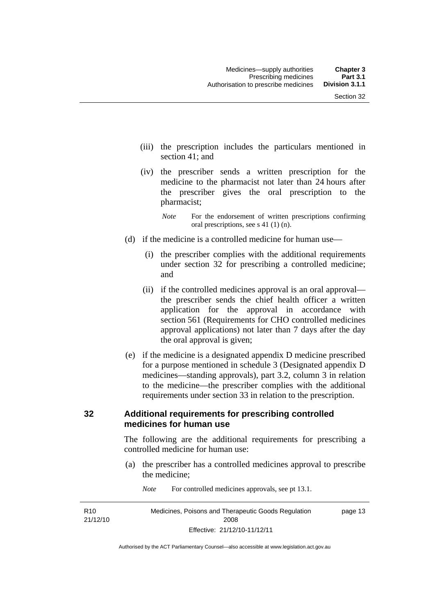- (iii) the prescription includes the particulars mentioned in section 41; and
- (iv) the prescriber sends a written prescription for the medicine to the pharmacist not later than 24 hours after the prescriber gives the oral prescription to the pharmacist;
	- *Note* For the endorsement of written prescriptions confirming oral prescriptions, see s 41 (1) (n).
- (d) if the medicine is a controlled medicine for human use—
	- (i) the prescriber complies with the additional requirements under section 32 for prescribing a controlled medicine; and
	- (ii) if the controlled medicines approval is an oral approval the prescriber sends the chief health officer a written application for the approval in accordance with section 561 (Requirements for CHO controlled medicines approval applications) not later than 7 days after the day the oral approval is given;
- (e) if the medicine is a designated appendix D medicine prescribed for a purpose mentioned in schedule 3 (Designated appendix D medicines—standing approvals), part 3.2, column 3 in relation to the medicine—the prescriber complies with the additional requirements under section 33 in relation to the prescription.

#### **32 Additional requirements for prescribing controlled medicines for human use**

The following are the additional requirements for prescribing a controlled medicine for human use:

- (a) the prescriber has a controlled medicines approval to prescribe the medicine;
- $R10$ 21/12/10 Medicines, Poisons and Therapeutic Goods Regulation 2008 Effective: 21/12/10-11/12/11 page 13
- *Note* For controlled medicines approvals, see pt 13.1.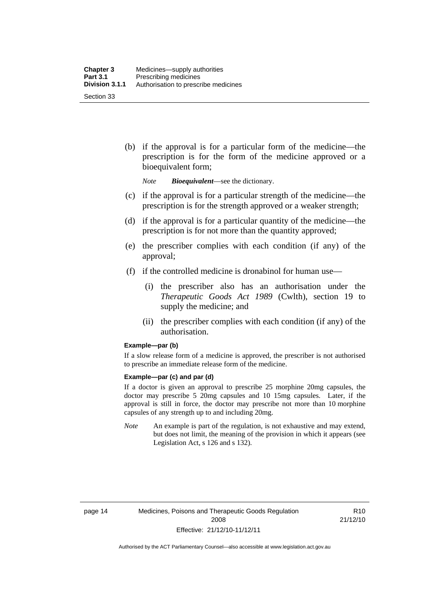(b) if the approval is for a particular form of the medicine—the prescription is for the form of the medicine approved or a bioequivalent form;

*Note Bioequivalent*—see the dictionary.

- (c) if the approval is for a particular strength of the medicine—the prescription is for the strength approved or a weaker strength;
- (d) if the approval is for a particular quantity of the medicine—the prescription is for not more than the quantity approved;
- (e) the prescriber complies with each condition (if any) of the approval;
- (f) if the controlled medicine is dronabinol for human use—
	- (i) the prescriber also has an authorisation under the *Therapeutic Goods Act 1989* (Cwlth), section 19 to supply the medicine; and
	- (ii) the prescriber complies with each condition (if any) of the authorisation.

#### **Example—par (b)**

If a slow release form of a medicine is approved, the prescriber is not authorised to prescribe an immediate release form of the medicine.

#### **Example—par (c) and par (d)**

If a doctor is given an approval to prescribe 25 morphine 20mg capsules, the doctor may prescribe 5 20mg capsules and 10 15mg capsules. Later, if the approval is still in force, the doctor may prescribe not more than 10 morphine capsules of any strength up to and including 20mg.

*Note* An example is part of the regulation, is not exhaustive and may extend, but does not limit, the meaning of the provision in which it appears (see Legislation Act, s 126 and s 132).

R10 21/12/10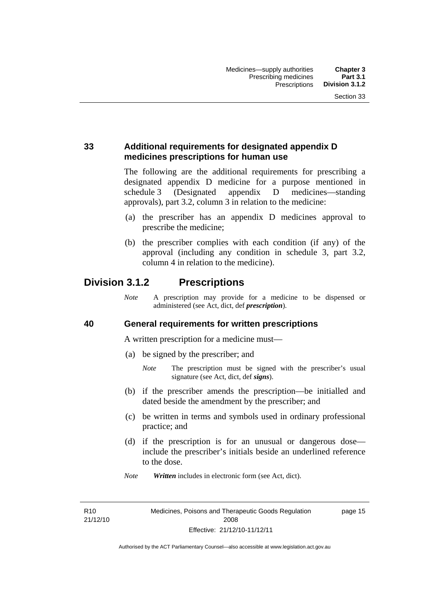#### **33 Additional requirements for designated appendix D medicines prescriptions for human use**

The following are the additional requirements for prescribing a designated appendix D medicine for a purpose mentioned in schedule 3 (Designated appendix D medicines—standing approvals), part 3.2, column 3 in relation to the medicine:

- (a) the prescriber has an appendix D medicines approval to prescribe the medicine;
- (b) the prescriber complies with each condition (if any) of the approval (including any condition in schedule 3, part 3.2, column 4 in relation to the medicine).

## **Division 3.1.2 Prescriptions**

*Note* A prescription may provide for a medicine to be dispensed or administered (see Act, dict, def *prescription*).

#### **40 General requirements for written prescriptions**

A written prescription for a medicine must—

- (a) be signed by the prescriber; and
	- *Note* The prescription must be signed with the prescriber's usual signature (see Act, dict, def *signs*).
- (b) if the prescriber amends the prescription—be initialled and dated beside the amendment by the prescriber; and
- (c) be written in terms and symbols used in ordinary professional practice; and
- (d) if the prescription is for an unusual or dangerous dose include the prescriber's initials beside an underlined reference to the dose.
- *Note Written* includes in electronic form (see Act, dict).

 $R10$ 21/12/10 page 15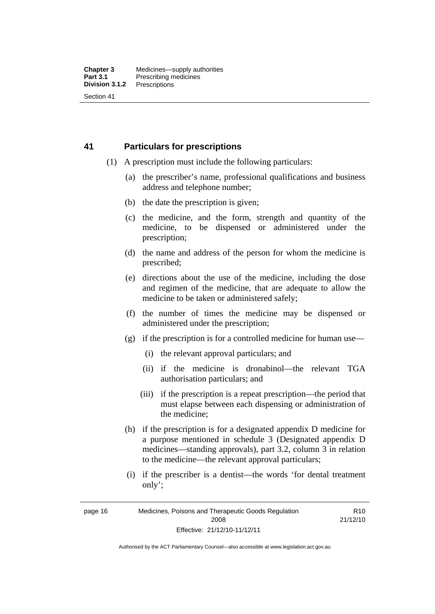#### **41 Particulars for prescriptions**

- (1) A prescription must include the following particulars:
	- (a) the prescriber's name, professional qualifications and business address and telephone number;
	- (b) the date the prescription is given;
	- (c) the medicine, and the form, strength and quantity of the medicine, to be dispensed or administered under the prescription;
	- (d) the name and address of the person for whom the medicine is prescribed;
	- (e) directions about the use of the medicine, including the dose and regimen of the medicine, that are adequate to allow the medicine to be taken or administered safely;
	- (f) the number of times the medicine may be dispensed or administered under the prescription;
	- (g) if the prescription is for a controlled medicine for human use—
		- (i) the relevant approval particulars; and
		- (ii) if the medicine is dronabinol—the relevant TGA authorisation particulars; and
		- (iii) if the prescription is a repeat prescription—the period that must elapse between each dispensing or administration of the medicine;
	- (h) if the prescription is for a designated appendix D medicine for a purpose mentioned in schedule 3 (Designated appendix D medicines—standing approvals), part 3.2, column 3 in relation to the medicine—the relevant approval particulars;
	- (i) if the prescriber is a dentist—the words 'for dental treatment only';

R10 21/12/10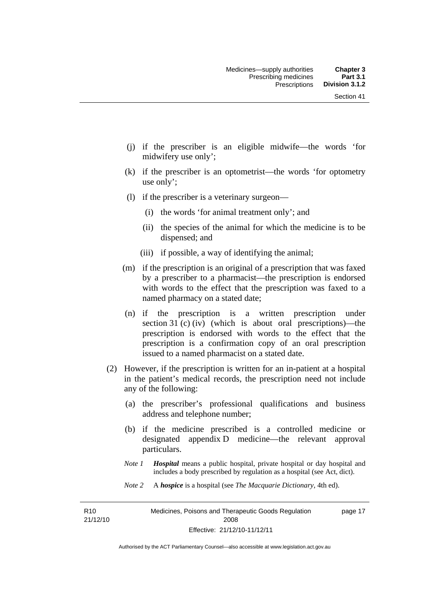- (j) if the prescriber is an eligible midwife—the words 'for midwifery use only';
- (k) if the prescriber is an optometrist—the words 'for optometry use only';
- (l) if the prescriber is a veterinary surgeon—
	- (i) the words 'for animal treatment only'; and
	- (ii) the species of the animal for which the medicine is to be dispensed; and
	- (iii) if possible, a way of identifying the animal;
- (m) if the prescription is an original of a prescription that was faxed by a prescriber to a pharmacist—the prescription is endorsed with words to the effect that the prescription was faxed to a named pharmacy on a stated date;
- (n) if the prescription is a written prescription under section 31 (c) (iv) (which is about oral prescriptions)—the prescription is endorsed with words to the effect that the prescription is a confirmation copy of an oral prescription issued to a named pharmacist on a stated date.
- (2) However, if the prescription is written for an in-patient at a hospital in the patient's medical records, the prescription need not include any of the following:
	- (a) the prescriber's professional qualifications and business address and telephone number;
	- (b) if the medicine prescribed is a controlled medicine or designated appendix D medicine—the relevant approval particulars.
	- *Note 1 Hospital* means a public hospital, private hospital or day hospital and includes a body prescribed by regulation as a hospital (see Act, dict).
	- *Note 2* A *hospice* is a hospital (see *The Macquarie Dictionary*, 4th ed).

 $R10$ 21/12/10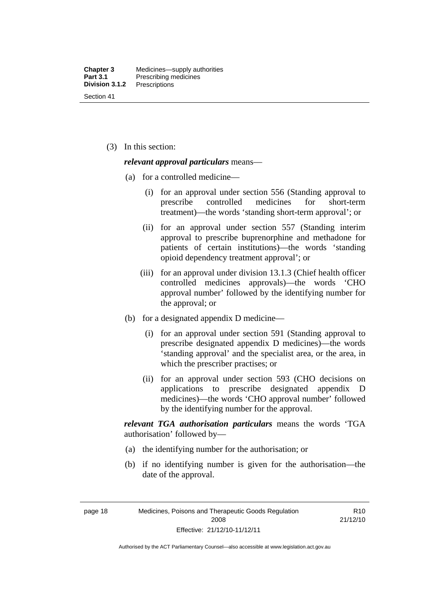(3) In this section:

#### *relevant approval particulars* means—

- (a) for a controlled medicine—
	- (i) for an approval under section 556 (Standing approval to prescribe controlled medicines for short-term treatment)—the words 'standing short-term approval'; or
	- (ii) for an approval under section 557 (Standing interim approval to prescribe buprenorphine and methadone for patients of certain institutions)—the words 'standing opioid dependency treatment approval'; or
	- (iii) for an approval under division 13.1.3 (Chief health officer controlled medicines approvals)—the words 'CHO approval number' followed by the identifying number for the approval; or
- (b) for a designated appendix D medicine—
	- (i) for an approval under section 591 (Standing approval to prescribe designated appendix D medicines)—the words 'standing approval' and the specialist area, or the area, in which the prescriber practises; or
	- (ii) for an approval under section 593 (CHO decisions on applications to prescribe designated appendix D medicines)—the words 'CHO approval number' followed by the identifying number for the approval.

*relevant TGA authorisation particulars* means the words 'TGA authorisation' followed by—

- (a) the identifying number for the authorisation; or
- (b) if no identifying number is given for the authorisation—the date of the approval.

R10 21/12/10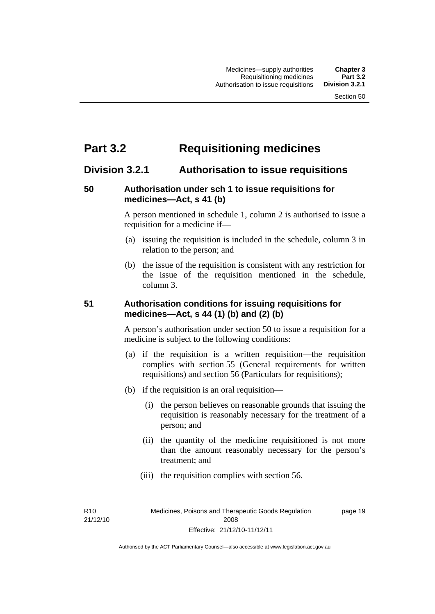# **Part 3.2 Requisitioning medicines**

## **Division 3.2.1 Authorisation to issue requisitions**

## **50 Authorisation under sch 1 to issue requisitions for medicines—Act, s 41 (b)**

A person mentioned in schedule 1, column 2 is authorised to issue a requisition for a medicine if—

- (a) issuing the requisition is included in the schedule, column 3 in relation to the person; and
- (b) the issue of the requisition is consistent with any restriction for the issue of the requisition mentioned in the schedule, column 3.

#### **51 Authorisation conditions for issuing requisitions for medicines—Act, s 44 (1) (b) and (2) (b)**

A person's authorisation under section 50 to issue a requisition for a medicine is subject to the following conditions:

- (a) if the requisition is a written requisition—the requisition complies with section 55 (General requirements for written requisitions) and section 56 (Particulars for requisitions);
- (b) if the requisition is an oral requisition—
	- (i) the person believes on reasonable grounds that issuing the requisition is reasonably necessary for the treatment of a person; and
	- (ii) the quantity of the medicine requisitioned is not more than the amount reasonably necessary for the person's treatment; and
	- (iii) the requisition complies with section 56.

 $R10$ 21/12/10 page 19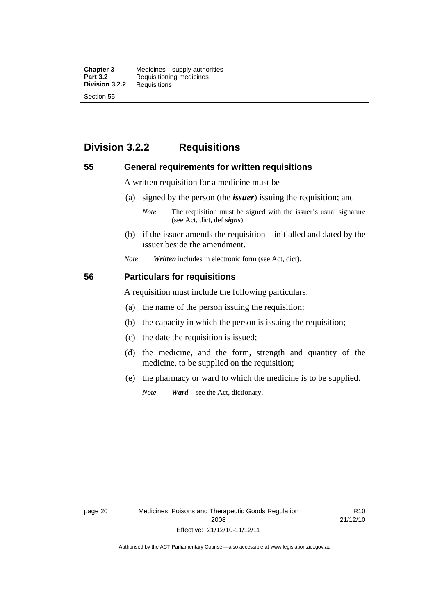**Chapter 3** Medicines—supply authorities<br>**Part 3.2** Requisitioning medicines **Requisitioning medicines**<br>Requisitions **Division 3.2.2** Section 55

# **Division 3.2.2 Requisitions**

#### **55 General requirements for written requisitions**

A written requisition for a medicine must be—

(a) signed by the person (the *issuer*) issuing the requisition; and

 (b) if the issuer amends the requisition—initialled and dated by the issuer beside the amendment.

*Note Written* includes in electronic form (see Act, dict).

#### **56 Particulars for requisitions**

A requisition must include the following particulars:

- (a) the name of the person issuing the requisition;
- (b) the capacity in which the person is issuing the requisition;
- (c) the date the requisition is issued;
- (d) the medicine, and the form, strength and quantity of the medicine, to be supplied on the requisition;
- (e) the pharmacy or ward to which the medicine is to be supplied.

*Note Ward*—see the Act, dictionary.

page 20 Medicines, Poisons and Therapeutic Goods Regulation 2008 Effective: 21/12/10-11/12/11

R10 21/12/10

*Note* The requisition must be signed with the issuer's usual signature (see Act, dict, def *signs*).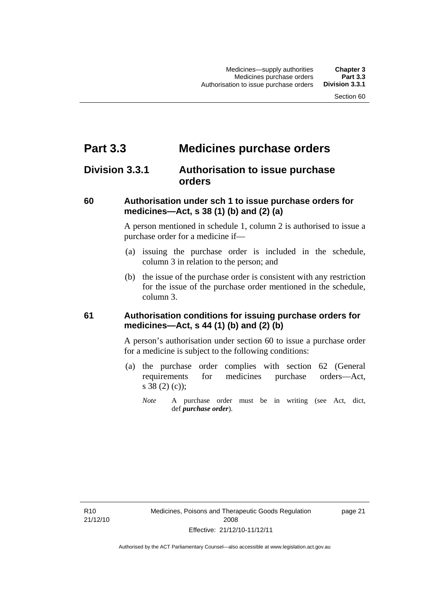# **Part 3.3 Medicines purchase orders**

## **Division 3.3.1 Authorisation to issue purchase orders**

#### **60 Authorisation under sch 1 to issue purchase orders for medicines—Act, s 38 (1) (b) and (2) (a)**

A person mentioned in schedule 1, column 2 is authorised to issue a purchase order for a medicine if—

- (a) issuing the purchase order is included in the schedule, column 3 in relation to the person; and
- (b) the issue of the purchase order is consistent with any restriction for the issue of the purchase order mentioned in the schedule, column 3.

#### **61 Authorisation conditions for issuing purchase orders for medicines—Act, s 44 (1) (b) and (2) (b)**

A person's authorisation under section 60 to issue a purchase order for a medicine is subject to the following conditions:

- (a) the purchase order complies with section 62 (General requirements for medicines purchase orders—Act, s 38 (2) (c));
	- *Note* A purchase order must be in writing (see Act, dict, def *purchase order*).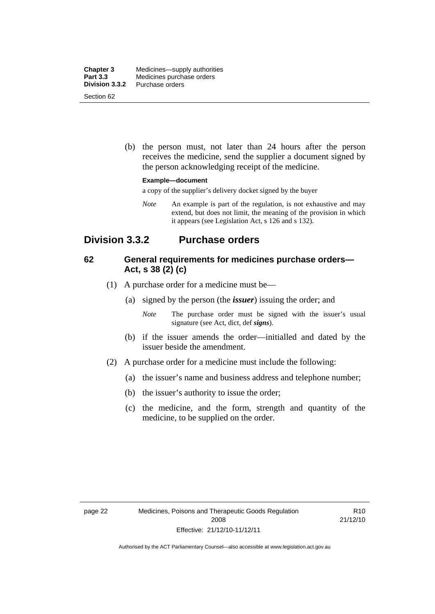| <b>Chapter 3</b> | Medicines—supply authorities |
|------------------|------------------------------|
| Part 3.3         | Medicines purchase orders    |
| Division 3.3.2   | Purchase orders              |
| Section 62       |                              |

 (b) the person must, not later than 24 hours after the person receives the medicine, send the supplier a document signed by the person acknowledging receipt of the medicine.

#### **Example—document**

a copy of the supplier's delivery docket signed by the buyer

*Note* An example is part of the regulation, is not exhaustive and may extend, but does not limit, the meaning of the provision in which it appears (see Legislation Act, s 126 and s 132).

## **Division 3.3.2 Purchase orders**

#### **62 General requirements for medicines purchase orders— Act, s 38 (2) (c)**

- (1) A purchase order for a medicine must be—
	- (a) signed by the person (the *issuer*) issuing the order; and
		- *Note* The purchase order must be signed with the issuer's usual signature (see Act, dict, def *signs*).
	- (b) if the issuer amends the order—initialled and dated by the issuer beside the amendment.
- (2) A purchase order for a medicine must include the following:
	- (a) the issuer's name and business address and telephone number;
	- (b) the issuer's authority to issue the order;
	- (c) the medicine, and the form, strength and quantity of the medicine, to be supplied on the order.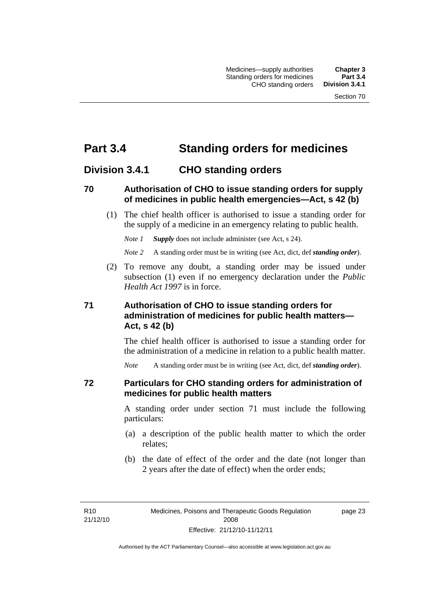# **Part 3.4 Standing orders for medicines**

## **Division 3.4.1 CHO standing orders**

#### **70 Authorisation of CHO to issue standing orders for supply of medicines in public health emergencies—Act, s 42 (b)**

 (1) The chief health officer is authorised to issue a standing order for the supply of a medicine in an emergency relating to public health.

*Note 1 Supply* does not include administer (see Act, s 24).

*Note 2* A standing order must be in writing (see Act, dict, def *standing order*).

 (2) To remove any doubt, a standing order may be issued under subsection (1) even if no emergency declaration under the *Public Health Act 1997* is in force.

## **71 Authorisation of CHO to issue standing orders for administration of medicines for public health matters— Act, s 42 (b)**

The chief health officer is authorised to issue a standing order for the administration of a medicine in relation to a public health matter.

*Note* A standing order must be in writing (see Act, dict, def *standing order*).

#### **72 Particulars for CHO standing orders for administration of medicines for public health matters**

A standing order under section 71 must include the following particulars:

- (a) a description of the public health matter to which the order relates;
- (b) the date of effect of the order and the date (not longer than 2 years after the date of effect) when the order ends;

 $R10$ 21/12/10 page 23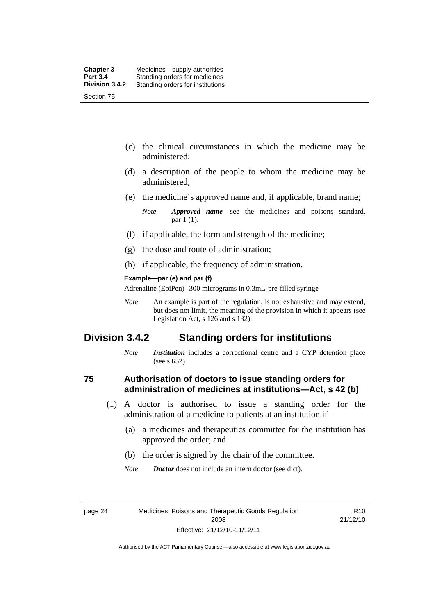- (c) the clinical circumstances in which the medicine may be administered;
- (d) a description of the people to whom the medicine may be administered;
- (e) the medicine's approved name and, if applicable, brand name;

- (f) if applicable, the form and strength of the medicine;
- (g) the dose and route of administration;
- (h) if applicable, the frequency of administration.

#### **Example—par (e) and par (f)**

Adrenaline (EpiPen) 300 micrograms in 0.3mL pre-filled syringe

*Note* An example is part of the regulation, is not exhaustive and may extend, but does not limit, the meaning of the provision in which it appears (see Legislation Act, s 126 and s 132).

## **Division 3.4.2 Standing orders for institutions**

*Note Institution* includes a correctional centre and a CYP detention place (see s 652).

#### **75 Authorisation of doctors to issue standing orders for administration of medicines at institutions—Act, s 42 (b)**

- (1) A doctor is authorised to issue a standing order for the administration of a medicine to patients at an institution if—
	- (a) a medicines and therapeutics committee for the institution has approved the order; and
	- (b) the order is signed by the chair of the committee.
	- *Note Doctor* does not include an intern doctor (see dict).

page 24 Medicines, Poisons and Therapeutic Goods Regulation 2008 Effective: 21/12/10-11/12/11

R10 21/12/10

*Note Approved name*—see the medicines and poisons standard, par 1 (1).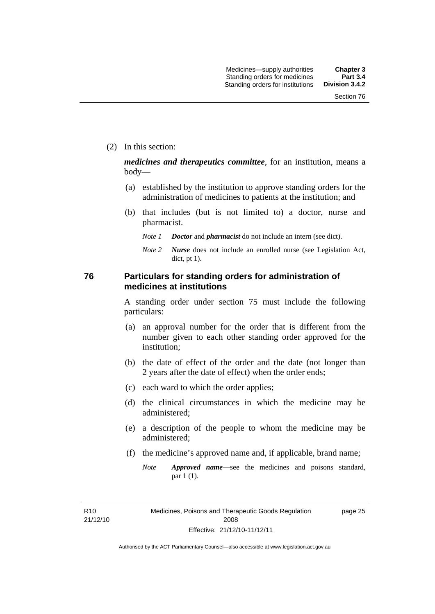(2) In this section:

*medicines and therapeutics committee*, for an institution, means a body—

- (a) established by the institution to approve standing orders for the administration of medicines to patients at the institution; and
- (b) that includes (but is not limited to) a doctor, nurse and pharmacist.
	- *Note 1 Doctor* and *pharmacist* do not include an intern (see dict).
	- *Note 2 Nurse* does not include an enrolled nurse (see Legislation Act, dict, pt 1).

#### **76 Particulars for standing orders for administration of medicines at institutions**

A standing order under section 75 must include the following particulars:

- (a) an approval number for the order that is different from the number given to each other standing order approved for the institution;
- (b) the date of effect of the order and the date (not longer than 2 years after the date of effect) when the order ends;
- (c) each ward to which the order applies;
- (d) the clinical circumstances in which the medicine may be administered;
- (e) a description of the people to whom the medicine may be administered;
- (f) the medicine's approved name and, if applicable, brand name;
	- *Note Approved name*—see the medicines and poisons standard, par 1 (1).

R10 21/12/10 page 25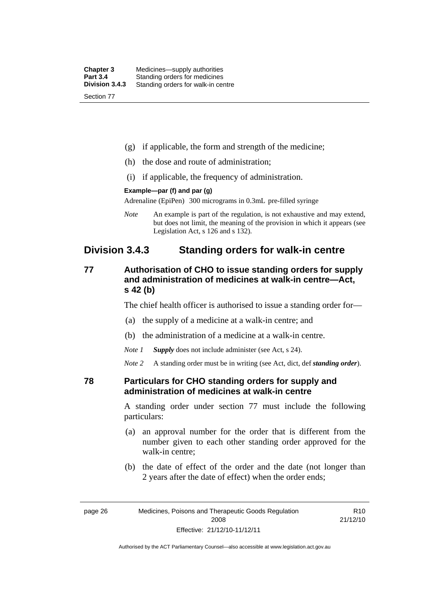| <b>Chapter 3</b> | Medicines—supply authorities       |
|------------------|------------------------------------|
| <b>Part 3.4</b>  | Standing orders for medicines      |
| Division 3.4.3   | Standing orders for walk-in centre |
| Section 77       |                                    |

- (g) if applicable, the form and strength of the medicine;
- (h) the dose and route of administration;
- (i) if applicable, the frequency of administration.

#### **Example—par (f) and par (g)**

Adrenaline (EpiPen) 300 micrograms in 0.3mL pre-filled syringe

*Note* An example is part of the regulation, is not exhaustive and may extend, but does not limit, the meaning of the provision in which it appears (see Legislation Act, s 126 and s 132).

## **Division 3.4.3 Standing orders for walk-in centre**

#### **77 Authorisation of CHO to issue standing orders for supply and administration of medicines at walk-in centre—Act, s 42 (b)**

The chief health officer is authorised to issue a standing order for—

- (a) the supply of a medicine at a walk-in centre; and
- (b) the administration of a medicine at a walk-in centre.

*Note 1 Supply* does not include administer (see Act, s 24).

*Note 2* A standing order must be in writing (see Act, dict, def *standing order*).

#### **78 Particulars for CHO standing orders for supply and administration of medicines at walk-in centre**

A standing order under section 77 must include the following particulars:

- (a) an approval number for the order that is different from the number given to each other standing order approved for the walk-in centre;
- (b) the date of effect of the order and the date (not longer than 2 years after the date of effect) when the order ends;

R10 21/12/10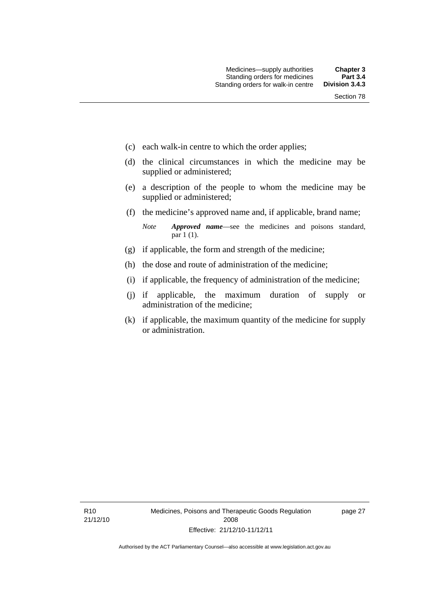- (c) each walk-in centre to which the order applies;
- (d) the clinical circumstances in which the medicine may be supplied or administered;
- (e) a description of the people to whom the medicine may be supplied or administered;
- (f) the medicine's approved name and, if applicable, brand name;

*Note Approved name*—see the medicines and poisons standard, par 1 (1).

- (g) if applicable, the form and strength of the medicine;
- (h) the dose and route of administration of the medicine;
- (i) if applicable, the frequency of administration of the medicine;
- (j) if applicable, the maximum duration of supply or administration of the medicine;
- (k) if applicable, the maximum quantity of the medicine for supply or administration.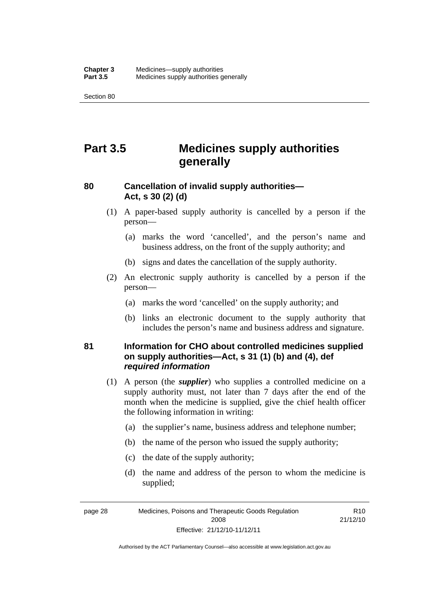Section 80

# **Part 3.5 Medicines supply authorities generally**

## **80 Cancellation of invalid supply authorities— Act, s 30 (2) (d)**

- (1) A paper-based supply authority is cancelled by a person if the person—
	- (a) marks the word 'cancelled', and the person's name and business address, on the front of the supply authority; and
	- (b) signs and dates the cancellation of the supply authority.
- (2) An electronic supply authority is cancelled by a person if the person—
	- (a) marks the word 'cancelled' on the supply authority; and
	- (b) links an electronic document to the supply authority that includes the person's name and business address and signature.

#### **81 Information for CHO about controlled medicines supplied on supply authorities—Act, s 31 (1) (b) and (4), def**  *required information*

- (1) A person (the *supplier*) who supplies a controlled medicine on a supply authority must, not later than 7 days after the end of the month when the medicine is supplied, give the chief health officer the following information in writing:
	- (a) the supplier's name, business address and telephone number;
	- (b) the name of the person who issued the supply authority;
	- (c) the date of the supply authority;
	- (d) the name and address of the person to whom the medicine is supplied;

 $R10$ 21/12/10

page 28 Medicines, Poisons and Therapeutic Goods Regulation 2008 Effective: 21/12/10-11/12/11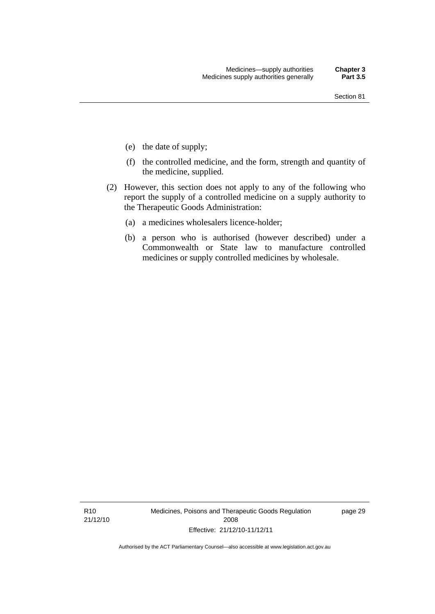- (e) the date of supply;
- (f) the controlled medicine, and the form, strength and quantity of the medicine, supplied.
- (2) However, this section does not apply to any of the following who report the supply of a controlled medicine on a supply authority to the Therapeutic Goods Administration:
	- (a) a medicines wholesalers licence-holder;
	- (b) a person who is authorised (however described) under a Commonwealth or State law to manufacture controlled medicines or supply controlled medicines by wholesale.

R10 21/12/10 Medicines, Poisons and Therapeutic Goods Regulation 2008 Effective: 21/12/10-11/12/11

page 29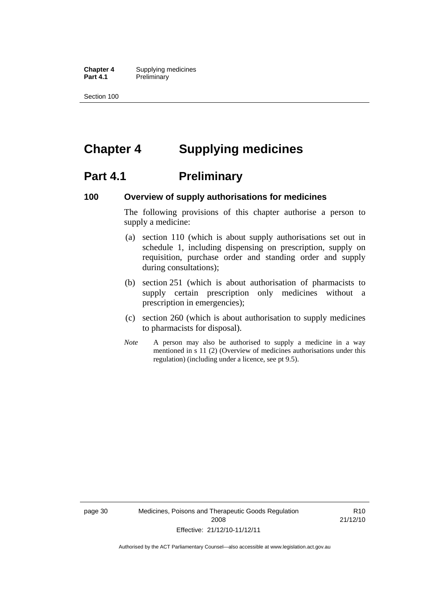**Chapter 4** Supplying medicines **Part 4.1** Preliminary

Section 100

# **Chapter 4 Supplying medicines**

# **Part 4.1** Preliminary

#### **100 Overview of supply authorisations for medicines**

The following provisions of this chapter authorise a person to supply a medicine:

- (a) section 110 (which is about supply authorisations set out in schedule 1, including dispensing on prescription, supply on requisition, purchase order and standing order and supply during consultations);
- (b) section 251 (which is about authorisation of pharmacists to supply certain prescription only medicines without a prescription in emergencies);
- (c) section 260 (which is about authorisation to supply medicines to pharmacists for disposal).
- *Note* A person may also be authorised to supply a medicine in a way mentioned in s 11 (2) (Overview of medicines authorisations under this regulation) (including under a licence, see pt 9.5).

page 30 Medicines, Poisons and Therapeutic Goods Regulation 2008 Effective: 21/12/10-11/12/11

R10 21/12/10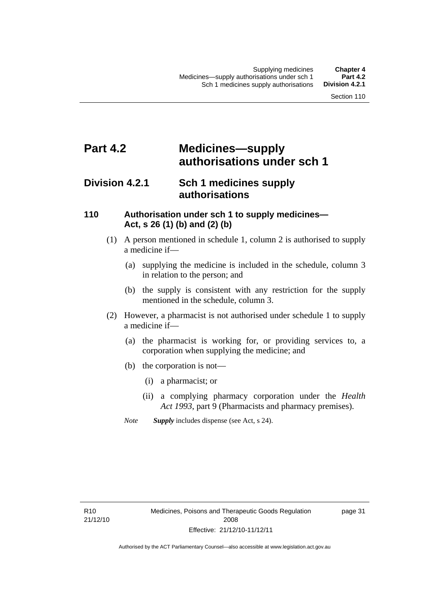# **Part 4.2 Medicines—supply authorisations under sch 1**

# **Division 4.2.1 Sch 1 medicines supply authorisations**

#### **110 Authorisation under sch 1 to supply medicines— Act, s 26 (1) (b) and (2) (b)**

- (1) A person mentioned in schedule 1, column 2 is authorised to supply a medicine if—
	- (a) supplying the medicine is included in the schedule, column 3 in relation to the person; and
	- (b) the supply is consistent with any restriction for the supply mentioned in the schedule, column 3.
- (2) However, a pharmacist is not authorised under schedule 1 to supply a medicine if—
	- (a) the pharmacist is working for, or providing services to, a corporation when supplying the medicine; and
	- (b) the corporation is not—
		- (i) a pharmacist; or
		- (ii) a complying pharmacy corporation under the *Health Act 1993*, part 9 (Pharmacists and pharmacy premises).
	- *Note Supply* includes dispense (see Act, s 24).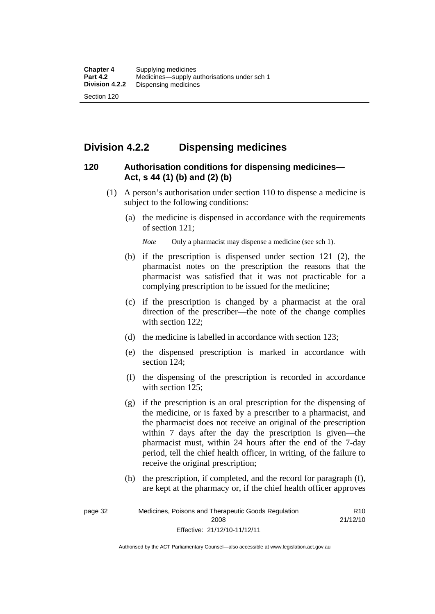# **Division 4.2.2 Dispensing medicines**

#### **120 Authorisation conditions for dispensing medicines— Act, s 44 (1) (b) and (2) (b)**

- (1) A person's authorisation under section 110 to dispense a medicine is subject to the following conditions:
	- (a) the medicine is dispensed in accordance with the requirements of section 121;

*Note* Only a pharmacist may dispense a medicine (see sch 1).

- (b) if the prescription is dispensed under section 121 (2), the pharmacist notes on the prescription the reasons that the pharmacist was satisfied that it was not practicable for a complying prescription to be issued for the medicine;
- (c) if the prescription is changed by a pharmacist at the oral direction of the prescriber—the note of the change complies with section 122:
- (d) the medicine is labelled in accordance with section 123;
- (e) the dispensed prescription is marked in accordance with section 124;
- (f) the dispensing of the prescription is recorded in accordance with section 125:
- (g) if the prescription is an oral prescription for the dispensing of the medicine, or is faxed by a prescriber to a pharmacist, and the pharmacist does not receive an original of the prescription within 7 days after the day the prescription is given—the pharmacist must, within 24 hours after the end of the 7-day period, tell the chief health officer, in writing, of the failure to receive the original prescription;
- (h) the prescription, if completed, and the record for paragraph (f), are kept at the pharmacy or, if the chief health officer approves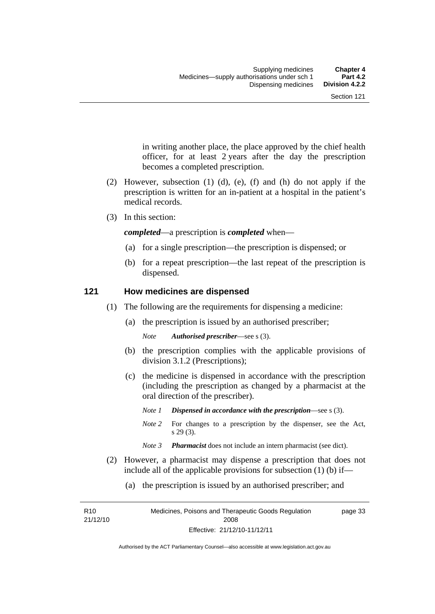in writing another place, the place approved by the chief health officer, for at least 2 years after the day the prescription becomes a completed prescription.

- (2) However, subsection (1) (d), (e), (f) and (h) do not apply if the prescription is written for an in-patient at a hospital in the patient's medical records.
- (3) In this section:

*completed*—a prescription is *completed* when—

- (a) for a single prescription—the prescription is dispensed; or
- (b) for a repeat prescription—the last repeat of the prescription is dispensed.

#### **121 How medicines are dispensed**

- (1) The following are the requirements for dispensing a medicine:
	- (a) the prescription is issued by an authorised prescriber;

*Note Authorised prescriber*—see s (3).

- (b) the prescription complies with the applicable provisions of division 3.1.2 (Prescriptions);
- (c) the medicine is dispensed in accordance with the prescription (including the prescription as changed by a pharmacist at the oral direction of the prescriber).
	- *Note 1 Dispensed in accordance with the prescription*—see s (3).
	- *Note* 2 For changes to a prescription by the dispenser, see the Act, s 29 (3).
	- *Note 3 Pharmacist* does not include an intern pharmacist (see dict).
- (2) However, a pharmacist may dispense a prescription that does not include all of the applicable provisions for subsection (1) (b) if—
	- (a) the prescription is issued by an authorised prescriber; and

 $R10$ 21/12/10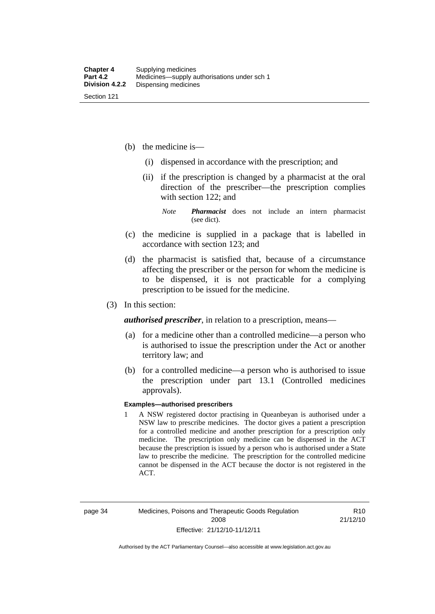- (b) the medicine is—
	- (i) dispensed in accordance with the prescription; and
	- (ii) if the prescription is changed by a pharmacist at the oral direction of the prescriber—the prescription complies with section 122; and

*Note Pharmacist* does not include an intern pharmacist (see dict).

- (c) the medicine is supplied in a package that is labelled in accordance with section 123; and
- (d) the pharmacist is satisfied that, because of a circumstance affecting the prescriber or the person for whom the medicine is to be dispensed, it is not practicable for a complying prescription to be issued for the medicine.
- (3) In this section:

*authorised prescriber*, in relation to a prescription, means—

- (a) for a medicine other than a controlled medicine—a person who is authorised to issue the prescription under the Act or another territory law; and
- (b) for a controlled medicine—a person who is authorised to issue the prescription under part 13.1 (Controlled medicines approvals).

#### **Examples—authorised prescribers**

1 A NSW registered doctor practising in Queanbeyan is authorised under a NSW law to prescribe medicines. The doctor gives a patient a prescription for a controlled medicine and another prescription for a prescription only medicine. The prescription only medicine can be dispensed in the ACT because the prescription is issued by a person who is authorised under a State law to prescribe the medicine. The prescription for the controlled medicine cannot be dispensed in the ACT because the doctor is not registered in the ACT.

R10 21/12/10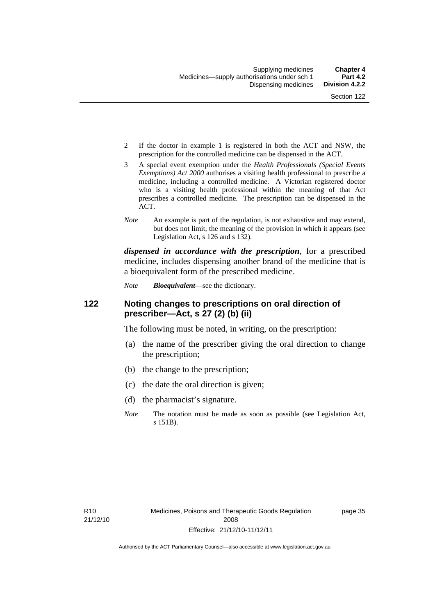- 2 If the doctor in example 1 is registered in both the ACT and NSW, the prescription for the controlled medicine can be dispensed in the ACT.
- 3 A special event exemption under the *Health Professionals (Special Events Exemptions) Act 2000* authorises a visiting health professional to prescribe a medicine, including a controlled medicine. A Victorian registered doctor who is a visiting health professional within the meaning of that Act prescribes a controlled medicine. The prescription can be dispensed in the ACT.
- *Note* An example is part of the regulation, is not exhaustive and may extend, but does not limit, the meaning of the provision in which it appears (see Legislation Act, s 126 and s 132).

*dispensed in accordance with the prescription*, for a prescribed medicine, includes dispensing another brand of the medicine that is a bioequivalent form of the prescribed medicine.

*Note Bioequivalent*—see the dictionary.

#### **122 Noting changes to prescriptions on oral direction of prescriber—Act, s 27 (2) (b) (ii)**

The following must be noted, in writing, on the prescription:

- (a) the name of the prescriber giving the oral direction to change the prescription;
- (b) the change to the prescription;
- (c) the date the oral direction is given;
- (d) the pharmacist's signature.
- *Note* The notation must be made as soon as possible (see Legislation Act, s 151B).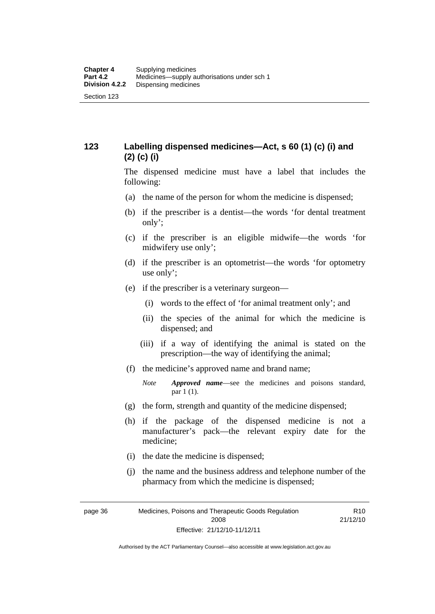## **123 Labelling dispensed medicines—Act, s 60 (1) (c) (i) and (2) (c) (i)**

The dispensed medicine must have a label that includes the following:

- (a) the name of the person for whom the medicine is dispensed;
- (b) if the prescriber is a dentist—the words 'for dental treatment only';
- (c) if the prescriber is an eligible midwife—the words 'for midwifery use only';
- (d) if the prescriber is an optometrist—the words 'for optometry use only';
- (e) if the prescriber is a veterinary surgeon—
	- (i) words to the effect of 'for animal treatment only'; and
	- (ii) the species of the animal for which the medicine is dispensed; and
	- (iii) if a way of identifying the animal is stated on the prescription—the way of identifying the animal;
- (f) the medicine's approved name and brand name;
	- *Note Approved name*—see the medicines and poisons standard, par 1 (1).
- (g) the form, strength and quantity of the medicine dispensed;
- (h) if the package of the dispensed medicine is not a manufacturer's pack—the relevant expiry date for the medicine;
- (i) the date the medicine is dispensed;
- (j) the name and the business address and telephone number of the pharmacy from which the medicine is dispensed;

R10 21/12/10

page 36 Medicines, Poisons and Therapeutic Goods Regulation 2008 Effective: 21/12/10-11/12/11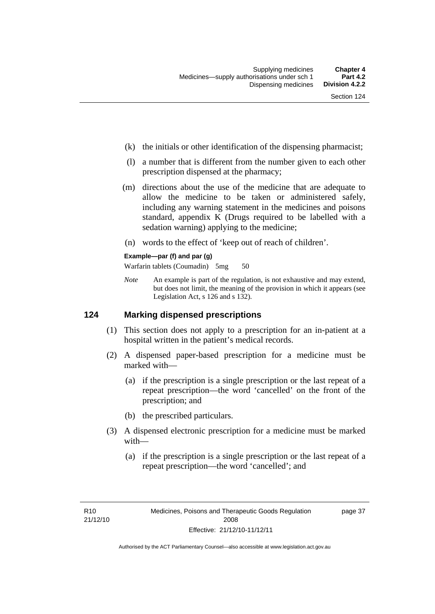- (k) the initials or other identification of the dispensing pharmacist;
- (l) a number that is different from the number given to each other prescription dispensed at the pharmacy;
- (m) directions about the use of the medicine that are adequate to allow the medicine to be taken or administered safely, including any warning statement in the medicines and poisons standard, appendix K (Drugs required to be labelled with a sedation warning) applying to the medicine;
- (n) words to the effect of 'keep out of reach of children'.

#### **Example—par (f) and par (g)**

Warfarin tablets (Coumadin) 5mg 50

*Note* An example is part of the regulation, is not exhaustive and may extend, but does not limit, the meaning of the provision in which it appears (see Legislation Act, s 126 and s 132).

#### **124 Marking dispensed prescriptions**

- (1) This section does not apply to a prescription for an in-patient at a hospital written in the patient's medical records.
- (2) A dispensed paper-based prescription for a medicine must be marked with—
	- (a) if the prescription is a single prescription or the last repeat of a repeat prescription—the word 'cancelled' on the front of the prescription; and
	- (b) the prescribed particulars.
- (3) A dispensed electronic prescription for a medicine must be marked with—
	- (a) if the prescription is a single prescription or the last repeat of a repeat prescription—the word 'cancelled'; and

page 37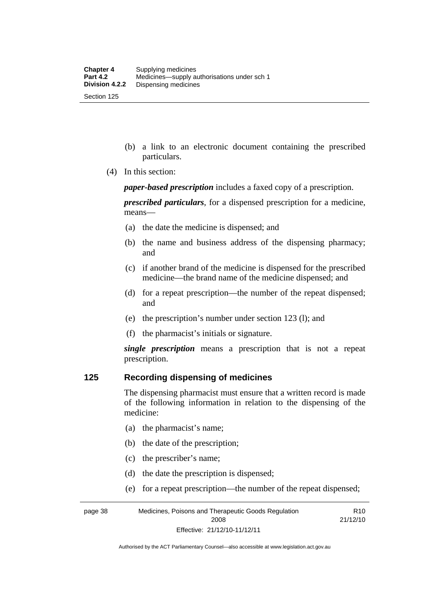- (b) a link to an electronic document containing the prescribed particulars.
- (4) In this section:

*paper-based prescription* includes a faxed copy of a prescription.

*prescribed particulars*, for a dispensed prescription for a medicine, means—

- (a) the date the medicine is dispensed; and
- (b) the name and business address of the dispensing pharmacy; and
- (c) if another brand of the medicine is dispensed for the prescribed medicine—the brand name of the medicine dispensed; and
- (d) for a repeat prescription—the number of the repeat dispensed; and
- (e) the prescription's number under section 123 (l); and
- (f) the pharmacist's initials or signature.

*single prescription* means a prescription that is not a repeat prescription.

#### **125 Recording dispensing of medicines**

The dispensing pharmacist must ensure that a written record is made of the following information in relation to the dispensing of the medicine:

- (a) the pharmacist's name;
- (b) the date of the prescription;
- (c) the prescriber's name;
- (d) the date the prescription is dispensed;
- (e) for a repeat prescription—the number of the repeat dispensed;

page 38 Medicines, Poisons and Therapeutic Goods Regulation 2008 Effective: 21/12/10-11/12/11 R10 21/12/10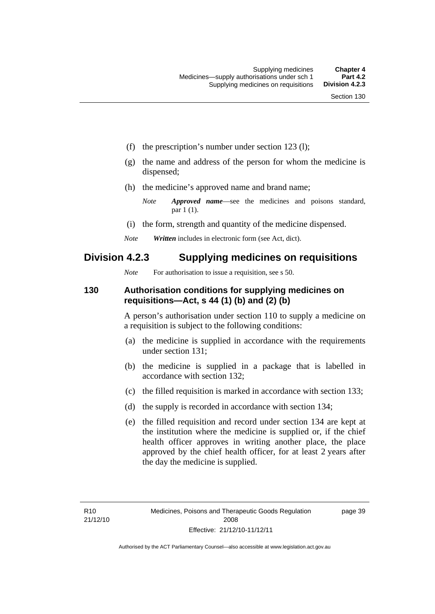- (f) the prescription's number under section 123 (l);
- (g) the name and address of the person for whom the medicine is dispensed;
- (h) the medicine's approved name and brand name;
	- *Note Approved name*—see the medicines and poisons standard, par 1 (1).
- (i) the form, strength and quantity of the medicine dispensed.
- *Note Written* includes in electronic form (see Act, dict).

## **Division 4.2.3 Supplying medicines on requisitions**

*Note* For authorisation to issue a requisition, see s 50.

#### **130 Authorisation conditions for supplying medicines on requisitions—Act, s 44 (1) (b) and (2) (b)**

A person's authorisation under section 110 to supply a medicine on a requisition is subject to the following conditions:

- (a) the medicine is supplied in accordance with the requirements under section 131;
- (b) the medicine is supplied in a package that is labelled in accordance with section 132;
- (c) the filled requisition is marked in accordance with section 133;
- (d) the supply is recorded in accordance with section 134;
- (e) the filled requisition and record under section 134 are kept at the institution where the medicine is supplied or, if the chief health officer approves in writing another place, the place approved by the chief health officer, for at least 2 years after the day the medicine is supplied.

page 39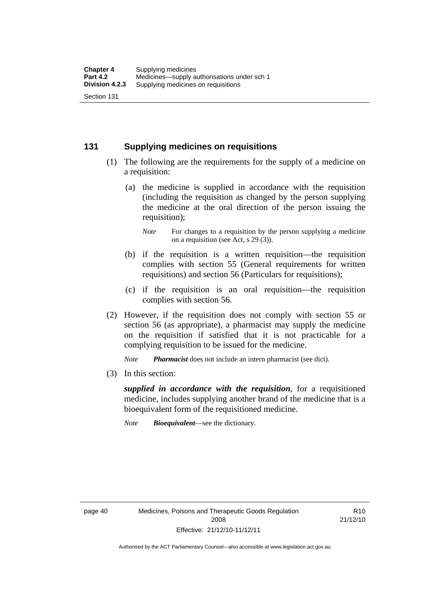#### **131 Supplying medicines on requisitions**

- (1) The following are the requirements for the supply of a medicine on a requisition:
	- (a) the medicine is supplied in accordance with the requisition (including the requisition as changed by the person supplying the medicine at the oral direction of the person issuing the requisition);

- (b) if the requisition is a written requisition—the requisition complies with section 55 (General requirements for written requisitions) and section 56 (Particulars for requisitions);
- (c) if the requisition is an oral requisition—the requisition complies with section 56.
- (2) However, if the requisition does not comply with section 55 or section 56 (as appropriate), a pharmacist may supply the medicine on the requisition if satisfied that it is not practicable for a complying requisition to be issued for the medicine.

*Note Pharmacist* does not include an intern pharmacist (see dict).

(3) In this section:

*supplied in accordance with the requisition*, for a requisitioned medicine, includes supplying another brand of the medicine that is a bioequivalent form of the requisitioned medicine.

*Note Bioequivalent*—see the dictionary.

R10 21/12/10

*Note* For changes to a requisition by the person supplying a medicine on a requisition (see Act, s 29 (3)).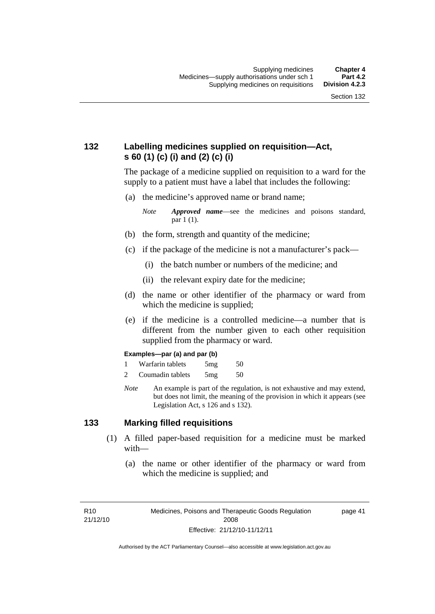## **132 Labelling medicines supplied on requisition—Act, s 60 (1) (c) (i) and (2) (c) (i)**

The package of a medicine supplied on requisition to a ward for the supply to a patient must have a label that includes the following:

(a) the medicine's approved name or brand name;

*Note Approved name*—see the medicines and poisons standard, par 1 (1).

- (b) the form, strength and quantity of the medicine;
- (c) if the package of the medicine is not a manufacturer's pack—
	- (i) the batch number or numbers of the medicine; and
	- (ii) the relevant expiry date for the medicine;
- (d) the name or other identifier of the pharmacy or ward from which the medicine is supplied;
- (e) if the medicine is a controlled medicine—a number that is different from the number given to each other requisition supplied from the pharmacy or ward.

#### **Examples—par (a) and par (b)**

- 1 Warfarin tablets 5mg 50
- 2 Coumadin tablets 5mg 50
- *Note* An example is part of the regulation, is not exhaustive and may extend, but does not limit, the meaning of the provision in which it appears (see Legislation Act, s 126 and s 132).

#### **133 Marking filled requisitions**

- (1) A filled paper-based requisition for a medicine must be marked with—
	- (a) the name or other identifier of the pharmacy or ward from which the medicine is supplied; and

 $R10$ 21/12/10 page 41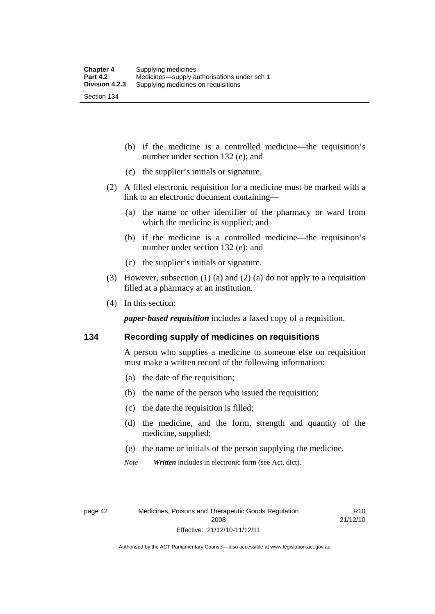(b) if the medicine is a controlled medicine—the requisition's number under section 132 (e); and

- (c) the supplier's initials or signature.
- (2) A filled electronic requisition for a medicine must be marked with a link to an electronic document containing—
	- (a) the name or other identifier of the pharmacy or ward from which the medicine is supplied; and
	- (b) if the medicine is a controlled medicine—the requisition's number under section 132 (e); and
	- (c) the supplier's initials or signature.
- (3) However, subsection (1) (a) and (2) (a) do not apply to a requisition filled at a pharmacy at an institution.
- (4) In this section:

*paper-based requisition* includes a faxed copy of a requisition.

#### **134 Recording supply of medicines on requisitions**

A person who supplies a medicine to someone else on requisition must make a written record of the following information:

- (a) the date of the requisition;
- (b) the name of the person who issued the requisition;
- (c) the date the requisition is filled;
- (d) the medicine, and the form, strength and quantity of the medicine, supplied;
- (e) the name or initials of the person supplying the medicine.
- *Note Written* includes in electronic form (see Act, dict).

page 42 Medicines, Poisons and Therapeutic Goods Regulation 2008 Effective: 21/12/10-11/12/11

R10 21/12/10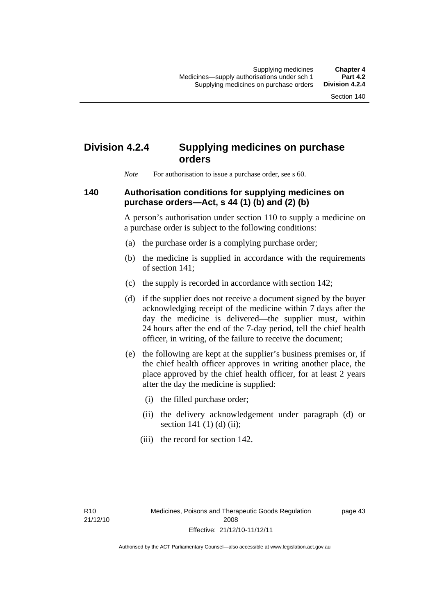# **Division 4.2.4 Supplying medicines on purchase orders**

*Note* For authorisation to issue a purchase order, see s 60.

#### **140 Authorisation conditions for supplying medicines on purchase orders—Act, s 44 (1) (b) and (2) (b)**

A person's authorisation under section 110 to supply a medicine on a purchase order is subject to the following conditions:

- (a) the purchase order is a complying purchase order;
- (b) the medicine is supplied in accordance with the requirements of section 141;
- (c) the supply is recorded in accordance with section 142;
- (d) if the supplier does not receive a document signed by the buyer acknowledging receipt of the medicine within 7 days after the day the medicine is delivered—the supplier must, within 24 hours after the end of the 7-day period, tell the chief health officer, in writing, of the failure to receive the document;
- (e) the following are kept at the supplier's business premises or, if the chief health officer approves in writing another place, the place approved by the chief health officer, for at least 2 years after the day the medicine is supplied:
	- (i) the filled purchase order;
	- (ii) the delivery acknowledgement under paragraph (d) or section 141 $(1)$  $(d)$  $(ii)$ ;
	- (iii) the record for section 142.

page 43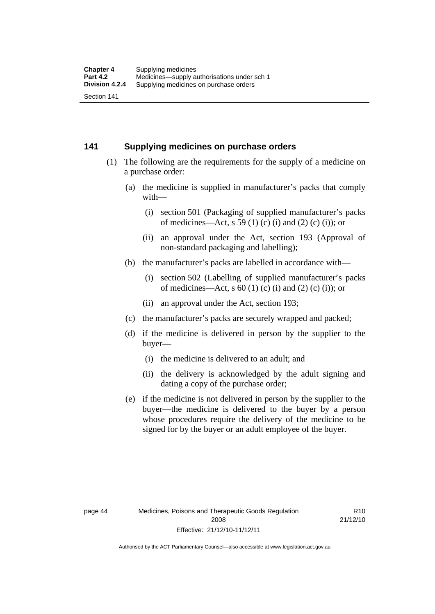#### **141 Supplying medicines on purchase orders**

- (1) The following are the requirements for the supply of a medicine on a purchase order:
	- (a) the medicine is supplied in manufacturer's packs that comply with—
		- (i) section 501 (Packaging of supplied manufacturer's packs of medicines—Act, s 59 (1) (c) (i) and (2) (c) (i)); or
		- (ii) an approval under the Act, section 193 (Approval of non-standard packaging and labelling);
	- (b) the manufacturer's packs are labelled in accordance with—
		- (i) section 502 (Labelling of supplied manufacturer's packs of medicines—Act, s  $60(1)$  (c) (i) and (2) (c) (i)); or
		- (ii) an approval under the Act, section 193;
	- (c) the manufacturer's packs are securely wrapped and packed;
	- (d) if the medicine is delivered in person by the supplier to the buyer—
		- (i) the medicine is delivered to an adult; and
		- (ii) the delivery is acknowledged by the adult signing and dating a copy of the purchase order;
	- (e) if the medicine is not delivered in person by the supplier to the buyer—the medicine is delivered to the buyer by a person whose procedures require the delivery of the medicine to be signed for by the buyer or an adult employee of the buyer.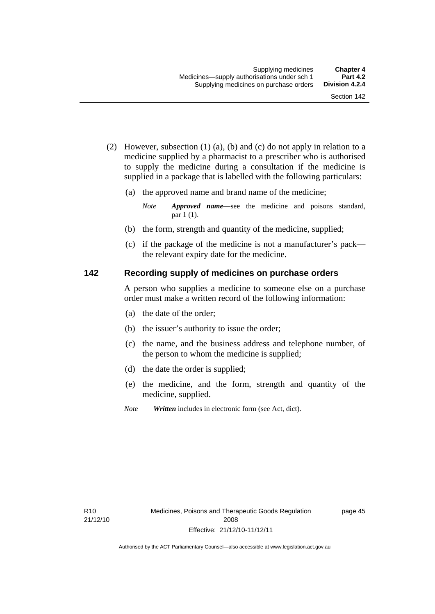- (2) However, subsection (1) (a), (b) and (c) do not apply in relation to a medicine supplied by a pharmacist to a prescriber who is authorised to supply the medicine during a consultation if the medicine is supplied in a package that is labelled with the following particulars:
	- (a) the approved name and brand name of the medicine;

*Note Approved name*—see the medicine and poisons standard, par 1 (1).

- (b) the form, strength and quantity of the medicine, supplied;
- (c) if the package of the medicine is not a manufacturer's pack the relevant expiry date for the medicine.

#### **142 Recording supply of medicines on purchase orders**

A person who supplies a medicine to someone else on a purchase order must make a written record of the following information:

- (a) the date of the order;
- (b) the issuer's authority to issue the order;
- (c) the name, and the business address and telephone number, of the person to whom the medicine is supplied;
- (d) the date the order is supplied;
- (e) the medicine, and the form, strength and quantity of the medicine, supplied.
- *Note Written* includes in electronic form (see Act, dict).

page 45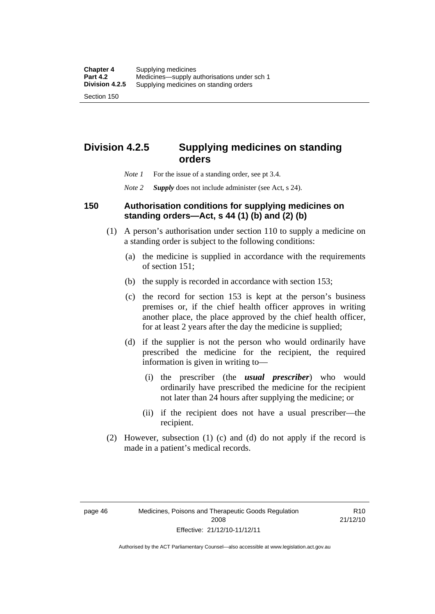# **Division 4.2.5 Supplying medicines on standing orders**

- *Note 1* For the issue of a standing order, see pt 3.4.
- *Note 2 Supply* does not include administer (see Act, s 24).

#### **150 Authorisation conditions for supplying medicines on standing orders—Act, s 44 (1) (b) and (2) (b)**

- (1) A person's authorisation under section 110 to supply a medicine on a standing order is subject to the following conditions:
	- (a) the medicine is supplied in accordance with the requirements of section 151;
	- (b) the supply is recorded in accordance with section 153;
	- (c) the record for section 153 is kept at the person's business premises or, if the chief health officer approves in writing another place, the place approved by the chief health officer, for at least 2 years after the day the medicine is supplied;
	- (d) if the supplier is not the person who would ordinarily have prescribed the medicine for the recipient, the required information is given in writing to—
		- (i) the prescriber (the *usual prescriber*) who would ordinarily have prescribed the medicine for the recipient not later than 24 hours after supplying the medicine; or
		- (ii) if the recipient does not have a usual prescriber—the recipient.
- (2) However, subsection (1) (c) and (d) do not apply if the record is made in a patient's medical records.

R10 21/12/10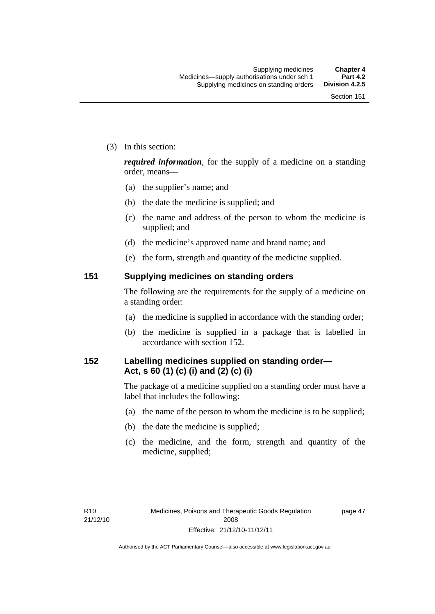(3) In this section:

*required information*, for the supply of a medicine on a standing order, means—

- (a) the supplier's name; and
- (b) the date the medicine is supplied; and
- (c) the name and address of the person to whom the medicine is supplied; and
- (d) the medicine's approved name and brand name; and
- (e) the form, strength and quantity of the medicine supplied.

#### **151 Supplying medicines on standing orders**

The following are the requirements for the supply of a medicine on a standing order:

- (a) the medicine is supplied in accordance with the standing order;
- (b) the medicine is supplied in a package that is labelled in accordance with section 152.

## **152 Labelling medicines supplied on standing order— Act, s 60 (1) (c) (i) and (2) (c) (i)**

The package of a medicine supplied on a standing order must have a label that includes the following:

- (a) the name of the person to whom the medicine is to be supplied;
- (b) the date the medicine is supplied;
- (c) the medicine, and the form, strength and quantity of the medicine, supplied;

page 47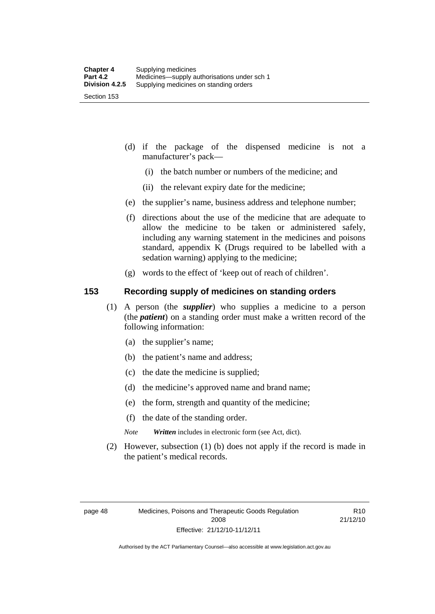- (d) if the package of the dispensed medicine is not a manufacturer's pack—
	- (i) the batch number or numbers of the medicine; and
	- (ii) the relevant expiry date for the medicine;
- (e) the supplier's name, business address and telephone number;
- (f) directions about the use of the medicine that are adequate to allow the medicine to be taken or administered safely, including any warning statement in the medicines and poisons standard, appendix K (Drugs required to be labelled with a sedation warning) applying to the medicine;
- (g) words to the effect of 'keep out of reach of children'.

#### **153 Recording supply of medicines on standing orders**

- (1) A person (the *supplier*) who supplies a medicine to a person (the *patient*) on a standing order must make a written record of the following information:
	- (a) the supplier's name;
	- (b) the patient's name and address;
	- (c) the date the medicine is supplied;
	- (d) the medicine's approved name and brand name;
	- (e) the form, strength and quantity of the medicine;
	- (f) the date of the standing order.
	- *Note Written* includes in electronic form (see Act, dict).
- (2) However, subsection (1) (b) does not apply if the record is made in the patient's medical records.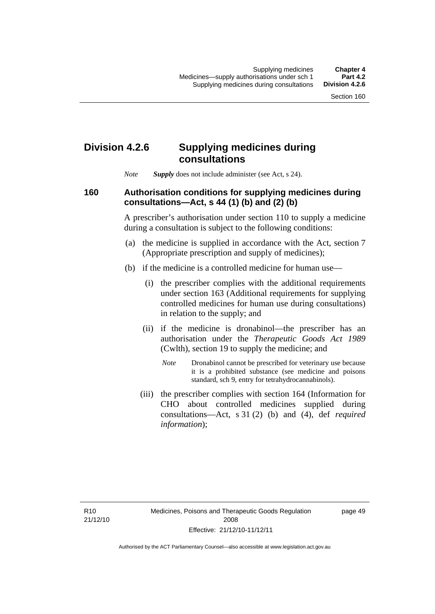# **Division 4.2.6 Supplying medicines during consultations**

*Note Supply* does not include administer (see Act, s 24).

# **160 Authorisation conditions for supplying medicines during consultations—Act, s 44 (1) (b) and (2) (b)**

A prescriber's authorisation under section 110 to supply a medicine during a consultation is subject to the following conditions:

- (a) the medicine is supplied in accordance with the Act, section 7 (Appropriate prescription and supply of medicines);
- (b) if the medicine is a controlled medicine for human use—
	- (i) the prescriber complies with the additional requirements under section 163 (Additional requirements for supplying controlled medicines for human use during consultations) in relation to the supply; and
	- (ii) if the medicine is dronabinol—the prescriber has an authorisation under the *Therapeutic Goods Act 1989* (Cwlth), section 19 to supply the medicine; and
		- *Note* Dronabinol cannot be prescribed for veterinary use because it is a prohibited substance (see medicine and poisons standard, sch 9, entry for tetrahydrocannabinols).
	- (iii) the prescriber complies with section 164 (Information for CHO about controlled medicines supplied during consultations—Act, s 31 (2) (b) and (4), def *required information*);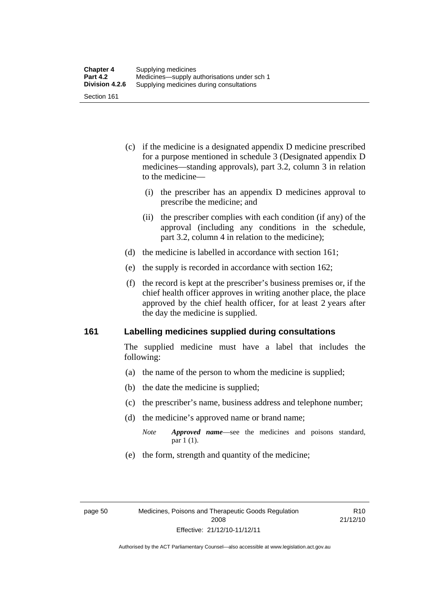- (c) if the medicine is a designated appendix D medicine prescribed for a purpose mentioned in schedule 3 (Designated appendix D medicines—standing approvals), part 3.2, column 3 in relation to the medicine—
	- (i) the prescriber has an appendix D medicines approval to prescribe the medicine; and
	- (ii) the prescriber complies with each condition (if any) of the approval (including any conditions in the schedule, part 3.2, column 4 in relation to the medicine);
- (d) the medicine is labelled in accordance with section 161;
- (e) the supply is recorded in accordance with section 162;
- (f) the record is kept at the prescriber's business premises or, if the chief health officer approves in writing another place, the place approved by the chief health officer, for at least 2 years after the day the medicine is supplied.

### **161 Labelling medicines supplied during consultations**

The supplied medicine must have a label that includes the following:

- (a) the name of the person to whom the medicine is supplied;
- (b) the date the medicine is supplied;
- (c) the prescriber's name, business address and telephone number;
- (d) the medicine's approved name or brand name;
	- *Note Approved name*—see the medicines and poisons standard, par 1 (1).
- (e) the form, strength and quantity of the medicine;

R10 21/12/10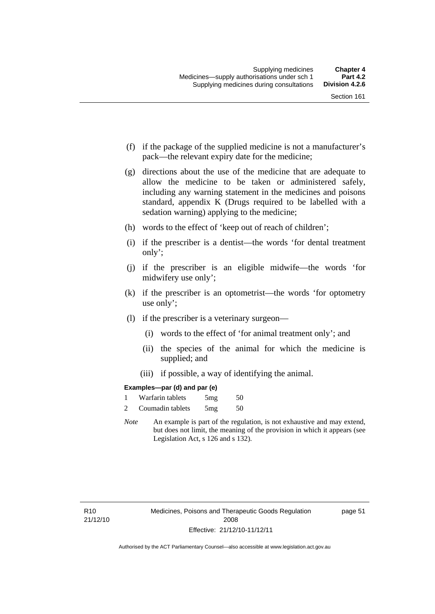- (f) if the package of the supplied medicine is not a manufacturer's pack—the relevant expiry date for the medicine;
- (g) directions about the use of the medicine that are adequate to allow the medicine to be taken or administered safely, including any warning statement in the medicines and poisons standard, appendix K (Drugs required to be labelled with a sedation warning) applying to the medicine;
- (h) words to the effect of 'keep out of reach of children';
- (i) if the prescriber is a dentist—the words 'for dental treatment only';
- (j) if the prescriber is an eligible midwife—the words 'for midwifery use only';
- (k) if the prescriber is an optometrist—the words 'for optometry use only';
- (l) if the prescriber is a veterinary surgeon—
	- (i) words to the effect of 'for animal treatment only'; and
	- (ii) the species of the animal for which the medicine is supplied; and
	- (iii) if possible, a way of identifying the animal.

#### **Examples—par (d) and par (e)**

| Warfarin tablets | 5mg | 50 |
|------------------|-----|----|
| Coumadin tablets | 5mg | 50 |

*Note* An example is part of the regulation, is not exhaustive and may extend, but does not limit, the meaning of the provision in which it appears (see Legislation Act, s 126 and s 132).

page 51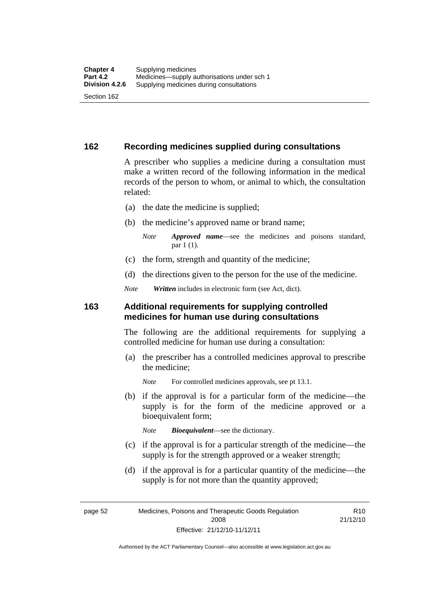### **162 Recording medicines supplied during consultations**

A prescriber who supplies a medicine during a consultation must make a written record of the following information in the medical records of the person to whom, or animal to which, the consultation related:

- (a) the date the medicine is supplied;
- (b) the medicine's approved name or brand name;

*Note Approved name*—see the medicines and poisons standard, par 1 (1).

- (c) the form, strength and quantity of the medicine;
- (d) the directions given to the person for the use of the medicine.

*Note Written* includes in electronic form (see Act, dict).

#### **163 Additional requirements for supplying controlled medicines for human use during consultations**

The following are the additional requirements for supplying a controlled medicine for human use during a consultation:

- (a) the prescriber has a controlled medicines approval to prescribe the medicine;
	- *Note* For controlled medicines approvals, see pt 13.1.
- (b) if the approval is for a particular form of the medicine—the supply is for the form of the medicine approved or a bioequivalent form;

*Note Bioequivalent*—see the dictionary.

- (c) if the approval is for a particular strength of the medicine—the supply is for the strength approved or a weaker strength;
- (d) if the approval is for a particular quantity of the medicine—the supply is for not more than the quantity approved;

page 52 Medicines, Poisons and Therapeutic Goods Regulation 2008 Effective: 21/12/10-11/12/11

 $R10$ 21/12/10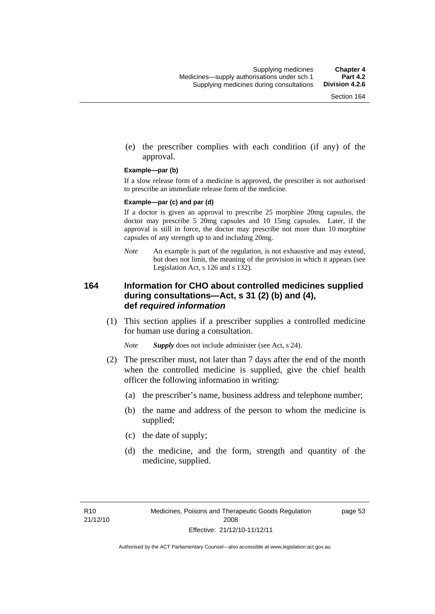(e) the prescriber complies with each condition (if any) of the approval.

#### **Example—par (b)**

If a slow release form of a medicine is approved, the prescriber is not authorised to prescribe an immediate release form of the medicine.

#### **Example—par (c) and par (d)**

If a doctor is given an approval to prescribe 25 morphine 20mg capsules, the doctor may prescribe 5 20mg capsules and 10 15mg capsules. Later, if the approval is still in force, the doctor may prescribe not more than 10 morphine capsules of any strength up to and including 20mg.

*Note* An example is part of the regulation, is not exhaustive and may extend, but does not limit, the meaning of the provision in which it appears (see Legislation Act, s 126 and s 132).

### **164 Information for CHO about controlled medicines supplied during consultations—Act, s 31 (2) (b) and (4), def** *required information*

 (1) This section applies if a prescriber supplies a controlled medicine for human use during a consultation.

*Note Supply* does not include administer (see Act, s 24).

- (2) The prescriber must, not later than 7 days after the end of the month when the controlled medicine is supplied, give the chief health officer the following information in writing:
	- (a) the prescriber's name, business address and telephone number;
	- (b) the name and address of the person to whom the medicine is supplied;
	- (c) the date of supply;
	- (d) the medicine, and the form, strength and quantity of the medicine, supplied.

page 53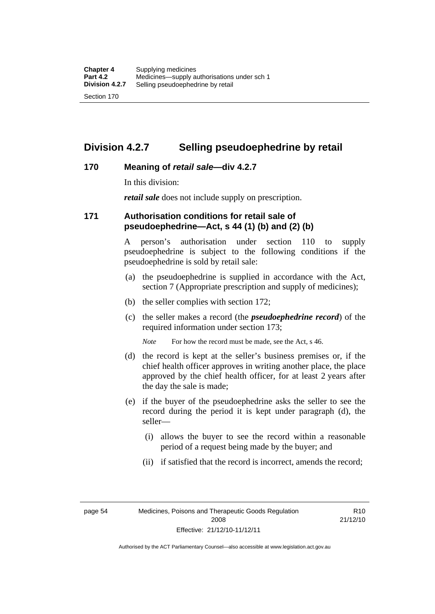# **Division 4.2.7 Selling pseudoephedrine by retail**

### **170 Meaning of** *retail sale***—div 4.2.7**

In this division:

*retail sale* does not include supply on prescription.

### **171 Authorisation conditions for retail sale of pseudoephedrine—Act, s 44 (1) (b) and (2) (b)**

A person's authorisation under section 110 to supply pseudoephedrine is subject to the following conditions if the pseudoephedrine is sold by retail sale:

- (a) the pseudoephedrine is supplied in accordance with the Act, section 7 (Appropriate prescription and supply of medicines);
- (b) the seller complies with section 172;
- (c) the seller makes a record (the *pseudoephedrine record*) of the required information under section 173;

*Note* For how the record must be made, see the Act, s 46.

- (d) the record is kept at the seller's business premises or, if the chief health officer approves in writing another place, the place approved by the chief health officer, for at least 2 years after the day the sale is made;
- (e) if the buyer of the pseudoephedrine asks the seller to see the record during the period it is kept under paragraph (d), the seller—
	- (i) allows the buyer to see the record within a reasonable period of a request being made by the buyer; and
	- (ii) if satisfied that the record is incorrect, amends the record;

page 54 Medicines, Poisons and Therapeutic Goods Regulation 2008 Effective: 21/12/10-11/12/11

R10 21/12/10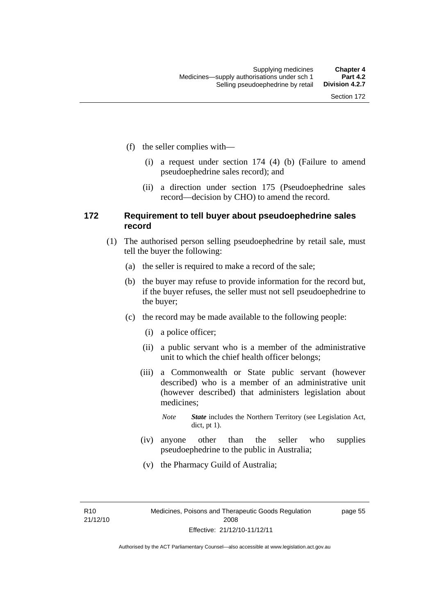- (f) the seller complies with—
	- (i) a request under section 174 (4) (b) (Failure to amend pseudoephedrine sales record); and
	- (ii) a direction under section 175 (Pseudoephedrine sales record—decision by CHO) to amend the record.

### **172 Requirement to tell buyer about pseudoephedrine sales record**

- (1) The authorised person selling pseudoephedrine by retail sale, must tell the buyer the following:
	- (a) the seller is required to make a record of the sale;
	- (b) the buyer may refuse to provide information for the record but, if the buyer refuses, the seller must not sell pseudoephedrine to the buyer;
	- (c) the record may be made available to the following people:
		- (i) a police officer;
		- (ii) a public servant who is a member of the administrative unit to which the chief health officer belongs;
		- (iii) a Commonwealth or State public servant (however described) who is a member of an administrative unit (however described) that administers legislation about medicines;
			- *Note State* includes the Northern Territory (see Legislation Act, dict, pt 1).
		- (iv) anyone other than the seller who supplies pseudoephedrine to the public in Australia;
		- (v) the Pharmacy Guild of Australia;

R10 21/12/10 page 55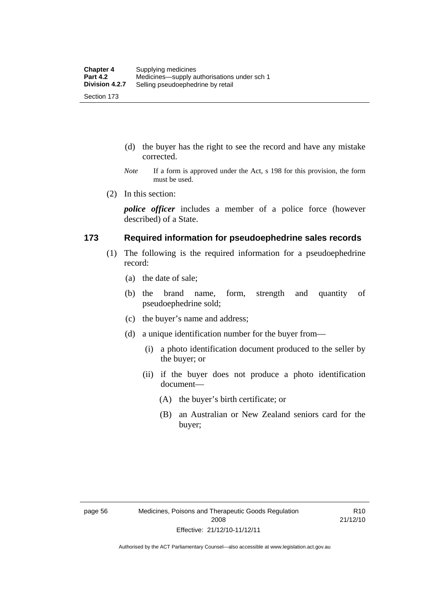- (d) the buyer has the right to see the record and have any mistake corrected.
- *Note* If a form is approved under the Act, s 198 for this provision, the form must be used.
- (2) In this section:

*police officer* includes a member of a police force (however described) of a State.

#### **173 Required information for pseudoephedrine sales records**

- (1) The following is the required information for a pseudoephedrine record:
	- (a) the date of sale;
	- (b) the brand name, form, strength and quantity of pseudoephedrine sold;
	- (c) the buyer's name and address;
	- (d) a unique identification number for the buyer from—
		- (i) a photo identification document produced to the seller by the buyer; or
		- (ii) if the buyer does not produce a photo identification document—
			- (A) the buyer's birth certificate; or
			- (B) an Australian or New Zealand seniors card for the buyer;

R10 21/12/10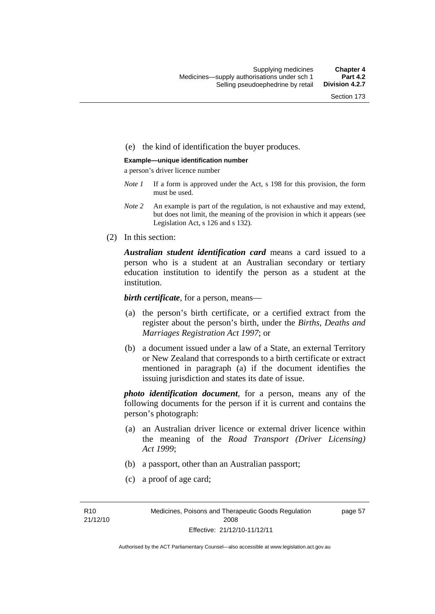#### (e) the kind of identification the buyer produces.

#### **Example—unique identification number**

a person's driver licence number

- *Note 1* If a form is approved under the Act, s 198 for this provision, the form must be used.
- *Note 2* An example is part of the regulation, is not exhaustive and may extend, but does not limit, the meaning of the provision in which it appears (see Legislation Act, s 126 and s 132).
- (2) In this section:

*Australian student identification card* means a card issued to a person who is a student at an Australian secondary or tertiary education institution to identify the person as a student at the institution.

*birth certificate*, for a person, means—

- (a) the person's birth certificate, or a certified extract from the register about the person's birth, under the *Births, Deaths and Marriages Registration Act 1997*; or
- (b) a document issued under a law of a State, an external Territory or New Zealand that corresponds to a birth certificate or extract mentioned in paragraph (a) if the document identifies the issuing jurisdiction and states its date of issue.

*photo identification document*, for a person, means any of the following documents for the person if it is current and contains the person's photograph:

- (a) an Australian driver licence or external driver licence within the meaning of the *Road Transport (Driver Licensing) Act 1999*;
- (b) a passport, other than an Australian passport;
- (c) a proof of age card;

 $R10$ 21/12/10 page 57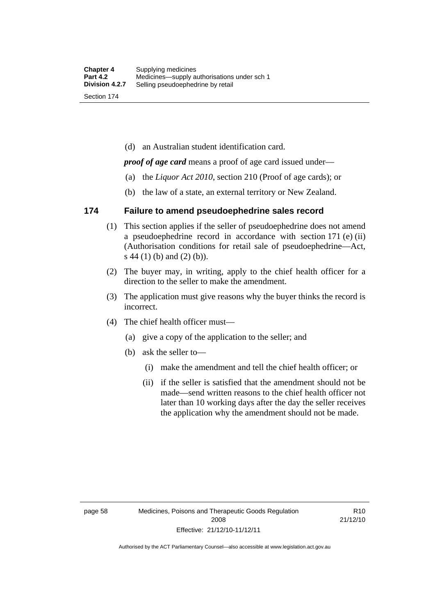(d) an Australian student identification card.

*proof of age card* means a proof of age card issued under—

- (a) the *Liquor Act 2010*, section 210 (Proof of age cards); or
- (b) the law of a state, an external territory or New Zealand.

### **174 Failure to amend pseudoephedrine sales record**

- (1) This section applies if the seller of pseudoephedrine does not amend a pseudoephedrine record in accordance with section 171 (e) (ii) (Authorisation conditions for retail sale of pseudoephedrine—Act, s 44 (1) (b) and (2) (b)).
- (2) The buyer may, in writing, apply to the chief health officer for a direction to the seller to make the amendment.
- (3) The application must give reasons why the buyer thinks the record is incorrect.
- (4) The chief health officer must—
	- (a) give a copy of the application to the seller; and
	- (b) ask the seller to—
		- (i) make the amendment and tell the chief health officer; or
		- (ii) if the seller is satisfied that the amendment should not be made—send written reasons to the chief health officer not later than 10 working days after the day the seller receives the application why the amendment should not be made.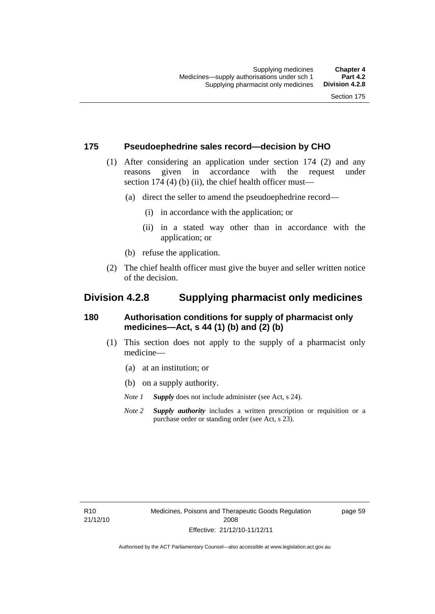### **175 Pseudoephedrine sales record—decision by CHO**

- (1) After considering an application under section 174 (2) and any reasons given in accordance with the request under section 174  $(4)$  (b)  $(ii)$ , the chief health officer must—
	- (a) direct the seller to amend the pseudoephedrine record—
		- (i) in accordance with the application; or
		- (ii) in a stated way other than in accordance with the application; or
	- (b) refuse the application.
- (2) The chief health officer must give the buyer and seller written notice of the decision.

# **Division 4.2.8 Supplying pharmacist only medicines**

### **180 Authorisation conditions for supply of pharmacist only medicines—Act, s 44 (1) (b) and (2) (b)**

- (1) This section does not apply to the supply of a pharmacist only medicine—
	- (a) at an institution; or
	- (b) on a supply authority.
	- *Note 1 Supply* does not include administer (see Act, s 24).
	- *Note 2 Supply authority* includes a written prescription or requisition or a purchase order or standing order (see Act, s 23).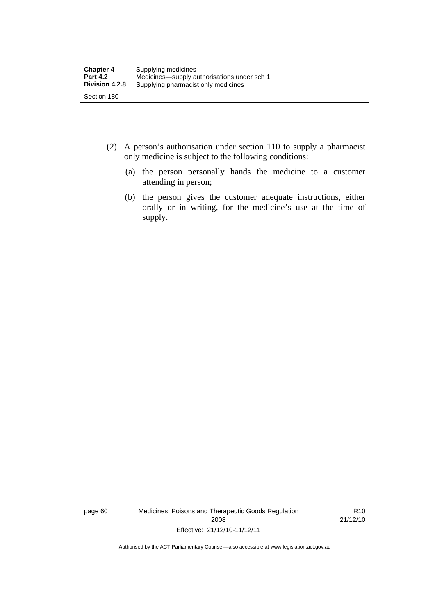- (2) A person's authorisation under section 110 to supply a pharmacist only medicine is subject to the following conditions:
	- (a) the person personally hands the medicine to a customer attending in person;
	- (b) the person gives the customer adequate instructions, either orally or in writing, for the medicine's use at the time of supply.

page 60 Medicines, Poisons and Therapeutic Goods Regulation 2008 Effective: 21/12/10-11/12/11

R10 21/12/10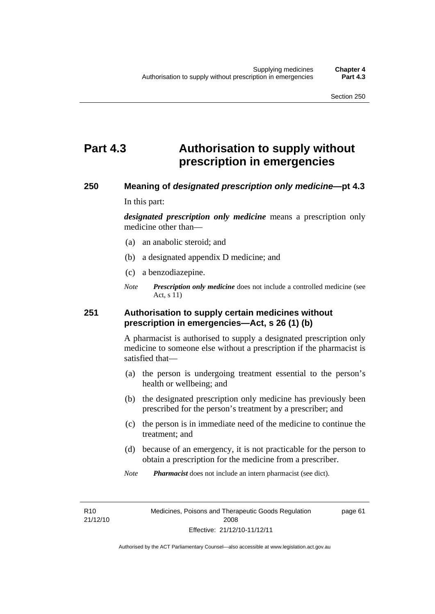# **Part 4.3 Authorisation to supply without prescription in emergencies**

#### **250 Meaning of** *designated prescription only medicine***—pt 4.3**

In this part:

*designated prescription only medicine* means a prescription only medicine other than—

- (a) an anabolic steroid; and
- (b) a designated appendix D medicine; and
- (c) a benzodiazepine.
- *Note Prescription only medicine* does not include a controlled medicine (see Act, s 11)

### **251 Authorisation to supply certain medicines without prescription in emergencies—Act, s 26 (1) (b)**

A pharmacist is authorised to supply a designated prescription only medicine to someone else without a prescription if the pharmacist is satisfied that—

- (a) the person is undergoing treatment essential to the person's health or wellbeing; and
- (b) the designated prescription only medicine has previously been prescribed for the person's treatment by a prescriber; and
- (c) the person is in immediate need of the medicine to continue the treatment; and
- (d) because of an emergency, it is not practicable for the person to obtain a prescription for the medicine from a prescriber.
- *Note Pharmacist* does not include an intern pharmacist (see dict).

 $R10$ 21/12/10 page 61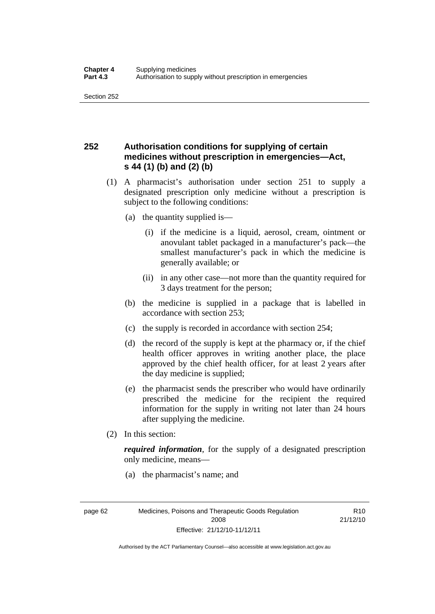## **252 Authorisation conditions for supplying of certain medicines without prescription in emergencies—Act, s 44 (1) (b) and (2) (b)**

- (1) A pharmacist's authorisation under section 251 to supply a designated prescription only medicine without a prescription is subject to the following conditions:
	- (a) the quantity supplied is—
		- (i) if the medicine is a liquid, aerosol, cream, ointment or anovulant tablet packaged in a manufacturer's pack—the smallest manufacturer's pack in which the medicine is generally available; or
		- (ii) in any other case—not more than the quantity required for 3 days treatment for the person;
	- (b) the medicine is supplied in a package that is labelled in accordance with section 253;
	- (c) the supply is recorded in accordance with section 254;
	- (d) the record of the supply is kept at the pharmacy or, if the chief health officer approves in writing another place, the place approved by the chief health officer, for at least 2 years after the day medicine is supplied;
	- (e) the pharmacist sends the prescriber who would have ordinarily prescribed the medicine for the recipient the required information for the supply in writing not later than 24 hours after supplying the medicine.
- (2) In this section:

*required information*, for the supply of a designated prescription only medicine, means—

(a) the pharmacist's name; and

page 62 Medicines, Poisons and Therapeutic Goods Regulation 2008 Effective: 21/12/10-11/12/11

 $R10$ 21/12/10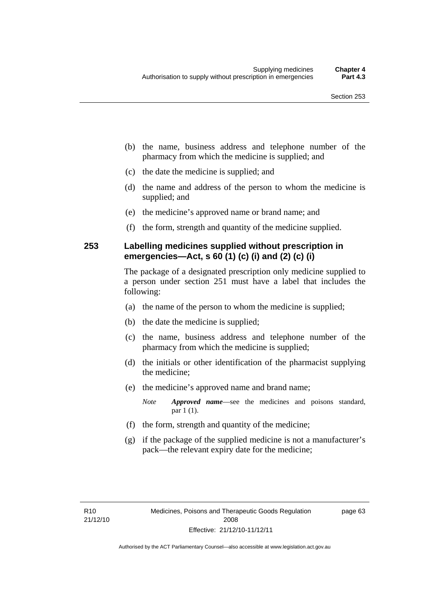- (b) the name, business address and telephone number of the pharmacy from which the medicine is supplied; and
- (c) the date the medicine is supplied; and
- (d) the name and address of the person to whom the medicine is supplied; and
- (e) the medicine's approved name or brand name; and
- (f) the form, strength and quantity of the medicine supplied.

## **253 Labelling medicines supplied without prescription in emergencies—Act, s 60 (1) (c) (i) and (2) (c) (i)**

The package of a designated prescription only medicine supplied to a person under section 251 must have a label that includes the following:

- (a) the name of the person to whom the medicine is supplied;
- (b) the date the medicine is supplied;
- (c) the name, business address and telephone number of the pharmacy from which the medicine is supplied;
- (d) the initials or other identification of the pharmacist supplying the medicine;
- (e) the medicine's approved name and brand name;

*Note Approved name*—see the medicines and poisons standard, par 1 (1).

- (f) the form, strength and quantity of the medicine;
- (g) if the package of the supplied medicine is not a manufacturer's pack—the relevant expiry date for the medicine;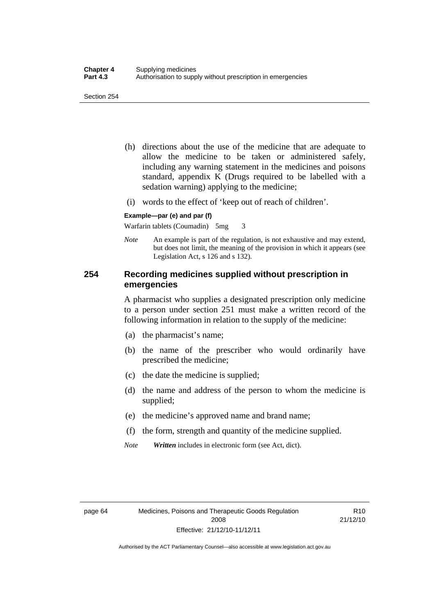- (h) directions about the use of the medicine that are adequate to allow the medicine to be taken or administered safely, including any warning statement in the medicines and poisons standard, appendix K (Drugs required to be labelled with a sedation warning) applying to the medicine;
- (i) words to the effect of 'keep out of reach of children'.

#### **Example—par (e) and par (f)**

Warfarin tablets (Coumadin) 5mg 3

*Note* An example is part of the regulation, is not exhaustive and may extend, but does not limit, the meaning of the provision in which it appears (see Legislation Act, s 126 and s 132).

## **254 Recording medicines supplied without prescription in emergencies**

A pharmacist who supplies a designated prescription only medicine to a person under section 251 must make a written record of the following information in relation to the supply of the medicine:

- (a) the pharmacist's name;
- (b) the name of the prescriber who would ordinarily have prescribed the medicine;
- (c) the date the medicine is supplied;
- (d) the name and address of the person to whom the medicine is supplied;
- (e) the medicine's approved name and brand name;
- (f) the form, strength and quantity of the medicine supplied.
- *Note Written* includes in electronic form (see Act, dict).

R10 21/12/10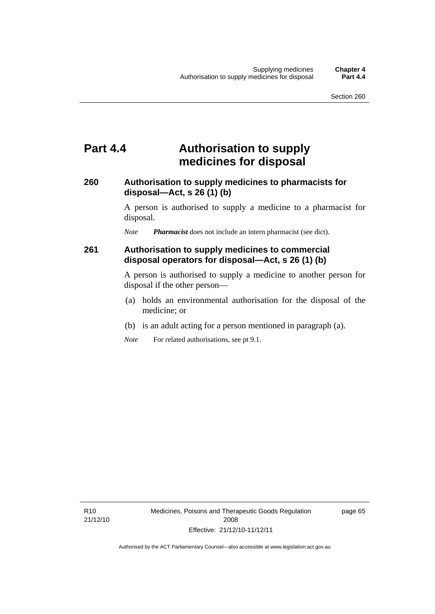# **Part 4.4 Authorisation to supply medicines for disposal**

### **260 Authorisation to supply medicines to pharmacists for disposal—Act, s 26 (1) (b)**

A person is authorised to supply a medicine to a pharmacist for disposal.

*Note Pharmacist* does not include an intern pharmacist (see dict).

### **261 Authorisation to supply medicines to commercial disposal operators for disposal—Act, s 26 (1) (b)**

A person is authorised to supply a medicine to another person for disposal if the other person—

- (a) holds an environmental authorisation for the disposal of the medicine; or
- (b) is an adult acting for a person mentioned in paragraph (a).
- *Note* For related authorisations, see pt 9.1.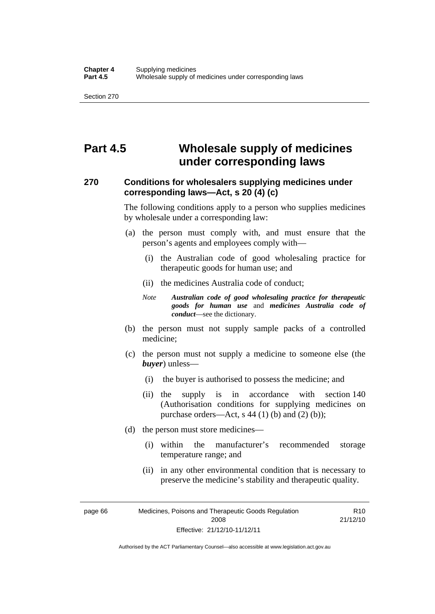# **Part 4.5 Wholesale supply of medicines under corresponding laws**

## **270 Conditions for wholesalers supplying medicines under corresponding laws—Act, s 20 (4) (c)**

The following conditions apply to a person who supplies medicines by wholesale under a corresponding law:

- (a) the person must comply with, and must ensure that the person's agents and employees comply with—
	- (i) the Australian code of good wholesaling practice for therapeutic goods for human use; and
	- (ii) the medicines Australia code of conduct;
	- *Note Australian code of good wholesaling practice for therapeutic goods for human use* and *medicines Australia code of conduct*—see the dictionary.
- (b) the person must not supply sample packs of a controlled medicine;
- (c) the person must not supply a medicine to someone else (the *buyer*) unless—
	- (i) the buyer is authorised to possess the medicine; and
	- (ii) the supply is in accordance with section 140 (Authorisation conditions for supplying medicines on purchase orders—Act, s  $44$  (1) (b) and (2) (b));
- (d) the person must store medicines—
	- (i) within the manufacturer's recommended storage temperature range; and
	- (ii) in any other environmental condition that is necessary to preserve the medicine's stability and therapeutic quality.

R10 21/12/10

page 66 Medicines, Poisons and Therapeutic Goods Regulation 2008 Effective: 21/12/10-11/12/11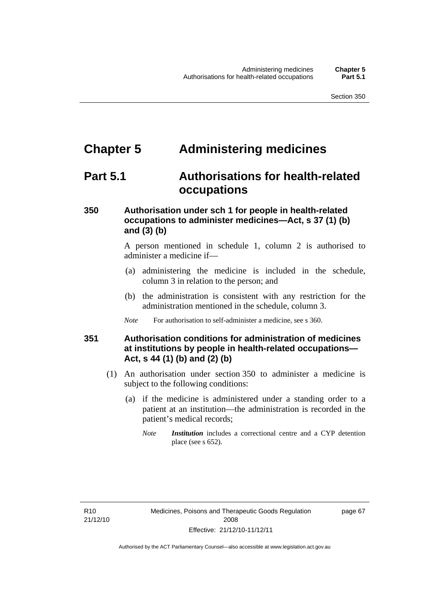# **Chapter 5 Administering medicines**

# **Part 5.1 Authorisations for health-related occupations**

# **350 Authorisation under sch 1 for people in health-related occupations to administer medicines—Act, s 37 (1) (b) and (3) (b)**

A person mentioned in schedule 1, column 2 is authorised to administer a medicine if—

- (a) administering the medicine is included in the schedule, column 3 in relation to the person; and
- (b) the administration is consistent with any restriction for the administration mentioned in the schedule, column 3.
- *Note* For authorisation to self-administer a medicine, see s 360.

# **351 Authorisation conditions for administration of medicines at institutions by people in health-related occupations— Act, s 44 (1) (b) and (2) (b)**

- (1) An authorisation under section 350 to administer a medicine is subject to the following conditions:
	- (a) if the medicine is administered under a standing order to a patient at an institution—the administration is recorded in the patient's medical records;
		- *Note Institution* includes a correctional centre and a CYP detention place (see s 652).

page 67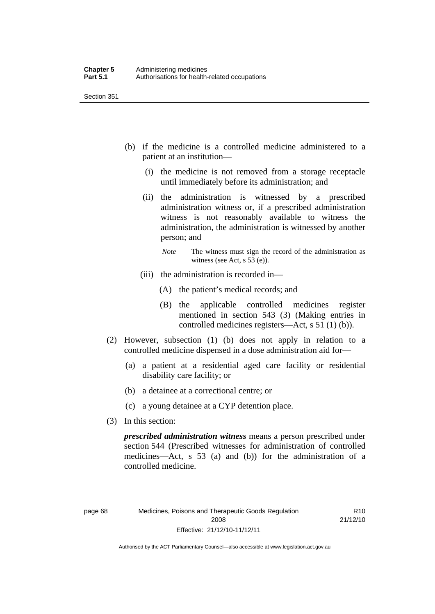- (b) if the medicine is a controlled medicine administered to a patient at an institution—
	- (i) the medicine is not removed from a storage receptacle until immediately before its administration; and
	- (ii) the administration is witnessed by a prescribed administration witness or, if a prescribed administration witness is not reasonably available to witness the administration, the administration is witnessed by another person; and
		- *Note* The witness must sign the record of the administration as witness (see Act, s 53 (e)).
	- (iii) the administration is recorded in—
		- (A) the patient's medical records; and
		- (B) the applicable controlled medicines register mentioned in section 543 (3) (Making entries in controlled medicines registers—Act, s 51 (1) (b)).
- (2) However, subsection (1) (b) does not apply in relation to a controlled medicine dispensed in a dose administration aid for—
	- (a) a patient at a residential aged care facility or residential disability care facility; or
	- (b) a detainee at a correctional centre; or
	- (c) a young detainee at a CYP detention place.
- (3) In this section:

*prescribed administration witness* means a person prescribed under section 544 (Prescribed witnesses for administration of controlled medicines—Act, s 53 (a) and (b)) for the administration of a controlled medicine.

R10 21/12/10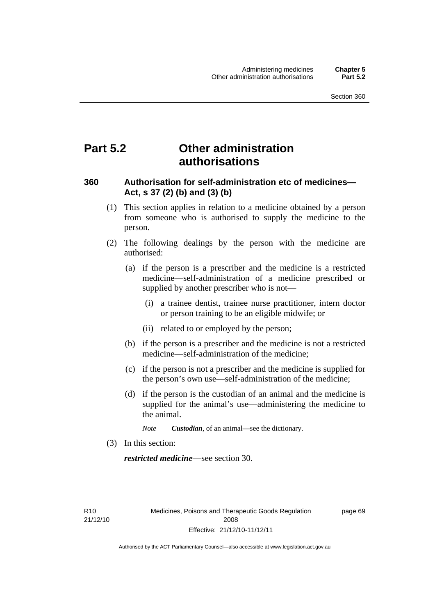# **Part 5.2 Other administration authorisations**

### **360 Authorisation for self-administration etc of medicines— Act, s 37 (2) (b) and (3) (b)**

- (1) This section applies in relation to a medicine obtained by a person from someone who is authorised to supply the medicine to the person.
- (2) The following dealings by the person with the medicine are authorised:
	- (a) if the person is a prescriber and the medicine is a restricted medicine—self-administration of a medicine prescribed or supplied by another prescriber who is not—
		- (i) a trainee dentist, trainee nurse practitioner, intern doctor or person training to be an eligible midwife; or
		- (ii) related to or employed by the person;
	- (b) if the person is a prescriber and the medicine is not a restricted medicine—self-administration of the medicine;
	- (c) if the person is not a prescriber and the medicine is supplied for the person's own use—self-administration of the medicine;
	- (d) if the person is the custodian of an animal and the medicine is supplied for the animal's use—administering the medicine to the animal.
		- *Note Custodian*, of an animal—see the dictionary.
- (3) In this section:

*restricted medicine*—see section 30.

R10 21/12/10 page 69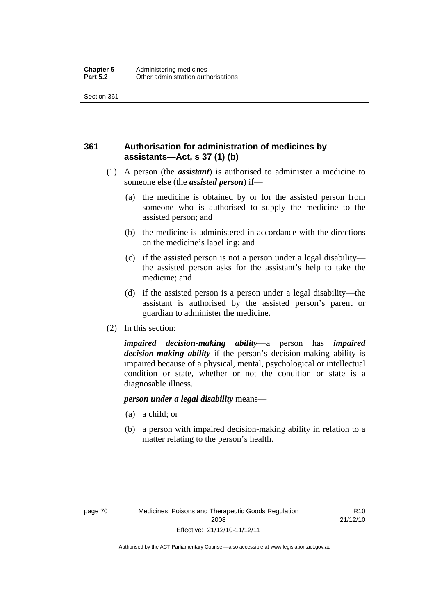## **361 Authorisation for administration of medicines by assistants—Act, s 37 (1) (b)**

- (1) A person (the *assistant*) is authorised to administer a medicine to someone else (the *assisted person*) if—
	- (a) the medicine is obtained by or for the assisted person from someone who is authorised to supply the medicine to the assisted person; and
	- (b) the medicine is administered in accordance with the directions on the medicine's labelling; and
	- (c) if the assisted person is not a person under a legal disability the assisted person asks for the assistant's help to take the medicine; and
	- (d) if the assisted person is a person under a legal disability—the assistant is authorised by the assisted person's parent or guardian to administer the medicine.
- (2) In this section:

*impaired decision-making ability*—a person has *impaired decision-making ability* if the person's decision-making ability is impaired because of a physical, mental, psychological or intellectual condition or state, whether or not the condition or state is a diagnosable illness.

#### *person under a legal disability* means—

- (a) a child; or
- (b) a person with impaired decision-making ability in relation to a matter relating to the person's health.

R10 21/12/10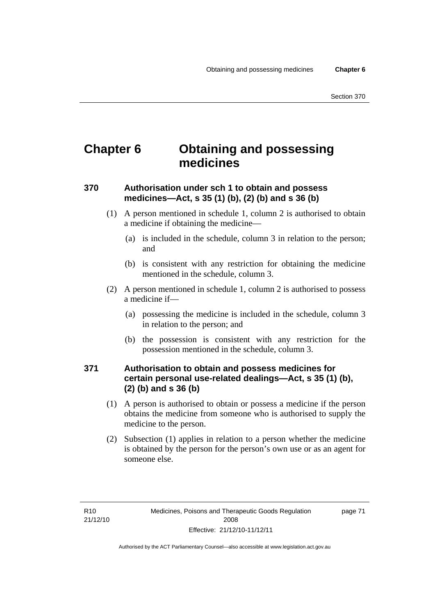# **Chapter 6 Obtaining and possessing medicines**

## **370 Authorisation under sch 1 to obtain and possess medicines—Act, s 35 (1) (b), (2) (b) and s 36 (b)**

- (1) A person mentioned in schedule 1, column 2 is authorised to obtain a medicine if obtaining the medicine—
	- (a) is included in the schedule, column 3 in relation to the person; and
	- (b) is consistent with any restriction for obtaining the medicine mentioned in the schedule, column 3.
- (2) A person mentioned in schedule 1, column 2 is authorised to possess a medicine if—
	- (a) possessing the medicine is included in the schedule, column 3 in relation to the person; and
	- (b) the possession is consistent with any restriction for the possession mentioned in the schedule, column 3.

## **371 Authorisation to obtain and possess medicines for certain personal use-related dealings—Act, s 35 (1) (b), (2) (b) and s 36 (b)**

- (1) A person is authorised to obtain or possess a medicine if the person obtains the medicine from someone who is authorised to supply the medicine to the person.
- (2) Subsection (1) applies in relation to a person whether the medicine is obtained by the person for the person's own use or as an agent for someone else.

page 71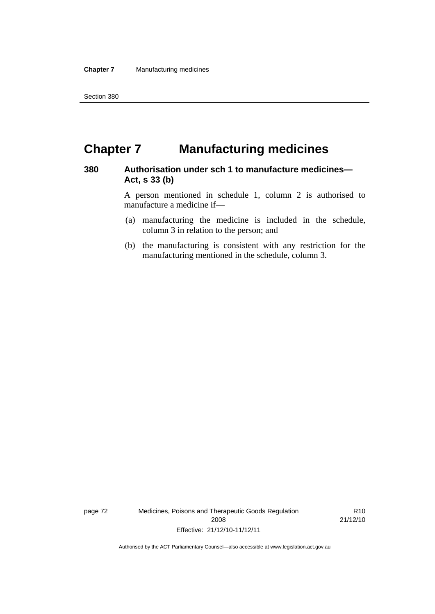# **Chapter 7 Manufacturing medicines**

## **380 Authorisation under sch 1 to manufacture medicines— Act, s 33 (b)**

A person mentioned in schedule 1, column 2 is authorised to manufacture a medicine if—

- (a) manufacturing the medicine is included in the schedule, column 3 in relation to the person; and
- (b) the manufacturing is consistent with any restriction for the manufacturing mentioned in the schedule, column 3.

page 72 Medicines, Poisons and Therapeutic Goods Regulation 2008 Effective: 21/12/10-11/12/11

R10 21/12/10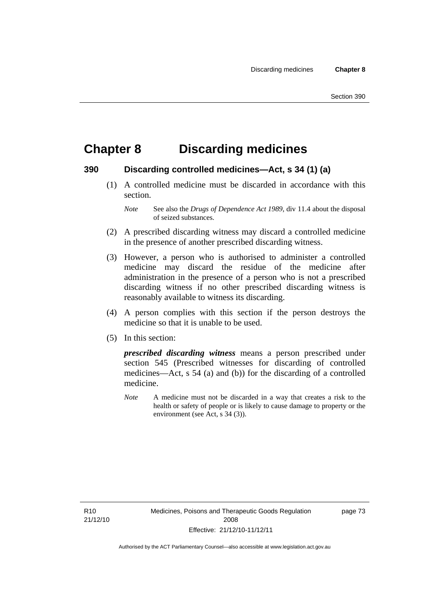# **Chapter 8 Discarding medicines**

### **390 Discarding controlled medicines—Act, s 34 (1) (a)**

 (1) A controlled medicine must be discarded in accordance with this section.

*Note* See also the *Drugs of Dependence Act 1989*, div 11.4 about the disposal of seized substances.

- (2) A prescribed discarding witness may discard a controlled medicine in the presence of another prescribed discarding witness.
- (3) However, a person who is authorised to administer a controlled medicine may discard the residue of the medicine after administration in the presence of a person who is not a prescribed discarding witness if no other prescribed discarding witness is reasonably available to witness its discarding.
- (4) A person complies with this section if the person destroys the medicine so that it is unable to be used.
- (5) In this section:

*prescribed discarding witness* means a person prescribed under section 545 (Prescribed witnesses for discarding of controlled medicines—Act, s 54 (a) and (b)) for the discarding of a controlled medicine.

*Note* A medicine must not be discarded in a way that creates a risk to the health or safety of people or is likely to cause damage to property or the environment (see Act, s 34 (3)).

R10 21/12/10 page 73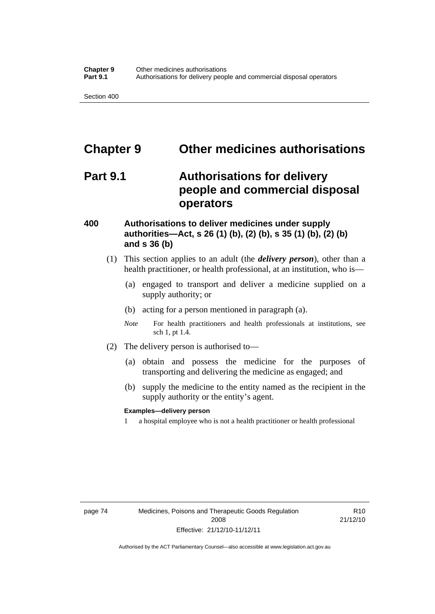# **Chapter 9 Other medicines authorisations**

# **Part 9.1 Authorisations for delivery people and commercial disposal operators**

### **400 Authorisations to deliver medicines under supply authorities—Act, s 26 (1) (b), (2) (b), s 35 (1) (b), (2) (b) and s 36 (b)**

- (1) This section applies to an adult (the *delivery person*), other than a health practitioner, or health professional, at an institution, who is—
	- (a) engaged to transport and deliver a medicine supplied on a supply authority; or
	- (b) acting for a person mentioned in paragraph (a).
	- *Note* For health practitioners and health professionals at institutions, see sch 1, pt 1.4.
- (2) The delivery person is authorised to—
	- (a) obtain and possess the medicine for the purposes of transporting and delivering the medicine as engaged; and
	- (b) supply the medicine to the entity named as the recipient in the supply authority or the entity's agent.

#### **Examples—delivery person**

1 a hospital employee who is not a health practitioner or health professional

page 74 Medicines, Poisons and Therapeutic Goods Regulation 2008 Effective: 21/12/10-11/12/11

R10 21/12/10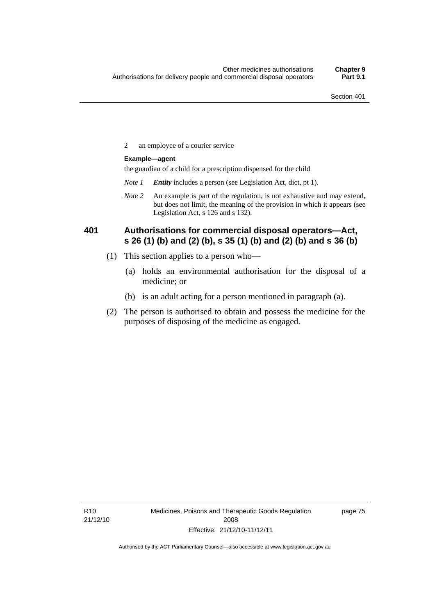2 an employee of a courier service

#### **Example—agent**

the guardian of a child for a prescription dispensed for the child

- *Note 1 Entity* includes a person (see Legislation Act, dict, pt 1).
- *Note 2* An example is part of the regulation, is not exhaustive and may extend, but does not limit, the meaning of the provision in which it appears (see Legislation Act, s 126 and s 132).

## **401 Authorisations for commercial disposal operators—Act, s 26 (1) (b) and (2) (b), s 35 (1) (b) and (2) (b) and s 36 (b)**

- (1) This section applies to a person who—
	- (a) holds an environmental authorisation for the disposal of a medicine; or
	- (b) is an adult acting for a person mentioned in paragraph (a).
- (2) The person is authorised to obtain and possess the medicine for the purposes of disposing of the medicine as engaged.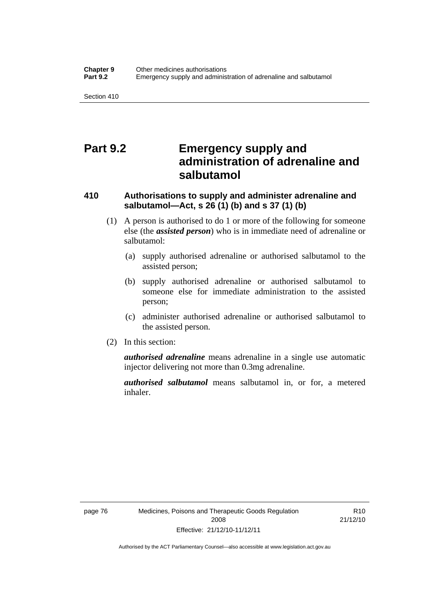# **Part 9.2 Emergency supply and administration of adrenaline and salbutamol**

# **410 Authorisations to supply and administer adrenaline and salbutamol—Act, s 26 (1) (b) and s 37 (1) (b)**

- (1) A person is authorised to do 1 or more of the following for someone else (the *assisted person*) who is in immediate need of adrenaline or salbutamol:
	- (a) supply authorised adrenaline or authorised salbutamol to the assisted person;
	- (b) supply authorised adrenaline or authorised salbutamol to someone else for immediate administration to the assisted person;
	- (c) administer authorised adrenaline or authorised salbutamol to the assisted person.
- (2) In this section:

*authorised adrenaline* means adrenaline in a single use automatic injector delivering not more than 0.3mg adrenaline.

*authorised salbutamol* means salbutamol in, or for, a metered inhaler.

R10 21/12/10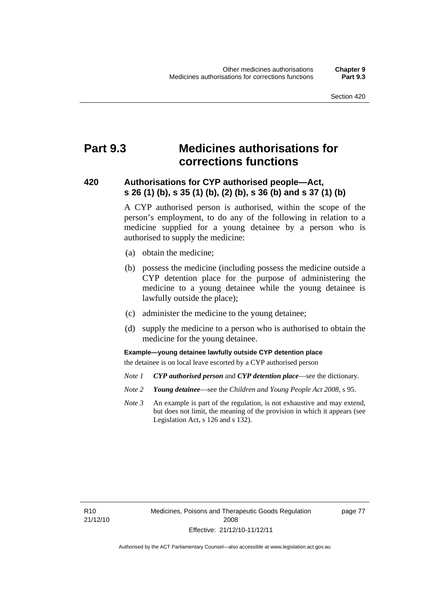# **Part 9.3 Medicines authorisations for corrections functions**

### **420 Authorisations for CYP authorised people—Act, s 26 (1) (b), s 35 (1) (b), (2) (b), s 36 (b) and s 37 (1) (b)**

A CYP authorised person is authorised, within the scope of the person's employment, to do any of the following in relation to a medicine supplied for a young detainee by a person who is authorised to supply the medicine:

- (a) obtain the medicine;
- (b) possess the medicine (including possess the medicine outside a CYP detention place for the purpose of administering the medicine to a young detainee while the young detainee is lawfully outside the place);
- (c) administer the medicine to the young detainee;
- (d) supply the medicine to a person who is authorised to obtain the medicine for the young detainee.

#### **Example—young detainee lawfully outside CYP detention place**

the detainee is on local leave escorted by a CYP authorised person

- *Note 1 CYP authorised person* and *CYP detention place*—see the dictionary.
- *Note 2 Young detainee*—see the *Children and Young People Act 2008*, s 95.
- *Note 3* An example is part of the regulation, is not exhaustive and may extend, but does not limit, the meaning of the provision in which it appears (see Legislation Act, s 126 and s 132).

page 77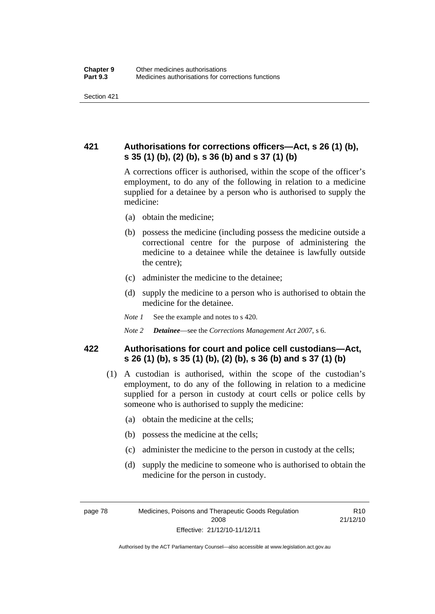# **421 Authorisations for corrections officers—Act, s 26 (1) (b), s 35 (1) (b), (2) (b), s 36 (b) and s 37 (1) (b)**

A corrections officer is authorised, within the scope of the officer's employment, to do any of the following in relation to a medicine supplied for a detainee by a person who is authorised to supply the medicine:

- (a) obtain the medicine;
- (b) possess the medicine (including possess the medicine outside a correctional centre for the purpose of administering the medicine to a detainee while the detainee is lawfully outside the centre);
- (c) administer the medicine to the detainee;
- (d) supply the medicine to a person who is authorised to obtain the medicine for the detainee.
- *Note 1* See the example and notes to s 420.
- *Note 2 Detainee*—see the *Corrections Management Act 2007*, s 6.

### **422 Authorisations for court and police cell custodians—Act, s 26 (1) (b), s 35 (1) (b), (2) (b), s 36 (b) and s 37 (1) (b)**

- (1) A custodian is authorised, within the scope of the custodian's employment, to do any of the following in relation to a medicine supplied for a person in custody at court cells or police cells by someone who is authorised to supply the medicine:
	- (a) obtain the medicine at the cells;
	- (b) possess the medicine at the cells;
	- (c) administer the medicine to the person in custody at the cells;
	- (d) supply the medicine to someone who is authorised to obtain the medicine for the person in custody.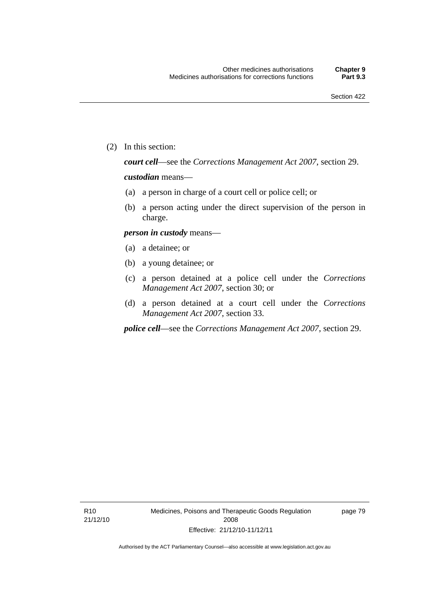(2) In this section:

*court cell*—see the *Corrections Management Act 2007*, section 29.

#### *custodian* means—

- (a) a person in charge of a court cell or police cell; or
- (b) a person acting under the direct supervision of the person in charge.

#### *person in custody* means—

- (a) a detainee; or
- (b) a young detainee; or
- (c) a person detained at a police cell under the *Corrections Management Act 2007*, section 30; or
- (d) a person detained at a court cell under the *Corrections Management Act 2007*, section 33.

*police cell*—see the *Corrections Management Act 2007*, section 29.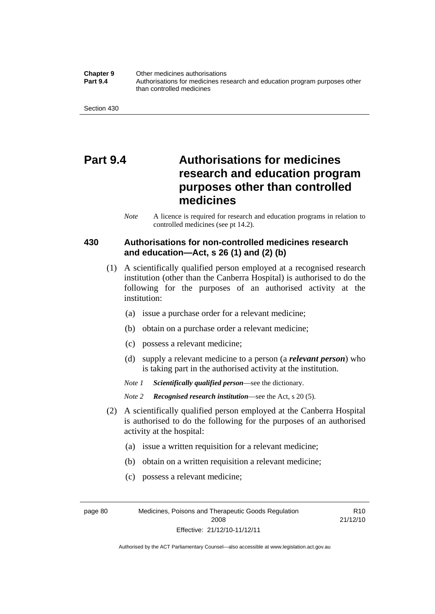#### **Chapter 9** Other medicines authorisations **Part 9.4** • **Authorisations for medicines research and education program purposes other** than controlled medicines

# **Part 9.4 Authorisations for medicines research and education program purposes other than controlled medicines**

*Note* A licence is required for research and education programs in relation to controlled medicines (see pt 14.2).

## **430 Authorisations for non-controlled medicines research and education—Act, s 26 (1) and (2) (b)**

- (1) A scientifically qualified person employed at a recognised research institution (other than the Canberra Hospital) is authorised to do the following for the purposes of an authorised activity at the institution:
	- (a) issue a purchase order for a relevant medicine;
	- (b) obtain on a purchase order a relevant medicine;
	- (c) possess a relevant medicine;
	- (d) supply a relevant medicine to a person (a *relevant person*) who is taking part in the authorised activity at the institution.
	- *Note 1 Scientifically qualified person*—see the dictionary.
	- *Note 2 Recognised research institution*—see the Act, s 20 (5).
- (2) A scientifically qualified person employed at the Canberra Hospital is authorised to do the following for the purposes of an authorised activity at the hospital:
	- (a) issue a written requisition for a relevant medicine;
	- (b) obtain on a written requisition a relevant medicine;
	- (c) possess a relevant medicine;

R10 21/12/10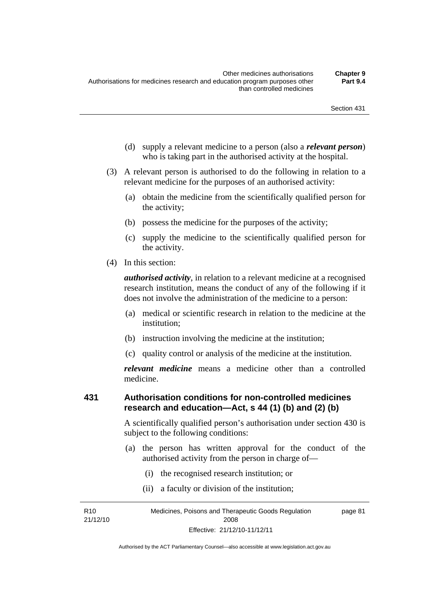- (d) supply a relevant medicine to a person (also a *relevant person*) who is taking part in the authorised activity at the hospital.
- (3) A relevant person is authorised to do the following in relation to a relevant medicine for the purposes of an authorised activity:
	- (a) obtain the medicine from the scientifically qualified person for the activity;
	- (b) possess the medicine for the purposes of the activity;
	- (c) supply the medicine to the scientifically qualified person for the activity.
- (4) In this section:

*authorised activity*, in relation to a relevant medicine at a recognised research institution, means the conduct of any of the following if it does not involve the administration of the medicine to a person:

- (a) medical or scientific research in relation to the medicine at the institution;
- (b) instruction involving the medicine at the institution;
- (c) quality control or analysis of the medicine at the institution.

*relevant medicine* means a medicine other than a controlled medicine.

### **431 Authorisation conditions for non-controlled medicines research and education—Act, s 44 (1) (b) and (2) (b)**

A scientifically qualified person's authorisation under section 430 is subject to the following conditions:

- (a) the person has written approval for the conduct of the authorised activity from the person in charge of—
	- (i) the recognised research institution; or
	- (ii) a faculty or division of the institution;

 $R10$ 21/12/10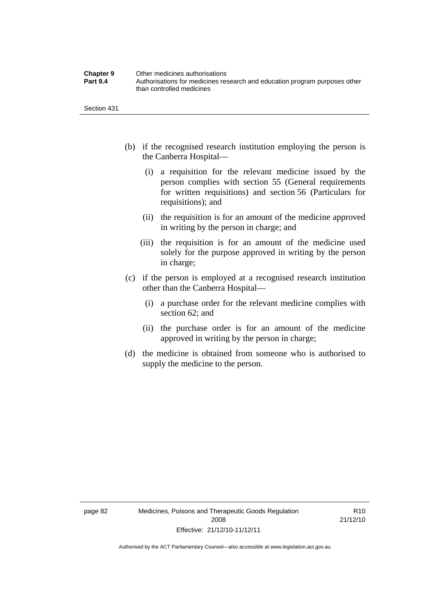| <b>Chapter 9</b> | Other medicines authorisations                                             |
|------------------|----------------------------------------------------------------------------|
| <b>Part 9.4</b>  | Authorisations for medicines research and education program purposes other |
|                  | than controlled medicines                                                  |

- (b) if the recognised research institution employing the person is the Canberra Hospital—
	- (i) a requisition for the relevant medicine issued by the person complies with section 55 (General requirements for written requisitions) and section 56 (Particulars for requisitions); and
	- (ii) the requisition is for an amount of the medicine approved in writing by the person in charge; and
	- (iii) the requisition is for an amount of the medicine used solely for the purpose approved in writing by the person in charge;
- (c) if the person is employed at a recognised research institution other than the Canberra Hospital—
	- (i) a purchase order for the relevant medicine complies with section 62; and
	- (ii) the purchase order is for an amount of the medicine approved in writing by the person in charge;
- (d) the medicine is obtained from someone who is authorised to supply the medicine to the person.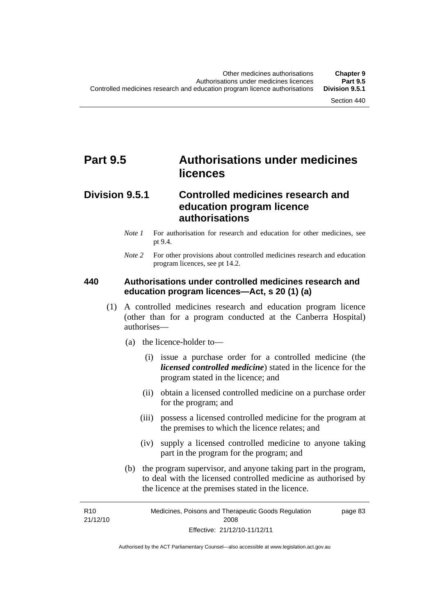# **Part 9.5 Authorisations under medicines licences**

# **Division 9.5.1 Controlled medicines research and education program licence authorisations**

- *Note 1* For authorisation for research and education for other medicines, see pt 9.4.
- *Note* 2 For other provisions about controlled medicines research and education program licences, see pt 14.2.

#### **440 Authorisations under controlled medicines research and education program licences—Act, s 20 (1) (a)**

- (1) A controlled medicines research and education program licence (other than for a program conducted at the Canberra Hospital) authorises—
	- (a) the licence-holder to—
		- (i) issue a purchase order for a controlled medicine (the *licensed controlled medicine*) stated in the licence for the program stated in the licence; and
		- (ii) obtain a licensed controlled medicine on a purchase order for the program; and
		- (iii) possess a licensed controlled medicine for the program at the premises to which the licence relates; and
		- (iv) supply a licensed controlled medicine to anyone taking part in the program for the program; and
	- (b) the program supervisor, and anyone taking part in the program, to deal with the licensed controlled medicine as authorised by the licence at the premises stated in the licence.

 $R10$ 21/12/10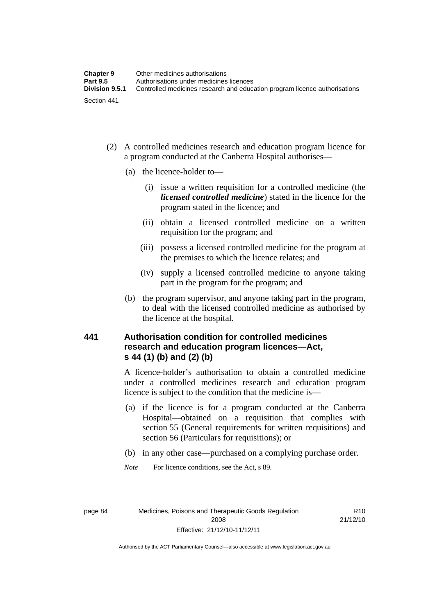- (2) A controlled medicines research and education program licence for a program conducted at the Canberra Hospital authorises—
	- (a) the licence-holder to—
		- (i) issue a written requisition for a controlled medicine (the *licensed controlled medicine*) stated in the licence for the program stated in the licence; and
		- (ii) obtain a licensed controlled medicine on a written requisition for the program; and
		- (iii) possess a licensed controlled medicine for the program at the premises to which the licence relates; and
		- (iv) supply a licensed controlled medicine to anyone taking part in the program for the program; and
	- (b) the program supervisor, and anyone taking part in the program, to deal with the licensed controlled medicine as authorised by the licence at the hospital.

# **441 Authorisation condition for controlled medicines research and education program licences—Act, s 44 (1) (b) and (2) (b)**

A licence-holder's authorisation to obtain a controlled medicine under a controlled medicines research and education program licence is subject to the condition that the medicine is—

- (a) if the licence is for a program conducted at the Canberra Hospital—obtained on a requisition that complies with section 55 (General requirements for written requisitions) and section 56 (Particulars for requisitions); or
- (b) in any other case—purchased on a complying purchase order.
- *Note* For licence conditions, see the Act, s 89.

page 84 Medicines, Poisons and Therapeutic Goods Regulation 2008 Effective: 21/12/10-11/12/11

 $R10$ 21/12/10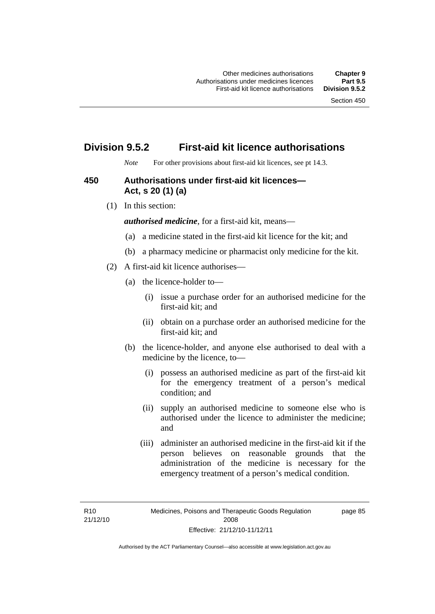## **Division 9.5.2 First-aid kit licence authorisations**

*Note* For other provisions about first-aid kit licences, see pt 14.3.

## **450 Authorisations under first-aid kit licences— Act, s 20 (1) (a)**

(1) In this section:

*authorised medicine*, for a first-aid kit, means—

- (a) a medicine stated in the first-aid kit licence for the kit; and
- (b) a pharmacy medicine or pharmacist only medicine for the kit.
- (2) A first-aid kit licence authorises—
	- (a) the licence-holder to—
		- (i) issue a purchase order for an authorised medicine for the first-aid kit; and
		- (ii) obtain on a purchase order an authorised medicine for the first-aid kit; and
	- (b) the licence-holder, and anyone else authorised to deal with a medicine by the licence, to—
		- (i) possess an authorised medicine as part of the first-aid kit for the emergency treatment of a person's medical condition; and
		- (ii) supply an authorised medicine to someone else who is authorised under the licence to administer the medicine; and
		- (iii) administer an authorised medicine in the first-aid kit if the person believes on reasonable grounds that the administration of the medicine is necessary for the emergency treatment of a person's medical condition.

page 85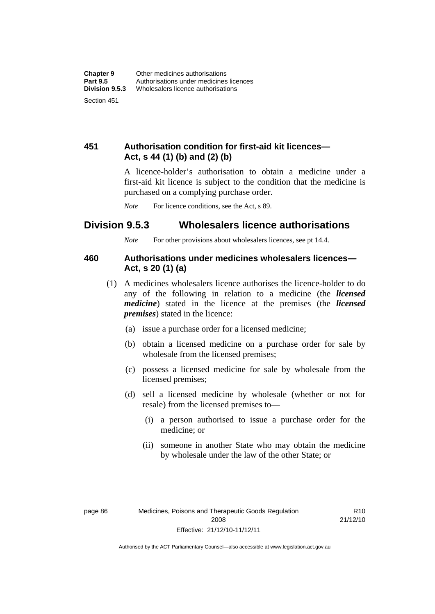## **451 Authorisation condition for first-aid kit licences— Act, s 44 (1) (b) and (2) (b)**

A licence-holder's authorisation to obtain a medicine under a first-aid kit licence is subject to the condition that the medicine is purchased on a complying purchase order.

*Note* For licence conditions, see the Act, s 89.

## **Division 9.5.3 Wholesalers licence authorisations**

*Note* For other provisions about wholesalers licences, see pt 14.4.

## **460 Authorisations under medicines wholesalers licences— Act, s 20 (1) (a)**

- (1) A medicines wholesalers licence authorises the licence-holder to do any of the following in relation to a medicine (the *licensed medicine*) stated in the licence at the premises (the *licensed premises*) stated in the licence:
	- (a) issue a purchase order for a licensed medicine;
	- (b) obtain a licensed medicine on a purchase order for sale by wholesale from the licensed premises;
	- (c) possess a licensed medicine for sale by wholesale from the licensed premises;
	- (d) sell a licensed medicine by wholesale (whether or not for resale) from the licensed premises to—
		- (i) a person authorised to issue a purchase order for the medicine; or
		- (ii) someone in another State who may obtain the medicine by wholesale under the law of the other State; or

R10 21/12/10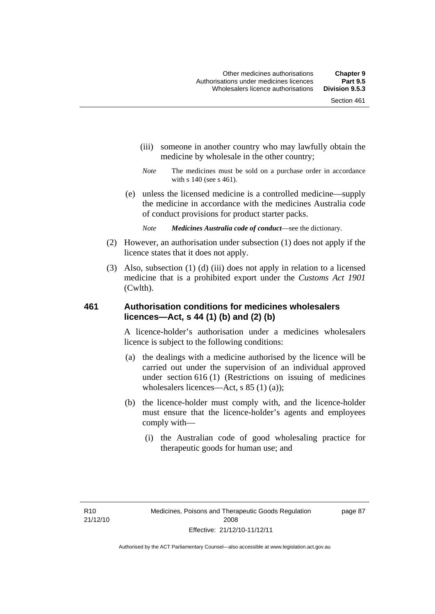- (iii) someone in another country who may lawfully obtain the medicine by wholesale in the other country;
- *Note* The medicines must be sold on a purchase order in accordance with s 140 (see s 461).
- (e) unless the licensed medicine is a controlled medicine—supply the medicine in accordance with the medicines Australia code of conduct provisions for product starter packs.
	- *Note Medicines Australia code of conduct*—see the dictionary.
- (2) However, an authorisation under subsection (1) does not apply if the licence states that it does not apply.
- (3) Also, subsection (1) (d) (iii) does not apply in relation to a licensed medicine that is a prohibited export under the *Customs Act 1901* (Cwlth).

## **461 Authorisation conditions for medicines wholesalers licences—Act, s 44 (1) (b) and (2) (b)**

A licence-holder's authorisation under a medicines wholesalers licence is subject to the following conditions:

- (a) the dealings with a medicine authorised by the licence will be carried out under the supervision of an individual approved under section 616 (1) (Restrictions on issuing of medicines wholesalers licences—Act, s 85 (1) (a));
- (b) the licence-holder must comply with, and the licence-holder must ensure that the licence-holder's agents and employees comply with—
	- (i) the Australian code of good wholesaling practice for therapeutic goods for human use; and

page 87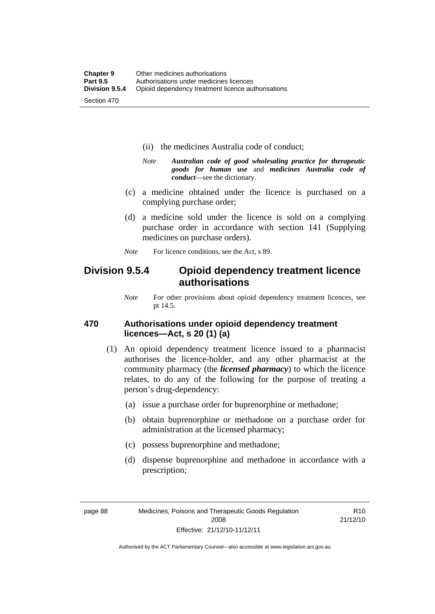- (ii) the medicines Australia code of conduct;
- *Note Australian code of good wholesaling practice for therapeutic goods for human use* and *medicines Australia code of conduct*—see the dictionary.
- (c) a medicine obtained under the licence is purchased on a complying purchase order;
- (d) a medicine sold under the licence is sold on a complying purchase order in accordance with section 141 (Supplying medicines on purchase orders).
- *Note* For licence conditions, see the Act, s 89.

## **Division 9.5.4 Opioid dependency treatment licence authorisations**

*Note* For other provisions about opioid dependency treatment licences, see pt 14.5.

## **470 Authorisations under opioid dependency treatment licences—Act, s 20 (1) (a)**

- (1) An opioid dependency treatment licence issued to a pharmacist authorises the licence-holder, and any other pharmacist at the community pharmacy (the *licensed pharmacy*) to which the licence relates, to do any of the following for the purpose of treating a person's drug-dependency:
	- (a) issue a purchase order for buprenorphine or methadone;
	- (b) obtain buprenorphine or methadone on a purchase order for administration at the licensed pharmacy;
	- (c) possess buprenorphine and methadone;
	- (d) dispense buprenorphine and methadone in accordance with a prescription;

page 88 Medicines, Poisons and Therapeutic Goods Regulation 2008 Effective: 21/12/10-11/12/11

R10 21/12/10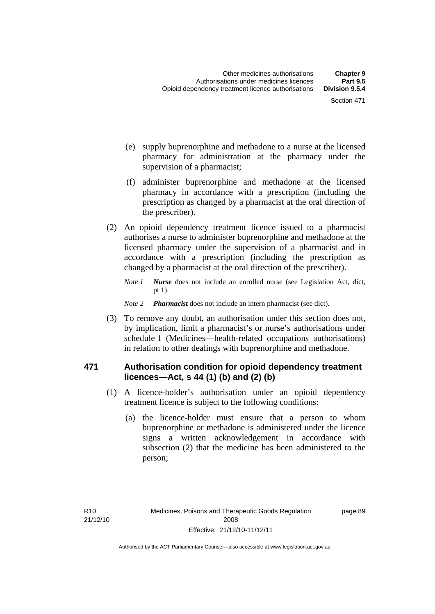- (e) supply buprenorphine and methadone to a nurse at the licensed pharmacy for administration at the pharmacy under the supervision of a pharmacist;
- (f) administer buprenorphine and methadone at the licensed pharmacy in accordance with a prescription (including the prescription as changed by a pharmacist at the oral direction of the prescriber).
- (2) An opioid dependency treatment licence issued to a pharmacist authorises a nurse to administer buprenorphine and methadone at the licensed pharmacy under the supervision of a pharmacist and in accordance with a prescription (including the prescription as changed by a pharmacist at the oral direction of the prescriber).
	- *Note 1 Nurse* does not include an enrolled nurse (see Legislation Act, dict, pt 1).
	- *Note 2 Pharmacist* does not include an intern pharmacist (see dict).
- (3) To remove any doubt, an authorisation under this section does not, by implication, limit a pharmacist's or nurse's authorisations under schedule 1 (Medicines—health-related occupations authorisations) in relation to other dealings with buprenorphine and methadone.

## **471 Authorisation condition for opioid dependency treatment licences—Act, s 44 (1) (b) and (2) (b)**

- (1) A licence-holder's authorisation under an opioid dependency treatment licence is subject to the following conditions:
	- (a) the licence-holder must ensure that a person to whom buprenorphine or methadone is administered under the licence signs a written acknowledgement in accordance with subsection (2) that the medicine has been administered to the person;

page 89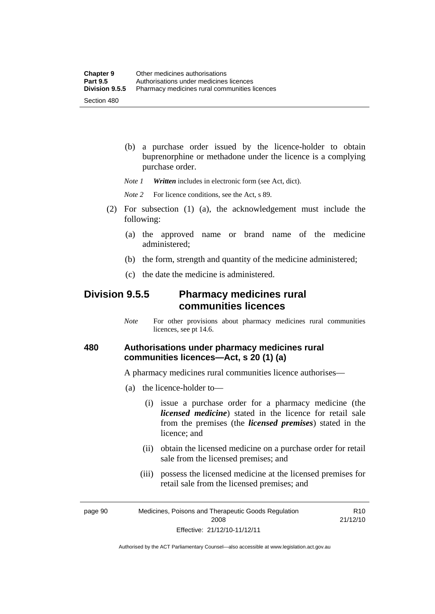(b) a purchase order issued by the licence-holder to obtain buprenorphine or methadone under the licence is a complying purchase order.

*Note 1 Written* includes in electronic form (see Act, dict).

*Note* 2 For licence conditions, see the Act, s 89.

- (2) For subsection (1) (a), the acknowledgement must include the following:
	- (a) the approved name or brand name of the medicine administered;
	- (b) the form, strength and quantity of the medicine administered;
	- (c) the date the medicine is administered.

## **Division 9.5.5 Pharmacy medicines rural communities licences**

*Note* For other provisions about pharmacy medicines rural communities licences, see pt 14.6.

## **480 Authorisations under pharmacy medicines rural communities licences—Act, s 20 (1) (a)**

A pharmacy medicines rural communities licence authorises—

- (a) the licence-holder to—
	- (i) issue a purchase order for a pharmacy medicine (the *licensed medicine*) stated in the licence for retail sale from the premises (the *licensed premises*) stated in the licence; and
	- (ii) obtain the licensed medicine on a purchase order for retail sale from the licensed premises; and
	- (iii) possess the licensed medicine at the licensed premises for retail sale from the licensed premises; and

R10

page 90 Medicines, Poisons and Therapeutic Goods Regulation 2008 Effective: 21/12/10-11/12/11 21/12/10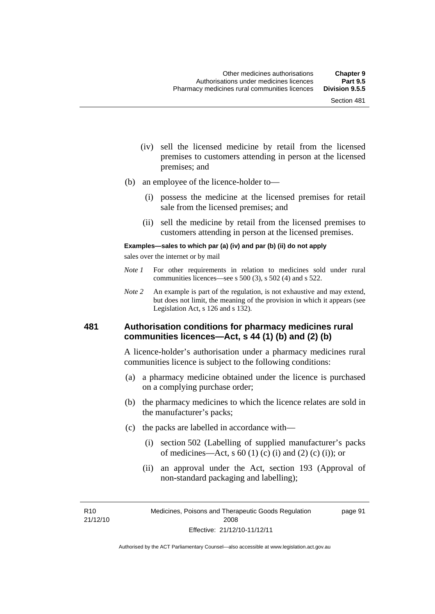- (iv) sell the licensed medicine by retail from the licensed premises to customers attending in person at the licensed premises; and
- (b) an employee of the licence-holder to—
	- (i) possess the medicine at the licensed premises for retail sale from the licensed premises; and
	- (ii) sell the medicine by retail from the licensed premises to customers attending in person at the licensed premises.

#### **Examples—sales to which par (a) (iv) and par (b) (ii) do not apply**

sales over the internet or by mail

- *Note 1* For other requirements in relation to medicines sold under rural communities licences—see s 500 (3), s 502 (4) and s 522.
- *Note 2* An example is part of the regulation, is not exhaustive and may extend, but does not limit, the meaning of the provision in which it appears (see Legislation Act, s 126 and s 132).

## **481 Authorisation conditions for pharmacy medicines rural communities licences—Act, s 44 (1) (b) and (2) (b)**

A licence-holder's authorisation under a pharmacy medicines rural communities licence is subject to the following conditions:

- (a) a pharmacy medicine obtained under the licence is purchased on a complying purchase order;
- (b) the pharmacy medicines to which the licence relates are sold in the manufacturer's packs;
- (c) the packs are labelled in accordance with—
	- (i) section 502 (Labelling of supplied manufacturer's packs of medicines—Act, s  $60(1)$  (c) (i) and (2) (c) (i)); or
	- (ii) an approval under the Act, section 193 (Approval of non-standard packaging and labelling);

R10 21/12/10 page 91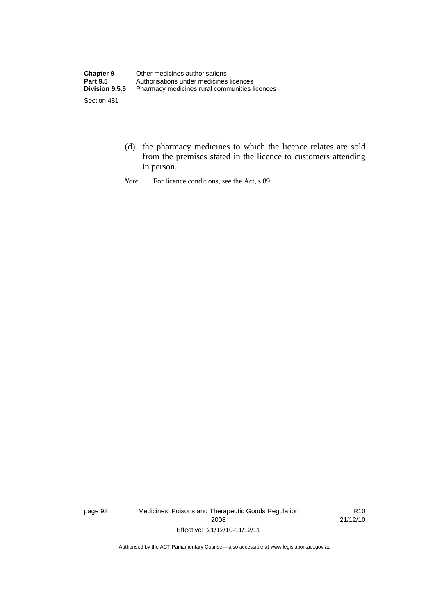- (d) the pharmacy medicines to which the licence relates are sold from the premises stated in the licence to customers attending in person.
- *Note* For licence conditions, see the Act, s 89.

page 92 Medicines, Poisons and Therapeutic Goods Regulation 2008 Effective: 21/12/10-11/12/11

R10 21/12/10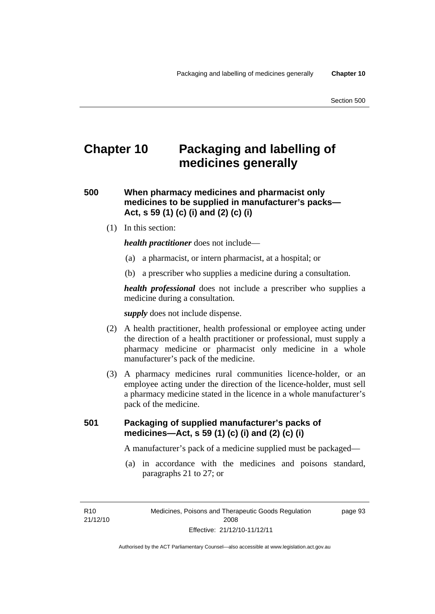# **Chapter 10 Packaging and labelling of medicines generally**

**500 When pharmacy medicines and pharmacist only medicines to be supplied in manufacturer's packs— Act, s 59 (1) (c) (i) and (2) (c) (i)** 

(1) In this section:

*health practitioner* does not include—

- (a) a pharmacist, or intern pharmacist, at a hospital; or
- (b) a prescriber who supplies a medicine during a consultation.

*health professional* does not include a prescriber who supplies a medicine during a consultation.

*supply* does not include dispense.

- (2) A health practitioner, health professional or employee acting under the direction of a health practitioner or professional, must supply a pharmacy medicine or pharmacist only medicine in a whole manufacturer's pack of the medicine.
- (3) A pharmacy medicines rural communities licence-holder, or an employee acting under the direction of the licence-holder, must sell a pharmacy medicine stated in the licence in a whole manufacturer's pack of the medicine.

**501 Packaging of supplied manufacturer's packs of medicines—Act, s 59 (1) (c) (i) and (2) (c) (i)** 

A manufacturer's pack of a medicine supplied must be packaged—

 (a) in accordance with the medicines and poisons standard, paragraphs 21 to 27; or

 $R10$ 21/12/10 page 93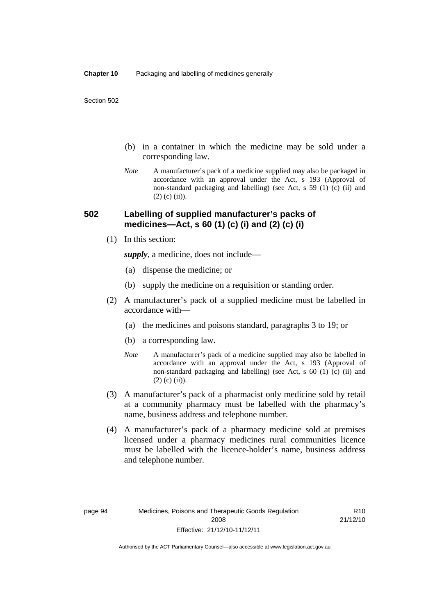- (b) in a container in which the medicine may be sold under a corresponding law.
- *Note* A manufacturer's pack of a medicine supplied may also be packaged in accordance with an approval under the Act, s 193 (Approval of non-standard packaging and labelling) (see Act, s 59 (1) (c) (ii) and  $(2)$  (c) (ii)).

## **502 Labelling of supplied manufacturer's packs of medicines—Act, s 60 (1) (c) (i) and (2) (c) (i)**

(1) In this section:

*supply*, a medicine, does not include—

- (a) dispense the medicine; or
- (b) supply the medicine on a requisition or standing order.
- (2) A manufacturer's pack of a supplied medicine must be labelled in accordance with—
	- (a) the medicines and poisons standard, paragraphs 3 to 19; or
	- (b) a corresponding law.
	- *Note* A manufacturer's pack of a medicine supplied may also be labelled in accordance with an approval under the Act, s 193 (Approval of non-standard packaging and labelling) (see Act, s 60 (1) (c) (ii) and  $(2)$  (c) (ii)).
- (3) A manufacturer's pack of a pharmacist only medicine sold by retail at a community pharmacy must be labelled with the pharmacy's name, business address and telephone number.
- (4) A manufacturer's pack of a pharmacy medicine sold at premises licensed under a pharmacy medicines rural communities licence must be labelled with the licence-holder's name, business address and telephone number.

R10 21/12/10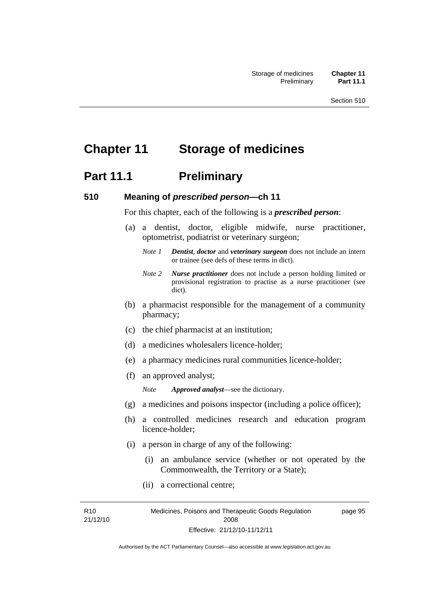# **Chapter 11 Storage of medicines**

## **Part 11.1** Preliminary

### **510 Meaning of** *prescribed person***—ch 11**

For this chapter, each of the following is a *prescribed person*:

- (a) a dentist, doctor, eligible midwife, nurse practitioner, optometrist, podiatrist or veterinary surgeon;
	- *Note 1 Dentist*, *doctor* and *veterinary surgeon* does not include an intern or trainee (see defs of these terms in dict).
	- *Note 2 Nurse practitioner* does not include a person holding limited or provisional registration to practise as a nurse practitioner (see dict).
- (b) a pharmacist responsible for the management of a community pharmacy;
- (c) the chief pharmacist at an institution;
- (d) a medicines wholesalers licence-holder;
- (e) a pharmacy medicines rural communities licence-holder;
- (f) an approved analyst;

*Note Approved analyst*—see the dictionary.

- (g) a medicines and poisons inspector (including a police officer);
- (h) a controlled medicines research and education program licence-holder;
- (i) a person in charge of any of the following:
	- (i) an ambulance service (whether or not operated by the Commonwealth, the Territory or a State);
	- (ii) a correctional centre;

 $R10$ 21/12/10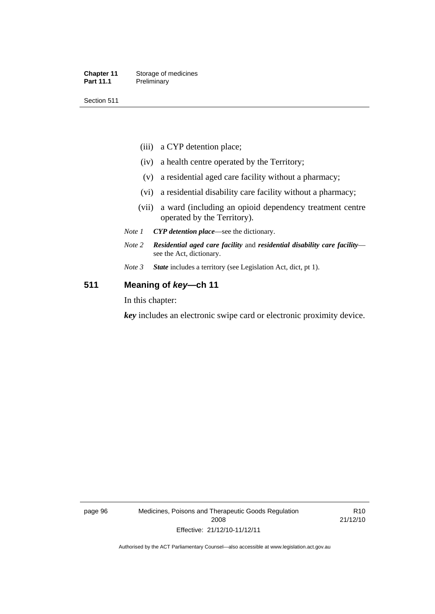#### **Chapter 11** Storage of medicines Part 11.1 Preliminary

Section 511

- (iii) a CYP detention place;
- (iv) a health centre operated by the Territory;
- (v) a residential aged care facility without a pharmacy;
- (vi) a residential disability care facility without a pharmacy;
- (vii) a ward (including an opioid dependency treatment centre operated by the Territory).
- *Note 1 CYP detention place*—see the dictionary.
- *Note 2 Residential aged care facility* and *residential disability care facility* see the Act, dictionary.
- *Note 3 State* includes a territory (see Legislation Act, dict, pt 1).

## **511 Meaning of** *key***—ch 11**

In this chapter:

*key* includes an electronic swipe card or electronic proximity device.

page 96 Medicines, Poisons and Therapeutic Goods Regulation 2008 Effective: 21/12/10-11/12/11

R10 21/12/10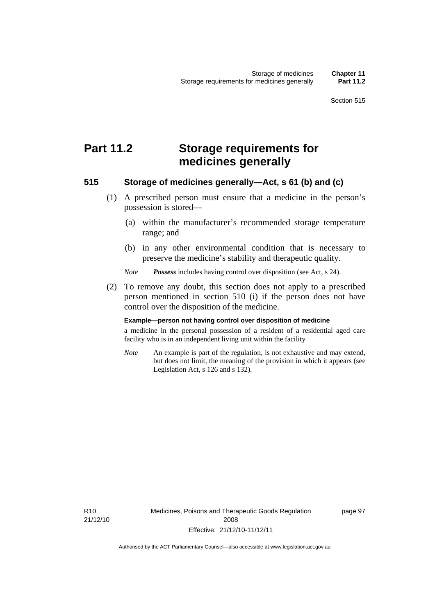# **Part 11.2 Storage requirements for medicines generally**

## **515 Storage of medicines generally—Act, s 61 (b) and (c)**

- (1) A prescribed person must ensure that a medicine in the person's possession is stored—
	- (a) within the manufacturer's recommended storage temperature range; and
	- (b) in any other environmental condition that is necessary to preserve the medicine's stability and therapeutic quality.

*Note Possess* includes having control over disposition (see Act, s 24).

 (2) To remove any doubt, this section does not apply to a prescribed person mentioned in section 510 (i) if the person does not have control over the disposition of the medicine.

#### **Example—person not having control over disposition of medicine**

a medicine in the personal possession of a resident of a residential aged care facility who is in an independent living unit within the facility

*Note* An example is part of the regulation, is not exhaustive and may extend, but does not limit, the meaning of the provision in which it appears (see Legislation Act, s 126 and s 132).

R10 21/12/10 Medicines, Poisons and Therapeutic Goods Regulation 2008 Effective: 21/12/10-11/12/11

page 97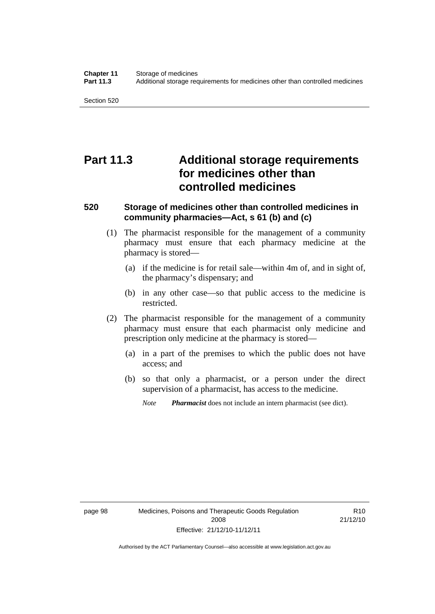# **Part 11.3 Additional storage requirements for medicines other than controlled medicines**

## **520 Storage of medicines other than controlled medicines in community pharmacies—Act, s 61 (b) and (c)**

- (1) The pharmacist responsible for the management of a community pharmacy must ensure that each pharmacy medicine at the pharmacy is stored—
	- (a) if the medicine is for retail sale—within 4m of, and in sight of, the pharmacy's dispensary; and
	- (b) in any other case—so that public access to the medicine is restricted.
- (2) The pharmacist responsible for the management of a community pharmacy must ensure that each pharmacist only medicine and prescription only medicine at the pharmacy is stored—
	- (a) in a part of the premises to which the public does not have access; and
	- (b) so that only a pharmacist, or a person under the direct supervision of a pharmacist, has access to the medicine.
		- *Note Pharmacist* does not include an intern pharmacist (see dict).

R10 21/12/10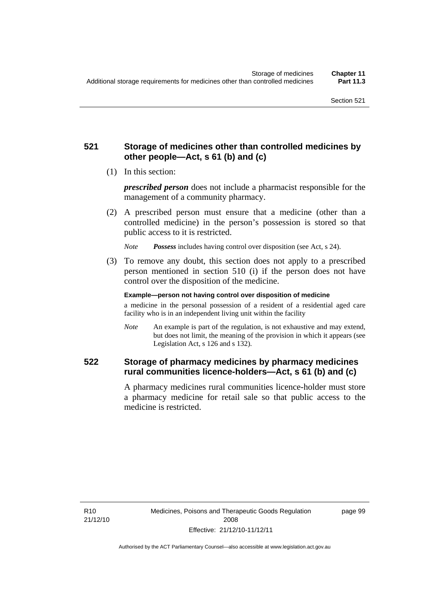## **521 Storage of medicines other than controlled medicines by other people—Act, s 61 (b) and (c)**

(1) In this section:

*prescribed person* does not include a pharmacist responsible for the management of a community pharmacy.

 (2) A prescribed person must ensure that a medicine (other than a controlled medicine) in the person's possession is stored so that public access to it is restricted.

*Note Possess* includes having control over disposition (see Act, s 24).

 (3) To remove any doubt, this section does not apply to a prescribed person mentioned in section 510 (i) if the person does not have control over the disposition of the medicine.

**Example—person not having control over disposition of medicine** 

a medicine in the personal possession of a resident of a residential aged care facility who is in an independent living unit within the facility

*Note* An example is part of the regulation, is not exhaustive and may extend, but does not limit, the meaning of the provision in which it appears (see Legislation Act, s 126 and s 132).

## **522 Storage of pharmacy medicines by pharmacy medicines rural communities licence-holders—Act, s 61 (b) and (c)**

A pharmacy medicines rural communities licence-holder must store a pharmacy medicine for retail sale so that public access to the medicine is restricted.

 $R10$ 21/12/10 page 99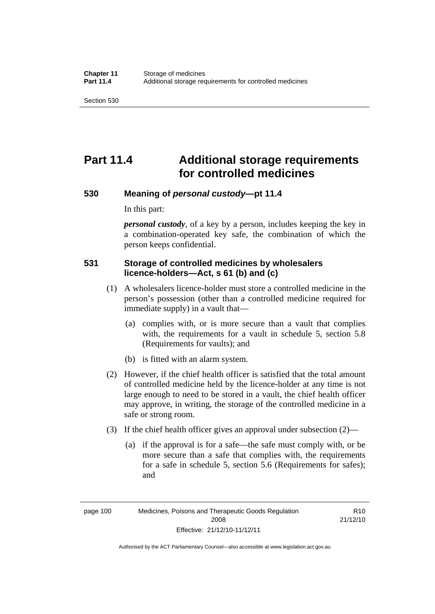Section 530

# **Part 11.4 Additional storage requirements for controlled medicines**

## **530 Meaning of** *personal custody***—pt 11.4**

In this part:

*personal custody*, of a key by a person, includes keeping the key in a combination-operated key safe, the combination of which the person keeps confidential.

## **531 Storage of controlled medicines by wholesalers licence-holders—Act, s 61 (b) and (c)**

- (1) A wholesalers licence-holder must store a controlled medicine in the person's possession (other than a controlled medicine required for immediate supply) in a vault that—
	- (a) complies with, or is more secure than a vault that complies with, the requirements for a vault in schedule 5, section 5.8 (Requirements for vaults); and
	- (b) is fitted with an alarm system.
- (2) However, if the chief health officer is satisfied that the total amount of controlled medicine held by the licence-holder at any time is not large enough to need to be stored in a vault, the chief health officer may approve, in writing, the storage of the controlled medicine in a safe or strong room.
- (3) If the chief health officer gives an approval under subsection (2)—
	- (a) if the approval is for a safe—the safe must comply with, or be more secure than a safe that complies with, the requirements for a safe in schedule 5, section 5.6 (Requirements for safes); and

page 100 Medicines, Poisons and Therapeutic Goods Regulation 2008 Effective: 21/12/10-11/12/11

R10 21/12/10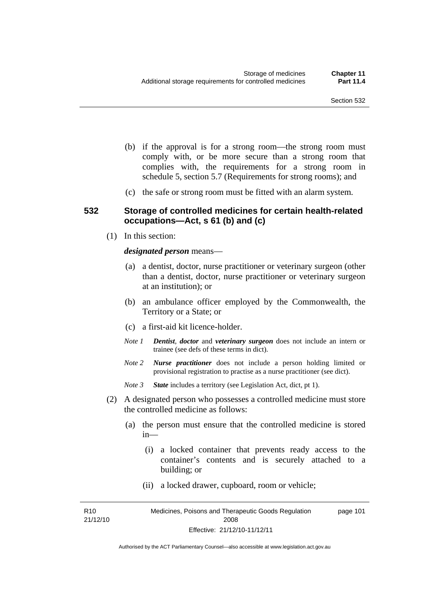- (b) if the approval is for a strong room—the strong room must comply with, or be more secure than a strong room that complies with, the requirements for a strong room in schedule 5, section 5.7 (Requirements for strong rooms); and
- (c) the safe or strong room must be fitted with an alarm system.

### **532 Storage of controlled medicines for certain health-related occupations—Act, s 61 (b) and (c)**

(1) In this section:

#### *designated person* means—

- (a) a dentist, doctor, nurse practitioner or veterinary surgeon (other than a dentist, doctor, nurse practitioner or veterinary surgeon at an institution); or
- (b) an ambulance officer employed by the Commonwealth, the Territory or a State; or
- (c) a first-aid kit licence-holder.
- *Note 1 Dentist*, *doctor* and *veterinary surgeon* does not include an intern or trainee (see defs of these terms in dict).
- *Note 2 Nurse practitioner* does not include a person holding limited or provisional registration to practise as a nurse practitioner (see dict).
- *Note 3 State* includes a territory (see Legislation Act, dict, pt 1).
- (2) A designated person who possesses a controlled medicine must store the controlled medicine as follows:
	- (a) the person must ensure that the controlled medicine is stored in—
		- (i) a locked container that prevents ready access to the container's contents and is securely attached to a building; or
		- (ii) a locked drawer, cupboard, room or vehicle;

 $R10$ 21/12/10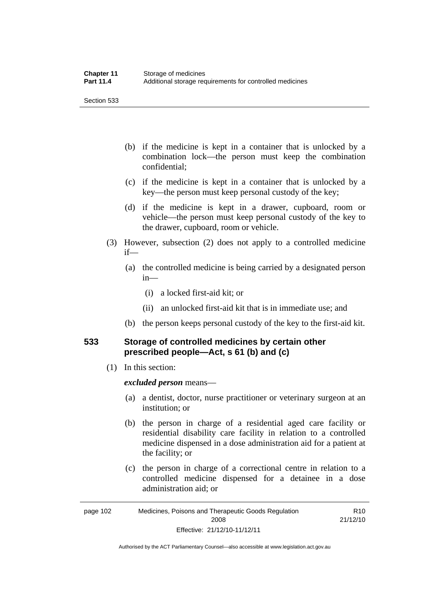Section 533

- (b) if the medicine is kept in a container that is unlocked by a combination lock—the person must keep the combination confidential;
- (c) if the medicine is kept in a container that is unlocked by a key—the person must keep personal custody of the key;
- (d) if the medicine is kept in a drawer, cupboard, room or vehicle—the person must keep personal custody of the key to the drawer, cupboard, room or vehicle.
- (3) However, subsection (2) does not apply to a controlled medicine if—
	- (a) the controlled medicine is being carried by a designated person in—
		- (i) a locked first-aid kit; or
		- (ii) an unlocked first-aid kit that is in immediate use; and
	- (b) the person keeps personal custody of the key to the first-aid kit.

## **533 Storage of controlled medicines by certain other prescribed people—Act, s 61 (b) and (c)**

(1) In this section:

#### *excluded person* means—

- (a) a dentist, doctor, nurse practitioner or veterinary surgeon at an institution; or
- (b) the person in charge of a residential aged care facility or residential disability care facility in relation to a controlled medicine dispensed in a dose administration aid for a patient at the facility; or
- (c) the person in charge of a correctional centre in relation to a controlled medicine dispensed for a detainee in a dose administration aid; or

| page 102 | Medicines, Poisons and Therapeutic Goods Regulation |          |
|----------|-----------------------------------------------------|----------|
|          | 2008                                                | 21/12/10 |
|          | Effective: 21/12/10-11/12/11                        |          |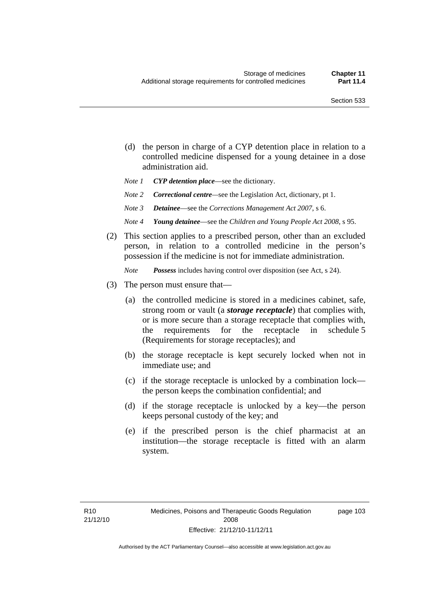- (d) the person in charge of a CYP detention place in relation to a controlled medicine dispensed for a young detainee in a dose administration aid.
- *Note 1 CYP detention place*—see the dictionary.
- *Note 2 Correctional centre—see the Legislation Act, dictionary, pt 1.*
- *Note 3 Detainee*—see the *Corrections Management Act 2007*, s 6.
- *Note 4 Young detainee*—see the *Children and Young People Act 2008*, s 95.
- (2) This section applies to a prescribed person, other than an excluded person, in relation to a controlled medicine in the person's possession if the medicine is not for immediate administration.

*Note Possess* includes having control over disposition (see Act, s 24).

- (3) The person must ensure that—
	- (a) the controlled medicine is stored in a medicines cabinet, safe, strong room or vault (a *storage receptacle*) that complies with, or is more secure than a storage receptacle that complies with, the requirements for the receptacle in schedule 5 (Requirements for storage receptacles); and
	- (b) the storage receptacle is kept securely locked when not in immediate use; and
	- (c) if the storage receptacle is unlocked by a combination lock the person keeps the combination confidential; and
	- (d) if the storage receptacle is unlocked by a key—the person keeps personal custody of the key; and
	- (e) if the prescribed person is the chief pharmacist at an institution—the storage receptacle is fitted with an alarm system.

page 103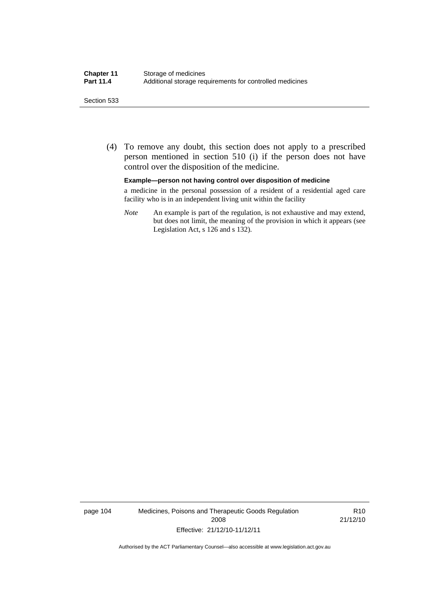#### Section 533

 (4) To remove any doubt, this section does not apply to a prescribed person mentioned in section 510 (i) if the person does not have control over the disposition of the medicine.

#### **Example—person not having control over disposition of medicine**

a medicine in the personal possession of a resident of a residential aged care facility who is in an independent living unit within the facility

*Note* An example is part of the regulation, is not exhaustive and may extend, but does not limit, the meaning of the provision in which it appears (see Legislation Act, s 126 and s 132).

page 104 Medicines, Poisons and Therapeutic Goods Regulation 2008 Effective: 21/12/10-11/12/11

R10 21/12/10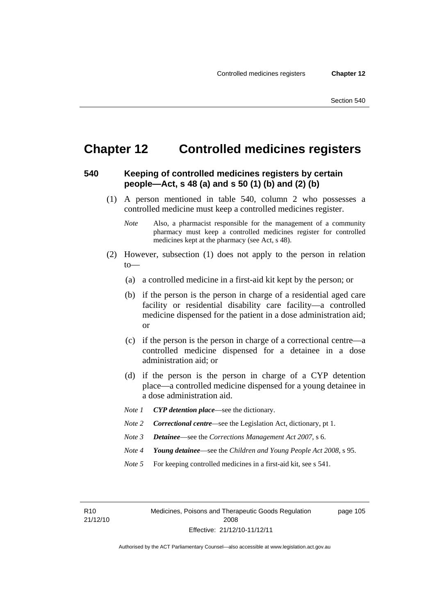page 105

# **Chapter 12 Controlled medicines registers**

## **540 Keeping of controlled medicines registers by certain people—Act, s 48 (a) and s 50 (1) (b) and (2) (b)**

- (1) A person mentioned in table 540, column 2 who possesses a controlled medicine must keep a controlled medicines register.
	- *Note* Also, a pharmacist responsible for the management of a community pharmacy must keep a controlled medicines register for controlled medicines kept at the pharmacy (see Act, s 48).
- (2) However, subsection (1) does not apply to the person in relation to—
	- (a) a controlled medicine in a first-aid kit kept by the person; or
	- (b) if the person is the person in charge of a residential aged care facility or residential disability care facility—a controlled medicine dispensed for the patient in a dose administration aid; or
	- (c) if the person is the person in charge of a correctional centre—a controlled medicine dispensed for a detainee in a dose administration aid; or
	- (d) if the person is the person in charge of a CYP detention place—a controlled medicine dispensed for a young detainee in a dose administration aid.
	- *Note 1 CYP detention place*—see the dictionary.
	- *Note 2 Correctional centre*—see the Legislation Act, dictionary, pt 1.
	- *Note 3 Detainee*—see the *Corrections Management Act 2007*, s 6.
	- *Note 4 Young detainee*—see the *Children and Young People Act 2008*, s 95.
	- *Note* 5 For keeping controlled medicines in a first-aid kit, see s 541.

R10 21/12/10 Medicines, Poisons and Therapeutic Goods Regulation 2008 Effective: 21/12/10-11/12/11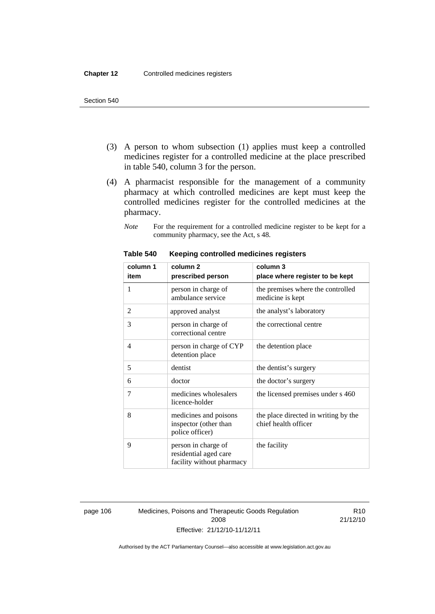- (3) A person to whom subsection (1) applies must keep a controlled medicines register for a controlled medicine at the place prescribed in table 540, column 3 for the person.
- (4) A pharmacist responsible for the management of a community pharmacy at which controlled medicines are kept must keep the controlled medicines register for the controlled medicines at the pharmacy.
	- *Note* For the requirement for a controlled medicine register to be kept for a community pharmacy, see the Act, s 48.

| column 1 | column <sub>2</sub>                                                       | column 3                                                     |
|----------|---------------------------------------------------------------------------|--------------------------------------------------------------|
| item     | prescribed person                                                         | place where register to be kept                              |
| 1        | person in charge of<br>ambulance service                                  | the premises where the controlled<br>medicine is kept        |
| 2        | approved analyst                                                          | the analyst's laboratory                                     |
| 3        | person in charge of<br>correctional centre                                | the correctional centre                                      |
| 4        | person in charge of CYP<br>detention place                                | the detention place                                          |
| 5        | dentist                                                                   | the dentist's surgery                                        |
| 6        | doctor                                                                    | the doctor's surgery                                         |
| 7        | medicines wholesalers<br>licence-holder                                   | the licensed premises under s 460                            |
| 8        | medicines and poisons<br>inspector (other than<br>police officer)         | the place directed in writing by the<br>chief health officer |
| 9        | person in charge of<br>residential aged care<br>facility without pharmacy | the facility                                                 |

#### **Table 540 Keeping controlled medicines registers**

page 106 Medicines, Poisons and Therapeutic Goods Regulation 2008 Effective: 21/12/10-11/12/11

R10 21/12/10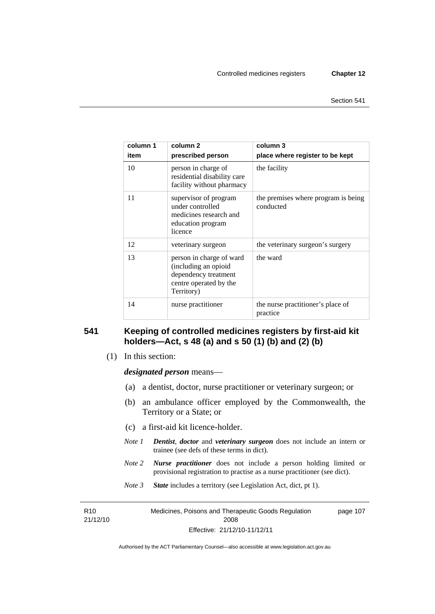| column 1 | column 2                                                                                                         | column 3                                         |
|----------|------------------------------------------------------------------------------------------------------------------|--------------------------------------------------|
| item     | prescribed person                                                                                                | place where register to be kept                  |
| 10       | person in charge of<br>residential disability care<br>facility without pharmacy                                  | the facility                                     |
| 11       | supervisor of program<br>under controlled<br>medicines research and<br>education program<br>licence              | the premises where program is being<br>conducted |
| 12       | veterinary surgeon                                                                                               | the veterinary surgeon's surgery                 |
| 13       | person in charge of ward<br>(including an opioid<br>dependency treatment<br>centre operated by the<br>Territory) | the ward                                         |
| 14       | nurse practitioner                                                                                               | the nurse practitioner's place of<br>practice    |

## **541 Keeping of controlled medicines registers by first-aid kit holders—Act, s 48 (a) and s 50 (1) (b) and (2) (b)**

(1) In this section:

*designated person* means—

- (a) a dentist, doctor, nurse practitioner or veterinary surgeon; or
- (b) an ambulance officer employed by the Commonwealth, the Territory or a State; or
- (c) a first-aid kit licence-holder.
- *Note 1 Dentist*, *doctor* and *veterinary surgeon* does not include an intern or trainee (see defs of these terms in dict).
- *Note 2 Nurse practitioner* does not include a person holding limited or provisional registration to practise as a nurse practitioner (see dict).
- *Note 3 State* includes a territory (see Legislation Act, dict, pt 1).

R10 21/12/10 Medicines, Poisons and Therapeutic Goods Regulation 2008 Effective: 21/12/10-11/12/11 page 107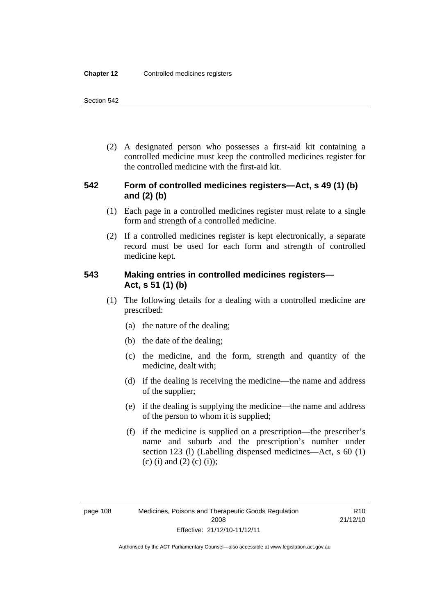(2) A designated person who possesses a first-aid kit containing a controlled medicine must keep the controlled medicines register for the controlled medicine with the first-aid kit.

## **542 Form of controlled medicines registers—Act, s 49 (1) (b) and (2) (b)**

- (1) Each page in a controlled medicines register must relate to a single form and strength of a controlled medicine.
- (2) If a controlled medicines register is kept electronically, a separate record must be used for each form and strength of controlled medicine kept.

## **543 Making entries in controlled medicines registers— Act, s 51 (1) (b)**

- (1) The following details for a dealing with a controlled medicine are prescribed:
	- (a) the nature of the dealing;
	- (b) the date of the dealing;
	- (c) the medicine, and the form, strength and quantity of the medicine, dealt with;
	- (d) if the dealing is receiving the medicine—the name and address of the supplier;
	- (e) if the dealing is supplying the medicine—the name and address of the person to whom it is supplied;
	- (f) if the medicine is supplied on a prescription—the prescriber's name and suburb and the prescription's number under section 123 (l) (Labelling dispensed medicines—Act, s 60 (1) (c) (i) and (2) (c) (i));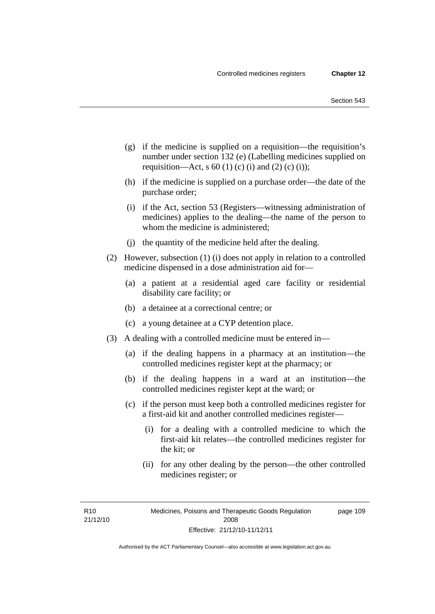- (g) if the medicine is supplied on a requisition—the requisition's number under section 132 (e) (Labelling medicines supplied on requisition—Act, s 60 (1) (c) (i) and (2) (c) (i));
- (h) if the medicine is supplied on a purchase order—the date of the purchase order;
- (i) if the Act, section 53 (Registers—witnessing administration of medicines) applies to the dealing—the name of the person to whom the medicine is administered;
- (j) the quantity of the medicine held after the dealing.
- (2) However, subsection (1) (i) does not apply in relation to a controlled medicine dispensed in a dose administration aid for—
	- (a) a patient at a residential aged care facility or residential disability care facility; or
	- (b) a detainee at a correctional centre; or
	- (c) a young detainee at a CYP detention place.
- (3) A dealing with a controlled medicine must be entered in—
	- (a) if the dealing happens in a pharmacy at an institution—the controlled medicines register kept at the pharmacy; or
	- (b) if the dealing happens in a ward at an institution—the controlled medicines register kept at the ward; or
	- (c) if the person must keep both a controlled medicines register for a first-aid kit and another controlled medicines register—
		- (i) for a dealing with a controlled medicine to which the first-aid kit relates—the controlled medicines register for the kit; or
		- (ii) for any other dealing by the person—the other controlled medicines register; or

 $R10$ 21/12/10 page 109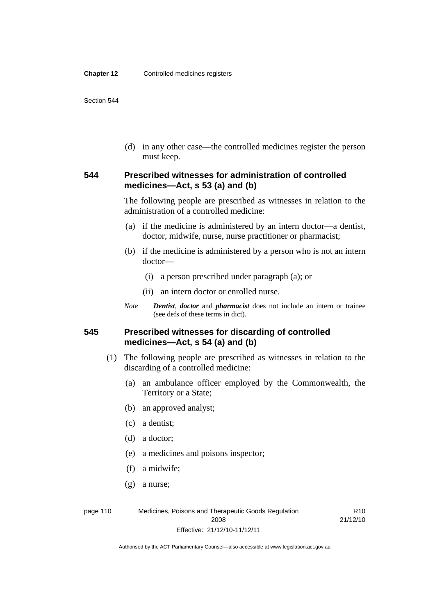(d) in any other case—the controlled medicines register the person must keep.

## **544 Prescribed witnesses for administration of controlled medicines—Act, s 53 (a) and (b)**

The following people are prescribed as witnesses in relation to the administration of a controlled medicine:

- (a) if the medicine is administered by an intern doctor—a dentist, doctor, midwife, nurse, nurse practitioner or pharmacist;
- (b) if the medicine is administered by a person who is not an intern doctor—
	- (i) a person prescribed under paragraph (a); or
	- (ii) an intern doctor or enrolled nurse.
- *Note Dentist*, *doctor* and *pharmacist* does not include an intern or trainee (see defs of these terms in dict).

## **545 Prescribed witnesses for discarding of controlled medicines—Act, s 54 (a) and (b)**

- (1) The following people are prescribed as witnesses in relation to the discarding of a controlled medicine:
	- (a) an ambulance officer employed by the Commonwealth, the Territory or a State;

R10 21/12/10

- (b) an approved analyst;
- (c) a dentist;
- (d) a doctor;
- (e) a medicines and poisons inspector;
- (f) a midwife;
- (g) a nurse;

page 110 Medicines, Poisons and Therapeutic Goods Regulation 2008 Effective: 21/12/10-11/12/11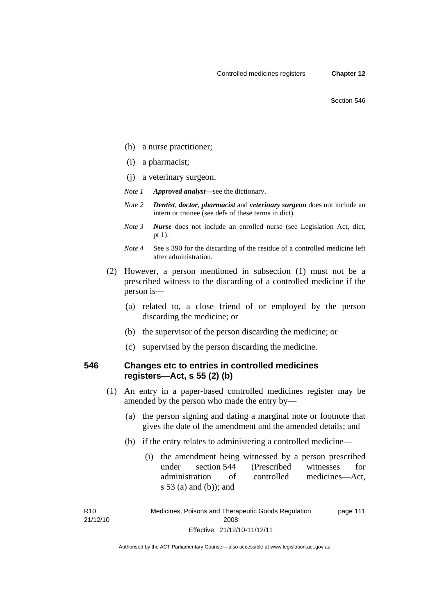- (h) a nurse practitioner;
- (i) a pharmacist;
- (j) a veterinary surgeon.
- *Note 1 Approved analyst*—see the dictionary.
- *Note 2 Dentist*, *doctor*, *pharmacist* and *veterinary surgeon* does not include an intern or trainee (see defs of these terms in dict).
- *Note 3 Nurse* does not include an enrolled nurse (see Legislation Act, dict, pt 1).
- *Note 4* See s 390 for the discarding of the residue of a controlled medicine left after administration.
- (2) However, a person mentioned in subsection (1) must not be a prescribed witness to the discarding of a controlled medicine if the person is—
	- (a) related to, a close friend of or employed by the person discarding the medicine; or
	- (b) the supervisor of the person discarding the medicine; or
	- (c) supervised by the person discarding the medicine.

## **546 Changes etc to entries in controlled medicines registers—Act, s 55 (2) (b)**

- (1) An entry in a paper-based controlled medicines register may be amended by the person who made the entry by—
	- (a) the person signing and dating a marginal note or footnote that gives the date of the amendment and the amended details; and
	- (b) if the entry relates to administering a controlled medicine—
		- (i) the amendment being witnessed by a person prescribed under section 544 (Prescribed witnesses for administration of controlled medicines—Act, s 53 (a) and (b)); and

 $R10$ 21/12/10

Medicines, Poisons and Therapeutic Goods Regulation 2008 Effective: 21/12/10-11/12/11 page 111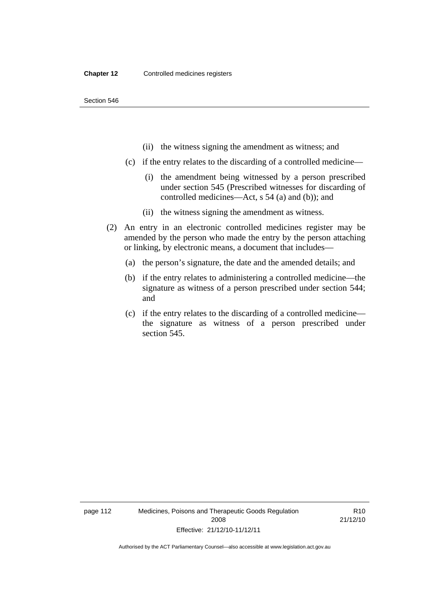- (ii) the witness signing the amendment as witness; and
- (c) if the entry relates to the discarding of a controlled medicine—
	- (i) the amendment being witnessed by a person prescribed under section 545 (Prescribed witnesses for discarding of controlled medicines—Act, s 54 (a) and (b)); and
	- (ii) the witness signing the amendment as witness.
- (2) An entry in an electronic controlled medicines register may be amended by the person who made the entry by the person attaching or linking, by electronic means, a document that includes—
	- (a) the person's signature, the date and the amended details; and
	- (b) if the entry relates to administering a controlled medicine—the signature as witness of a person prescribed under section 544; and
	- (c) if the entry relates to the discarding of a controlled medicine the signature as witness of a person prescribed under section 545.

page 112 Medicines, Poisons and Therapeutic Goods Regulation 2008 Effective: 21/12/10-11/12/11

R10 21/12/10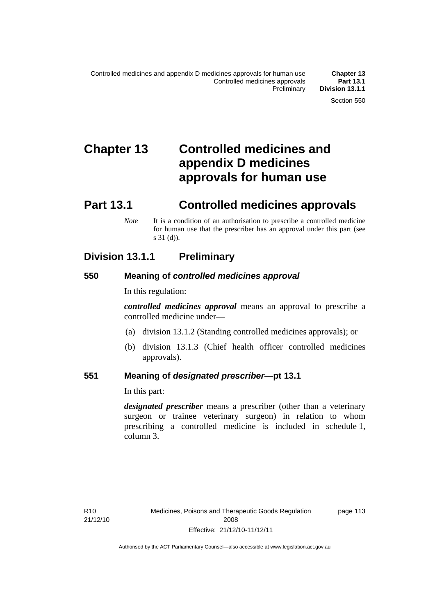# **Chapter 13 Controlled medicines and appendix D medicines approvals for human use**

# **Part 13.1 Controlled medicines approvals**

*Note* It is a condition of an authorisation to prescribe a controlled medicine for human use that the prescriber has an approval under this part (see s 31 (d)).

## **Division 13.1.1 Preliminary**

## **550 Meaning of** *controlled medicines approval*

In this regulation:

*controlled medicines approval* means an approval to prescribe a controlled medicine under—

- (a) division 13.1.2 (Standing controlled medicines approvals); or
- (b) division 13.1.3 (Chief health officer controlled medicines approvals).

## **551 Meaning of** *designated prescriber***—pt 13.1**

In this part:

*designated prescriber* means a prescriber (other than a veterinary surgeon or trainee veterinary surgeon) in relation to whom prescribing a controlled medicine is included in schedule 1, column 3.

R10 21/12/10 page 113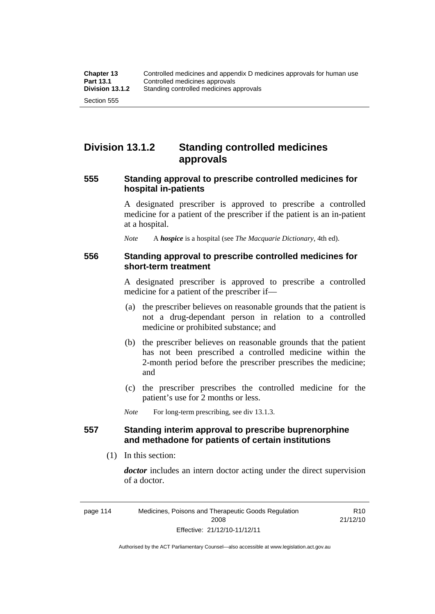# **Division 13.1.2 Standing controlled medicines approvals**

## **555 Standing approval to prescribe controlled medicines for hospital in-patients**

A designated prescriber is approved to prescribe a controlled medicine for a patient of the prescriber if the patient is an in-patient at a hospital.

*Note* A *hospice* is a hospital (see *The Macquarie Dictionary*, 4th ed).

## **556 Standing approval to prescribe controlled medicines for short-term treatment**

A designated prescriber is approved to prescribe a controlled medicine for a patient of the prescriber if—

- (a) the prescriber believes on reasonable grounds that the patient is not a drug-dependant person in relation to a controlled medicine or prohibited substance; and
- (b) the prescriber believes on reasonable grounds that the patient has not been prescribed a controlled medicine within the 2-month period before the prescriber prescribes the medicine; and
- (c) the prescriber prescribes the controlled medicine for the patient's use for 2 months or less.

*Note* For long-term prescribing, see div 13.1.3.

## **557 Standing interim approval to prescribe buprenorphine and methadone for patients of certain institutions**

(1) In this section:

*doctor* includes an intern doctor acting under the direct supervision of a doctor.

> R10 21/12/10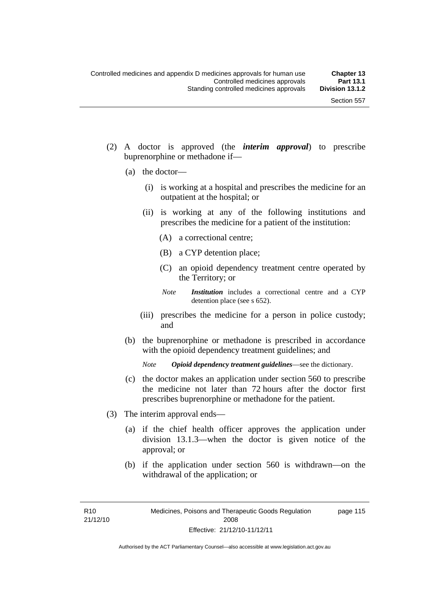- (2) A doctor is approved (the *interim approval*) to prescribe buprenorphine or methadone if—
	- (a) the doctor—
		- (i) is working at a hospital and prescribes the medicine for an outpatient at the hospital; or
		- (ii) is working at any of the following institutions and prescribes the medicine for a patient of the institution:
			- (A) a correctional centre;
			- (B) a CYP detention place;
			- (C) an opioid dependency treatment centre operated by the Territory; or
			- *Note Institution* includes a correctional centre and a CYP detention place (see s 652).
		- (iii) prescribes the medicine for a person in police custody; and
	- (b) the buprenorphine or methadone is prescribed in accordance with the opioid dependency treatment guidelines; and

*Note Opioid dependency treatment guidelines*—see the dictionary.

- (c) the doctor makes an application under section 560 to prescribe the medicine not later than 72 hours after the doctor first prescribes buprenorphine or methadone for the patient.
- (3) The interim approval ends—
	- (a) if the chief health officer approves the application under division 13.1.3—when the doctor is given notice of the approval; or
	- (b) if the application under section 560 is withdrawn—on the withdrawal of the application; or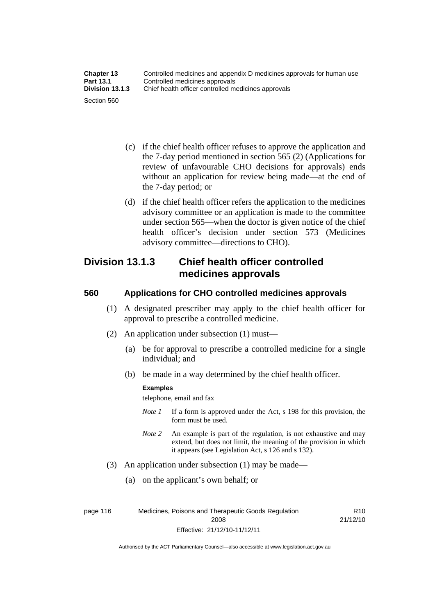| <b>Chapter 13</b> | Controlled medicines and appendix D medicines approvals for human use |
|-------------------|-----------------------------------------------------------------------|
| <b>Part 13.1</b>  | Controlled medicines approvals                                        |
| Division 13.1.3   | Chief health officer controlled medicines approvals                   |
| Section 560       |                                                                       |

- (c) if the chief health officer refuses to approve the application and the 7-day period mentioned in section 565 (2) (Applications for review of unfavourable CHO decisions for approvals) ends without an application for review being made—at the end of the 7-day period; or
- (d) if the chief health officer refers the application to the medicines advisory committee or an application is made to the committee under section 565—when the doctor is given notice of the chief health officer's decision under section 573 (Medicines advisory committee—directions to CHO).

## **Division 13.1.3 Chief health officer controlled medicines approvals**

## **560 Applications for CHO controlled medicines approvals**

- (1) A designated prescriber may apply to the chief health officer for approval to prescribe a controlled medicine.
- (2) An application under subsection (1) must—
	- (a) be for approval to prescribe a controlled medicine for a single individual; and
	- (b) be made in a way determined by the chief health officer.

#### **Examples**

telephone, email and fax

- *Note 1* If a form is approved under the Act, s 198 for this provision, the form must be used.
- *Note 2* An example is part of the regulation, is not exhaustive and may extend, but does not limit, the meaning of the provision in which it appears (see Legislation Act, s 126 and s 132).
- (3) An application under subsection (1) may be made—
	- (a) on the applicant's own behalf; or

page 116 Medicines, Poisons and Therapeutic Goods Regulation 2008 Effective: 21/12/10-11/12/11

R10 21/12/10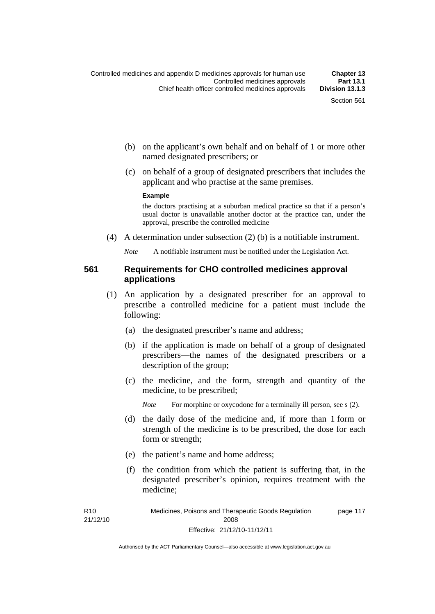- (b) on the applicant's own behalf and on behalf of 1 or more other named designated prescribers; or
- (c) on behalf of a group of designated prescribers that includes the applicant and who practise at the same premises.

#### **Example**

the doctors practising at a suburban medical practice so that if a person's usual doctor is unavailable another doctor at the practice can, under the approval, prescribe the controlled medicine

(4) A determination under subsection (2) (b) is a notifiable instrument.

*Note* A notifiable instrument must be notified under the Legislation Act.

## **561 Requirements for CHO controlled medicines approval applications**

- (1) An application by a designated prescriber for an approval to prescribe a controlled medicine for a patient must include the following:
	- (a) the designated prescriber's name and address;
	- (b) if the application is made on behalf of a group of designated prescribers—the names of the designated prescribers or a description of the group;
	- (c) the medicine, and the form, strength and quantity of the medicine, to be prescribed;

*Note* For morphine or oxycodone for a terminally ill person, see s (2).

- (d) the daily dose of the medicine and, if more than 1 form or strength of the medicine is to be prescribed, the dose for each form or strength;
- (e) the patient's name and home address;
- (f) the condition from which the patient is suffering that, in the designated prescriber's opinion, requires treatment with the medicine;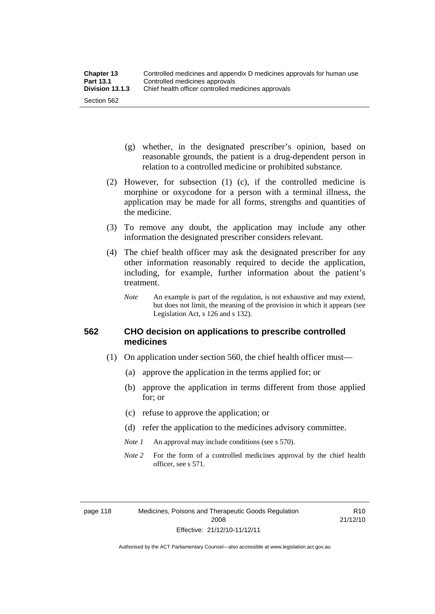- (g) whether, in the designated prescriber's opinion, based on reasonable grounds, the patient is a drug-dependent person in relation to a controlled medicine or prohibited substance.
- (2) However, for subsection (1) (c), if the controlled medicine is morphine or oxycodone for a person with a terminal illness, the application may be made for all forms, strengths and quantities of the medicine.
- (3) To remove any doubt, the application may include any other information the designated prescriber considers relevant.
- (4) The chief health officer may ask the designated prescriber for any other information reasonably required to decide the application, including, for example, further information about the patient's treatment.
	- *Note* An example is part of the regulation, is not exhaustive and may extend, but does not limit, the meaning of the provision in which it appears (see Legislation Act, s 126 and s 132).

## **562 CHO decision on applications to prescribe controlled medicines**

- (1) On application under section 560, the chief health officer must—
	- (a) approve the application in the terms applied for; or
	- (b) approve the application in terms different from those applied for; or
	- (c) refuse to approve the application; or
	- (d) refer the application to the medicines advisory committee.
	- *Note 1* An approval may include conditions (see s 570).
	- *Note* 2 For the form of a controlled medicines approval by the chief health officer, see s 571.

R10 21/12/10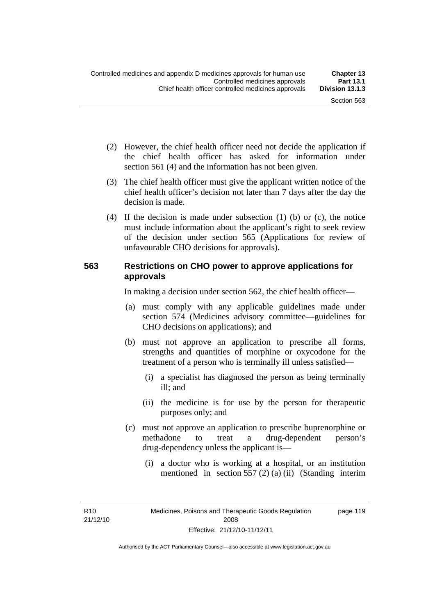- (2) However, the chief health officer need not decide the application if the chief health officer has asked for information under section 561 (4) and the information has not been given.
- (3) The chief health officer must give the applicant written notice of the chief health officer's decision not later than 7 days after the day the decision is made.
- (4) If the decision is made under subsection (1) (b) or (c), the notice must include information about the applicant's right to seek review of the decision under section 565 (Applications for review of unfavourable CHO decisions for approvals).

## **563 Restrictions on CHO power to approve applications for approvals**

In making a decision under section 562, the chief health officer—

- (a) must comply with any applicable guidelines made under section 574 (Medicines advisory committee—guidelines for CHO decisions on applications); and
- (b) must not approve an application to prescribe all forms, strengths and quantities of morphine or oxycodone for the treatment of a person who is terminally ill unless satisfied—
	- (i) a specialist has diagnosed the person as being terminally ill; and
	- (ii) the medicine is for use by the person for therapeutic purposes only; and
- (c) must not approve an application to prescribe buprenorphine or methadone to treat a drug-dependent person's drug-dependency unless the applicant is—
	- (i) a doctor who is working at a hospital, or an institution mentioned in section 557 (2) (a) (ii) (Standing interim

 $R10$ 21/12/10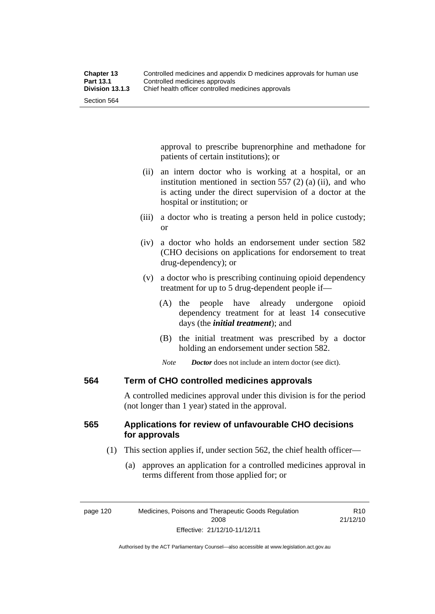approval to prescribe buprenorphine and methadone for patients of certain institutions); or

- (ii) an intern doctor who is working at a hospital, or an institution mentioned in section 557 (2) (a) (ii), and who is acting under the direct supervision of a doctor at the hospital or institution; or
- (iii) a doctor who is treating a person held in police custody; or
- (iv) a doctor who holds an endorsement under section 582 (CHO decisions on applications for endorsement to treat drug-dependency); or
- (v) a doctor who is prescribing continuing opioid dependency treatment for up to 5 drug-dependent people if—
	- (A) the people have already undergone opioid dependency treatment for at least 14 consecutive days (the *initial treatment*); and
	- (B) the initial treatment was prescribed by a doctor holding an endorsement under section 582.
	- *Note Doctor* does not include an intern doctor (see dict).

## **564 Term of CHO controlled medicines approvals**

A controlled medicines approval under this division is for the period (not longer than 1 year) stated in the approval.

## **565 Applications for review of unfavourable CHO decisions for approvals**

- (1) This section applies if, under section 562, the chief health officer—
	- (a) approves an application for a controlled medicines approval in terms different from those applied for; or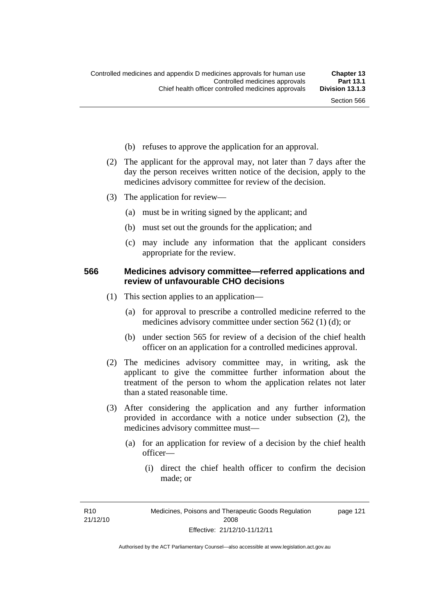- (b) refuses to approve the application for an approval.
- (2) The applicant for the approval may, not later than 7 days after the day the person receives written notice of the decision, apply to the medicines advisory committee for review of the decision.
- (3) The application for review—
	- (a) must be in writing signed by the applicant; and
	- (b) must set out the grounds for the application; and
	- (c) may include any information that the applicant considers appropriate for the review.

#### **566 Medicines advisory committee—referred applications and review of unfavourable CHO decisions**

- (1) This section applies to an application—
	- (a) for approval to prescribe a controlled medicine referred to the medicines advisory committee under section 562 (1) (d); or
	- (b) under section 565 for review of a decision of the chief health officer on an application for a controlled medicines approval.
- (2) The medicines advisory committee may, in writing, ask the applicant to give the committee further information about the treatment of the person to whom the application relates not later than a stated reasonable time.
- (3) After considering the application and any further information provided in accordance with a notice under subsection (2), the medicines advisory committee must—
	- (a) for an application for review of a decision by the chief health officer—
		- (i) direct the chief health officer to confirm the decision made; or

 $R10$ 21/12/10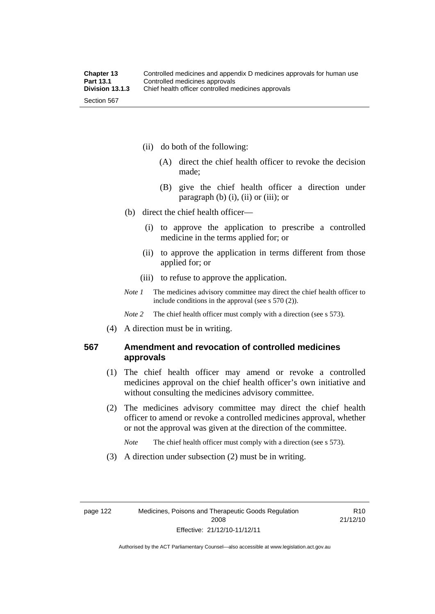- (ii) do both of the following:
	- (A) direct the chief health officer to revoke the decision made;
	- (B) give the chief health officer a direction under paragraph  $(b)$   $(i)$ ,  $(ii)$  or  $(iii)$ ; or
- (b) direct the chief health officer—
	- (i) to approve the application to prescribe a controlled medicine in the terms applied for; or
	- (ii) to approve the application in terms different from those applied for; or
	- (iii) to refuse to approve the application.
- *Note 1* The medicines advisory committee may direct the chief health officer to include conditions in the approval (see s 570 (2)).

*Note* 2 The chief health officer must comply with a direction (see s 573).

(4) A direction must be in writing.

### **567 Amendment and revocation of controlled medicines approvals**

- (1) The chief health officer may amend or revoke a controlled medicines approval on the chief health officer's own initiative and without consulting the medicines advisory committee.
- (2) The medicines advisory committee may direct the chief health officer to amend or revoke a controlled medicines approval, whether or not the approval was given at the direction of the committee.

*Note* The chief health officer must comply with a direction (see s 573).

(3) A direction under subsection (2) must be in writing.

R10 21/12/10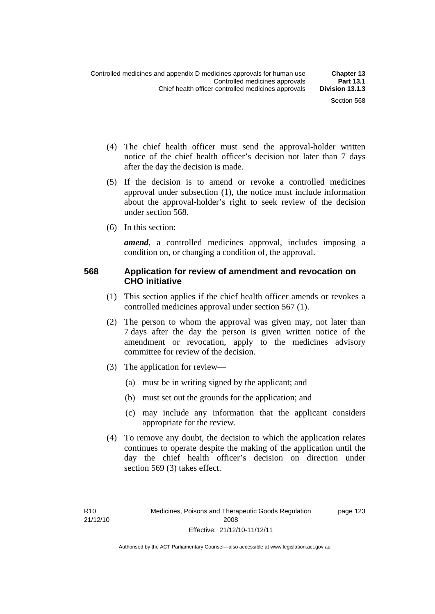- (4) The chief health officer must send the approval-holder written notice of the chief health officer's decision not later than 7 days after the day the decision is made.
- (5) If the decision is to amend or revoke a controlled medicines approval under subsection (1), the notice must include information about the approval-holder's right to seek review of the decision under section 568.
- (6) In this section:

*amend*, a controlled medicines approval, includes imposing a condition on, or changing a condition of, the approval.

### **568 Application for review of amendment and revocation on CHO initiative**

- (1) This section applies if the chief health officer amends or revokes a controlled medicines approval under section 567 (1).
- (2) The person to whom the approval was given may, not later than 7 days after the day the person is given written notice of the amendment or revocation, apply to the medicines advisory committee for review of the decision.
- (3) The application for review—
	- (a) must be in writing signed by the applicant; and
	- (b) must set out the grounds for the application; and
	- (c) may include any information that the applicant considers appropriate for the review.
- (4) To remove any doubt, the decision to which the application relates continues to operate despite the making of the application until the day the chief health officer's decision on direction under section 569 (3) takes effect.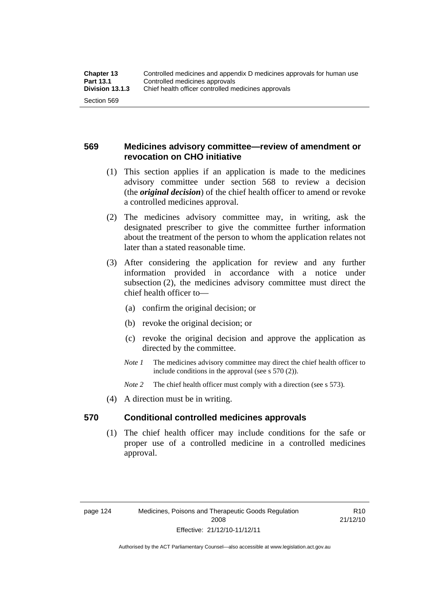# **569 Medicines advisory committee—review of amendment or revocation on CHO initiative**

- (1) This section applies if an application is made to the medicines advisory committee under section 568 to review a decision (the *original decision*) of the chief health officer to amend or revoke a controlled medicines approval.
- (2) The medicines advisory committee may, in writing, ask the designated prescriber to give the committee further information about the treatment of the person to whom the application relates not later than a stated reasonable time.
- (3) After considering the application for review and any further information provided in accordance with a notice under subsection (2), the medicines advisory committee must direct the chief health officer to—
	- (a) confirm the original decision; or
	- (b) revoke the original decision; or
	- (c) revoke the original decision and approve the application as directed by the committee.
	- *Note 1* The medicines advisory committee may direct the chief health officer to include conditions in the approval (see s 570 (2)).
	- *Note* 2 The chief health officer must comply with a direction (see s 573).
- (4) A direction must be in writing.

### **570 Conditional controlled medicines approvals**

(1) The chief health officer may include conditions for the safe or proper use of a controlled medicine in a controlled medicines approval.

R10 21/12/10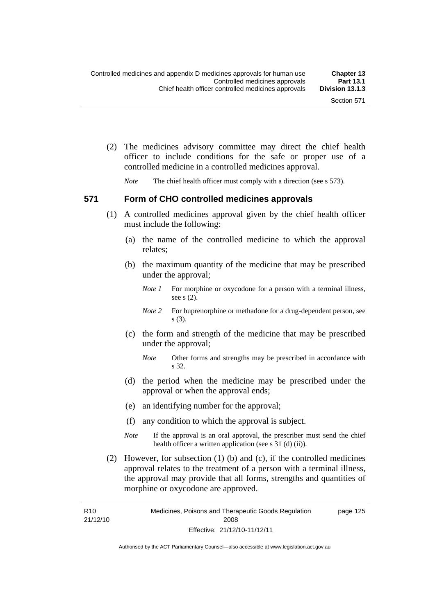(2) The medicines advisory committee may direct the chief health officer to include conditions for the safe or proper use of a controlled medicine in a controlled medicines approval.

*Note* The chief health officer must comply with a direction (see s 573).

#### **571 Form of CHO controlled medicines approvals**

- (1) A controlled medicines approval given by the chief health officer must include the following:
	- (a) the name of the controlled medicine to which the approval relates;
	- (b) the maximum quantity of the medicine that may be prescribed under the approval;
		- *Note 1* For morphine or oxycodone for a person with a terminal illness, see s (2).
		- *Note* 2 For buprenorphine or methadone for a drug-dependent person, see s (3).
	- (c) the form and strength of the medicine that may be prescribed under the approval;
		- *Note* Other forms and strengths may be prescribed in accordance with s 32.
	- (d) the period when the medicine may be prescribed under the approval or when the approval ends;
	- (e) an identifying number for the approval;
	- (f) any condition to which the approval is subject.
	- *Note* If the approval is an oral approval, the prescriber must send the chief health officer a written application (see s  $31$  (d) (ii)).
- (2) However, for subsection (1) (b) and (c), if the controlled medicines approval relates to the treatment of a person with a terminal illness, the approval may provide that all forms, strengths and quantities of morphine or oxycodone are approved.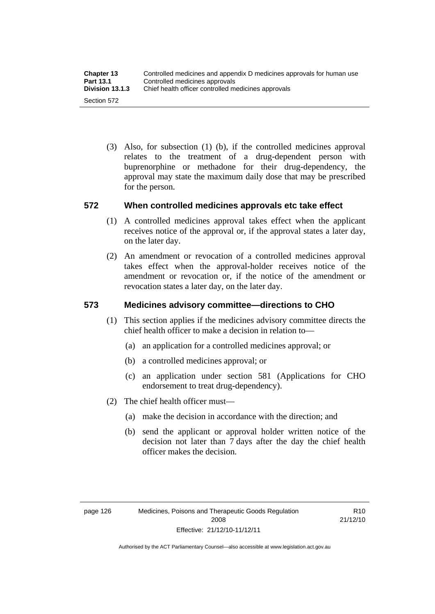(3) Also, for subsection (1) (b), if the controlled medicines approval relates to the treatment of a drug-dependent person with buprenorphine or methadone for their drug-dependency, the approval may state the maximum daily dose that may be prescribed for the person.

### **572 When controlled medicines approvals etc take effect**

- (1) A controlled medicines approval takes effect when the applicant receives notice of the approval or, if the approval states a later day, on the later day.
- (2) An amendment or revocation of a controlled medicines approval takes effect when the approval-holder receives notice of the amendment or revocation or, if the notice of the amendment or revocation states a later day, on the later day.

# **573 Medicines advisory committee—directions to CHO**

- (1) This section applies if the medicines advisory committee directs the chief health officer to make a decision in relation to—
	- (a) an application for a controlled medicines approval; or
	- (b) a controlled medicines approval; or
	- (c) an application under section 581 (Applications for CHO endorsement to treat drug-dependency).
- (2) The chief health officer must—
	- (a) make the decision in accordance with the direction; and
	- (b) send the applicant or approval holder written notice of the decision not later than 7 days after the day the chief health officer makes the decision.

 $R10$ 21/12/10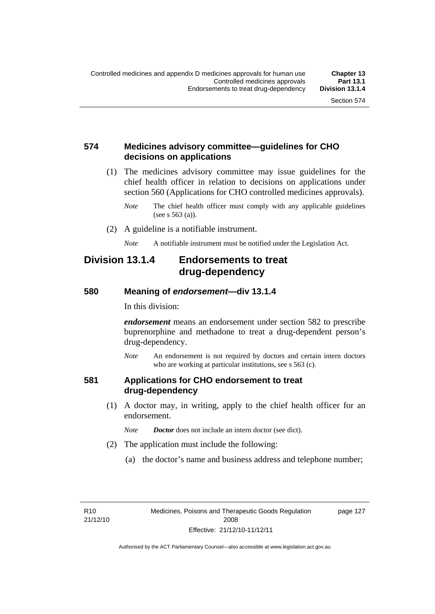### **574 Medicines advisory committee—guidelines for CHO decisions on applications**

 (1) The medicines advisory committee may issue guidelines for the chief health officer in relation to decisions on applications under section 560 (Applications for CHO controlled medicines approvals).

- (2) A guideline is a notifiable instrument.
	- *Note* A notifiable instrument must be notified under the Legislation Act.

# **Division 13.1.4 Endorsements to treat drug-dependency**

#### **580 Meaning of** *endorsement***—div 13.1.4**

In this division:

*endorsement* means an endorsement under section 582 to prescribe buprenorphine and methadone to treat a drug-dependent person's drug-dependency.

*Note* An endorsement is not required by doctors and certain intern doctors who are working at particular institutions, see s 563 (c).

### **581 Applications for CHO endorsement to treat drug-dependency**

- (1) A doctor may, in writing, apply to the chief health officer for an endorsement.
	- *Note Doctor* does not include an intern doctor (see dict).
- (2) The application must include the following:
	- (a) the doctor's name and business address and telephone number;

 $R10$ 21/12/10 page 127

*Note* The chief health officer must comply with any applicable guidelines (see s 563 (a)).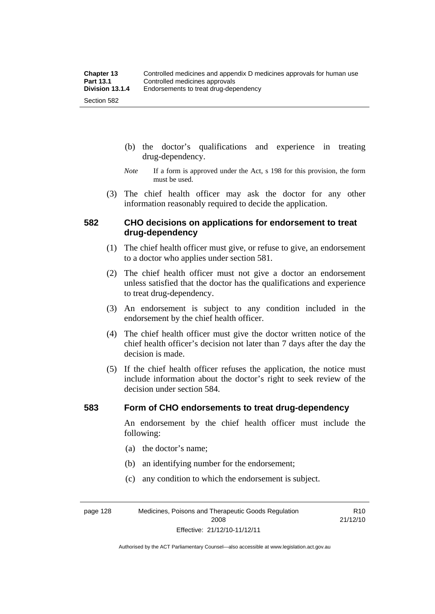- (b) the doctor's qualifications and experience in treating drug-dependency.
- *Note* If a form is approved under the Act, s 198 for this provision, the form must be used.
- (3) The chief health officer may ask the doctor for any other information reasonably required to decide the application.

### **582 CHO decisions on applications for endorsement to treat drug-dependency**

- (1) The chief health officer must give, or refuse to give, an endorsement to a doctor who applies under section 581.
- (2) The chief health officer must not give a doctor an endorsement unless satisfied that the doctor has the qualifications and experience to treat drug-dependency.
- (3) An endorsement is subject to any condition included in the endorsement by the chief health officer.
- (4) The chief health officer must give the doctor written notice of the chief health officer's decision not later than 7 days after the day the decision is made.
- (5) If the chief health officer refuses the application, the notice must include information about the doctor's right to seek review of the decision under section 584.

#### **583 Form of CHO endorsements to treat drug-dependency**

An endorsement by the chief health officer must include the following:

> $R10$ 21/12/10

- (a) the doctor's name;
- (b) an identifying number for the endorsement;
- (c) any condition to which the endorsement is subject.

page 128 Medicines, Poisons and Therapeutic Goods Regulation 2008 Effective: 21/12/10-11/12/11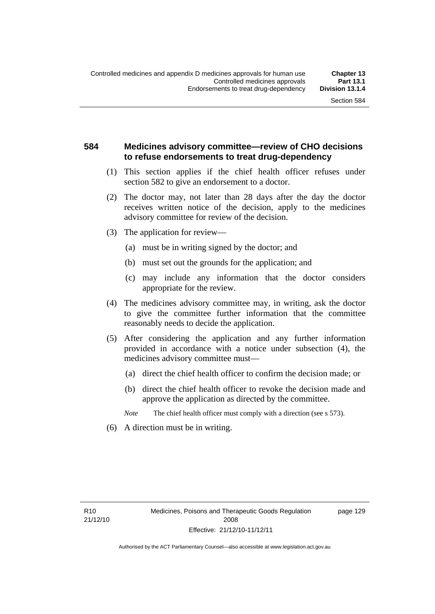### **584 Medicines advisory committee—review of CHO decisions to refuse endorsements to treat drug-dependency**

- (1) This section applies if the chief health officer refuses under section 582 to give an endorsement to a doctor.
- (2) The doctor may, not later than 28 days after the day the doctor receives written notice of the decision, apply to the medicines advisory committee for review of the decision.
- (3) The application for review—
	- (a) must be in writing signed by the doctor; and
	- (b) must set out the grounds for the application; and
	- (c) may include any information that the doctor considers appropriate for the review.
- (4) The medicines advisory committee may, in writing, ask the doctor to give the committee further information that the committee reasonably needs to decide the application.
- (5) After considering the application and any further information provided in accordance with a notice under subsection (4), the medicines advisory committee must—
	- (a) direct the chief health officer to confirm the decision made; or
	- (b) direct the chief health officer to revoke the decision made and approve the application as directed by the committee.

*Note* The chief health officer must comply with a direction (see s 573).

(6) A direction must be in writing.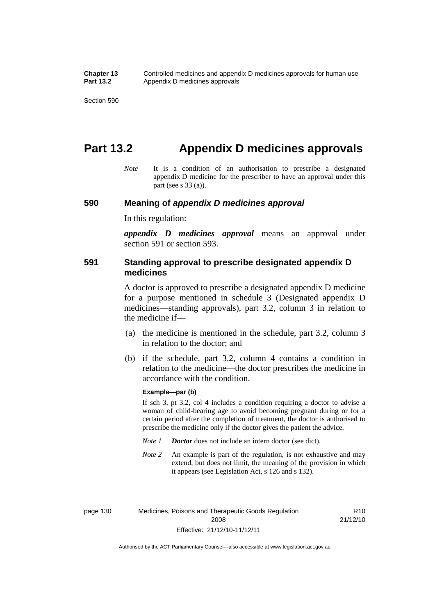# **Part 13.2 Appendix D medicines approvals**

*Note* It is a condition of an authorisation to prescribe a designated appendix D medicine for the prescriber to have an approval under this part (see s 33 (a)).

#### **590 Meaning of** *appendix D medicines approval*

In this regulation:

*appendix D medicines approval* means an approval under section 591 or section 593.

### **591 Standing approval to prescribe designated appendix D medicines**

A doctor is approved to prescribe a designated appendix D medicine for a purpose mentioned in schedule 3 (Designated appendix D medicines—standing approvals), part 3.2, column 3 in relation to the medicine if—

- (a) the medicine is mentioned in the schedule, part 3.2, column 3 in relation to the doctor; and
- (b) if the schedule, part 3.2, column 4 contains a condition in relation to the medicine—the doctor prescribes the medicine in accordance with the condition.

#### **Example—par (b)**

If sch 3, pt 3.2, col 4 includes a condition requiring a doctor to advise a woman of child-bearing age to avoid becoming pregnant during or for a certain period after the completion of treatment, the doctor is authorised to prescribe the medicine only if the doctor gives the patient the advice.

- *Note 1 Doctor* does not include an intern doctor (see dict).
- *Note 2* An example is part of the regulation, is not exhaustive and may extend, but does not limit, the meaning of the provision in which it appears (see Legislation Act, s 126 and s 132).

page 130 Medicines, Poisons and Therapeutic Goods Regulation 2008 Effective: 21/12/10-11/12/11

R10 21/12/10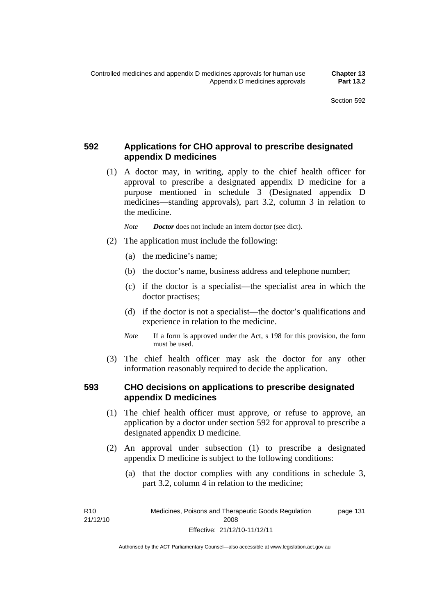# **592 Applications for CHO approval to prescribe designated appendix D medicines**

 (1) A doctor may, in writing, apply to the chief health officer for approval to prescribe a designated appendix D medicine for a purpose mentioned in schedule 3 (Designated appendix D medicines—standing approvals), part 3.2, column 3 in relation to the medicine.

*Note Doctor* does not include an intern doctor (see dict).

- (2) The application must include the following:
	- (a) the medicine's name;
	- (b) the doctor's name, business address and telephone number;
	- (c) if the doctor is a specialist—the specialist area in which the doctor practises;
	- (d) if the doctor is not a specialist—the doctor's qualifications and experience in relation to the medicine.
	- *Note* If a form is approved under the Act, s 198 for this provision, the form must be used.
- (3) The chief health officer may ask the doctor for any other information reasonably required to decide the application.

### **593 CHO decisions on applications to prescribe designated appendix D medicines**

- (1) The chief health officer must approve, or refuse to approve, an application by a doctor under section 592 for approval to prescribe a designated appendix D medicine.
- (2) An approval under subsection (1) to prescribe a designated appendix D medicine is subject to the following conditions:
	- (a) that the doctor complies with any conditions in schedule 3, part 3.2, column 4 in relation to the medicine;

 $R10$ 21/12/10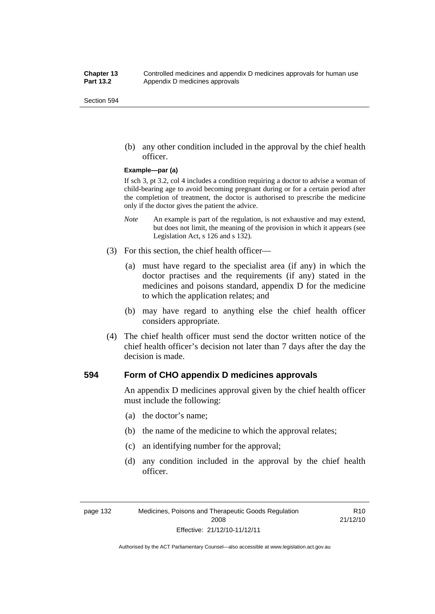(b) any other condition included in the approval by the chief health officer.

#### **Example—par (a)**

If sch 3, pt 3.2, col 4 includes a condition requiring a doctor to advise a woman of child-bearing age to avoid becoming pregnant during or for a certain period after the completion of treatment, the doctor is authorised to prescribe the medicine only if the doctor gives the patient the advice.

- *Note* An example is part of the regulation, is not exhaustive and may extend, but does not limit, the meaning of the provision in which it appears (see Legislation Act, s 126 and s 132).
- (3) For this section, the chief health officer—
	- (a) must have regard to the specialist area (if any) in which the doctor practises and the requirements (if any) stated in the medicines and poisons standard, appendix D for the medicine to which the application relates; and
	- (b) may have regard to anything else the chief health officer considers appropriate.
- (4) The chief health officer must send the doctor written notice of the chief health officer's decision not later than 7 days after the day the decision is made.

#### **594 Form of CHO appendix D medicines approvals**

An appendix D medicines approval given by the chief health officer must include the following:

- (a) the doctor's name;
- (b) the name of the medicine to which the approval relates;
- (c) an identifying number for the approval;
- (d) any condition included in the approval by the chief health officer.

 $R10$ 21/12/10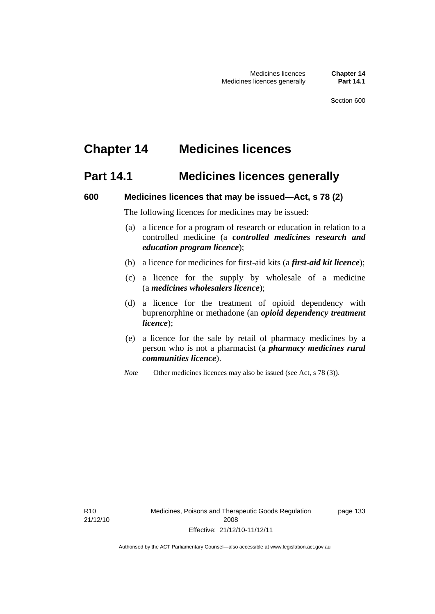# **Chapter 14 Medicines licences**

# **Part 14.1 Medicines licences generally**

#### **600 Medicines licences that may be issued—Act, s 78 (2)**

The following licences for medicines may be issued:

- (a) a licence for a program of research or education in relation to a controlled medicine (a *controlled medicines research and education program licence*);
- (b) a licence for medicines for first-aid kits (a *first-aid kit licence*);
- (c) a licence for the supply by wholesale of a medicine (a *medicines wholesalers licence*);
- (d) a licence for the treatment of opioid dependency with buprenorphine or methadone (an *opioid dependency treatment licence*);
- (e) a licence for the sale by retail of pharmacy medicines by a person who is not a pharmacist (a *pharmacy medicines rural communities licence*).
- *Note* Other medicines licences may also be issued (see Act, s 78 (3)).

R10 21/12/10 Medicines, Poisons and Therapeutic Goods Regulation 2008 Effective: 21/12/10-11/12/11

page 133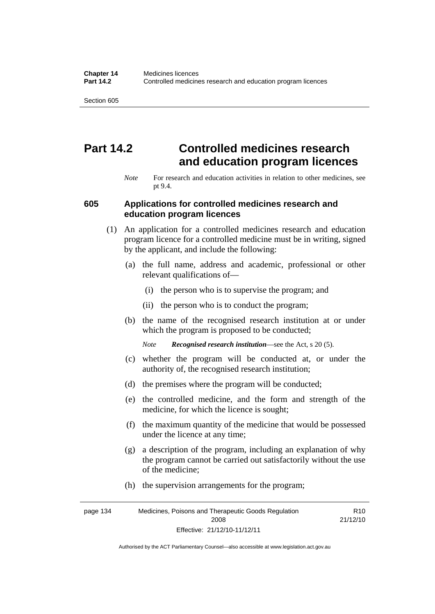# **Part 14.2 Controlled medicines research and education program licences**

*Note* For research and education activities in relation to other medicines, see pt 9.4.

#### **605 Applications for controlled medicines research and education program licences**

- (1) An application for a controlled medicines research and education program licence for a controlled medicine must be in writing, signed by the applicant, and include the following:
	- (a) the full name, address and academic, professional or other relevant qualifications of—
		- (i) the person who is to supervise the program; and
		- (ii) the person who is to conduct the program;
	- (b) the name of the recognised research institution at or under which the program is proposed to be conducted;
		- *Note Recognised research institution*—see the Act, s 20 (5).
	- (c) whether the program will be conducted at, or under the authority of, the recognised research institution;
	- (d) the premises where the program will be conducted;
	- (e) the controlled medicine, and the form and strength of the medicine, for which the licence is sought;
	- (f) the maximum quantity of the medicine that would be possessed under the licence at any time;
	- (g) a description of the program, including an explanation of why the program cannot be carried out satisfactorily without the use of the medicine;
	- (h) the supervision arrangements for the program;

page 134 Medicines, Poisons and Therapeutic Goods Regulation 2008 Effective: 21/12/10-11/12/11 R10 21/12/10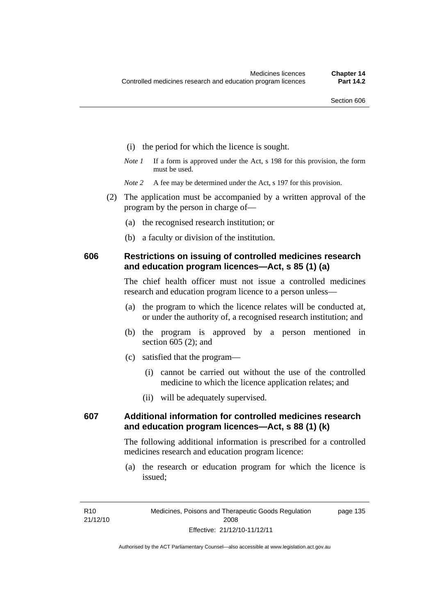- (i) the period for which the licence is sought.
- *Note 1* If a form is approved under the Act, s 198 for this provision, the form must be used.
- *Note* 2 A fee may be determined under the Act, s 197 for this provision.
- (2) The application must be accompanied by a written approval of the program by the person in charge of—
	- (a) the recognised research institution; or
	- (b) a faculty or division of the institution.

### **606 Restrictions on issuing of controlled medicines research and education program licences—Act, s 85 (1) (a)**

The chief health officer must not issue a controlled medicines research and education program licence to a person unless—

- (a) the program to which the licence relates will be conducted at, or under the authority of, a recognised research institution; and
- (b) the program is approved by a person mentioned in section 605 (2); and
- (c) satisfied that the program—
	- (i) cannot be carried out without the use of the controlled medicine to which the licence application relates; and
	- (ii) will be adequately supervised.

# **607 Additional information for controlled medicines research and education program licences—Act, s 88 (1) (k)**

The following additional information is prescribed for a controlled medicines research and education program licence:

 (a) the research or education program for which the licence is issued;

page 135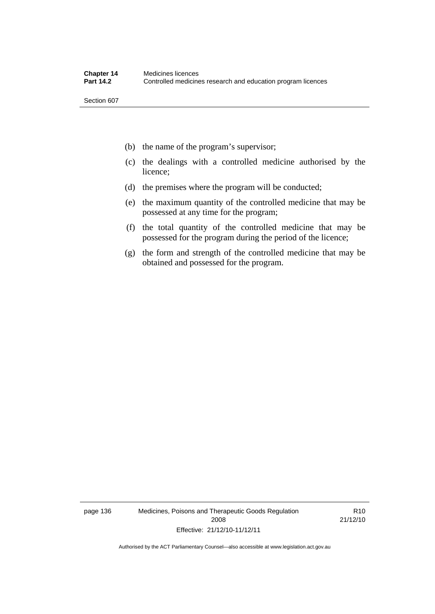- (b) the name of the program's supervisor;
- (c) the dealings with a controlled medicine authorised by the licence;
- (d) the premises where the program will be conducted;
- (e) the maximum quantity of the controlled medicine that may be possessed at any time for the program;
- (f) the total quantity of the controlled medicine that may be possessed for the program during the period of the licence;
- (g) the form and strength of the controlled medicine that may be obtained and possessed for the program.

page 136 Medicines, Poisons and Therapeutic Goods Regulation 2008 Effective: 21/12/10-11/12/11

R10 21/12/10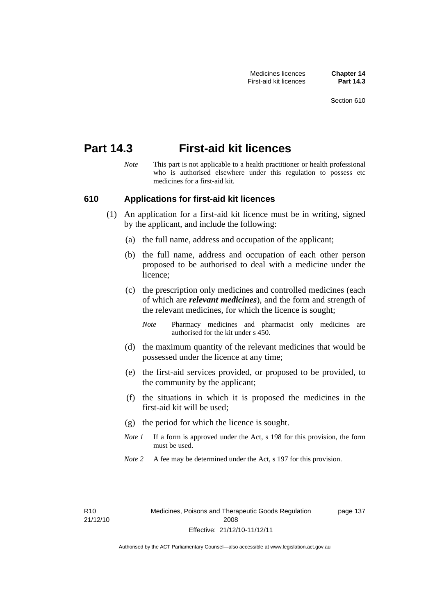# **Part 14.3 First-aid kit licences**

*Note* This part is not applicable to a health practitioner or health professional who is authorised elsewhere under this regulation to possess etc medicines for a first-aid kit.

### **610 Applications for first-aid kit licences**

- (1) An application for a first-aid kit licence must be in writing, signed by the applicant, and include the following:
	- (a) the full name, address and occupation of the applicant;
	- (b) the full name, address and occupation of each other person proposed to be authorised to deal with a medicine under the licence;
	- (c) the prescription only medicines and controlled medicines (each of which are *relevant medicines*), and the form and strength of the relevant medicines, for which the licence is sought;
		- *Note* Pharmacy medicines and pharmacist only medicines are authorised for the kit under s 450.
	- (d) the maximum quantity of the relevant medicines that would be possessed under the licence at any time;
	- (e) the first-aid services provided, or proposed to be provided, to the community by the applicant;
	- (f) the situations in which it is proposed the medicines in the first-aid kit will be used;
	- (g) the period for which the licence is sought.
	- *Note 1* If a form is approved under the Act, s 198 for this provision, the form must be used.
	- *Note 2* A fee may be determined under the Act, s 197 for this provision.

page 137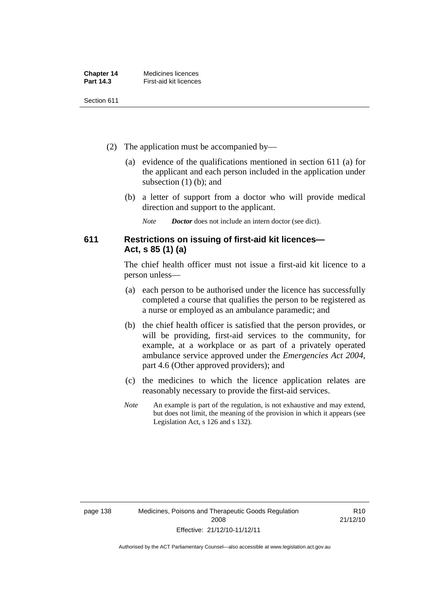| <b>Chapter 14</b> | Medicines licences     |
|-------------------|------------------------|
| Part 14.3         | First-aid kit licences |

- (2) The application must be accompanied by—
	- (a) evidence of the qualifications mentioned in section 611 (a) for the applicant and each person included in the application under subsection (1) (b); and
	- (b) a letter of support from a doctor who will provide medical direction and support to the applicant.
		- *Note Doctor* does not include an intern doctor (see dict).

## **611 Restrictions on issuing of first-aid kit licences— Act, s 85 (1) (a)**

The chief health officer must not issue a first-aid kit licence to a person unless—

- (a) each person to be authorised under the licence has successfully completed a course that qualifies the person to be registered as a nurse or employed as an ambulance paramedic; and
- (b) the chief health officer is satisfied that the person provides, or will be providing, first-aid services to the community, for example, at a workplace or as part of a privately operated ambulance service approved under the *Emergencies Act 2004*, part 4.6 (Other approved providers); and
- (c) the medicines to which the licence application relates are reasonably necessary to provide the first-aid services.
- *Note* An example is part of the regulation, is not exhaustive and may extend, but does not limit, the meaning of the provision in which it appears (see Legislation Act, s 126 and s 132).

R10 21/12/10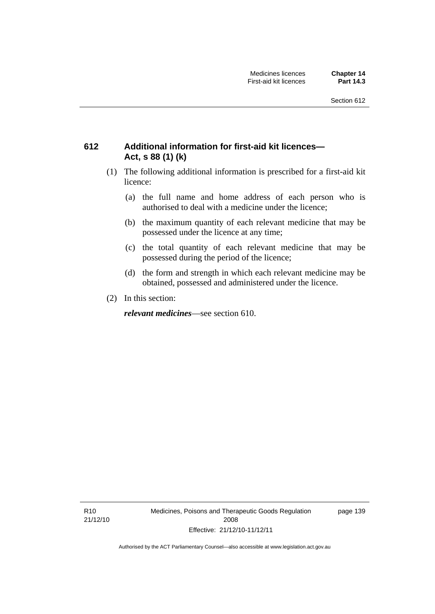# **612 Additional information for first-aid kit licences— Act, s 88 (1) (k)**

- (1) The following additional information is prescribed for a first-aid kit licence:
	- (a) the full name and home address of each person who is authorised to deal with a medicine under the licence;
	- (b) the maximum quantity of each relevant medicine that may be possessed under the licence at any time;
	- (c) the total quantity of each relevant medicine that may be possessed during the period of the licence;
	- (d) the form and strength in which each relevant medicine may be obtained, possessed and administered under the licence.
- (2) In this section:

*relevant medicines*—see section 610.

R10 21/12/10 Medicines, Poisons and Therapeutic Goods Regulation 2008 Effective: 21/12/10-11/12/11

page 139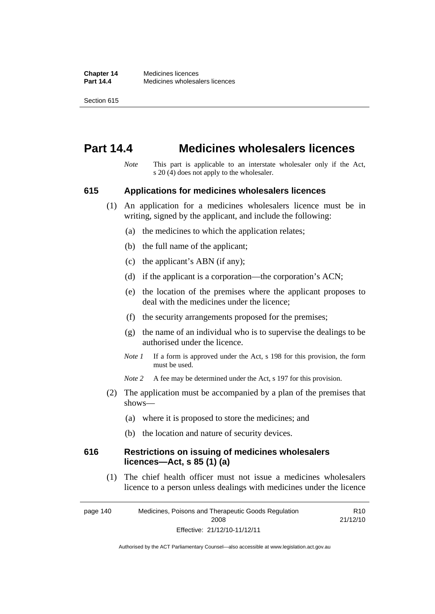# **Part 14.4 Medicines wholesalers licences**

*Note* This part is applicable to an interstate wholesaler only if the Act, s 20 (4) does not apply to the wholesaler.

#### **615 Applications for medicines wholesalers licences**

- (1) An application for a medicines wholesalers licence must be in writing, signed by the applicant, and include the following:
	- (a) the medicines to which the application relates;
	- (b) the full name of the applicant;
	- (c) the applicant's ABN (if any);
	- (d) if the applicant is a corporation—the corporation's ACN;
	- (e) the location of the premises where the applicant proposes to deal with the medicines under the licence;
	- (f) the security arrangements proposed for the premises;
	- (g) the name of an individual who is to supervise the dealings to be authorised under the licence.
	- *Note 1* If a form is approved under the Act, s 198 for this provision, the form must be used.
	- *Note* 2 A fee may be determined under the Act, s 197 for this provision.
- (2) The application must be accompanied by a plan of the premises that shows—
	- (a) where it is proposed to store the medicines; and
	- (b) the location and nature of security devices.

#### **616 Restrictions on issuing of medicines wholesalers licences—Act, s 85 (1) (a)**

 (1) The chief health officer must not issue a medicines wholesalers licence to a person unless dealings with medicines under the licence

page 140 Medicines, Poisons and Therapeutic Goods Regulation 2008 Effective: 21/12/10-11/12/11  $R10$ 21/12/10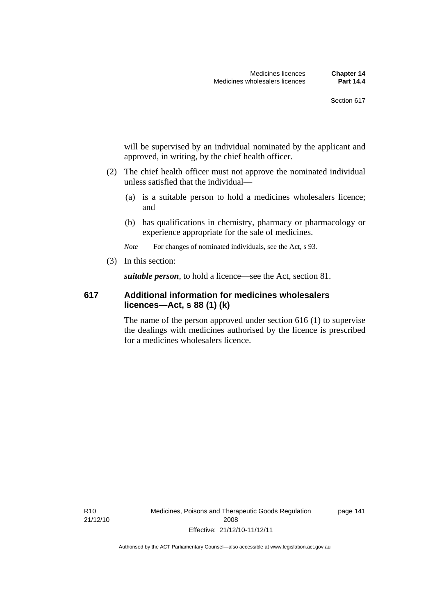will be supervised by an individual nominated by the applicant and approved, in writing, by the chief health officer.

- (2) The chief health officer must not approve the nominated individual unless satisfied that the individual—
	- (a) is a suitable person to hold a medicines wholesalers licence; and
	- (b) has qualifications in chemistry, pharmacy or pharmacology or experience appropriate for the sale of medicines.

*Note* For changes of nominated individuals, see the Act, s 93.

(3) In this section:

*suitable person*, to hold a licence—see the Act, section 81.

### **617 Additional information for medicines wholesalers licences—Act, s 88 (1) (k)**

The name of the person approved under section 616 (1) to supervise the dealings with medicines authorised by the licence is prescribed for a medicines wholesalers licence.

R10 21/12/10 Medicines, Poisons and Therapeutic Goods Regulation 2008 Effective: 21/12/10-11/12/11

page 141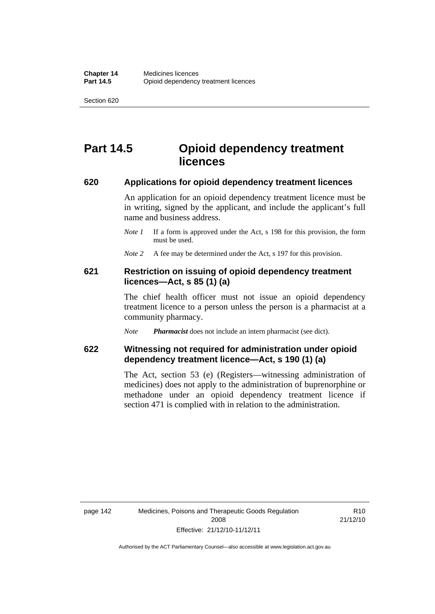# **Part 14.5 Opioid dependency treatment licences**

#### **620 Applications for opioid dependency treatment licences**

An application for an opioid dependency treatment licence must be in writing, signed by the applicant, and include the applicant's full name and business address.

- *Note 1* If a form is approved under the Act, s 198 for this provision, the form must be used.
- *Note 2* A fee may be determined under the Act, s 197 for this provision.

### **621 Restriction on issuing of opioid dependency treatment licences—Act, s 85 (1) (a)**

The chief health officer must not issue an opioid dependency treatment licence to a person unless the person is a pharmacist at a community pharmacy.

*Note Pharmacist* does not include an intern pharmacist (see dict).

### **622 Witnessing not required for administration under opioid dependency treatment licence—Act, s 190 (1) (a)**

The Act, section 53 (e) (Registers—witnessing administration of medicines) does not apply to the administration of buprenorphine or methadone under an opioid dependency treatment licence if section 471 is complied with in relation to the administration.

R10 21/12/10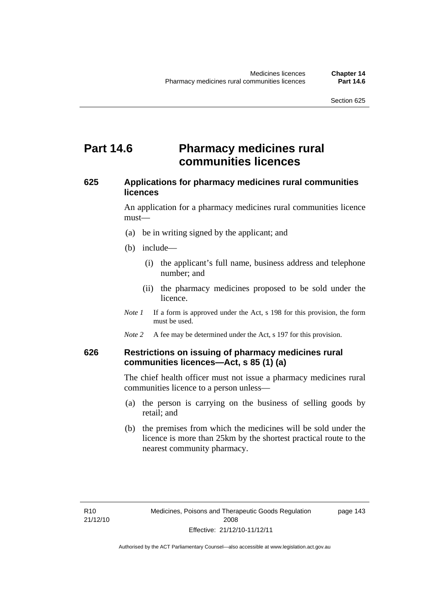# **Part 14.6** Pharmacy medicines rural **communities licences**

### **625 Applications for pharmacy medicines rural communities licences**

An application for a pharmacy medicines rural communities licence must—

- (a) be in writing signed by the applicant; and
- (b) include—
	- (i) the applicant's full name, business address and telephone number; and
	- (ii) the pharmacy medicines proposed to be sold under the licence.
- *Note 1* If a form is approved under the Act, s 198 for this provision, the form must be used.
- *Note 2* A fee may be determined under the Act, s 197 for this provision.

### **626 Restrictions on issuing of pharmacy medicines rural communities licences—Act, s 85 (1) (a)**

The chief health officer must not issue a pharmacy medicines rural communities licence to a person unless—

- (a) the person is carrying on the business of selling goods by retail; and
- (b) the premises from which the medicines will be sold under the licence is more than 25km by the shortest practical route to the nearest community pharmacy.

page 143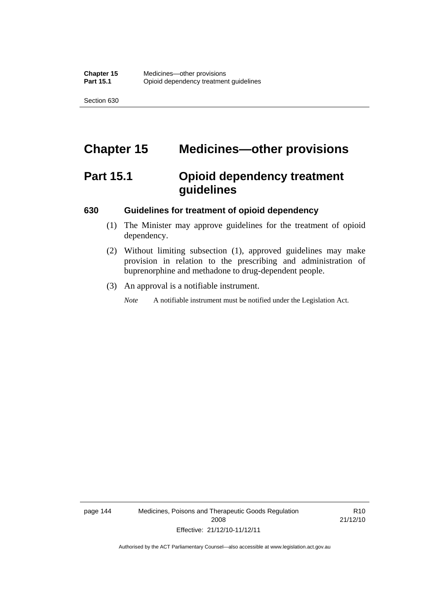# **Chapter 15 Medicines—other provisions**

# **Part 15.1 Opioid dependency treatment guidelines**

#### **630 Guidelines for treatment of opioid dependency**

- (1) The Minister may approve guidelines for the treatment of opioid dependency.
- (2) Without limiting subsection (1), approved guidelines may make provision in relation to the prescribing and administration of buprenorphine and methadone to drug-dependent people.
- (3) An approval is a notifiable instrument.

*Note* A notifiable instrument must be notified under the Legislation Act.

page 144 Medicines, Poisons and Therapeutic Goods Regulation 2008 Effective: 21/12/10-11/12/11

R10 21/12/10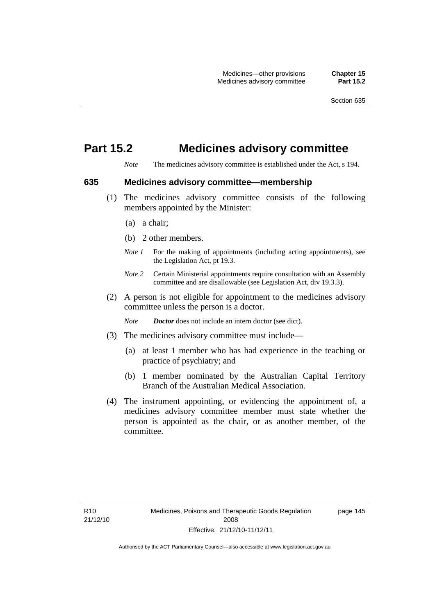# **Part 15.2 Medicines advisory committee**

*Note* The medicines advisory committee is established under the Act, s 194.

**635 Medicines advisory committee—membership** 

- (1) The medicines advisory committee consists of the following members appointed by the Minister:
	- (a) a chair;
	- (b) 2 other members.
	- *Note 1* For the making of appointments (including acting appointments), see the Legislation Act, pt 19.3.
	- *Note 2* Certain Ministerial appointments require consultation with an Assembly committee and are disallowable (see Legislation Act, div 19.3.3).
- (2) A person is not eligible for appointment to the medicines advisory committee unless the person is a doctor.

*Note Doctor* does not include an intern doctor (see dict).

- (3) The medicines advisory committee must include—
	- (a) at least 1 member who has had experience in the teaching or practice of psychiatry; and
	- (b) 1 member nominated by the Australian Capital Territory Branch of the Australian Medical Association.
- (4) The instrument appointing, or evidencing the appointment of, a medicines advisory committee member must state whether the person is appointed as the chair, or as another member, of the committee.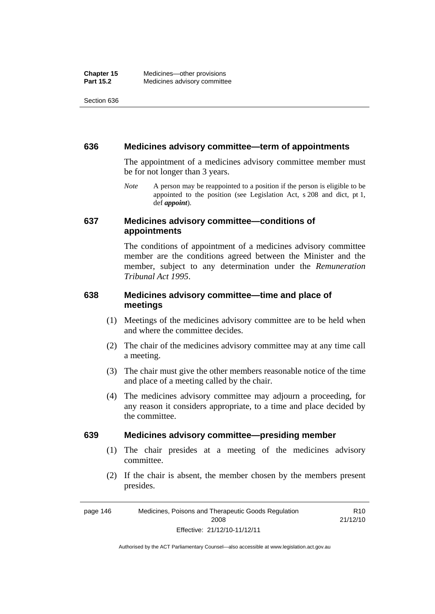#### **636 Medicines advisory committee—term of appointments**

The appointment of a medicines advisory committee member must be for not longer than 3 years.

*Note* A person may be reappointed to a position if the person is eligible to be appointed to the position (see Legislation Act, s 208 and dict, pt 1, def *appoint*).

#### **637 Medicines advisory committee—conditions of appointments**

The conditions of appointment of a medicines advisory committee member are the conditions agreed between the Minister and the member, subject to any determination under the *Remuneration Tribunal Act 1995*.

### **638 Medicines advisory committee—time and place of meetings**

- (1) Meetings of the medicines advisory committee are to be held when and where the committee decides.
- (2) The chair of the medicines advisory committee may at any time call a meeting.
- (3) The chair must give the other members reasonable notice of the time and place of a meeting called by the chair.
- (4) The medicines advisory committee may adjourn a proceeding, for any reason it considers appropriate, to a time and place decided by the committee.

#### **639 Medicines advisory committee—presiding member**

- (1) The chair presides at a meeting of the medicines advisory committee.
- (2) If the chair is absent, the member chosen by the members present presides.

page 146 Medicines, Poisons and Therapeutic Goods Regulation 2008 Effective: 21/12/10-11/12/11  $R10$ 21/12/10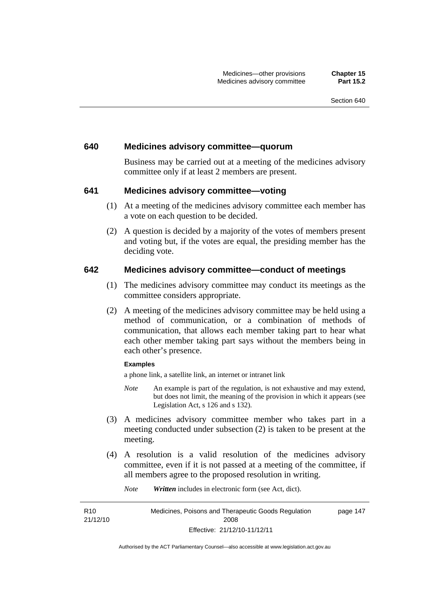#### **640 Medicines advisory committee—quorum**

Business may be carried out at a meeting of the medicines advisory committee only if at least 2 members are present.

#### **641 Medicines advisory committee—voting**

- (1) At a meeting of the medicines advisory committee each member has a vote on each question to be decided.
- (2) A question is decided by a majority of the votes of members present and voting but, if the votes are equal, the presiding member has the deciding vote.

#### **642 Medicines advisory committee—conduct of meetings**

- (1) The medicines advisory committee may conduct its meetings as the committee considers appropriate.
- (2) A meeting of the medicines advisory committee may be held using a method of communication, or a combination of methods of communication, that allows each member taking part to hear what each other member taking part says without the members being in each other's presence.

#### **Examples**

a phone link, a satellite link, an internet or intranet link

- *Note* An example is part of the regulation, is not exhaustive and may extend, but does not limit, the meaning of the provision in which it appears (see Legislation Act, s 126 and s 132).
- (3) A medicines advisory committee member who takes part in a meeting conducted under subsection (2) is taken to be present at the meeting.
- (4) A resolution is a valid resolution of the medicines advisory committee, even if it is not passed at a meeting of the committee, if all members agree to the proposed resolution in writing.

*Note Written* includes in electronic form (see Act, dict).

 $R10$ 21/12/10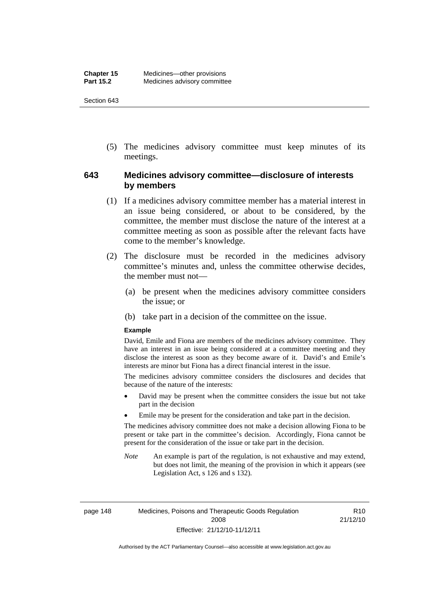(5) The medicines advisory committee must keep minutes of its meetings.

### **643 Medicines advisory committee—disclosure of interests by members**

- (1) If a medicines advisory committee member has a material interest in an issue being considered, or about to be considered, by the committee, the member must disclose the nature of the interest at a committee meeting as soon as possible after the relevant facts have come to the member's knowledge.
- (2) The disclosure must be recorded in the medicines advisory committee's minutes and, unless the committee otherwise decides, the member must not—
	- (a) be present when the medicines advisory committee considers the issue; or
	- (b) take part in a decision of the committee on the issue.

#### **Example**

David, Emile and Fiona are members of the medicines advisory committee. They have an interest in an issue being considered at a committee meeting and they disclose the interest as soon as they become aware of it. David's and Emile's interests are minor but Fiona has a direct financial interest in the issue.

The medicines advisory committee considers the disclosures and decides that because of the nature of the interests:

- David may be present when the committee considers the issue but not take part in the decision
- Emile may be present for the consideration and take part in the decision.

The medicines advisory committee does not make a decision allowing Fiona to be present or take part in the committee's decision. Accordingly, Fiona cannot be present for the consideration of the issue or take part in the decision.

*Note* An example is part of the regulation, is not exhaustive and may extend, but does not limit, the meaning of the provision in which it appears (see Legislation Act, s 126 and s 132).

page 148 Medicines, Poisons and Therapeutic Goods Regulation 2008 Effective: 21/12/10-11/12/11

R10 21/12/10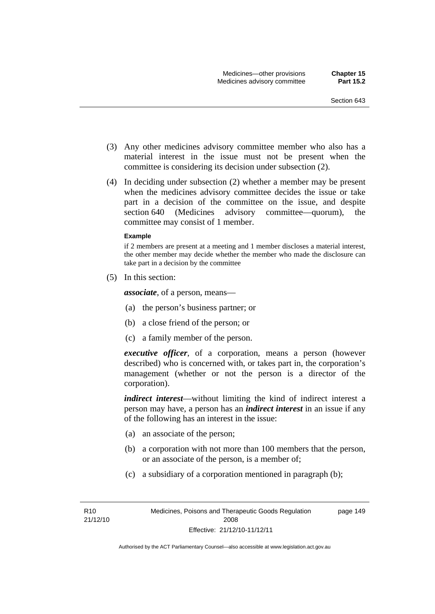- (3) Any other medicines advisory committee member who also has a material interest in the issue must not be present when the committee is considering its decision under subsection (2).
- (4) In deciding under subsection (2) whether a member may be present when the medicines advisory committee decides the issue or take part in a decision of the committee on the issue, and despite section 640 (Medicines advisory committee—quorum), the committee may consist of 1 member.

#### **Example**

if 2 members are present at a meeting and 1 member discloses a material interest, the other member may decide whether the member who made the disclosure can take part in a decision by the committee

(5) In this section:

*associate*, of a person, means—

- (a) the person's business partner; or
- (b) a close friend of the person; or
- (c) a family member of the person.

*executive officer*, of a corporation, means a person (however described) who is concerned with, or takes part in, the corporation's management (whether or not the person is a director of the corporation).

*indirect interest*—without limiting the kind of indirect interest a person may have, a person has an *indirect interest* in an issue if any of the following has an interest in the issue:

- (a) an associate of the person;
- (b) a corporation with not more than 100 members that the person, or an associate of the person, is a member of;
- (c) a subsidiary of a corporation mentioned in paragraph (b);

page 149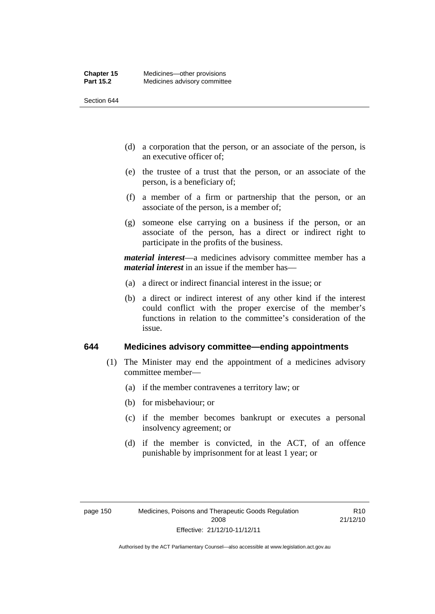- (d) a corporation that the person, or an associate of the person, is an executive officer of;
- (e) the trustee of a trust that the person, or an associate of the person, is a beneficiary of;
- (f) a member of a firm or partnership that the person, or an associate of the person, is a member of;
- (g) someone else carrying on a business if the person, or an associate of the person, has a direct or indirect right to participate in the profits of the business.

*material interest*—a medicines advisory committee member has a *material interest* in an issue if the member has—

- (a) a direct or indirect financial interest in the issue; or
- (b) a direct or indirect interest of any other kind if the interest could conflict with the proper exercise of the member's functions in relation to the committee's consideration of the issue.

#### **644 Medicines advisory committee—ending appointments**

- (1) The Minister may end the appointment of a medicines advisory committee member—
	- (a) if the member contravenes a territory law; or
	- (b) for misbehaviour; or
	- (c) if the member becomes bankrupt or executes a personal insolvency agreement; or
	- (d) if the member is convicted, in the ACT, of an offence punishable by imprisonment for at least 1 year; or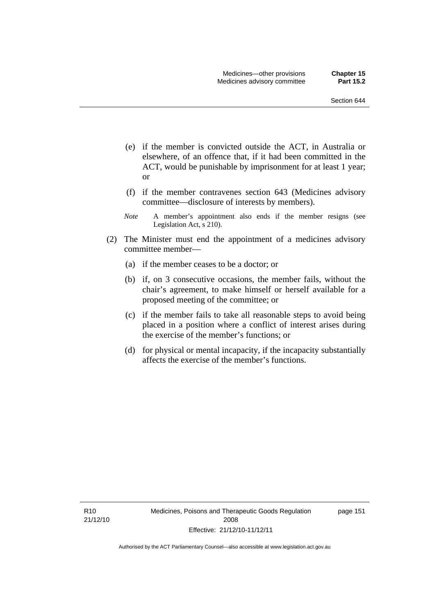- (e) if the member is convicted outside the ACT, in Australia or elsewhere, of an offence that, if it had been committed in the ACT, would be punishable by imprisonment for at least 1 year; or
- (f) if the member contravenes section 643 (Medicines advisory committee—disclosure of interests by members).
- *Note* A member's appointment also ends if the member resigns (see Legislation Act, s 210).
- (2) The Minister must end the appointment of a medicines advisory committee member—
	- (a) if the member ceases to be a doctor; or
	- (b) if, on 3 consecutive occasions, the member fails, without the chair's agreement, to make himself or herself available for a proposed meeting of the committee; or
	- (c) if the member fails to take all reasonable steps to avoid being placed in a position where a conflict of interest arises during the exercise of the member's functions; or
	- (d) for physical or mental incapacity, if the incapacity substantially affects the exercise of the member's functions.

R10 21/12/10 page 151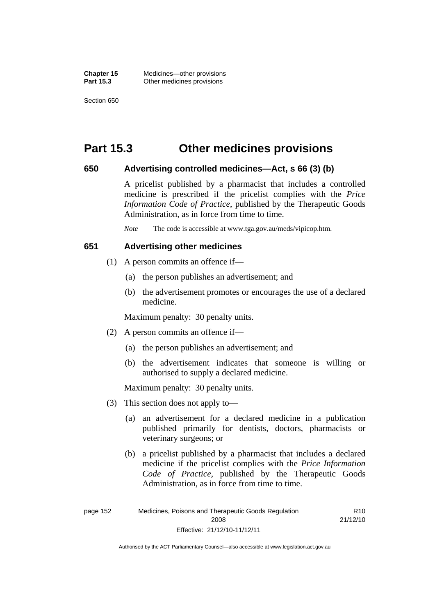**Chapter 15** Medicines—other provisions **Part 15.3 Other medicines provisions** 

Section 650

# **Part 15.3 Other medicines provisions**

### **650 Advertising controlled medicines—Act, s 66 (3) (b)**

A pricelist published by a pharmacist that includes a controlled medicine is prescribed if the pricelist complies with the *Price Information Code of Practice*, published by the Therapeutic Goods Administration, as in force from time to time.

*Note* The code is accessible at www.tga.gov.au/meds/vipicop.htm.

#### **651 Advertising other medicines**

- (1) A person commits an offence if—
	- (a) the person publishes an advertisement; and
	- (b) the advertisement promotes or encourages the use of a declared medicine.

Maximum penalty: 30 penalty units.

- (2) A person commits an offence if—
	- (a) the person publishes an advertisement; and
	- (b) the advertisement indicates that someone is willing or authorised to supply a declared medicine.

Maximum penalty: 30 penalty units.

- (3) This section does not apply to—
	- (a) an advertisement for a declared medicine in a publication published primarily for dentists, doctors, pharmacists or veterinary surgeons; or
	- (b) a pricelist published by a pharmacist that includes a declared medicine if the pricelist complies with the *Price Information Code of Practice*, published by the Therapeutic Goods Administration, as in force from time to time.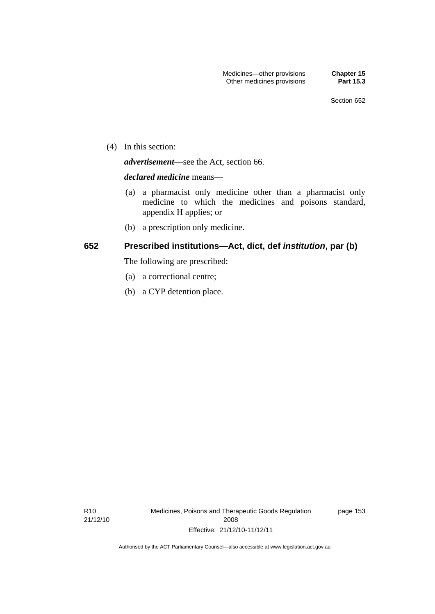(4) In this section:

*advertisement*—see the Act, section 66.

#### *declared medicine* means—

- (a) a pharmacist only medicine other than a pharmacist only medicine to which the medicines and poisons standard, appendix H applies; or
- (b) a prescription only medicine.

### **652 Prescribed institutions—Act, dict, def** *institution***, par (b)**

The following are prescribed:

- (a) a correctional centre;
- (b) a CYP detention place.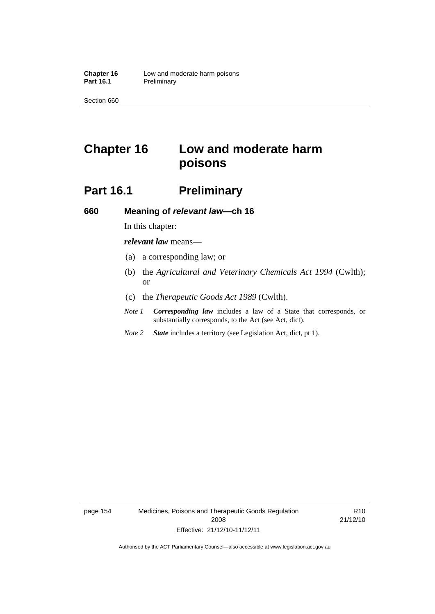# **Chapter 16 Low and moderate harm poisons**

# **Part 16.1** Preliminary

**660 Meaning of** *relevant law***—ch 16** 

In this chapter:

*relevant law* means—

- (a) a corresponding law; or
- (b) the *Agricultural and Veterinary Chemicals Act 1994* (Cwlth); or
- (c) the *Therapeutic Goods Act 1989* (Cwlth).
- *Note 1 Corresponding law* includes a law of a State that corresponds, or substantially corresponds, to the Act (see Act, dict).
- *Note 2 State* includes a territory (see Legislation Act, dict, pt 1).

page 154 Medicines, Poisons and Therapeutic Goods Regulation 2008 Effective: 21/12/10-11/12/11

R10 21/12/10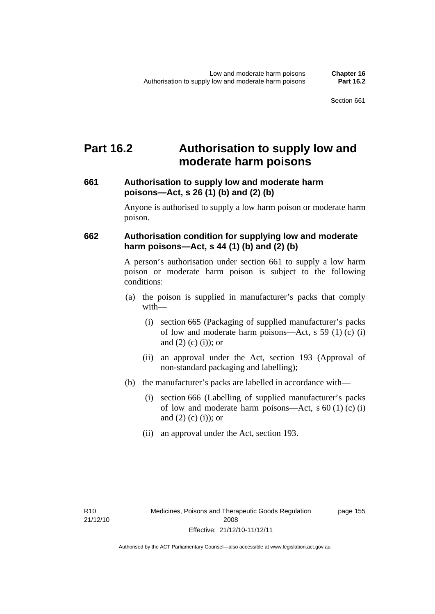# **Part 16.2 Authorisation to supply low and moderate harm poisons**

# **661 Authorisation to supply low and moderate harm poisons—Act, s 26 (1) (b) and (2) (b)**

Anyone is authorised to supply a low harm poison or moderate harm poison.

# **662 Authorisation condition for supplying low and moderate harm poisons—Act, s 44 (1) (b) and (2) (b)**

A person's authorisation under section 661 to supply a low harm poison or moderate harm poison is subject to the following conditions:

- (a) the poison is supplied in manufacturer's packs that comply with—
	- (i) section 665 (Packaging of supplied manufacturer's packs of low and moderate harm poisons—Act, s  $59(1)(c)$  (i) and  $(2)$  (c) (i)); or
	- (ii) an approval under the Act, section 193 (Approval of non-standard packaging and labelling);
- (b) the manufacturer's packs are labelled in accordance with—
	- (i) section 666 (Labelling of supplied manufacturer's packs of low and moderate harm poisons—Act, s  $60(1)(c)(i)$ and  $(2)$   $(c)$   $(i)$ ; or
	- (ii) an approval under the Act, section 193.

page 155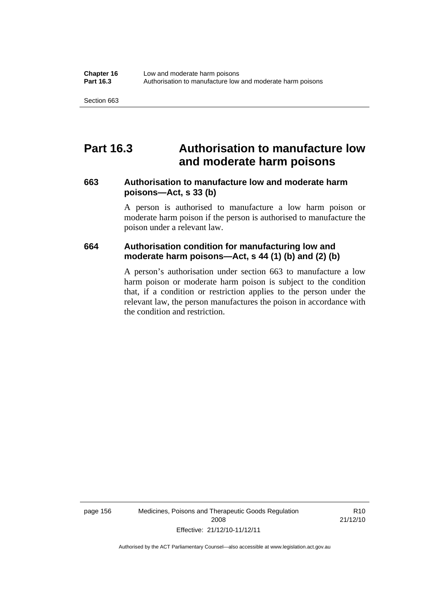# **Part 16.3 Authorisation to manufacture low and moderate harm poisons**

### **663 Authorisation to manufacture low and moderate harm poisons—Act, s 33 (b)**

A person is authorised to manufacture a low harm poison or moderate harm poison if the person is authorised to manufacture the poison under a relevant law.

# **664 Authorisation condition for manufacturing low and moderate harm poisons—Act, s 44 (1) (b) and (2) (b)**

A person's authorisation under section 663 to manufacture a low harm poison or moderate harm poison is subject to the condition that, if a condition or restriction applies to the person under the relevant law, the person manufactures the poison in accordance with the condition and restriction.

page 156 Medicines, Poisons and Therapeutic Goods Regulation 2008 Effective: 21/12/10-11/12/11

R10 21/12/10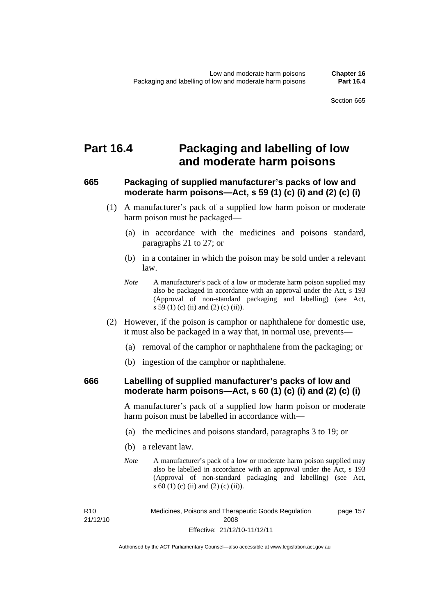### **Part 16.4 Packaging and labelling of low and moderate harm poisons**

#### **665 Packaging of supplied manufacturer's packs of low and moderate harm poisons—Act, s 59 (1) (c) (i) and (2) (c) (i)**

- (1) A manufacturer's pack of a supplied low harm poison or moderate harm poison must be packaged—
	- (a) in accordance with the medicines and poisons standard, paragraphs 21 to 27; or
	- (b) in a container in which the poison may be sold under a relevant law.
	- *Note* A manufacturer's pack of a low or moderate harm poison supplied may also be packaged in accordance with an approval under the Act, s 193 (Approval of non-standard packaging and labelling) (see Act, s 59 (1) (c) (ii) and (2) (c) (ii)).
- (2) However, if the poison is camphor or naphthalene for domestic use, it must also be packaged in a way that, in normal use, prevents—
	- (a) removal of the camphor or naphthalene from the packaging; or
	- (b) ingestion of the camphor or naphthalene.

#### **666 Labelling of supplied manufacturer's packs of low and moderate harm poisons—Act, s 60 (1) (c) (i) and (2) (c) (i)**

A manufacturer's pack of a supplied low harm poison or moderate harm poison must be labelled in accordance with—

- (a) the medicines and poisons standard, paragraphs 3 to 19; or
- (b) a relevant law.
- *Note* A manufacturer's pack of a low or moderate harm poison supplied may also be labelled in accordance with an approval under the Act, s 193 (Approval of non-standard packaging and labelling) (see Act, s 60 (1) (c) (ii) and (2) (c) (ii)).

 $R10$ 21/12/10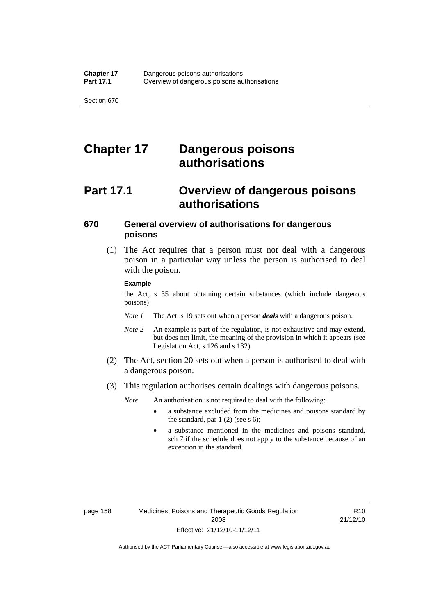# **Chapter 17 Dangerous poisons authorisations**

# **Part 17.1 Overview of dangerous poisons authorisations**

### **670 General overview of authorisations for dangerous poisons**

 (1) The Act requires that a person must not deal with a dangerous poison in a particular way unless the person is authorised to deal with the poison.

#### **Example**

the Act, s 35 about obtaining certain substances (which include dangerous poisons)

- *Note 1* The Act, s 19 sets out when a person *deals* with a dangerous poison.
- *Note 2* An example is part of the regulation, is not exhaustive and may extend, but does not limit, the meaning of the provision in which it appears (see Legislation Act, s 126 and s 132).
- (2) The Act, section 20 sets out when a person is authorised to deal with a dangerous poison.
- (3) This regulation authorises certain dealings with dangerous poisons.

*Note* An authorisation is not required to deal with the following:

- a substance excluded from the medicines and poisons standard by the standard, par  $1(2)$  (see s 6);
- a substance mentioned in the medicines and poisons standard, sch 7 if the schedule does not apply to the substance because of an exception in the standard.

R10 21/12/10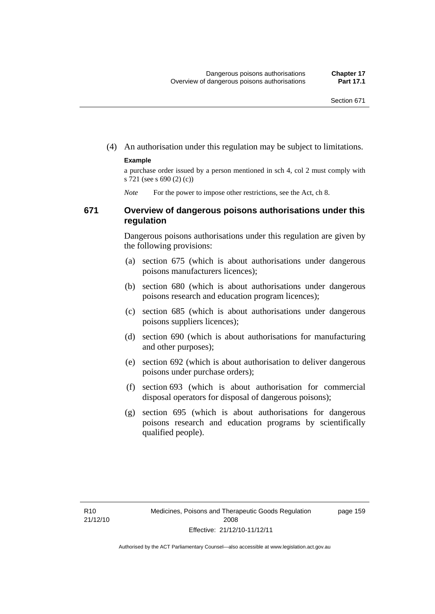(4) An authorisation under this regulation may be subject to limitations.

#### **Example**

a purchase order issued by a person mentioned in sch 4, col 2 must comply with s 721 (see s 690 (2) (c))

*Note* For the power to impose other restrictions, see the Act, ch 8.

#### **671 Overview of dangerous poisons authorisations under this regulation**

Dangerous poisons authorisations under this regulation are given by the following provisions:

- (a) section 675 (which is about authorisations under dangerous poisons manufacturers licences);
- (b) section 680 (which is about authorisations under dangerous poisons research and education program licences);
- (c) section 685 (which is about authorisations under dangerous poisons suppliers licences);
- (d) section 690 (which is about authorisations for manufacturing and other purposes);
- (e) section 692 (which is about authorisation to deliver dangerous poisons under purchase orders);
- (f) section 693 (which is about authorisation for commercial disposal operators for disposal of dangerous poisons);
- (g) section 695 (which is about authorisations for dangerous poisons research and education programs by scientifically qualified people).

page 159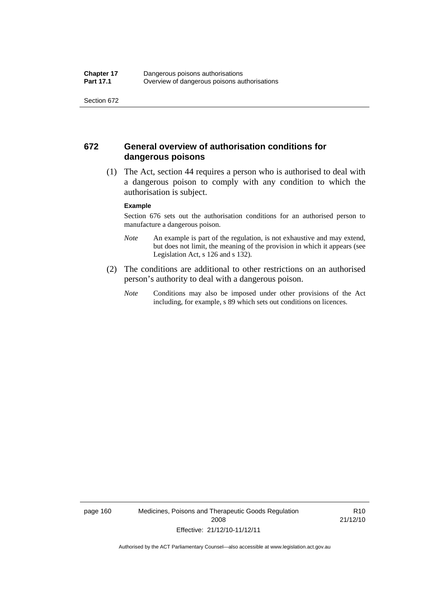#### **672 General overview of authorisation conditions for dangerous poisons**

 (1) The Act, section 44 requires a person who is authorised to deal with a dangerous poison to comply with any condition to which the authorisation is subject.

#### **Example**

Section 676 sets out the authorisation conditions for an authorised person to manufacture a dangerous poison.

- *Note* An example is part of the regulation, is not exhaustive and may extend, but does not limit, the meaning of the provision in which it appears (see Legislation Act, s 126 and s 132).
- (2) The conditions are additional to other restrictions on an authorised person's authority to deal with a dangerous poison.
	- *Note* Conditions may also be imposed under other provisions of the Act including, for example, s 89 which sets out conditions on licences.

page 160 Medicines, Poisons and Therapeutic Goods Regulation 2008 Effective: 21/12/10-11/12/11

R10 21/12/10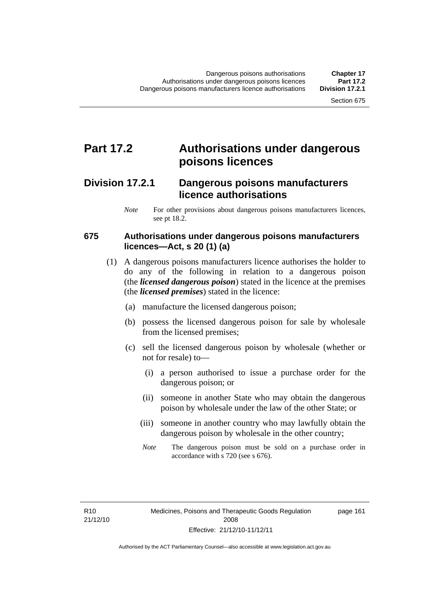### **Part 17.2 Authorisations under dangerous poisons licences**

### **Division 17.2.1 Dangerous poisons manufacturers licence authorisations**

*Note* For other provisions about dangerous poisons manufacturers licences, see pt 18.2.

#### **675 Authorisations under dangerous poisons manufacturers licences—Act, s 20 (1) (a)**

- (1) A dangerous poisons manufacturers licence authorises the holder to do any of the following in relation to a dangerous poison (the *licensed dangerous poison*) stated in the licence at the premises (the *licensed premises*) stated in the licence:
	- (a) manufacture the licensed dangerous poison;
	- (b) possess the licensed dangerous poison for sale by wholesale from the licensed premises;
	- (c) sell the licensed dangerous poison by wholesale (whether or not for resale) to—
		- (i) a person authorised to issue a purchase order for the dangerous poison; or
		- (ii) someone in another State who may obtain the dangerous poison by wholesale under the law of the other State; or
		- (iii) someone in another country who may lawfully obtain the dangerous poison by wholesale in the other country;
		- *Note* The dangerous poison must be sold on a purchase order in accordance with s 720 (see s 676).

R10 21/12/10 page 161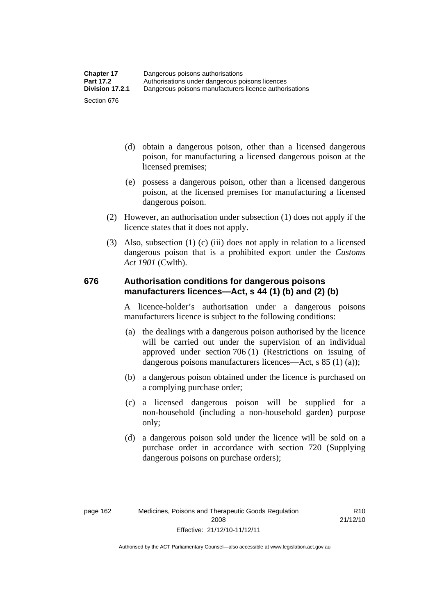- (d) obtain a dangerous poison, other than a licensed dangerous poison, for manufacturing a licensed dangerous poison at the licensed premises;
- (e) possess a dangerous poison, other than a licensed dangerous poison, at the licensed premises for manufacturing a licensed dangerous poison.
- (2) However, an authorisation under subsection (1) does not apply if the licence states that it does not apply.
- (3) Also, subsection (1) (c) (iii) does not apply in relation to a licensed dangerous poison that is a prohibited export under the *Customs Act 1901* (Cwlth).

#### **676 Authorisation conditions for dangerous poisons manufacturers licences—Act, s 44 (1) (b) and (2) (b)**

A licence-holder's authorisation under a dangerous poisons manufacturers licence is subject to the following conditions:

- (a) the dealings with a dangerous poison authorised by the licence will be carried out under the supervision of an individual approved under section 706 (1) (Restrictions on issuing of dangerous poisons manufacturers licences—Act, s 85 (1) (a));
- (b) a dangerous poison obtained under the licence is purchased on a complying purchase order;
- (c) a licensed dangerous poison will be supplied for a non-household (including a non-household garden) purpose only;
- (d) a dangerous poison sold under the licence will be sold on a purchase order in accordance with section 720 (Supplying dangerous poisons on purchase orders);

R10 21/12/10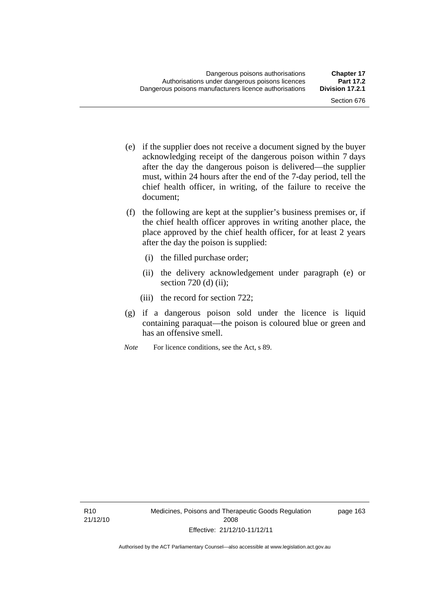- (e) if the supplier does not receive a document signed by the buyer acknowledging receipt of the dangerous poison within 7 days after the day the dangerous poison is delivered—the supplier must, within 24 hours after the end of the 7-day period, tell the chief health officer, in writing, of the failure to receive the document;
- (f) the following are kept at the supplier's business premises or, if the chief health officer approves in writing another place, the place approved by the chief health officer, for at least 2 years after the day the poison is supplied:
	- (i) the filled purchase order;
	- (ii) the delivery acknowledgement under paragraph (e) or section 720 (d) (ii);
	- (iii) the record for section 722;
- (g) if a dangerous poison sold under the licence is liquid containing paraquat—the poison is coloured blue or green and has an offensive smell.
- *Note* For licence conditions, see the Act, s 89.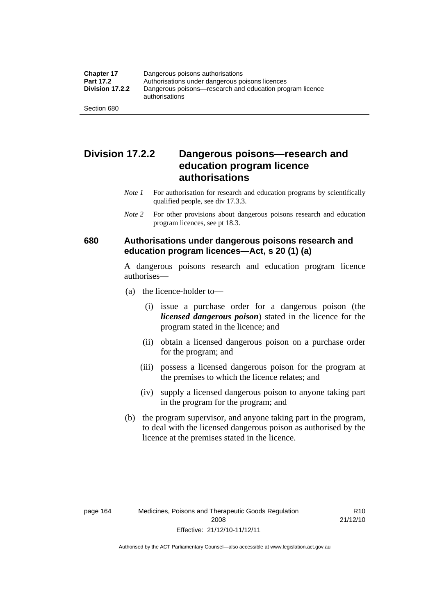### **Division 17.2.2 Dangerous poisons—research and education program licence authorisations**

- *Note 1* For authorisation for research and education programs by scientifically qualified people, see div 17.3.3.
- *Note 2* For other provisions about dangerous poisons research and education program licences, see pt 18.3.

#### **680 Authorisations under dangerous poisons research and education program licences—Act, s 20 (1) (a)**

A dangerous poisons research and education program licence authorises—

- (a) the licence-holder to—
	- (i) issue a purchase order for a dangerous poison (the *licensed dangerous poison*) stated in the licence for the program stated in the licence; and
	- (ii) obtain a licensed dangerous poison on a purchase order for the program; and
	- (iii) possess a licensed dangerous poison for the program at the premises to which the licence relates; and
	- (iv) supply a licensed dangerous poison to anyone taking part in the program for the program; and
- (b) the program supervisor, and anyone taking part in the program, to deal with the licensed dangerous poison as authorised by the licence at the premises stated in the licence.

R10 21/12/10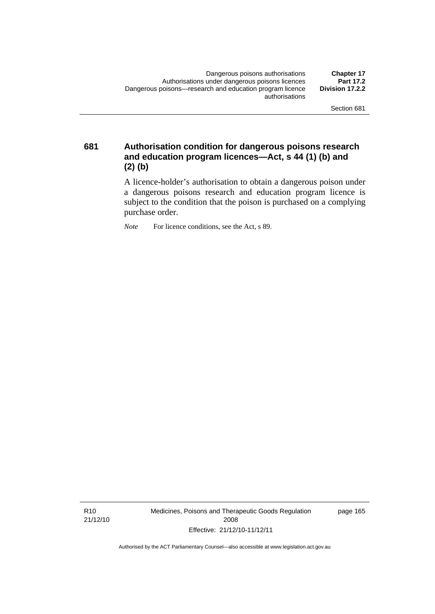**681 Authorisation condition for dangerous poisons research and education program licences—Act, s 44 (1) (b) and (2) (b)** 

> A licence-holder's authorisation to obtain a dangerous poison under a dangerous poisons research and education program licence is subject to the condition that the poison is purchased on a complying purchase order.

*Note* For licence conditions, see the Act, s 89.

R10 21/12/10 Medicines, Poisons and Therapeutic Goods Regulation 2008 Effective: 21/12/10-11/12/11

page 165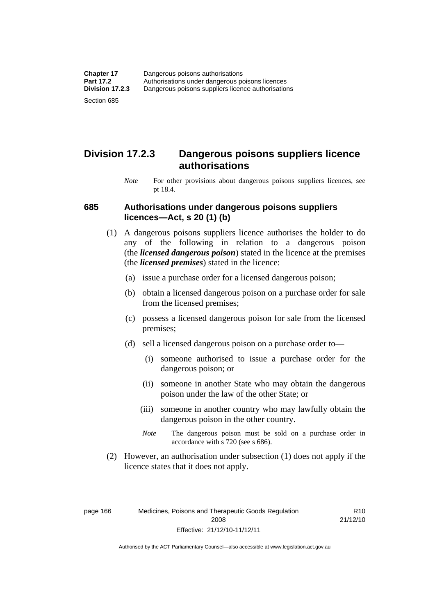### **Division 17.2.3 Dangerous poisons suppliers licence authorisations**

*Note* For other provisions about dangerous poisons suppliers licences, see pt 18.4.

#### **685 Authorisations under dangerous poisons suppliers licences—Act, s 20 (1) (b)**

- (1) A dangerous poisons suppliers licence authorises the holder to do any of the following in relation to a dangerous poison (the *licensed dangerous poison*) stated in the licence at the premises (the *licensed premises*) stated in the licence:
	- (a) issue a purchase order for a licensed dangerous poison;
	- (b) obtain a licensed dangerous poison on a purchase order for sale from the licensed premises;
	- (c) possess a licensed dangerous poison for sale from the licensed premises;
	- (d) sell a licensed dangerous poison on a purchase order to—
		- (i) someone authorised to issue a purchase order for the dangerous poison; or
		- (ii) someone in another State who may obtain the dangerous poison under the law of the other State; or
		- (iii) someone in another country who may lawfully obtain the dangerous poison in the other country.
		- *Note* The dangerous poison must be sold on a purchase order in accordance with s 720 (see s 686).
- (2) However, an authorisation under subsection (1) does not apply if the licence states that it does not apply.

page 166 Medicines, Poisons and Therapeutic Goods Regulation 2008 Effective: 21/12/10-11/12/11

R10 21/12/10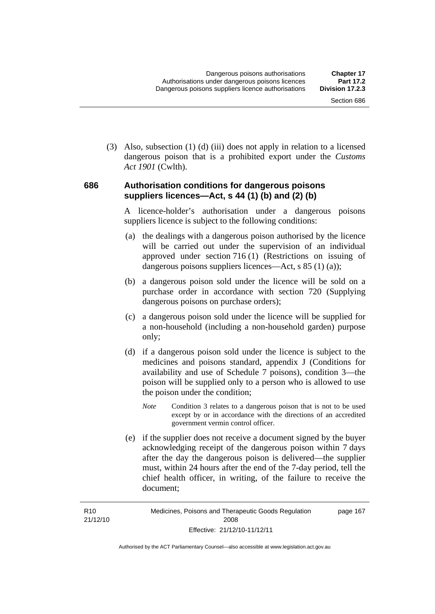(3) Also, subsection (1) (d) (iii) does not apply in relation to a licensed dangerous poison that is a prohibited export under the *Customs Act 1901* (Cwlth).

#### **686 Authorisation conditions for dangerous poisons suppliers licences—Act, s 44 (1) (b) and (2) (b)**

A licence-holder's authorisation under a dangerous poisons suppliers licence is subject to the following conditions:

- (a) the dealings with a dangerous poison authorised by the licence will be carried out under the supervision of an individual approved under section 716 (1) (Restrictions on issuing of dangerous poisons suppliers licences—Act, s 85 (1) (a));
- (b) a dangerous poison sold under the licence will be sold on a purchase order in accordance with section 720 (Supplying dangerous poisons on purchase orders);
- (c) a dangerous poison sold under the licence will be supplied for a non-household (including a non-household garden) purpose only;
- (d) if a dangerous poison sold under the licence is subject to the medicines and poisons standard, appendix J (Conditions for availability and use of Schedule 7 poisons), condition 3—the poison will be supplied only to a person who is allowed to use the poison under the condition;
	- *Note* Condition 3 relates to a dangerous poison that is not to be used except by or in accordance with the directions of an accredited government vermin control officer.
- (e) if the supplier does not receive a document signed by the buyer acknowledging receipt of the dangerous poison within 7 days after the day the dangerous poison is delivered—the supplier must, within 24 hours after the end of the 7-day period, tell the chief health officer, in writing, of the failure to receive the document;

R10 21/12/10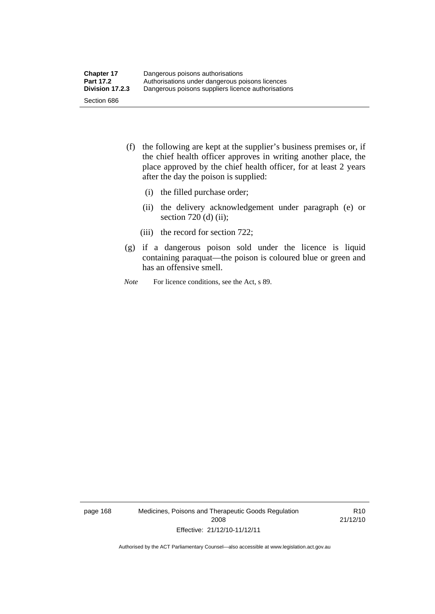- (f) the following are kept at the supplier's business premises or, if the chief health officer approves in writing another place, the place approved by the chief health officer, for at least 2 years after the day the poison is supplied:
	- (i) the filled purchase order;
	- (ii) the delivery acknowledgement under paragraph (e) or section 720 (d) (ii);
	- (iii) the record for section 722;
- (g) if a dangerous poison sold under the licence is liquid containing paraquat—the poison is coloured blue or green and has an offensive smell.
- *Note* For licence conditions, see the Act, s 89.

page 168 Medicines, Poisons and Therapeutic Goods Regulation 2008 Effective: 21/12/10-11/12/11

R10 21/12/10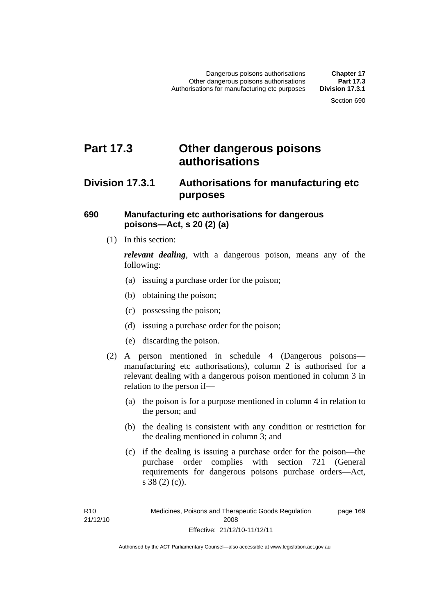### **Part 17.3 Other dangerous poisons authorisations**

### **Division 17.3.1 Authorisations for manufacturing etc purposes**

#### **690 Manufacturing etc authorisations for dangerous poisons—Act, s 20 (2) (a)**

(1) In this section:

*relevant dealing*, with a dangerous poison, means any of the following:

- (a) issuing a purchase order for the poison;
- (b) obtaining the poison;
- (c) possessing the poison;
- (d) issuing a purchase order for the poison;
- (e) discarding the poison.
- (2) A person mentioned in schedule 4 (Dangerous poisons manufacturing etc authorisations), column 2 is authorised for a relevant dealing with a dangerous poison mentioned in column 3 in relation to the person if—
	- (a) the poison is for a purpose mentioned in column 4 in relation to the person; and
	- (b) the dealing is consistent with any condition or restriction for the dealing mentioned in column 3; and
	- (c) if the dealing is issuing a purchase order for the poison—the purchase order complies with section 721 (General requirements for dangerous poisons purchase orders—Act, s 38 (2) (c)).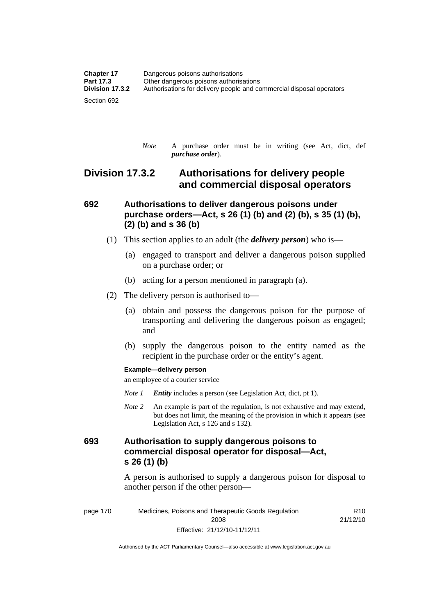*Note* A purchase order must be in writing (see Act, dict, def *purchase order*).

### **Division 17.3.2 Authorisations for delivery people and commercial disposal operators**

#### **692 Authorisations to deliver dangerous poisons under purchase orders—Act, s 26 (1) (b) and (2) (b), s 35 (1) (b), (2) (b) and s 36 (b)**

- (1) This section applies to an adult (the *delivery person*) who is—
	- (a) engaged to transport and deliver a dangerous poison supplied on a purchase order; or
	- (b) acting for a person mentioned in paragraph (a).
- (2) The delivery person is authorised to—
	- (a) obtain and possess the dangerous poison for the purpose of transporting and delivering the dangerous poison as engaged; and
	- (b) supply the dangerous poison to the entity named as the recipient in the purchase order or the entity's agent.

#### **Example—delivery person**

an employee of a courier service

- *Note 1 Entity* includes a person (see Legislation Act, dict, pt 1).
- *Note 2* An example is part of the regulation, is not exhaustive and may extend, but does not limit, the meaning of the provision in which it appears (see Legislation Act, s 126 and s 132).

### **693 Authorisation to supply dangerous poisons to commercial disposal operator for disposal—Act, s 26 (1) (b)**

A person is authorised to supply a dangerous poison for disposal to another person if the other person—

R10

page 170 Medicines, Poisons and Therapeutic Goods Regulation 2008 Effective: 21/12/10-11/12/11 21/12/10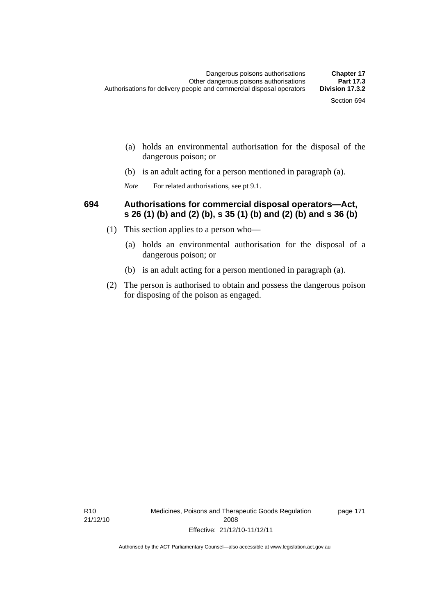- (a) holds an environmental authorisation for the disposal of the dangerous poison; or
- (b) is an adult acting for a person mentioned in paragraph (a).
- *Note* For related authorisations, see pt 9.1.

#### **694 Authorisations for commercial disposal operators—Act, s 26 (1) (b) and (2) (b), s 35 (1) (b) and (2) (b) and s 36 (b)**

- (1) This section applies to a person who—
	- (a) holds an environmental authorisation for the disposal of a dangerous poison; or
	- (b) is an adult acting for a person mentioned in paragraph (a).
- (2) The person is authorised to obtain and possess the dangerous poison for disposing of the poison as engaged.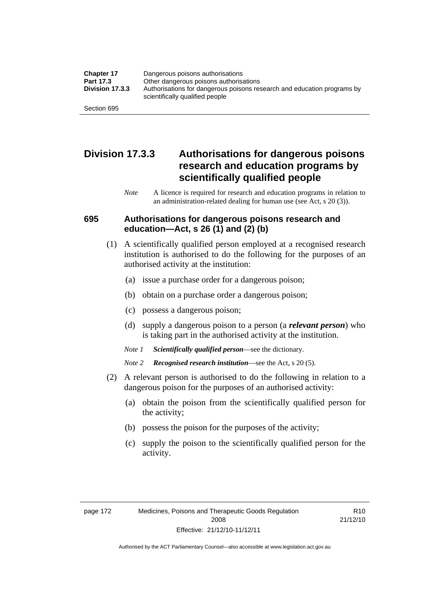| <b>Chapter 17</b> | Dangerous poisons authorisations                                                                           |  |
|-------------------|------------------------------------------------------------------------------------------------------------|--|
| Part 17.3         | Other dangerous poisons authorisations                                                                     |  |
| Division 17.3.3   | Authorisations for dangerous poisons research and education programs by<br>scientifically qualified people |  |
| Section 695       |                                                                                                            |  |

### **Division 17.3.3 Authorisations for dangerous poisons research and education programs by scientifically qualified people**

*Note* A licence is required for research and education programs in relation to an administration-related dealing for human use (see Act, s 20 (3)).

#### **695 Authorisations for dangerous poisons research and education—Act, s 26 (1) and (2) (b)**

- (1) A scientifically qualified person employed at a recognised research institution is authorised to do the following for the purposes of an authorised activity at the institution:
	- (a) issue a purchase order for a dangerous poison;
	- (b) obtain on a purchase order a dangerous poison;
	- (c) possess a dangerous poison;
	- (d) supply a dangerous poison to a person (a *relevant person*) who is taking part in the authorised activity at the institution.
	- *Note 1 Scientifically qualified person*—see the dictionary.
	- *Note 2 Recognised research institution*—see the Act, s 20 (5).
- (2) A relevant person is authorised to do the following in relation to a dangerous poison for the purposes of an authorised activity:
	- (a) obtain the poison from the scientifically qualified person for the activity;
	- (b) possess the poison for the purposes of the activity;
	- (c) supply the poison to the scientifically qualified person for the activity.

Authorised by the ACT Parliamentary Counsel—also accessible at www.legislation.act.gov.au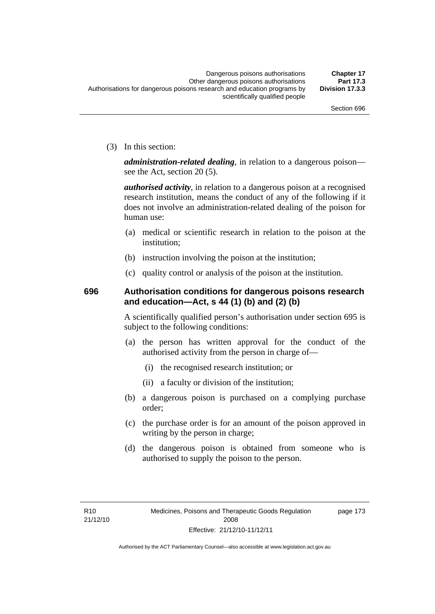(3) In this section:

*administration-related dealing*, in relation to a dangerous poison see the Act, section 20 (5).

*authorised activity*, in relation to a dangerous poison at a recognised research institution, means the conduct of any of the following if it does not involve an administration-related dealing of the poison for human use:

- (a) medical or scientific research in relation to the poison at the institution;
- (b) instruction involving the poison at the institution;
- (c) quality control or analysis of the poison at the institution.

### **696 Authorisation conditions for dangerous poisons research and education—Act, s 44 (1) (b) and (2) (b)**

A scientifically qualified person's authorisation under section 695 is subject to the following conditions:

- (a) the person has written approval for the conduct of the authorised activity from the person in charge of—
	- (i) the recognised research institution; or
	- (ii) a faculty or division of the institution;
- (b) a dangerous poison is purchased on a complying purchase order;
- (c) the purchase order is for an amount of the poison approved in writing by the person in charge;
- (d) the dangerous poison is obtained from someone who is authorised to supply the poison to the person.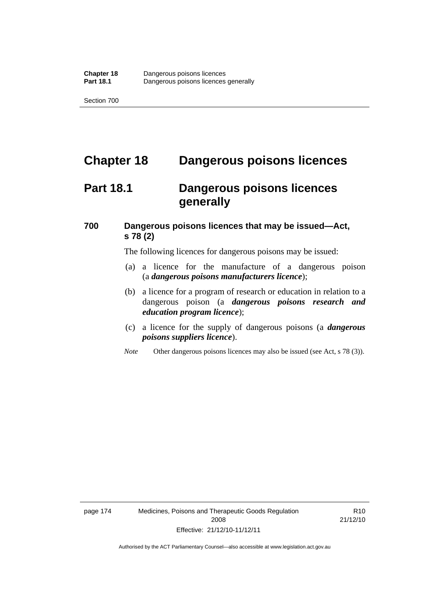# **Chapter 18 Dangerous poisons licences**

### **Part 18.1 Dangerous poisons licences generally**

### **700 Dangerous poisons licences that may be issued—Act, s 78 (2)**

The following licences for dangerous poisons may be issued:

- (a) a licence for the manufacture of a dangerous poison (a *dangerous poisons manufacturers licence*);
- (b) a licence for a program of research or education in relation to a dangerous poison (a *dangerous poisons research and education program licence*);
- (c) a licence for the supply of dangerous poisons (a *dangerous poisons suppliers licence*).
- *Note* Other dangerous poisons licences may also be issued (see Act, s 78 (3)).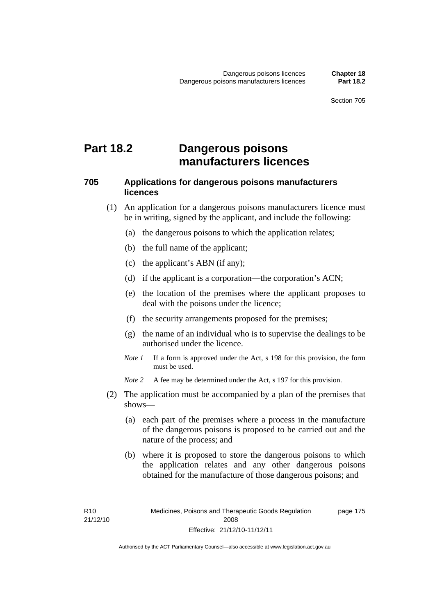### **Part 18.2 Dangerous poisons manufacturers licences**

#### **705 Applications for dangerous poisons manufacturers licences**

- (1) An application for a dangerous poisons manufacturers licence must be in writing, signed by the applicant, and include the following:
	- (a) the dangerous poisons to which the application relates;
	- (b) the full name of the applicant;
	- (c) the applicant's ABN (if any);
	- (d) if the applicant is a corporation—the corporation's ACN;
	- (e) the location of the premises where the applicant proposes to deal with the poisons under the licence;
	- (f) the security arrangements proposed for the premises;
	- (g) the name of an individual who is to supervise the dealings to be authorised under the licence.
	- *Note 1* If a form is approved under the Act, s 198 for this provision, the form must be used.

*Note* 2 A fee may be determined under the Act, s 197 for this provision.

- (2) The application must be accompanied by a plan of the premises that shows—
	- (a) each part of the premises where a process in the manufacture of the dangerous poisons is proposed to be carried out and the nature of the process; and
	- (b) where it is proposed to store the dangerous poisons to which the application relates and any other dangerous poisons obtained for the manufacture of those dangerous poisons; and

page 175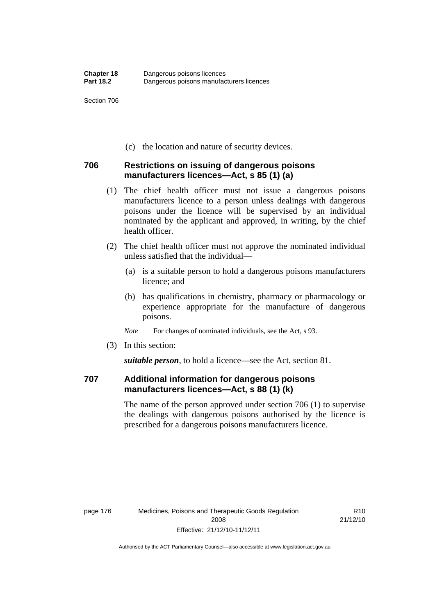(c) the location and nature of security devices.

#### **706 Restrictions on issuing of dangerous poisons manufacturers licences—Act, s 85 (1) (a)**

- (1) The chief health officer must not issue a dangerous poisons manufacturers licence to a person unless dealings with dangerous poisons under the licence will be supervised by an individual nominated by the applicant and approved, in writing, by the chief health officer.
- (2) The chief health officer must not approve the nominated individual unless satisfied that the individual—
	- (a) is a suitable person to hold a dangerous poisons manufacturers licence; and
	- (b) has qualifications in chemistry, pharmacy or pharmacology or experience appropriate for the manufacture of dangerous poisons.
	- *Note* For changes of nominated individuals, see the Act, s 93.
- (3) In this section:

*suitable person*, to hold a licence—see the Act, section 81.

#### **707 Additional information for dangerous poisons manufacturers licences—Act, s 88 (1) (k)**

The name of the person approved under section 706 (1) to supervise the dealings with dangerous poisons authorised by the licence is prescribed for a dangerous poisons manufacturers licence.

R10 21/12/10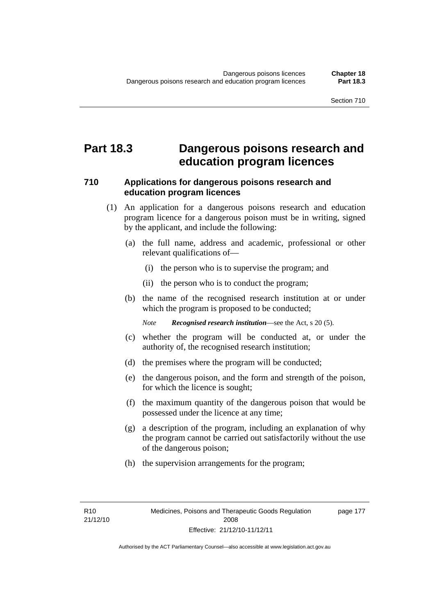### **Part 18.3 Dangerous poisons research and education program licences**

#### **710 Applications for dangerous poisons research and education program licences**

- (1) An application for a dangerous poisons research and education program licence for a dangerous poison must be in writing, signed by the applicant, and include the following:
	- (a) the full name, address and academic, professional or other relevant qualifications of—
		- (i) the person who is to supervise the program; and
		- (ii) the person who is to conduct the program;
	- (b) the name of the recognised research institution at or under which the program is proposed to be conducted;

*Note Recognised research institution*—see the Act, s 20 (5).

- (c) whether the program will be conducted at, or under the authority of, the recognised research institution;
- (d) the premises where the program will be conducted;
- (e) the dangerous poison, and the form and strength of the poison, for which the licence is sought;
- (f) the maximum quantity of the dangerous poison that would be possessed under the licence at any time;
- (g) a description of the program, including an explanation of why the program cannot be carried out satisfactorily without the use of the dangerous poison;
- (h) the supervision arrangements for the program;

page 177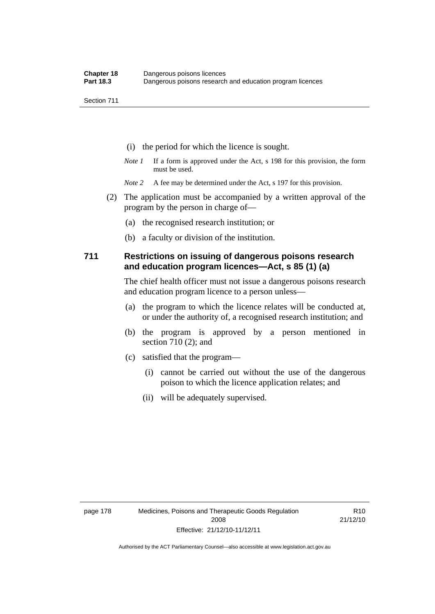- (i) the period for which the licence is sought.
- *Note 1* If a form is approved under the Act, s 198 for this provision, the form must be used.
- *Note* 2 A fee may be determined under the Act, s 197 for this provision.
- (2) The application must be accompanied by a written approval of the program by the person in charge of—
	- (a) the recognised research institution; or
	- (b) a faculty or division of the institution.

#### **711 Restrictions on issuing of dangerous poisons research and education program licences—Act, s 85 (1) (a)**

The chief health officer must not issue a dangerous poisons research and education program licence to a person unless—

- (a) the program to which the licence relates will be conducted at, or under the authority of, a recognised research institution; and
- (b) the program is approved by a person mentioned in section 710 (2); and
- (c) satisfied that the program—
	- (i) cannot be carried out without the use of the dangerous poison to which the licence application relates; and
	- (ii) will be adequately supervised.

R10 21/12/10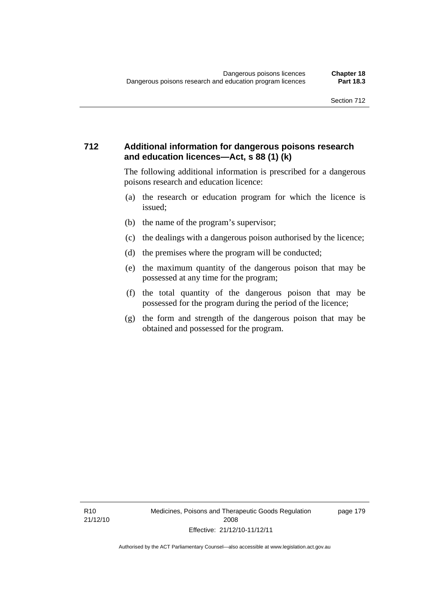#### **712 Additional information for dangerous poisons research and education licences—Act, s 88 (1) (k)**

The following additional information is prescribed for a dangerous poisons research and education licence:

- (a) the research or education program for which the licence is issued;
- (b) the name of the program's supervisor;
- (c) the dealings with a dangerous poison authorised by the licence;
- (d) the premises where the program will be conducted;
- (e) the maximum quantity of the dangerous poison that may be possessed at any time for the program;
- (f) the total quantity of the dangerous poison that may be possessed for the program during the period of the licence;
- (g) the form and strength of the dangerous poison that may be obtained and possessed for the program.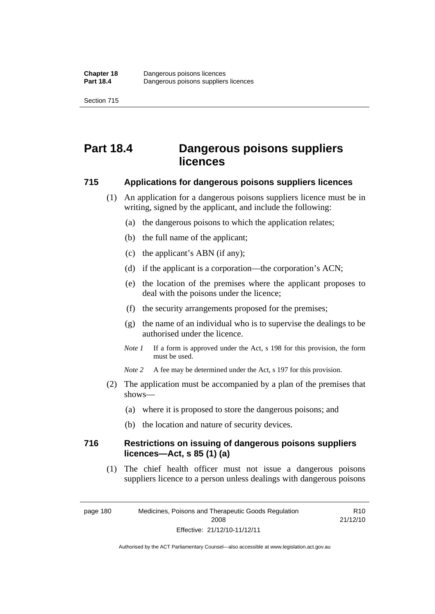# **Part 18.4 Dangerous poisons suppliers licences**

#### **715 Applications for dangerous poisons suppliers licences**

- (1) An application for a dangerous poisons suppliers licence must be in writing, signed by the applicant, and include the following:
	- (a) the dangerous poisons to which the application relates;
	- (b) the full name of the applicant;
	- (c) the applicant's ABN (if any);
	- (d) if the applicant is a corporation—the corporation's ACN;
	- (e) the location of the premises where the applicant proposes to deal with the poisons under the licence;
	- (f) the security arrangements proposed for the premises;
	- (g) the name of an individual who is to supervise the dealings to be authorised under the licence.
	- *Note 1* If a form is approved under the Act, s 198 for this provision, the form must be used.
	- *Note* 2 A fee may be determined under the Act, s 197 for this provision.
- (2) The application must be accompanied by a plan of the premises that shows—
	- (a) where it is proposed to store the dangerous poisons; and
	- (b) the location and nature of security devices.

#### **716 Restrictions on issuing of dangerous poisons suppliers licences—Act, s 85 (1) (a)**

(1) The chief health officer must not issue a dangerous poisons suppliers licence to a person unless dealings with dangerous poisons

 $R10$ 21/12/10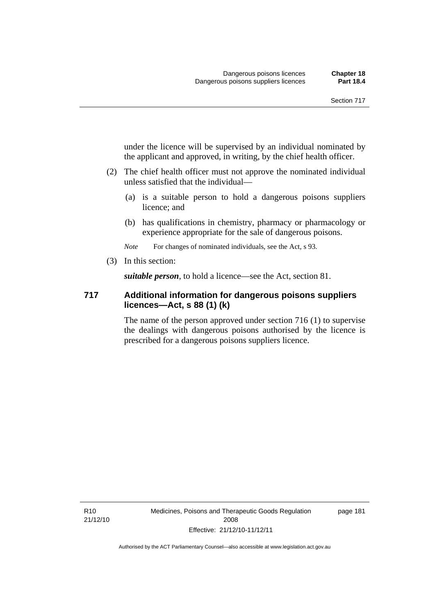under the licence will be supervised by an individual nominated by the applicant and approved, in writing, by the chief health officer.

- (2) The chief health officer must not approve the nominated individual unless satisfied that the individual—
	- (a) is a suitable person to hold a dangerous poisons suppliers licence; and
	- (b) has qualifications in chemistry, pharmacy or pharmacology or experience appropriate for the sale of dangerous poisons.

*Note* For changes of nominated individuals, see the Act, s 93.

(3) In this section:

*suitable person*, to hold a licence—see the Act, section 81.

#### **717 Additional information for dangerous poisons suppliers licences—Act, s 88 (1) (k)**

The name of the person approved under section 716 (1) to supervise the dealings with dangerous poisons authorised by the licence is prescribed for a dangerous poisons suppliers licence.

R10 21/12/10 Medicines, Poisons and Therapeutic Goods Regulation 2008 Effective: 21/12/10-11/12/11

page 181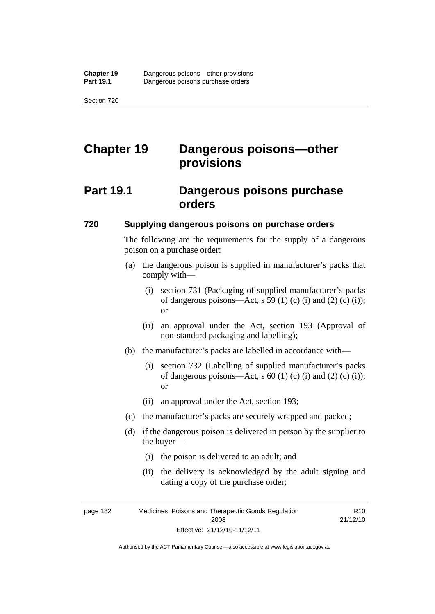# **Chapter 19 Dangerous poisons—other provisions**

## **Part 19.1 Dangerous poisons purchase orders**

#### **720 Supplying dangerous poisons on purchase orders**

The following are the requirements for the supply of a dangerous poison on a purchase order:

- (a) the dangerous poison is supplied in manufacturer's packs that comply with—
	- (i) section 731 (Packaging of supplied manufacturer's packs of dangerous poisons—Act, s 59 (1) (c) (i) and (2) (c) (i)); or
	- (ii) an approval under the Act, section 193 (Approval of non-standard packaging and labelling);
- (b) the manufacturer's packs are labelled in accordance with—
	- (i) section 732 (Labelling of supplied manufacturer's packs of dangerous poisons—Act,  $s$  60 (1) (c) (i) and (2) (c) (i)); or
	- (ii) an approval under the Act, section 193;
- (c) the manufacturer's packs are securely wrapped and packed;
- (d) if the dangerous poison is delivered in person by the supplier to the buyer—
	- (i) the poison is delivered to an adult; and
	- (ii) the delivery is acknowledged by the adult signing and dating a copy of the purchase order;

page 182 Medicines, Poisons and Therapeutic Goods Regulation 2008 Effective: 21/12/10-11/12/11 R10 21/12/10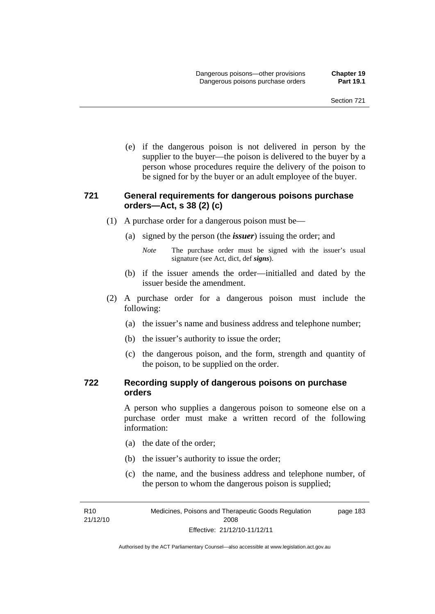(e) if the dangerous poison is not delivered in person by the supplier to the buyer—the poison is delivered to the buyer by a person whose procedures require the delivery of the poison to be signed for by the buyer or an adult employee of the buyer.

#### **721 General requirements for dangerous poisons purchase orders—Act, s 38 (2) (c)**

- (1) A purchase order for a dangerous poison must be—
	- (a) signed by the person (the *issuer*) issuing the order; and
		- *Note* The purchase order must be signed with the issuer's usual signature (see Act, dict, def *signs*).
	- (b) if the issuer amends the order—initialled and dated by the issuer beside the amendment.
- (2) A purchase order for a dangerous poison must include the following:
	- (a) the issuer's name and business address and telephone number;
	- (b) the issuer's authority to issue the order;
	- (c) the dangerous poison, and the form, strength and quantity of the poison, to be supplied on the order.

#### **722 Recording supply of dangerous poisons on purchase orders**

A person who supplies a dangerous poison to someone else on a purchase order must make a written record of the following information:

- (a) the date of the order;
- (b) the issuer's authority to issue the order;
- (c) the name, and the business address and telephone number, of the person to whom the dangerous poison is supplied;

 $R10$ 21/12/10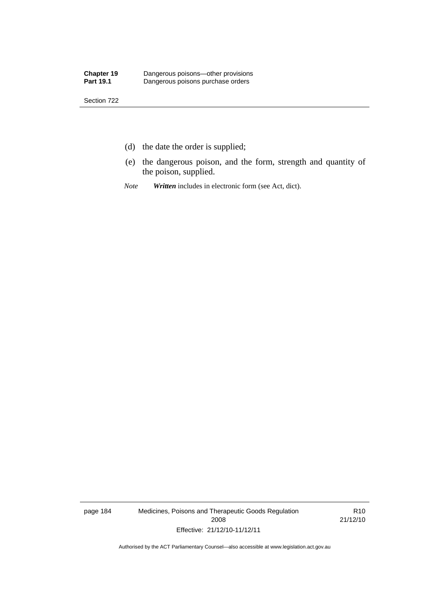- (d) the date the order is supplied;
- (e) the dangerous poison, and the form, strength and quantity of the poison, supplied.
- *Note Written* includes in electronic form (see Act, dict).

page 184 Medicines, Poisons and Therapeutic Goods Regulation 2008 Effective: 21/12/10-11/12/11

R10 21/12/10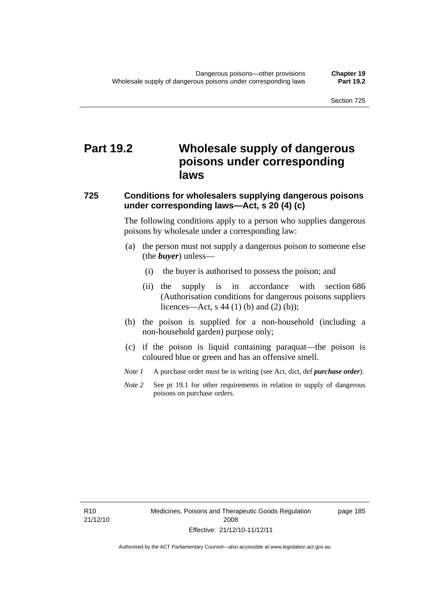# **Part 19.2 Wholesale supply of dangerous poisons under corresponding laws**

#### **725 Conditions for wholesalers supplying dangerous poisons under corresponding laws—Act, s 20 (4) (c)**

The following conditions apply to a person who supplies dangerous poisons by wholesale under a corresponding law:

- (a) the person must not supply a dangerous poison to someone else (the *buyer*) unless—
	- (i) the buyer is authorised to possess the poison; and
	- (ii) the supply is in accordance with section 686 (Authorisation conditions for dangerous poisons suppliers licences—Act, s 44 (1) (b) and (2) (b));
- (b) the poison is supplied for a non-household (including a non-household garden) purpose only;
- (c) if the poison is liquid containing paraquat—the poison is coloured blue or green and has an offensive smell.
- *Note 1* A purchase order must be in writing (see Act, dict, def *purchase order*).
- *Note* 2 See pt 19.1 for other requirements in relation to supply of dangerous poisons on purchase orders.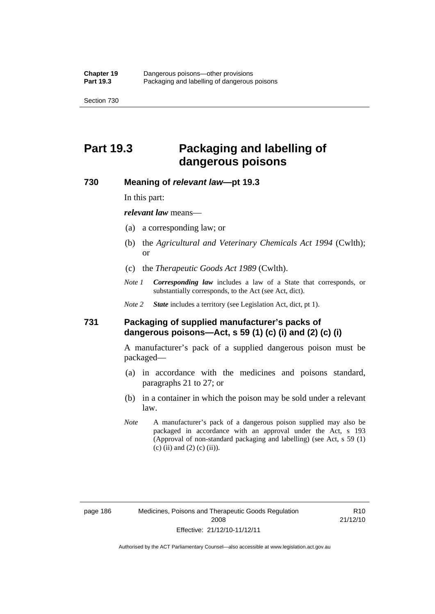# **Part 19.3 Packaging and labelling of dangerous poisons**

#### **730 Meaning of** *relevant law***—pt 19.3**

In this part:

*relevant law* means—

- (a) a corresponding law; or
- (b) the *Agricultural and Veterinary Chemicals Act 1994* (Cwlth); or
- (c) the *Therapeutic Goods Act 1989* (Cwlth).
- *Note 1 Corresponding law* includes a law of a State that corresponds, or substantially corresponds, to the Act (see Act, dict).

*Note 2 State* includes a territory (see Legislation Act, dict, pt 1).

#### **731 Packaging of supplied manufacturer's packs of dangerous poisons—Act, s 59 (1) (c) (i) and (2) (c) (i)**

A manufacturer's pack of a supplied dangerous poison must be packaged—

- (a) in accordance with the medicines and poisons standard, paragraphs 21 to 27; or
- (b) in a container in which the poison may be sold under a relevant law.
- *Note* A manufacturer's pack of a dangerous poison supplied may also be packaged in accordance with an approval under the Act, s 193 (Approval of non-standard packaging and labelling) (see Act, s 59 (1)  $(c)$  (ii) and (2) (c) (ii)).

R10 21/12/10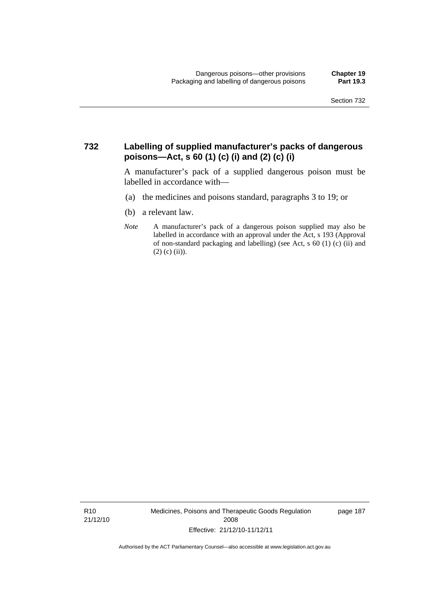#### **732 Labelling of supplied manufacturer's packs of dangerous poisons—Act, s 60 (1) (c) (i) and (2) (c) (i)**

A manufacturer's pack of a supplied dangerous poison must be labelled in accordance with—

- (a) the medicines and poisons standard, paragraphs 3 to 19; or
- (b) a relevant law.
- *Note* A manufacturer's pack of a dangerous poison supplied may also be labelled in accordance with an approval under the Act, s 193 (Approval of non-standard packaging and labelling) (see Act, s 60 (1) (c) (ii) and  $(2)$  (c) (ii)).

R10 21/12/10 Medicines, Poisons and Therapeutic Goods Regulation 2008 Effective: 21/12/10-11/12/11

page 187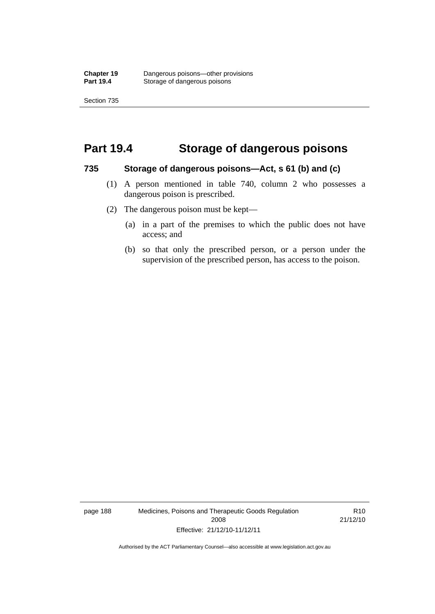### **Part 19.4 Storage of dangerous poisons**

#### **735 Storage of dangerous poisons—Act, s 61 (b) and (c)**

- (1) A person mentioned in table 740, column 2 who possesses a dangerous poison is prescribed.
- (2) The dangerous poison must be kept—
	- (a) in a part of the premises to which the public does not have access; and
	- (b) so that only the prescribed person, or a person under the supervision of the prescribed person, has access to the poison.

page 188 Medicines, Poisons and Therapeutic Goods Regulation 2008 Effective: 21/12/10-11/12/11

R10 21/12/10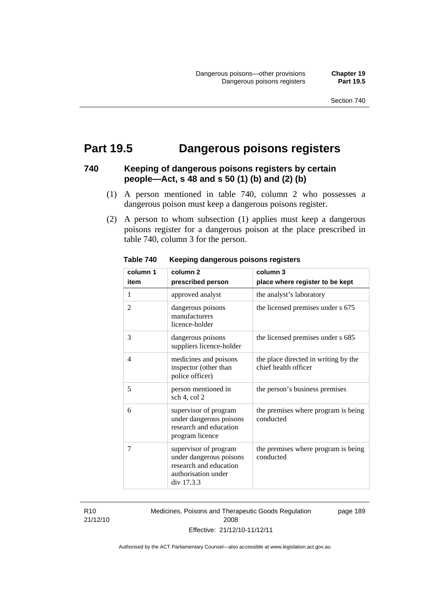## **Part 19.5 Dangerous poisons registers**

### **740 Keeping of dangerous poisons registers by certain people—Act, s 48 and s 50 (1) (b) and (2) (b)**

- (1) A person mentioned in table 740, column 2 who possesses a dangerous poison must keep a dangerous poisons register.
- (2) A person to whom subsection (1) applies must keep a dangerous poisons register for a dangerous poison at the place prescribed in table 740, column 3 for the person.

| column 1<br>item | column <sub>2</sub><br>prescribed person                                                                        | column 3<br>place where register to be kept                  |
|------------------|-----------------------------------------------------------------------------------------------------------------|--------------------------------------------------------------|
| 1                | approved analyst                                                                                                | the analyst's laboratory                                     |
| $\overline{2}$   | dangerous poisons<br>manufacturers<br>licence-holder                                                            | the licensed premises under s 675                            |
| 3                | dangerous poisons<br>suppliers licence-holder                                                                   | the licensed premises under s 685                            |
| $\overline{4}$   | medicines and poisons<br>inspector (other than<br>police officer)                                               | the place directed in writing by the<br>chief health officer |
| 5                | person mentioned in<br>sch 4, col 2                                                                             | the person's business premises                               |
| 6                | supervisor of program<br>under dangerous poisons<br>research and education<br>program licence                   | the premises where program is being<br>conducted             |
| 7                | supervisor of program<br>under dangerous poisons<br>research and education<br>authorisation under<br>div 17.3.3 | the premises where program is being<br>conducted             |

**Table 740 Keeping dangerous poisons registers** 

R10 21/12/10 Medicines, Poisons and Therapeutic Goods Regulation 2008 Effective: 21/12/10-11/12/11

page 189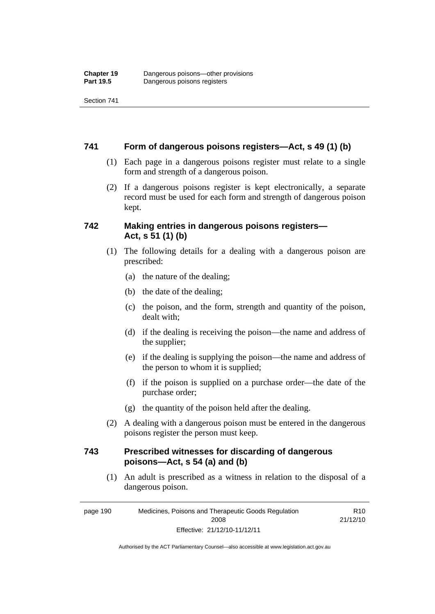#### **741 Form of dangerous poisons registers—Act, s 49 (1) (b)**

- (1) Each page in a dangerous poisons register must relate to a single form and strength of a dangerous poison.
- (2) If a dangerous poisons register is kept electronically, a separate record must be used for each form and strength of dangerous poison kept.

#### **742 Making entries in dangerous poisons registers— Act, s 51 (1) (b)**

- (1) The following details for a dealing with a dangerous poison are prescribed:
	- (a) the nature of the dealing;
	- (b) the date of the dealing;
	- (c) the poison, and the form, strength and quantity of the poison, dealt with;
	- (d) if the dealing is receiving the poison—the name and address of the supplier;
	- (e) if the dealing is supplying the poison—the name and address of the person to whom it is supplied;
	- (f) if the poison is supplied on a purchase order—the date of the purchase order;
	- (g) the quantity of the poison held after the dealing.
- (2) A dealing with a dangerous poison must be entered in the dangerous poisons register the person must keep.

#### **743 Prescribed witnesses for discarding of dangerous poisons—Act, s 54 (a) and (b)**

 (1) An adult is prescribed as a witness in relation to the disposal of a dangerous poison.

page 190 Medicines, Poisons and Therapeutic Goods Regulation 2008 Effective: 21/12/10-11/12/11 R10 21/12/10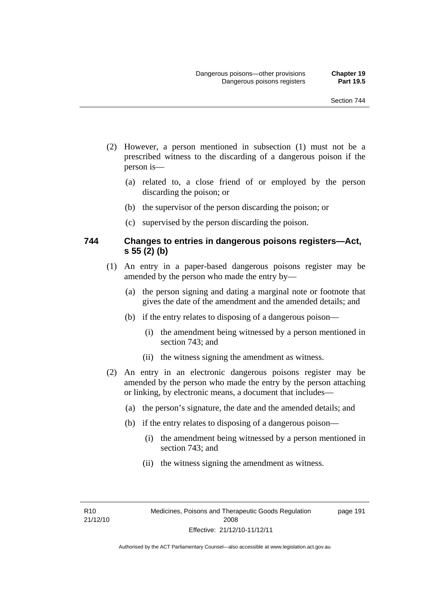- (2) However, a person mentioned in subsection (1) must not be a prescribed witness to the discarding of a dangerous poison if the person is—
	- (a) related to, a close friend of or employed by the person discarding the poison; or
	- (b) the supervisor of the person discarding the poison; or
	- (c) supervised by the person discarding the poison.

#### **744 Changes to entries in dangerous poisons registers—Act, s 55 (2) (b)**

- (1) An entry in a paper-based dangerous poisons register may be amended by the person who made the entry by—
	- (a) the person signing and dating a marginal note or footnote that gives the date of the amendment and the amended details; and
	- (b) if the entry relates to disposing of a dangerous poison—
		- (i) the amendment being witnessed by a person mentioned in section 743; and
		- (ii) the witness signing the amendment as witness.
- (2) An entry in an electronic dangerous poisons register may be amended by the person who made the entry by the person attaching or linking, by electronic means, a document that includes—
	- (a) the person's signature, the date and the amended details; and
	- (b) if the entry relates to disposing of a dangerous poison—
		- (i) the amendment being witnessed by a person mentioned in section 743; and
		- (ii) the witness signing the amendment as witness.

 $R10$ 21/12/10 page 191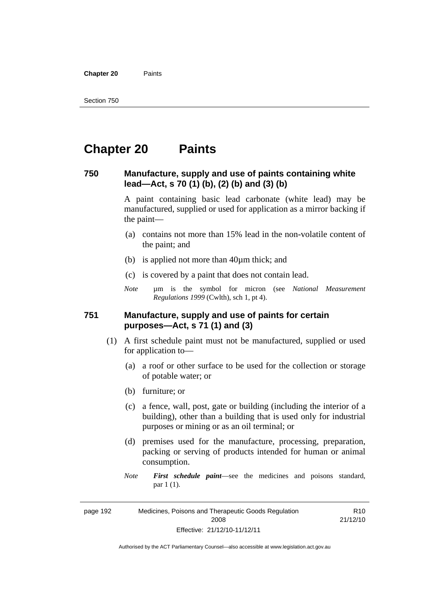**Chapter 20** Paints

# **Chapter 20 Paints**

#### **750 Manufacture, supply and use of paints containing white lead—Act, s 70 (1) (b), (2) (b) and (3) (b)**

A paint containing basic lead carbonate (white lead) may be manufactured, supplied or used for application as a mirror backing if the paint—

- (a) contains not more than 15% lead in the non-volatile content of the paint; and
- (b) is applied not more than 40µm thick; and
- (c) is covered by a paint that does not contain lead.
- *Note* µm is the symbol for micron (see *National Measurement Regulations 1999* (Cwlth), sch 1, pt 4).

#### **751 Manufacture, supply and use of paints for certain purposes—Act, s 71 (1) and (3)**

- (1) A first schedule paint must not be manufactured, supplied or used for application to—
	- (a) a roof or other surface to be used for the collection or storage of potable water; or
	- (b) furniture; or
	- (c) a fence, wall, post, gate or building (including the interior of a building), other than a building that is used only for industrial purposes or mining or as an oil terminal; or
	- (d) premises used for the manufacture, processing, preparation, packing or serving of products intended for human or animal consumption.
	- *Note First schedule paint*—see the medicines and poisons standard, par 1 (1).

R10

page 192 Medicines, Poisons and Therapeutic Goods Regulation 2008 Effective: 21/12/10-11/12/11 21/12/10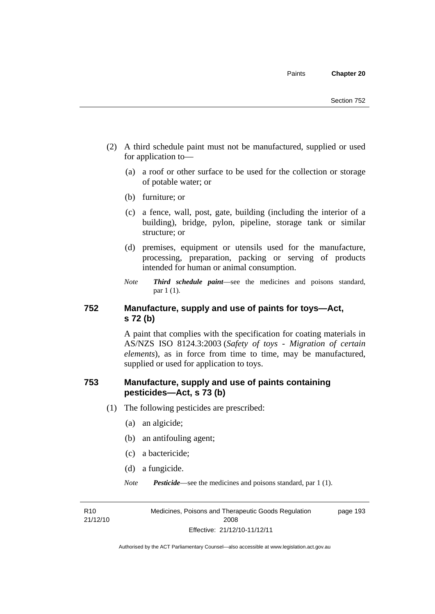- (2) A third schedule paint must not be manufactured, supplied or used for application to—
	- (a) a roof or other surface to be used for the collection or storage of potable water; or
	- (b) furniture; or
	- (c) a fence, wall, post, gate, building (including the interior of a building), bridge, pylon, pipeline, storage tank or similar structure; or
	- (d) premises, equipment or utensils used for the manufacture, processing, preparation, packing or serving of products intended for human or animal consumption.
	- *Note Third schedule paint*—see the medicines and poisons standard, par 1 (1).

### **752 Manufacture, supply and use of paints for toys—Act, s 72 (b)**

A paint that complies with the specification for coating materials in AS/NZS ISO 8124.3:2003 (*Safety of toys - Migration of certain elements*), as in force from time to time, may be manufactured, supplied or used for application to toys.

### **753 Manufacture, supply and use of paints containing pesticides—Act, s 73 (b)**

- (1) The following pesticides are prescribed:
	- (a) an algicide;
	- (b) an antifouling agent;
	- (c) a bactericide;
	- (d) a fungicide.
	- *Note Pesticide*—see the medicines and poisons standard, par 1 (1).

 $R10$ 21/12/10 Medicines, Poisons and Therapeutic Goods Regulation 2008 Effective: 21/12/10-11/12/11

page 193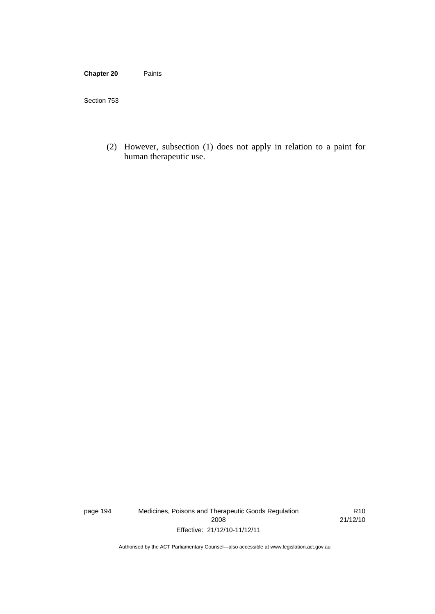#### **Chapter 20** Paints

Section 753

 (2) However, subsection (1) does not apply in relation to a paint for human therapeutic use.

page 194 Medicines, Poisons and Therapeutic Goods Regulation 2008 Effective: 21/12/10-11/12/11

R10 21/12/10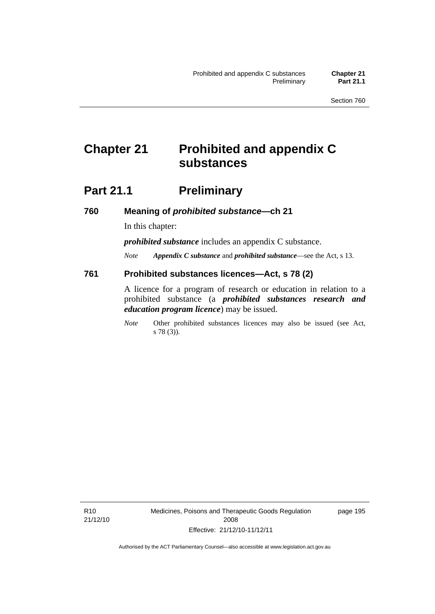# **Chapter 21 Prohibited and appendix C substances**

### **Part 21.1** Preliminary

**760 Meaning of** *prohibited substance***—ch 21** 

In this chapter:

*prohibited substance* includes an appendix C substance.

*Note Appendix C substance* and *prohibited substance*—see the Act, s 13.

#### **761 Prohibited substances licences—Act, s 78 (2)**

A licence for a program of research or education in relation to a prohibited substance (a *prohibited substances research and education program licence*) may be issued.

*Note* Other prohibited substances licences may also be issued (see Act, s 78 (3)).

R10 21/12/10 Medicines, Poisons and Therapeutic Goods Regulation 2008 Effective: 21/12/10-11/12/11

page 195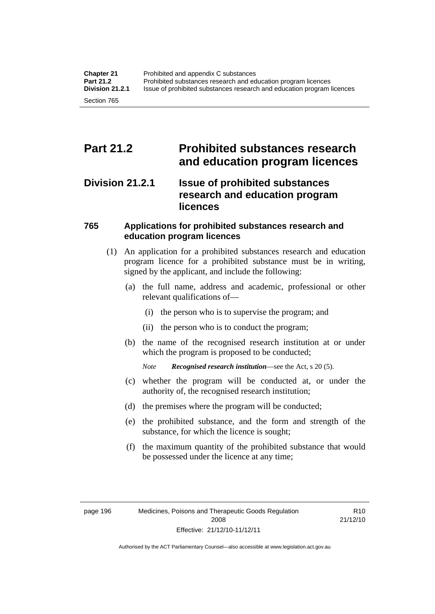### **Part 21.2 Prohibited substances research and education program licences**

### **Division 21.2.1 Issue of prohibited substances research and education program licences**

### **765 Applications for prohibited substances research and education program licences**

- (1) An application for a prohibited substances research and education program licence for a prohibited substance must be in writing, signed by the applicant, and include the following:
	- (a) the full name, address and academic, professional or other relevant qualifications of—
		- (i) the person who is to supervise the program; and
		- (ii) the person who is to conduct the program;
	- (b) the name of the recognised research institution at or under which the program is proposed to be conducted;
		- *Note Recognised research institution*—see the Act, s 20 (5).
	- (c) whether the program will be conducted at, or under the authority of, the recognised research institution;
	- (d) the premises where the program will be conducted;
	- (e) the prohibited substance, and the form and strength of the substance, for which the licence is sought;
	- (f) the maximum quantity of the prohibited substance that would be possessed under the licence at any time;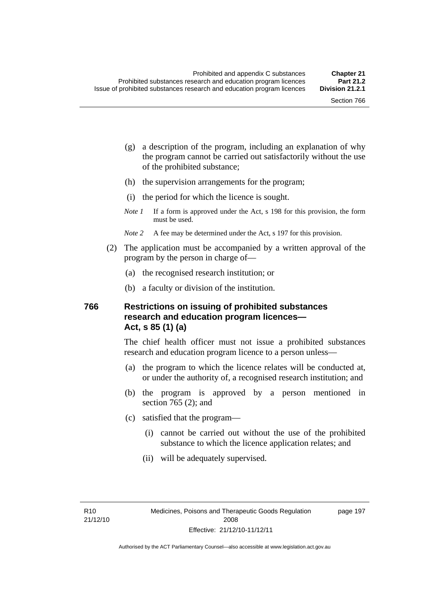- (g) a description of the program, including an explanation of why the program cannot be carried out satisfactorily without the use of the prohibited substance;
- (h) the supervision arrangements for the program;
- (i) the period for which the licence is sought.
- *Note 1* If a form is approved under the Act, s 198 for this provision, the form must be used.
- *Note* 2 A fee may be determined under the Act, s 197 for this provision.
- (2) The application must be accompanied by a written approval of the program by the person in charge of—
	- (a) the recognised research institution; or
	- (b) a faculty or division of the institution.

#### **766 Restrictions on issuing of prohibited substances research and education program licences— Act, s 85 (1) (a)**

The chief health officer must not issue a prohibited substances research and education program licence to a person unless—

- (a) the program to which the licence relates will be conducted at, or under the authority of, a recognised research institution; and
- (b) the program is approved by a person mentioned in section 765 (2); and
- (c) satisfied that the program—
	- (i) cannot be carried out without the use of the prohibited substance to which the licence application relates; and
	- (ii) will be adequately supervised.

page 197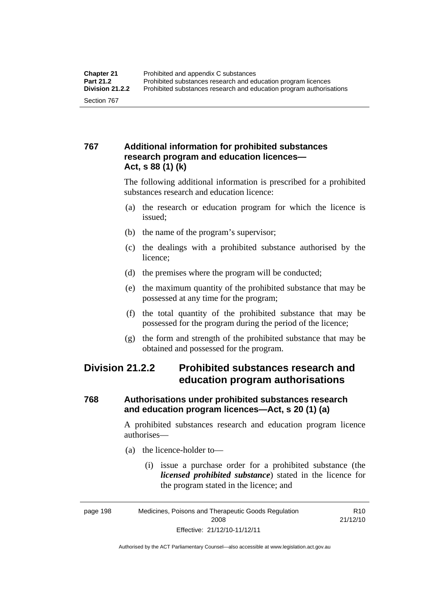### **767 Additional information for prohibited substances research program and education licences— Act, s 88 (1) (k)**

The following additional information is prescribed for a prohibited substances research and education licence:

- (a) the research or education program for which the licence is issued;
- (b) the name of the program's supervisor;
- (c) the dealings with a prohibited substance authorised by the licence;
- (d) the premises where the program will be conducted;
- (e) the maximum quantity of the prohibited substance that may be possessed at any time for the program;
- (f) the total quantity of the prohibited substance that may be possessed for the program during the period of the licence;
- (g) the form and strength of the prohibited substance that may be obtained and possessed for the program.

### **Division 21.2.2 Prohibited substances research and education program authorisations**

### **768 Authorisations under prohibited substances research and education program licences—Act, s 20 (1) (a)**

A prohibited substances research and education program licence authorises—

- (a) the licence-holder to—
	- (i) issue a purchase order for a prohibited substance (the *licensed prohibited substance*) stated in the licence for the program stated in the licence; and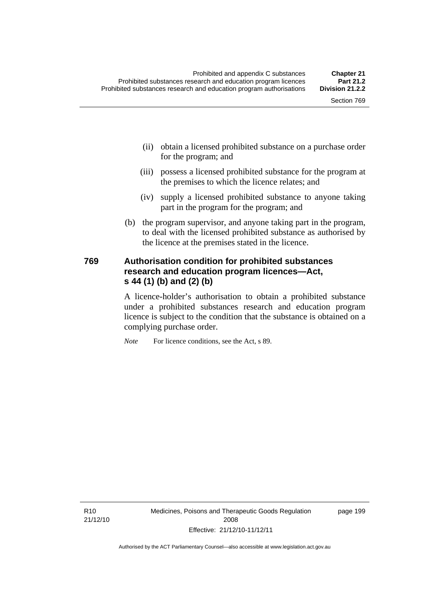- (ii) obtain a licensed prohibited substance on a purchase order for the program; and
- (iii) possess a licensed prohibited substance for the program at the premises to which the licence relates; and
- (iv) supply a licensed prohibited substance to anyone taking part in the program for the program; and
- (b) the program supervisor, and anyone taking part in the program, to deal with the licensed prohibited substance as authorised by the licence at the premises stated in the licence.

#### **769 Authorisation condition for prohibited substances research and education program licences—Act, s 44 (1) (b) and (2) (b)**

A licence-holder's authorisation to obtain a prohibited substance under a prohibited substances research and education program licence is subject to the condition that the substance is obtained on a complying purchase order.

*Note* For licence conditions, see the Act, s 89.

R10 21/12/10 Medicines, Poisons and Therapeutic Goods Regulation 2008 Effective: 21/12/10-11/12/11

page 199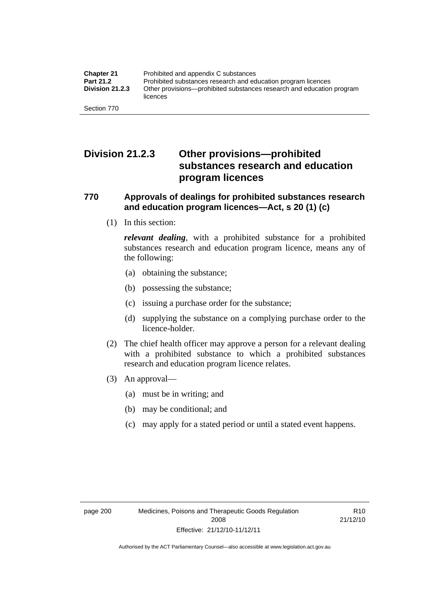### **Division 21.2.3 Other provisions—prohibited substances research and education program licences**

#### **770 Approvals of dealings for prohibited substances research and education program licences—Act, s 20 (1) (c)**

(1) In this section:

*relevant dealing*, with a prohibited substance for a prohibited substances research and education program licence, means any of the following:

- (a) obtaining the substance;
- (b) possessing the substance;
- (c) issuing a purchase order for the substance;
- (d) supplying the substance on a complying purchase order to the licence-holder.
- (2) The chief health officer may approve a person for a relevant dealing with a prohibited substance to which a prohibited substances research and education program licence relates.
- (3) An approval—
	- (a) must be in writing; and
	- (b) may be conditional; and
	- (c) may apply for a stated period or until a stated event happens.

R10 21/12/10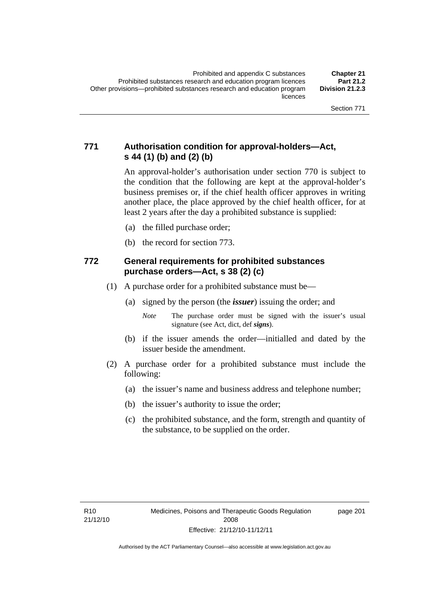### **771 Authorisation condition for approval-holders—Act, s 44 (1) (b) and (2) (b)**

An approval-holder's authorisation under section 770 is subject to the condition that the following are kept at the approval-holder's business premises or, if the chief health officer approves in writing another place, the place approved by the chief health officer, for at least 2 years after the day a prohibited substance is supplied:

- (a) the filled purchase order;
- (b) the record for section 773.

#### **772 General requirements for prohibited substances purchase orders—Act, s 38 (2) (c)**

- (1) A purchase order for a prohibited substance must be—
	- (a) signed by the person (the *issuer*) issuing the order; and
		- *Note* The purchase order must be signed with the issuer's usual signature (see Act, dict, def *signs*).
	- (b) if the issuer amends the order—initialled and dated by the issuer beside the amendment.
- (2) A purchase order for a prohibited substance must include the following:
	- (a) the issuer's name and business address and telephone number;
	- (b) the issuer's authority to issue the order;
	- (c) the prohibited substance, and the form, strength and quantity of the substance, to be supplied on the order.

page 201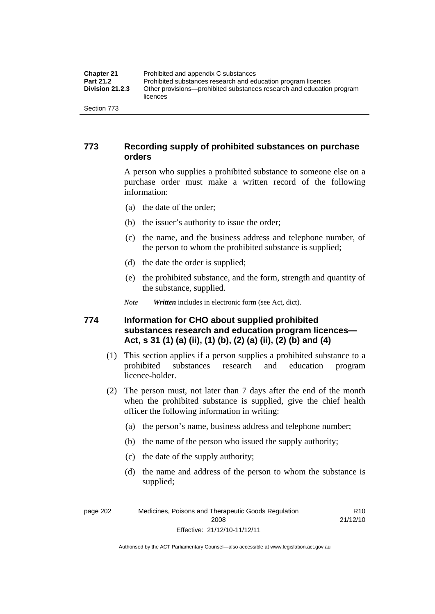| <b>Chapter 21</b>      | Prohibited and appendix C substances                                              |
|------------------------|-----------------------------------------------------------------------------------|
| <b>Part 21.2</b>       | Prohibited substances research and education program licences                     |
| <b>Division 21.2.3</b> | Other provisions—prohibited substances research and education program<br>licences |
| Section 773            |                                                                                   |

#### **773 Recording supply of prohibited substances on purchase orders**

A person who supplies a prohibited substance to someone else on a purchase order must make a written record of the following information:

- (a) the date of the order;
- (b) the issuer's authority to issue the order;
- (c) the name, and the business address and telephone number, of the person to whom the prohibited substance is supplied;
- (d) the date the order is supplied;
- (e) the prohibited substance, and the form, strength and quantity of the substance, supplied.

*Note Written* includes in electronic form (see Act, dict).

#### **774 Information for CHO about supplied prohibited substances research and education program licences— Act, s 31 (1) (a) (ii), (1) (b), (2) (a) (ii), (2) (b) and (4)**

- (1) This section applies if a person supplies a prohibited substance to a prohibited substances research and education program licence-holder.
- (2) The person must, not later than 7 days after the end of the month when the prohibited substance is supplied, give the chief health officer the following information in writing:
	- (a) the person's name, business address and telephone number;
	- (b) the name of the person who issued the supply authority;
	- (c) the date of the supply authority;
	- (d) the name and address of the person to whom the substance is supplied;

R10 21/12/10

page 202 Medicines, Poisons and Therapeutic Goods Regulation 2008 Effective: 21/12/10-11/12/11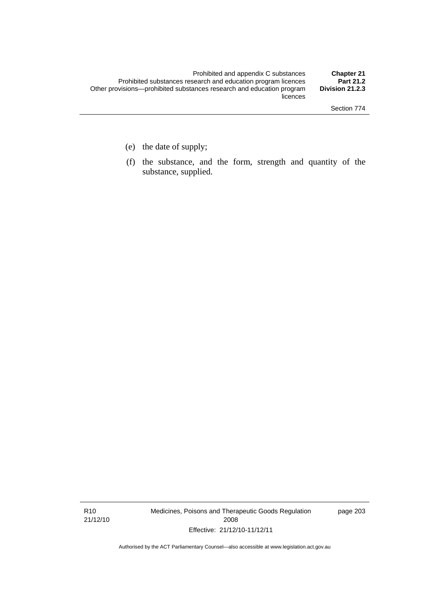- (e) the date of supply;
- (f) the substance, and the form, strength and quantity of the substance, supplied.

R10 21/12/10 Medicines, Poisons and Therapeutic Goods Regulation 2008 Effective: 21/12/10-11/12/11

page 203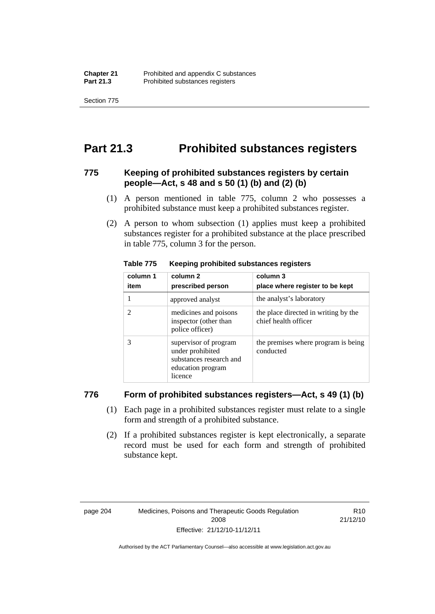Section 775

### **Part 21.3 Prohibited substances registers**

#### **775 Keeping of prohibited substances registers by certain people—Act, s 48 and s 50 (1) (b) and (2) (b)**

- (1) A person mentioned in table 775, column 2 who possesses a prohibited substance must keep a prohibited substances register.
- (2) A person to whom subsection (1) applies must keep a prohibited substances register for a prohibited substance at the place prescribed in table 775, column 3 for the person.

| column 1<br>item | column 2<br>prescribed person                                                                        | column 3<br>place where register to be kept                  |
|------------------|------------------------------------------------------------------------------------------------------|--------------------------------------------------------------|
|                  | approved analyst                                                                                     | the analyst's laboratory                                     |
| 2                | medicines and poisons<br>inspector (other than<br>police officer)                                    | the place directed in writing by the<br>chief health officer |
| 3                | supervisor of program<br>under prohibited<br>substances research and<br>education program<br>licence | the premises where program is being<br>conducted             |

**Table 775 Keeping prohibited substances registers** 

#### **776 Form of prohibited substances registers—Act, s 49 (1) (b)**

- (1) Each page in a prohibited substances register must relate to a single form and strength of a prohibited substance.
- (2) If a prohibited substances register is kept electronically, a separate record must be used for each form and strength of prohibited substance kept.

R10 21/12/10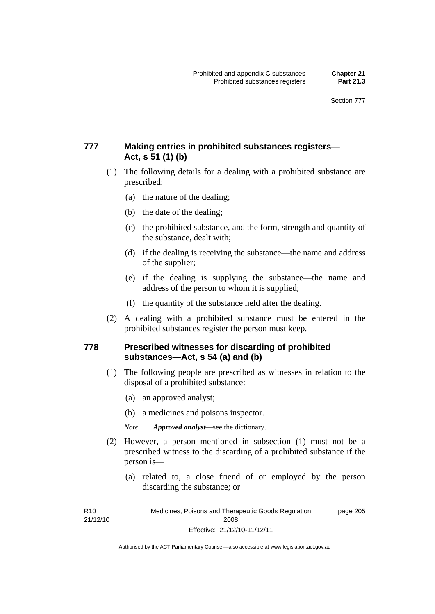### **777 Making entries in prohibited substances registers— Act, s 51 (1) (b)**

- (1) The following details for a dealing with a prohibited substance are prescribed:
	- (a) the nature of the dealing;
	- (b) the date of the dealing;
	- (c) the prohibited substance, and the form, strength and quantity of the substance, dealt with;
	- (d) if the dealing is receiving the substance—the name and address of the supplier;
	- (e) if the dealing is supplying the substance—the name and address of the person to whom it is supplied;
	- (f) the quantity of the substance held after the dealing.
- (2) A dealing with a prohibited substance must be entered in the prohibited substances register the person must keep.

#### **778 Prescribed witnesses for discarding of prohibited substances—Act, s 54 (a) and (b)**

- (1) The following people are prescribed as witnesses in relation to the disposal of a prohibited substance:
	- (a) an approved analyst;
	- (b) a medicines and poisons inspector.

*Note Approved analyst*—see the dictionary.

- (2) However, a person mentioned in subsection (1) must not be a prescribed witness to the discarding of a prohibited substance if the person is—
	- (a) related to, a close friend of or employed by the person discarding the substance; or

 $R10$ 21/12/10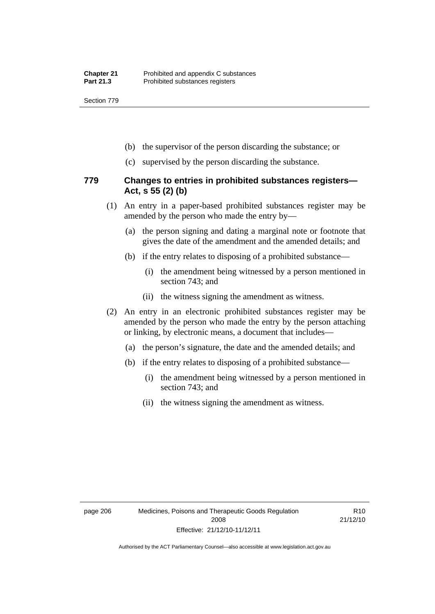Section 779

- (b) the supervisor of the person discarding the substance; or
- (c) supervised by the person discarding the substance.

#### **779 Changes to entries in prohibited substances registers— Act, s 55 (2) (b)**

- (1) An entry in a paper-based prohibited substances register may be amended by the person who made the entry by—
	- (a) the person signing and dating a marginal note or footnote that gives the date of the amendment and the amended details; and
	- (b) if the entry relates to disposing of a prohibited substance—
		- (i) the amendment being witnessed by a person mentioned in section 743; and
		- (ii) the witness signing the amendment as witness.
- (2) An entry in an electronic prohibited substances register may be amended by the person who made the entry by the person attaching or linking, by electronic means, a document that includes—
	- (a) the person's signature, the date and the amended details; and
	- (b) if the entry relates to disposing of a prohibited substance—
		- (i) the amendment being witnessed by a person mentioned in section 743; and
		- (ii) the witness signing the amendment as witness.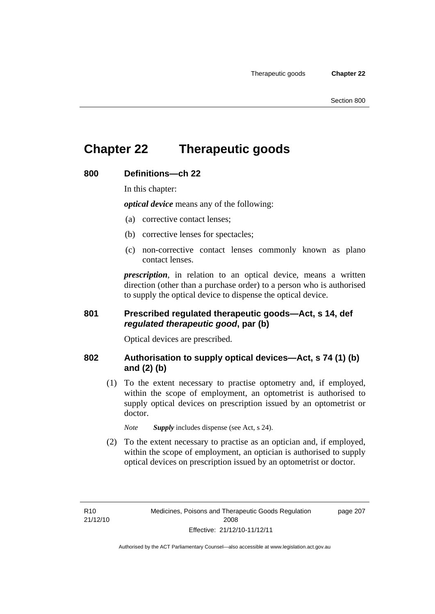# **Chapter 22 Therapeutic goods**

#### **800 Definitions—ch 22**

In this chapter:

*optical device* means any of the following:

- (a) corrective contact lenses;
- (b) corrective lenses for spectacles;
- (c) non-corrective contact lenses commonly known as plano contact lenses.

*prescription*, in relation to an optical device, means a written direction (other than a purchase order) to a person who is authorised to supply the optical device to dispense the optical device.

### **801 Prescribed regulated therapeutic goods—Act, s 14, def**  *regulated therapeutic good***, par (b)**

Optical devices are prescribed.

#### **802 Authorisation to supply optical devices—Act, s 74 (1) (b) and (2) (b)**

 (1) To the extent necessary to practise optometry and, if employed, within the scope of employment, an optometrist is authorised to supply optical devices on prescription issued by an optometrist or doctor.

*Note Supply* includes dispense (see Act, s 24).

 (2) To the extent necessary to practise as an optician and, if employed, within the scope of employment, an optician is authorised to supply optical devices on prescription issued by an optometrist or doctor.

page 207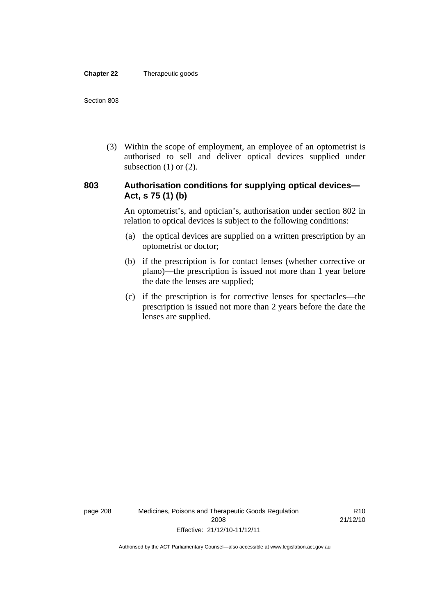#### **Chapter 22** Therapeutic goods

 (3) Within the scope of employment, an employee of an optometrist is authorised to sell and deliver optical devices supplied under subsection  $(1)$  or  $(2)$ .

#### **803 Authorisation conditions for supplying optical devices— Act, s 75 (1) (b)**

An optometrist's, and optician's, authorisation under section 802 in relation to optical devices is subject to the following conditions:

- (a) the optical devices are supplied on a written prescription by an optometrist or doctor;
- (b) if the prescription is for contact lenses (whether corrective or plano)—the prescription is issued not more than 1 year before the date the lenses are supplied;
- (c) if the prescription is for corrective lenses for spectacles—the prescription is issued not more than 2 years before the date the lenses are supplied.

page 208 Medicines, Poisons and Therapeutic Goods Regulation 2008 Effective: 21/12/10-11/12/11

R10 21/12/10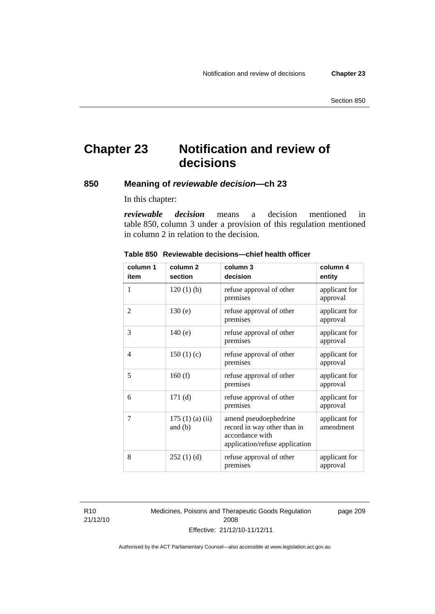# **Chapter 23 Notification and review of decisions**

#### **850 Meaning of** *reviewable decision—***ch 23**

In this chapter:

*reviewable decision* means a decision mentioned in table 850, column 3 under a provision of this regulation mentioned in column 2 in relation to the decision.

| column 1 | column <sub>2</sub>        | column 3                                                                                                  | column 4                   |
|----------|----------------------------|-----------------------------------------------------------------------------------------------------------|----------------------------|
| item     | section                    | decision                                                                                                  | entity                     |
| 1        | $120(1)$ (h)               | refuse approval of other<br>premises                                                                      | applicant for<br>approval  |
| 2        | 130(e)                     | refuse approval of other<br>premises                                                                      | applicant for<br>approval  |
| 3        | 140(e)                     | refuse approval of other<br>premises                                                                      | applicant for<br>approval  |
| 4        | 150(1)(c)                  | refuse approval of other<br>premises                                                                      | applicant for<br>approval  |
| 5        | 160(f)                     | refuse approval of other<br>premises                                                                      | applicant for<br>approval  |
| 6        | 171(d)                     | refuse approval of other<br>premises                                                                      | applicant for<br>approval  |
| 7        | 175(1)(a)(ii)<br>and $(b)$ | amend pseudoephedrine<br>record in way other than in<br>accordance with<br>application/refuse application | applicant for<br>amendment |
| 8        | 252(1)(d)                  | refuse approval of other<br>premises                                                                      | applicant for<br>approval  |

**Table 850 Reviewable decisions—chief health officer** 

R10 21/12/10 Medicines, Poisons and Therapeutic Goods Regulation 2008 Effective: 21/12/10-11/12/11

page 209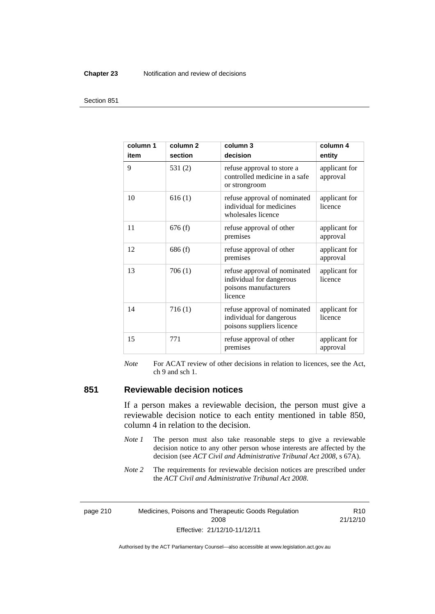#### **Chapter 23** Notification and review of decisions

#### Section 851

| column 1<br>item | column <sub>2</sub><br>section | column 3<br>decision                                                                         | column 4<br>entity        |
|------------------|--------------------------------|----------------------------------------------------------------------------------------------|---------------------------|
| 9                | 531(2)                         | refuse approval to store a<br>controlled medicine in a safe<br>or strongroom                 | applicant for<br>approval |
| 10               | 616(1)                         | refuse approval of nominated<br>individual for medicines<br>wholesales licence               | applicant for<br>licence  |
| 11               | 676(f)                         | refuse approval of other<br>premises                                                         | applicant for<br>approval |
| 12               | 686(f)                         | refuse approval of other<br>premises                                                         | applicant for<br>approval |
| 13               | 706(1)                         | refuse approval of nominated<br>individual for dangerous<br>poisons manufacturers<br>licence | applicant for<br>licence  |
| 14               | 716(1)                         | refuse approval of nominated<br>individual for dangerous<br>poisons suppliers licence        | applicant for<br>licence  |
| 15               | 771                            | refuse approval of other<br>premises                                                         | applicant for<br>approval |

*Note* For ACAT review of other decisions in relation to licences, see the Act, ch 9 and sch 1.

#### **851 Reviewable decision notices**

If a person makes a reviewable decision, the person must give a reviewable decision notice to each entity mentioned in table 850, column 4 in relation to the decision.

- *Note 1* The person must also take reasonable steps to give a reviewable decision notice to any other person whose interests are affected by the decision (see *ACT Civil and Administrative Tribunal Act 2008*, s 67A).
- *Note* 2 The requirements for reviewable decision notices are prescribed under the *ACT Civil and Administrative Tribunal Act 2008*.

page 210 Medicines, Poisons and Therapeutic Goods Regulation 2008 Effective: 21/12/10-11/12/11

R10 21/12/10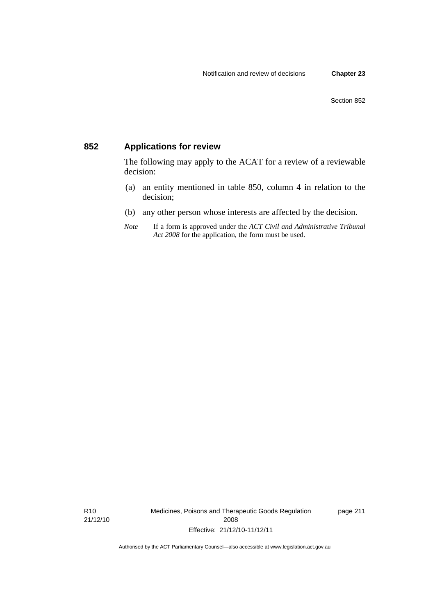### **852 Applications for review**

The following may apply to the ACAT for a review of a reviewable decision:

- (a) an entity mentioned in table 850, column 4 in relation to the decision;
- (b) any other person whose interests are affected by the decision.
- *Note* If a form is approved under the *ACT Civil and Administrative Tribunal Act 2008* for the application, the form must be used.

R10 21/12/10 Medicines, Poisons and Therapeutic Goods Regulation 2008 Effective: 21/12/10-11/12/11

page 211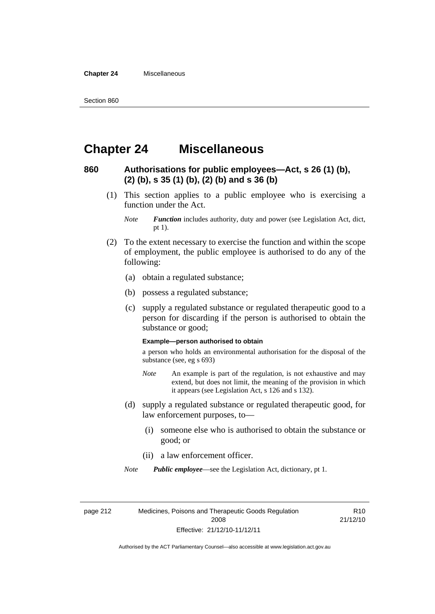**Chapter 24** Miscellaneous

### **Chapter 24 Miscellaneous**

#### **860 Authorisations for public employees—Act, s 26 (1) (b), (2) (b), s 35 (1) (b), (2) (b) and s 36 (b)**

 (1) This section applies to a public employee who is exercising a function under the Act.

- (2) To the extent necessary to exercise the function and within the scope of employment, the public employee is authorised to do any of the following:
	- (a) obtain a regulated substance;
	- (b) possess a regulated substance;
	- (c) supply a regulated substance or regulated therapeutic good to a person for discarding if the person is authorised to obtain the substance or good;

#### **Example—person authorised to obtain**

a person who holds an environmental authorisation for the disposal of the substance (see, eg s 693)

- *Note* An example is part of the regulation, is not exhaustive and may extend, but does not limit, the meaning of the provision in which it appears (see Legislation Act, s 126 and s 132).
- (d) supply a regulated substance or regulated therapeutic good, for law enforcement purposes, to—
	- (i) someone else who is authorised to obtain the substance or good; or
	- (ii) a law enforcement officer.

*Note Public employee*—see the Legislation Act, dictionary, pt 1.

page 212 Medicines, Poisons and Therapeutic Goods Regulation 2008 Effective: 21/12/10-11/12/11

R10 21/12/10

*Note Function* includes authority, duty and power (see Legislation Act, dict, pt 1).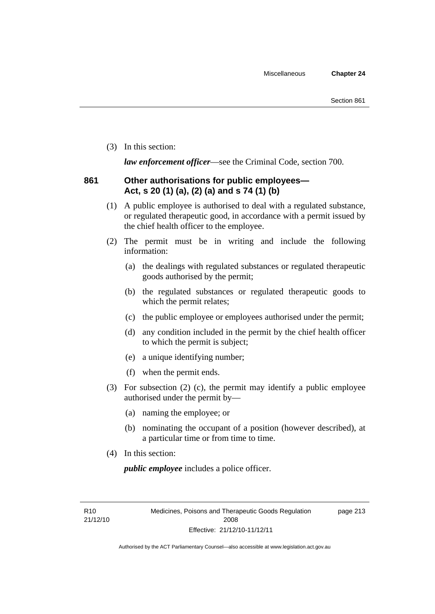(3) In this section:

*law enforcement officer*—see the Criminal Code, section 700.

### **861 Other authorisations for public employees— Act, s 20 (1) (a), (2) (a) and s 74 (1) (b)**

- (1) A public employee is authorised to deal with a regulated substance, or regulated therapeutic good, in accordance with a permit issued by the chief health officer to the employee.
- (2) The permit must be in writing and include the following information:
	- (a) the dealings with regulated substances or regulated therapeutic goods authorised by the permit;
	- (b) the regulated substances or regulated therapeutic goods to which the permit relates;
	- (c) the public employee or employees authorised under the permit;
	- (d) any condition included in the permit by the chief health officer to which the permit is subject;
	- (e) a unique identifying number;
	- (f) when the permit ends.
- (3) For subsection (2) (c), the permit may identify a public employee authorised under the permit by—
	- (a) naming the employee; or
	- (b) nominating the occupant of a position (however described), at a particular time or from time to time.
- (4) In this section:

*public employee* includes a police officer.

 $R10$ 21/12/10 page 213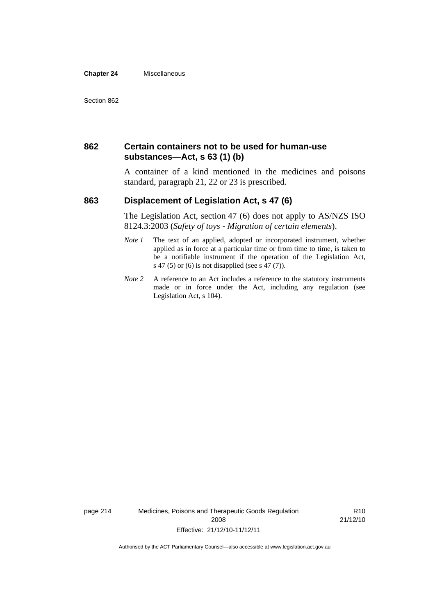#### **Chapter 24** Miscellaneous

#### **862 Certain containers not to be used for human-use substances—Act, s 63 (1) (b)**

A container of a kind mentioned in the medicines and poisons standard, paragraph 21, 22 or 23 is prescribed.

#### **863 Displacement of Legislation Act, s 47 (6)**

The Legislation Act, section 47 (6) does not apply to AS/NZS ISO 8124.3:2003 (*Safety of toys - Migration of certain elements*).

- *Note 1* The text of an applied, adopted or incorporated instrument, whether applied as in force at a particular time or from time to time, is taken to be a notifiable instrument if the operation of the Legislation Act, s 47 (5) or (6) is not disapplied (see s 47 (7)).
- *Note 2* A reference to an Act includes a reference to the statutory instruments made or in force under the Act, including any regulation (see Legislation Act, s 104).

page 214 Medicines, Poisons and Therapeutic Goods Regulation 2008 Effective: 21/12/10-11/12/11

R10 21/12/10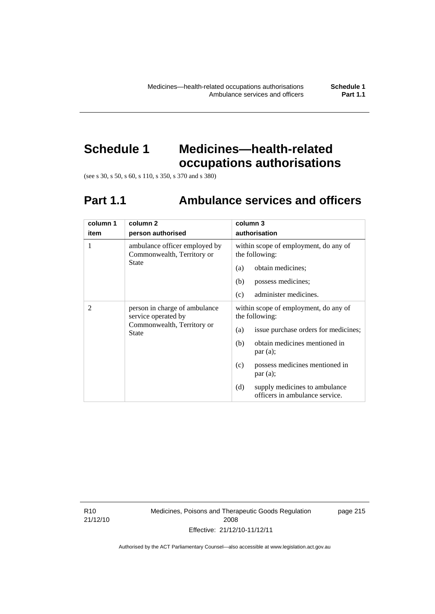# **Schedule 1 Medicines—health-related occupations authorisations**

(see s 30, s 50, s 60, s 110, s 350, s 370 and s 380)

# **Part 1.1 Ambulance services and officers**

| column 1<br>item                           | column 2<br>person authorised                               | column 3<br>authorisation                                              |
|--------------------------------------------|-------------------------------------------------------------|------------------------------------------------------------------------|
| 1                                          | ambulance officer employed by<br>Commonwealth, Territory or | within scope of employment, do any of<br>the following:                |
|                                            | <b>State</b>                                                | obtain medicines;<br>(a)                                               |
|                                            |                                                             | possess medicines;<br>(b)                                              |
|                                            |                                                             | administer medicines.<br>(c)                                           |
| 2                                          | person in charge of ambulance<br>service operated by        | within scope of employment, do any of<br>the following:                |
| Commonwealth, Territory or<br><b>State</b> |                                                             | issue purchase orders for medicines;<br>(a)                            |
|                                            |                                                             | obtain medicines mentioned in<br>(b)<br>par(a);                        |
|                                            |                                                             | possess medicines mentioned in<br>(c)<br>par(a);                       |
|                                            |                                                             | supply medicines to ambulance<br>(d)<br>officers in ambulance service. |

R10 21/12/10 Medicines, Poisons and Therapeutic Goods Regulation 2008 Effective: 21/12/10-11/12/11

page 215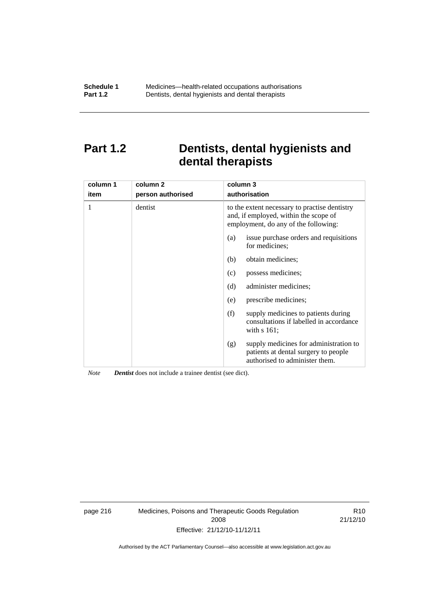### **Part 1.2 Dentists, dental hygienists and dental therapists**

| column 1<br>item | column 2<br>person authorised | column 3<br>authorisation                                                                                                      |
|------------------|-------------------------------|--------------------------------------------------------------------------------------------------------------------------------|
| 1                | dentist                       | to the extent necessary to practise dentistry<br>and, if employed, within the scope of<br>employment, do any of the following: |
|                  |                               | issue purchase orders and requisitions<br>(a)<br>for medicines;                                                                |
|                  |                               | obtain medicines;<br>(b)                                                                                                       |
|                  |                               | possess medicines;<br>(c)                                                                                                      |
|                  |                               | (d)<br>administer medicines;                                                                                                   |
|                  |                               | prescribe medicines;<br>(e)                                                                                                    |
|                  |                               | (f)<br>supply medicines to patients during<br>consultations if labelled in accordance<br>with $s$ 161;                         |
|                  |                               | supply medicines for administration to<br>(g)<br>patients at dental surgery to people<br>authorised to administer them.        |

*Note Dentist* does not include a trainee dentist (see dict).

page 216 Medicines, Poisons and Therapeutic Goods Regulation 2008 Effective: 21/12/10-11/12/11

R10 21/12/10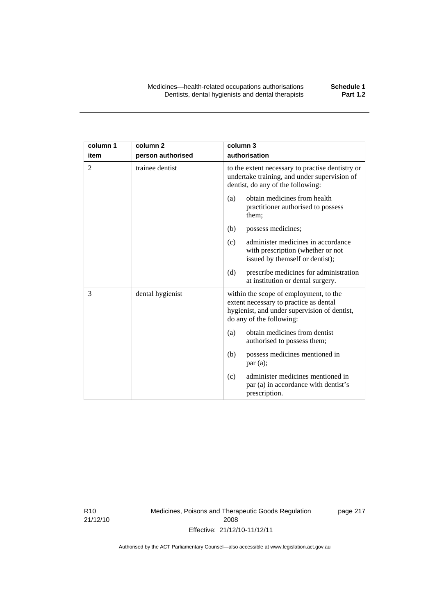| column 1<br>item | column <sub>2</sub><br>person authorised | column 3<br>authorisation                                                                                                                                    |
|------------------|------------------------------------------|--------------------------------------------------------------------------------------------------------------------------------------------------------------|
| $\overline{2}$   | trainee dentist                          | to the extent necessary to practise dentistry or<br>undertake training, and under supervision of<br>dentist, do any of the following:                        |
|                  |                                          | obtain medicines from health<br>(a)<br>practitioner authorised to possess<br>them;                                                                           |
|                  |                                          | possess medicines;<br>(b)                                                                                                                                    |
|                  |                                          | administer medicines in accordance<br>(c)<br>with prescription (whether or not<br>issued by themself or dentist);                                            |
|                  |                                          | (d)<br>prescribe medicines for administration<br>at institution or dental surgery.                                                                           |
| 3                | dental hygienist                         | within the scope of employment, to the<br>extent necessary to practice as dental<br>hygienist, and under supervision of dentist,<br>do any of the following: |
|                  |                                          | obtain medicines from dentist<br>(a)<br>authorised to possess them;                                                                                          |
|                  |                                          | possess medicines mentioned in<br>(b)<br>par(a);                                                                                                             |
|                  |                                          | administer medicines mentioned in<br>(c)<br>par (a) in accordance with dentist's<br>prescription.                                                            |

R10 21/12/10 Medicines, Poisons and Therapeutic Goods Regulation 2008 Effective: 21/12/10-11/12/11

page 217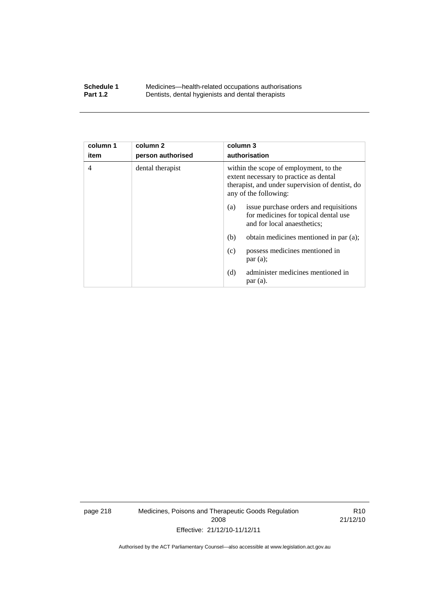#### **Schedule 1** Medicines—health-related occupations authorisations<br>**Part 1.2** Dentists, dental hygienists and dental therapists **Part 1.2** Dentists, dental hygienists and dental therapists

| column 1<br>item | column <sub>2</sub><br>person authorised | column 3<br>authorisation                                                                                                                                    |
|------------------|------------------------------------------|--------------------------------------------------------------------------------------------------------------------------------------------------------------|
| $\overline{4}$   | dental therapist                         | within the scope of employment, to the<br>extent necessary to practice as dental<br>therapist, and under supervision of dentist, do<br>any of the following: |
|                  |                                          | issue purchase orders and requisitions<br>(a)<br>for medicines for topical dental use<br>and for local anaesthetics;                                         |
|                  |                                          | obtain medicines mentioned in par (a);<br>(b)                                                                                                                |
|                  |                                          | possess medicines mentioned in<br>(c)<br>par(a);                                                                                                             |
|                  |                                          | administer medicines mentioned in<br>(d)<br>par(a).                                                                                                          |

page 218 Medicines, Poisons and Therapeutic Goods Regulation 2008 Effective: 21/12/10-11/12/11

R10 21/12/10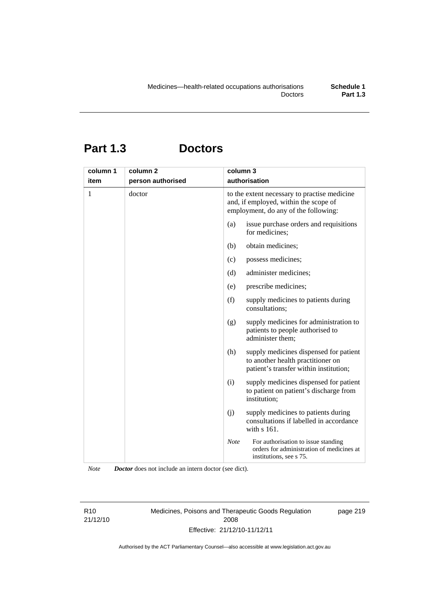# **Part 1.3 Doctors**

| column 1<br>item | column <sub>2</sub><br>person authorised | column 3    | authorisation                                                                                                                 |
|------------------|------------------------------------------|-------------|-------------------------------------------------------------------------------------------------------------------------------|
| 1                | doctor                                   |             | to the extent necessary to practise medicine<br>and, if employed, within the scope of<br>employment, do any of the following: |
|                  |                                          | (a)         | issue purchase orders and requisitions<br>for medicines;                                                                      |
|                  |                                          | (b)         | obtain medicines;                                                                                                             |
|                  |                                          | (c)         | possess medicines;                                                                                                            |
|                  |                                          | (d)         | administer medicines;                                                                                                         |
|                  |                                          | (e)         | prescribe medicines;                                                                                                          |
|                  |                                          | (f)         | supply medicines to patients during<br>consultations;                                                                         |
|                  |                                          | (g)         | supply medicines for administration to<br>patients to people authorised to<br>administer them;                                |
|                  |                                          | (h)         | supply medicines dispensed for patient<br>to another health practitioner on<br>patient's transfer within institution;         |
|                  |                                          | (i)         | supply medicines dispensed for patient<br>to patient on patient's discharge from<br>institution;                              |
|                  |                                          | (j)         | supply medicines to patients during<br>consultations if labelled in accordance<br>with s 161.                                 |
|                  |                                          | <b>Note</b> | For authorisation to issue standing<br>orders for administration of medicines at<br>institutions, see s 75.                   |

*Note Doctor* does not include an intern doctor (see dict).

R10 21/12/10 Medicines, Poisons and Therapeutic Goods Regulation 2008 Effective: 21/12/10-11/12/11

page 219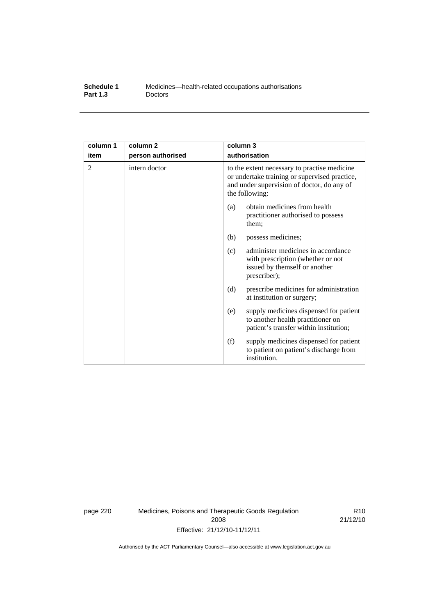| Schedule 1      | Medicines—health-related occupations authorisations |
|-----------------|-----------------------------------------------------|
| <b>Part 1.3</b> | <b>Doctors</b>                                      |

| column 1       | column <sub>2</sub> | column 3                                                                                                                                                      |
|----------------|---------------------|---------------------------------------------------------------------------------------------------------------------------------------------------------------|
| item           | person authorised   | authorisation                                                                                                                                                 |
| $\overline{2}$ | intern doctor       | to the extent necessary to practise medicine<br>or undertake training or supervised practice,<br>and under supervision of doctor, do any of<br>the following: |
|                |                     | obtain medicines from health<br>(a)<br>practitioner authorised to possess<br>them;                                                                            |
|                |                     | (b)<br>possess medicines;                                                                                                                                     |
|                |                     | administer medicines in accordance<br>(c)<br>with prescription (whether or not<br>issued by themself or another<br>prescriber);                               |
|                |                     | prescribe medicines for administration<br>(d)<br>at institution or surgery;                                                                                   |
|                |                     | (e)<br>supply medicines dispensed for patient<br>to another health practitioner on<br>patient's transfer within institution;                                  |
|                |                     | (f)<br>supply medicines dispensed for patient<br>to patient on patient's discharge from<br>institution.                                                       |

page 220 Medicines, Poisons and Therapeutic Goods Regulation 2008 Effective: 21/12/10-11/12/11

R10 21/12/10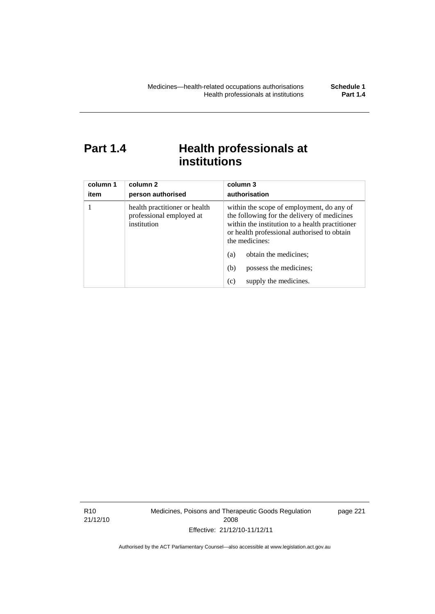# Part 1.4 **Health professionals at institutions**

| column 1<br>item | column 2<br>person authorised                                            | column 3<br>authorisation                                                                                                                                                                                    |
|------------------|--------------------------------------------------------------------------|--------------------------------------------------------------------------------------------------------------------------------------------------------------------------------------------------------------|
|                  | health practitioner or health<br>professional employed at<br>institution | within the scope of employment, do any of<br>the following for the delivery of medicines<br>within the institution to a health practitioner<br>or health professional authorised to obtain<br>the medicines: |
|                  |                                                                          | obtain the medicines;<br>(a)                                                                                                                                                                                 |
|                  |                                                                          | possess the medicines;<br>(b)                                                                                                                                                                                |
|                  |                                                                          | supply the medicines.<br>(c)                                                                                                                                                                                 |

R10 21/12/10 Medicines, Poisons and Therapeutic Goods Regulation 2008 Effective: 21/12/10-11/12/11

page 221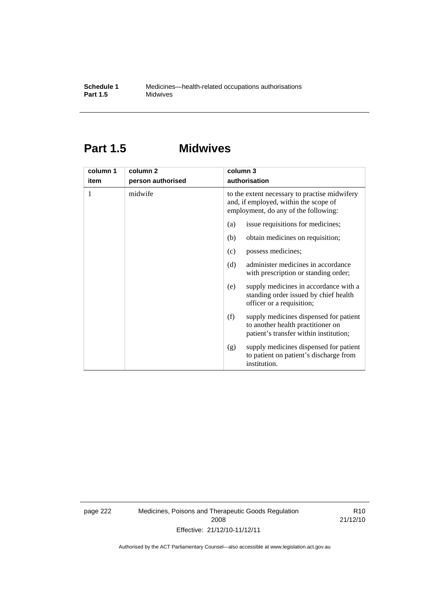### **Part 1.5 Midwives**

| column 1 | column <sub>2</sub> | column 3                                                                                                                       |  |
|----------|---------------------|--------------------------------------------------------------------------------------------------------------------------------|--|
| item     | person authorised   | authorisation                                                                                                                  |  |
| 1        | midwife             | to the extent necessary to practise midwifery<br>and, if employed, within the scope of<br>employment, do any of the following: |  |
|          |                     | issue requisitions for medicines;<br>(a)                                                                                       |  |
|          |                     | obtain medicines on requisition;<br>(b)                                                                                        |  |
|          |                     | possess medicines;<br>(c)                                                                                                      |  |
|          |                     | administer medicines in accordance<br>(d)<br>with prescription or standing order;                                              |  |
|          |                     | supply medicines in accordance with a<br>(e)<br>standing order issued by chief health<br>officer or a requisition;             |  |
|          |                     | (f)<br>supply medicines dispensed for patient<br>to another health practitioner on<br>patient's transfer within institution;   |  |
|          |                     | supply medicines dispensed for patient<br>(g)<br>to patient on patient's discharge from<br>institution.                        |  |

page 222 Medicines, Poisons and Therapeutic Goods Regulation 2008 Effective: 21/12/10-11/12/11

R10 21/12/10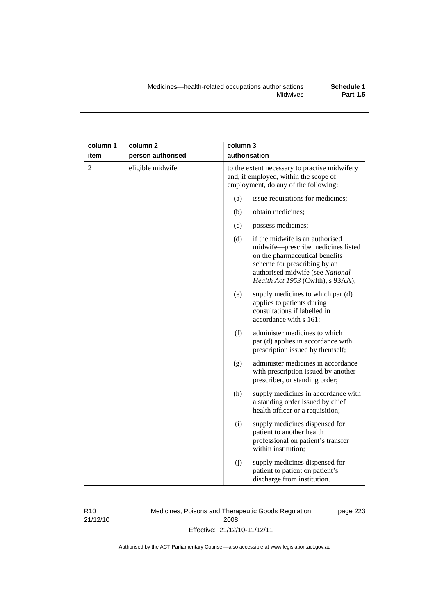| column 1<br>item | column <sub>2</sub> | column 3 | authorisation                                                                                                                                                                                                    |
|------------------|---------------------|----------|------------------------------------------------------------------------------------------------------------------------------------------------------------------------------------------------------------------|
|                  | person authorised   |          |                                                                                                                                                                                                                  |
| $\overline{2}$   | eligible midwife    |          | to the extent necessary to practise midwifery<br>and, if employed, within the scope of<br>employment, do any of the following:                                                                                   |
|                  |                     | (a)      | issue requisitions for medicines;                                                                                                                                                                                |
|                  |                     | (b)      | obtain medicines;                                                                                                                                                                                                |
|                  |                     | (c)      | possess medicines;                                                                                                                                                                                               |
|                  |                     | (d)      | if the midwife is an authorised<br>midwife-prescribe medicines listed<br>on the pharmaceutical benefits<br>scheme for prescribing by an<br>authorised midwife (see National<br>Health Act 1953 (Cwlth), s 93AA); |
|                  |                     | (e)      | supply medicines to which par (d)<br>applies to patients during<br>consultations if labelled in<br>accordance with s 161;                                                                                        |
|                  |                     | (f)      | administer medicines to which<br>par (d) applies in accordance with<br>prescription issued by themself;                                                                                                          |
|                  |                     | (g)      | administer medicines in accordance<br>with prescription issued by another<br>prescriber, or standing order;                                                                                                      |
|                  |                     | (h)      | supply medicines in accordance with<br>a standing order issued by chief<br>health officer or a requisition;                                                                                                      |
|                  |                     | (i)      | supply medicines dispensed for<br>patient to another health<br>professional on patient's transfer<br>within institution;                                                                                         |
|                  |                     | (i)      | supply medicines dispensed for<br>patient to patient on patient's<br>discharge from institution.                                                                                                                 |

R10 21/12/10 Medicines, Poisons and Therapeutic Goods Regulation 2008 Effective: 21/12/10-11/12/11

page 223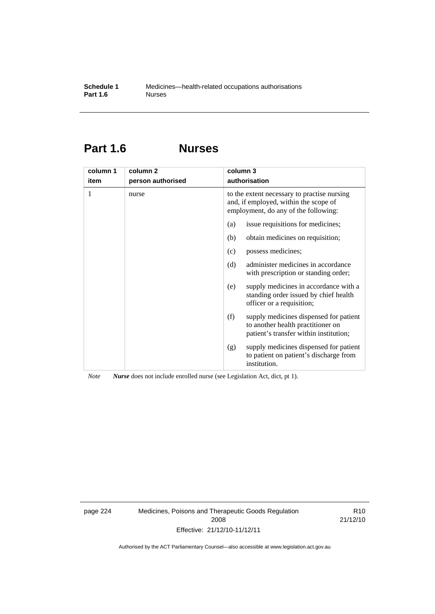### **Part 1.6 Nurses**

| column 1<br>item | column 2<br>person authorised | column 3<br>authorisation                                                                                                    |  |
|------------------|-------------------------------|------------------------------------------------------------------------------------------------------------------------------|--|
| 1                | nurse                         | to the extent necessary to practise nursing<br>and, if employed, within the scope of<br>employment, do any of the following: |  |
|                  |                               | issue requisitions for medicines;<br>(a)                                                                                     |  |
|                  |                               | obtain medicines on requisition;<br>(b)                                                                                      |  |
|                  |                               | possess medicines;<br>(c)                                                                                                    |  |
|                  |                               | (d)<br>administer medicines in accordance<br>with prescription or standing order;                                            |  |
|                  |                               | supply medicines in accordance with a<br>(e)<br>standing order issued by chief health<br>officer or a requisition;           |  |
|                  |                               | (f)<br>supply medicines dispensed for patient<br>to another health practitioner on<br>patient's transfer within institution; |  |
|                  |                               | supply medicines dispensed for patient<br>(g)<br>to patient on patient's discharge from<br>institution.                      |  |

*Note Nurse* does not include enrolled nurse (see Legislation Act, dict, pt 1).

page 224 Medicines, Poisons and Therapeutic Goods Regulation 2008 Effective: 21/12/10-11/12/11

R10 21/12/10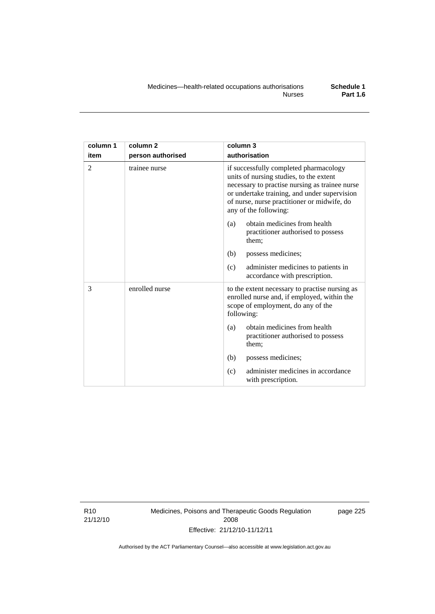| column 1<br>item | column <sub>2</sub> | column 3<br>authorisation                                                                                                                                                                                                                                   |  |
|------------------|---------------------|-------------------------------------------------------------------------------------------------------------------------------------------------------------------------------------------------------------------------------------------------------------|--|
|                  | person authorised   |                                                                                                                                                                                                                                                             |  |
| $\overline{2}$   | trainee nurse       | if successfully completed pharmacology<br>units of nursing studies, to the extent<br>necessary to practise nursing as trainee nurse<br>or undertake training, and under supervision<br>of nurse, nurse practitioner or midwife, do<br>any of the following: |  |
|                  |                     | obtain medicines from health<br>(a)<br>practitioner authorised to possess<br>them;                                                                                                                                                                          |  |
|                  |                     | (b)<br>possess medicines;                                                                                                                                                                                                                                   |  |
|                  |                     | administer medicines to patients in<br>(c)<br>accordance with prescription.                                                                                                                                                                                 |  |
| 3                | enrolled nurse      | to the extent necessary to practise nursing as<br>enrolled nurse and, if employed, within the<br>scope of employment, do any of the<br>following:                                                                                                           |  |
|                  |                     | obtain medicines from health<br>(a)<br>practitioner authorised to possess<br>them;                                                                                                                                                                          |  |
|                  |                     | (b)<br>possess medicines;                                                                                                                                                                                                                                   |  |
|                  |                     | administer medicines in accordance<br>(c)<br>with prescription.                                                                                                                                                                                             |  |

R10 21/12/10 Medicines, Poisons and Therapeutic Goods Regulation 2008 Effective: 21/12/10-11/12/11

page 225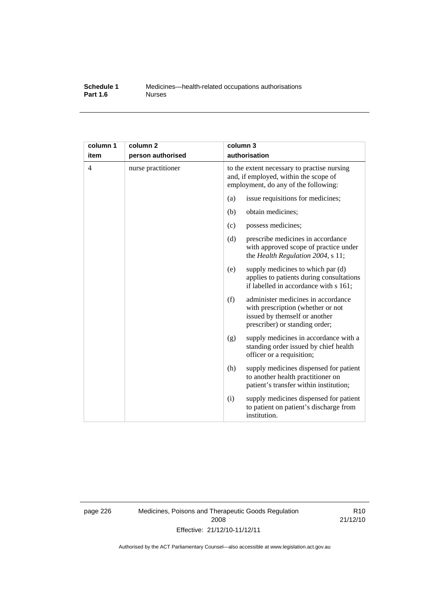#### **Schedule 1** Medicines—health-related occupations authorisations<br>**Part 1.6** Murses **Part 1.6**

| column 1<br>item | column <sub>2</sub><br>person authorised | column 3<br>authorisation                                                                                                                         |
|------------------|------------------------------------------|---------------------------------------------------------------------------------------------------------------------------------------------------|
| 4                | nurse practitioner                       | to the extent necessary to practise nursing<br>and, if employed, within the scope of<br>employment, do any of the following:                      |
|                  |                                          | issue requisitions for medicines;<br>(a)                                                                                                          |
|                  |                                          | obtain medicines;<br>(b)                                                                                                                          |
|                  |                                          | possess medicines;<br>(c)                                                                                                                         |
|                  |                                          | (d)<br>prescribe medicines in accordance<br>with approved scope of practice under<br>the Health Regulation 2004, s 11;                            |
|                  |                                          | supply medicines to which par (d)<br>(e)<br>applies to patients during consultations<br>if labelled in accordance with s 161;                     |
|                  |                                          | administer medicines in accordance<br>(f)<br>with prescription (whether or not<br>issued by themself or another<br>prescriber) or standing order; |
|                  |                                          | supply medicines in accordance with a<br>(g)<br>standing order issued by chief health<br>officer or a requisition;                                |
|                  |                                          | (h)<br>supply medicines dispensed for patient<br>to another health practitioner on<br>patient's transfer within institution;                      |
|                  |                                          | (i)<br>supply medicines dispensed for patient<br>to patient on patient's discharge from<br>institution.                                           |

page 226 Medicines, Poisons and Therapeutic Goods Regulation 2008 Effective: 21/12/10-11/12/11

R10 21/12/10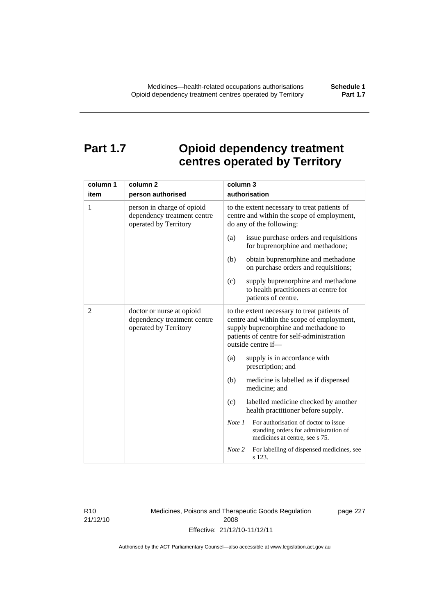# **Part 1.7 Opioid dependency treatment centres operated by Territory**

| column 1       | column <sub>2</sub>                                                                | column 3                                                                                                                                                                                                |
|----------------|------------------------------------------------------------------------------------|---------------------------------------------------------------------------------------------------------------------------------------------------------------------------------------------------------|
| item           | person authorised                                                                  | authorisation                                                                                                                                                                                           |
| $\mathbf{1}$   | person in charge of opioid<br>dependency treatment centre<br>operated by Territory | to the extent necessary to treat patients of<br>centre and within the scope of employment,<br>do any of the following:                                                                                  |
|                |                                                                                    | issue purchase orders and requisitions<br>(a)<br>for buprenorphine and methadone;                                                                                                                       |
|                |                                                                                    | (b)<br>obtain buprenorphine and methadone<br>on purchase orders and requisitions;                                                                                                                       |
|                |                                                                                    | supply buprenorphine and methadone<br>(c)<br>to health practitioners at centre for<br>patients of centre.                                                                                               |
| $\overline{2}$ | doctor or nurse at opioid<br>dependency treatment centre<br>operated by Territory  | to the extent necessary to treat patients of<br>centre and within the scope of employment,<br>supply buprenorphine and methadone to<br>patients of centre for self-administration<br>outside centre if- |
|                |                                                                                    | supply is in accordance with<br>(a)<br>prescription; and                                                                                                                                                |
|                |                                                                                    | (b)<br>medicine is labelled as if dispensed<br>medicine; and                                                                                                                                            |
|                |                                                                                    | (c)<br>labelled medicine checked by another<br>health practitioner before supply.                                                                                                                       |
|                |                                                                                    | For authorisation of doctor to issue<br>Note 1<br>standing orders for administration of<br>medicines at centre, see s 75.                                                                               |
|                |                                                                                    | Note 2<br>For labelling of dispensed medicines, see<br>s 123.                                                                                                                                           |

R10 21/12/10 Medicines, Poisons and Therapeutic Goods Regulation 2008 Effective: 21/12/10-11/12/11

page 227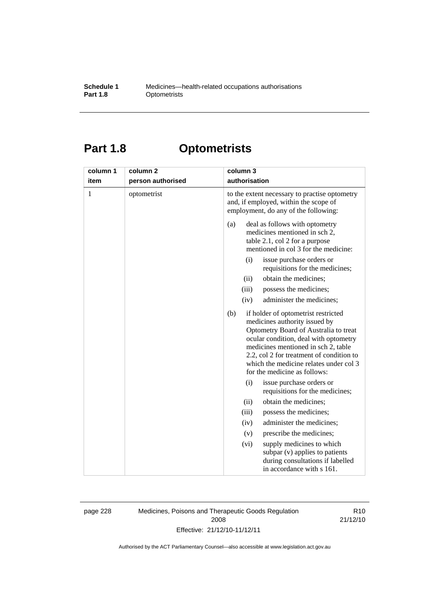# **Part 1.8 Optometrists**

| column 1<br>item | column <sub>2</sub><br>person authorised | column 3<br>authorisation                                                                                                                                                                                                                                                                                                                                                                                                                                                                                                                                                                                                     |
|------------------|------------------------------------------|-------------------------------------------------------------------------------------------------------------------------------------------------------------------------------------------------------------------------------------------------------------------------------------------------------------------------------------------------------------------------------------------------------------------------------------------------------------------------------------------------------------------------------------------------------------------------------------------------------------------------------|
| 1                | optometrist                              | to the extent necessary to practise optometry<br>and, if employed, within the scope of<br>employment, do any of the following:                                                                                                                                                                                                                                                                                                                                                                                                                                                                                                |
|                  |                                          | deal as follows with optometry<br>(a)<br>medicines mentioned in sch 2,<br>table 2.1, col 2 for a purpose<br>mentioned in col 3 for the medicine:<br>(i)<br>issue purchase orders or<br>requisitions for the medicines;<br>obtain the medicines;<br>(ii)<br>possess the medicines;<br>(iii)<br>administer the medicines;<br>(iv)<br>(b)<br>if holder of optometrist restricted<br>medicines authority issued by<br>Optometry Board of Australia to treat<br>ocular condition, deal with optometry<br>medicines mentioned in sch 2, table<br>2.2, col 2 for treatment of condition to<br>which the medicine relates under col 3 |
|                  |                                          | for the medicine as follows:                                                                                                                                                                                                                                                                                                                                                                                                                                                                                                                                                                                                  |
|                  |                                          | (i)<br>issue purchase orders or<br>requisitions for the medicines;                                                                                                                                                                                                                                                                                                                                                                                                                                                                                                                                                            |
|                  |                                          | obtain the medicines;<br>(ii)                                                                                                                                                                                                                                                                                                                                                                                                                                                                                                                                                                                                 |
|                  |                                          | possess the medicines;<br>(iii)                                                                                                                                                                                                                                                                                                                                                                                                                                                                                                                                                                                               |
|                  |                                          | administer the medicines;<br>(iv)                                                                                                                                                                                                                                                                                                                                                                                                                                                                                                                                                                                             |
|                  |                                          | prescribe the medicines;<br>(v)                                                                                                                                                                                                                                                                                                                                                                                                                                                                                                                                                                                               |
|                  |                                          | supply medicines to which<br>(vi)<br>subpar (v) applies to patients<br>during consultations if labelled<br>in accordance with s 161.                                                                                                                                                                                                                                                                                                                                                                                                                                                                                          |

page 228 Medicines, Poisons and Therapeutic Goods Regulation 2008 Effective: 21/12/10-11/12/11

R10 21/12/10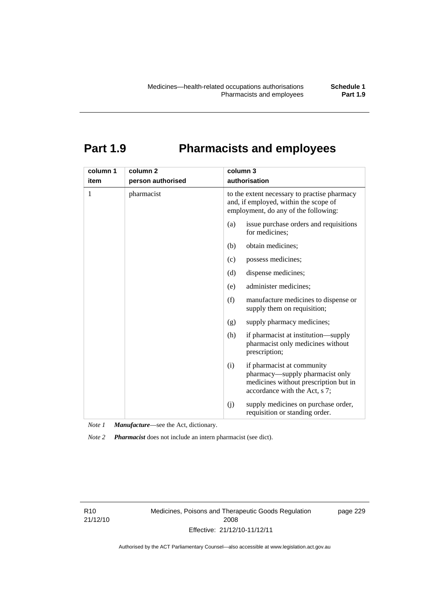**Part 1.9 Pharmacists and employees** 

| column 1 | column <sub>2</sub> | column 3                                                                                                                                       |  |
|----------|---------------------|------------------------------------------------------------------------------------------------------------------------------------------------|--|
| item     | person authorised   | authorisation                                                                                                                                  |  |
| 1        | pharmacist          | to the extent necessary to practise pharmacy<br>and, if employed, within the scope of<br>employment, do any of the following:                  |  |
|          |                     | issue purchase orders and requisitions<br>(a)<br>for medicines;                                                                                |  |
|          |                     | obtain medicines;<br>(b)                                                                                                                       |  |
|          |                     | possess medicines;<br>(c)                                                                                                                      |  |
|          |                     | (d)<br>dispense medicines;                                                                                                                     |  |
|          |                     | administer medicines;<br>(e)                                                                                                                   |  |
|          |                     | (f)<br>manufacture medicines to dispense or<br>supply them on requisition;                                                                     |  |
|          |                     | supply pharmacy medicines;<br>(g)                                                                                                              |  |
|          |                     | if pharmacist at institution—supply<br>(h)<br>pharmacist only medicines without<br>prescription;                                               |  |
|          |                     | if pharmacist at community<br>(i)<br>pharmacy—supply pharmacist only<br>medicines without prescription but in<br>accordance with the Act, s 7; |  |
|          |                     | supply medicines on purchase order,<br>(j)<br>requisition or standing order.                                                                   |  |

*Note 1 Manufacture*—see the Act, dictionary.

*Note 2 Pharmacist* does not include an intern pharmacist (see dict).

R10 21/12/10 Medicines, Poisons and Therapeutic Goods Regulation 2008 Effective: 21/12/10-11/12/11

page 229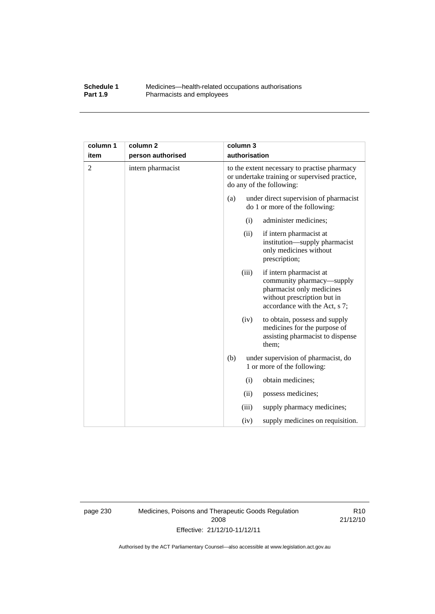### **Schedule 1** Medicines—health-related occupations authorisations<br>**Part 1.9** Pharmacists and employees Pharmacists and employees

| column 1 | column <sub>2</sub> |                                                                                                                           | column 3      |                                                                                                                                                   |
|----------|---------------------|---------------------------------------------------------------------------------------------------------------------------|---------------|---------------------------------------------------------------------------------------------------------------------------------------------------|
| item     | person authorised   |                                                                                                                           | authorisation |                                                                                                                                                   |
| 2        | intern pharmacist   | to the extent necessary to practise pharmacy<br>or undertake training or supervised practice,<br>do any of the following: |               |                                                                                                                                                   |
|          |                     | (a)                                                                                                                       |               | under direct supervision of pharmacist<br>do 1 or more of the following:                                                                          |
|          |                     |                                                                                                                           | (i)           | administer medicines;                                                                                                                             |
|          |                     |                                                                                                                           | (ii)          | if intern pharmacist at<br>institution-supply pharmacist<br>only medicines without<br>prescription;                                               |
|          |                     |                                                                                                                           | (iii)         | if intern pharmacist at<br>community pharmacy—supply<br>pharmacist only medicines<br>without prescription but in<br>accordance with the Act, s 7; |
|          |                     |                                                                                                                           | (iv)          | to obtain, possess and supply<br>medicines for the purpose of<br>assisting pharmacist to dispense<br>them;                                        |
|          |                     | (b)                                                                                                                       |               | under supervision of pharmacist, do<br>1 or more of the following:                                                                                |
|          |                     |                                                                                                                           | (i)           | obtain medicines;                                                                                                                                 |
|          |                     |                                                                                                                           | (ii)          | possess medicines;                                                                                                                                |
|          |                     |                                                                                                                           | (iii)         | supply pharmacy medicines;                                                                                                                        |
|          |                     |                                                                                                                           | (iv)          | supply medicines on requisition.                                                                                                                  |

page 230 Medicines, Poisons and Therapeutic Goods Regulation 2008 Effective: 21/12/10-11/12/11

R10 21/12/10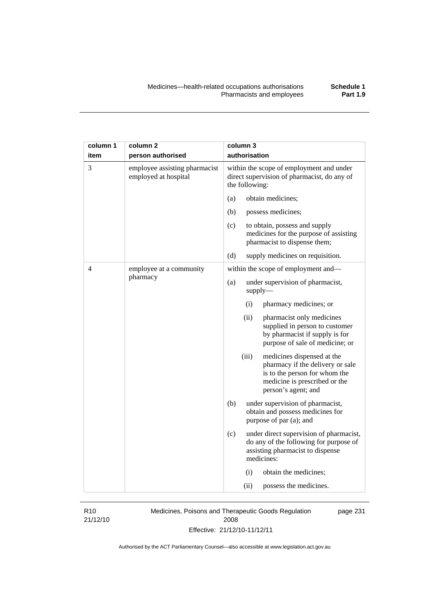| column 1<br>item | column <sub>2</sub><br>person authorised              | column 3<br>authorisation                                                                                                                                        |  |
|------------------|-------------------------------------------------------|------------------------------------------------------------------------------------------------------------------------------------------------------------------|--|
| 3                | employee assisting pharmacist<br>employed at hospital | within the scope of employment and under<br>direct supervision of pharmacist, do any of<br>the following:                                                        |  |
|                  |                                                       | obtain medicines;<br>(a)                                                                                                                                         |  |
|                  |                                                       | (b)<br>possess medicines;                                                                                                                                        |  |
|                  |                                                       | (c)<br>to obtain, possess and supply<br>medicines for the purpose of assisting<br>pharmacist to dispense them;                                                   |  |
|                  |                                                       | (d)<br>supply medicines on requisition.                                                                                                                          |  |
| 4                | employee at a community                               | within the scope of employment and—                                                                                                                              |  |
|                  | pharmacy                                              | (a)<br>under supervision of pharmacist,<br>supply                                                                                                                |  |
|                  |                                                       | (i)<br>pharmacy medicines; or                                                                                                                                    |  |
|                  |                                                       | (ii)<br>pharmacist only medicines<br>supplied in person to customer<br>by pharmacist if supply is for<br>purpose of sale of medicine; or                         |  |
|                  |                                                       | (iii)<br>medicines dispensed at the<br>pharmacy if the delivery or sale<br>is to the person for whom the<br>medicine is prescribed or the<br>person's agent; and |  |
|                  |                                                       | (b)<br>under supervision of pharmacist,<br>obtain and possess medicines for<br>purpose of par (a); and                                                           |  |
|                  |                                                       | (c)<br>under direct supervision of pharmacist,<br>do any of the following for purpose of<br>assisting pharmacist to dispense<br>medicines:                       |  |
|                  |                                                       | (i)<br>obtain the medicines;                                                                                                                                     |  |
|                  |                                                       | (ii)<br>possess the medicines.                                                                                                                                   |  |

R10 21/12/10 Medicines, Poisons and Therapeutic Goods Regulation 2008 Effective: 21/12/10-11/12/11

page 231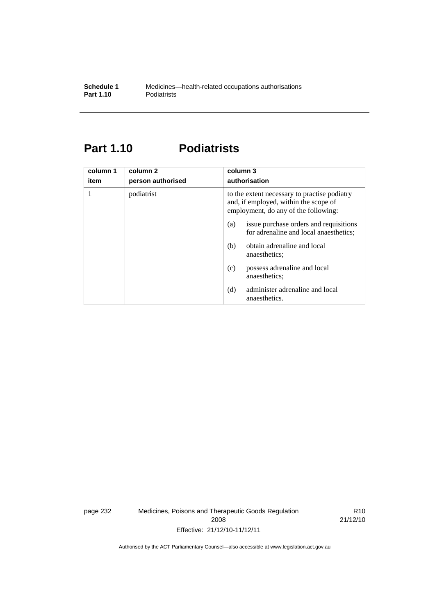# **Part 1.10 Podiatrists**

| column 1<br>item | column 2<br>person authorised | column 3<br>authorisation                                                                                                     |  |
|------------------|-------------------------------|-------------------------------------------------------------------------------------------------------------------------------|--|
| 1                | podiatrist                    | to the extent necessary to practise podiatry<br>and, if employed, within the scope of<br>employment, do any of the following: |  |
|                  |                               | issue purchase orders and requisitions<br>(a)<br>for adrenaline and local anaesthetics;                                       |  |
|                  |                               | obtain adrenaline and local<br>(b)<br>anaesthetics;                                                                           |  |
|                  |                               | possess adrenaline and local<br>(c)<br>anaesthetics;                                                                          |  |
|                  |                               | administer adrenaline and local<br>(d)<br>anaesthetics.                                                                       |  |

page 232 Medicines, Poisons and Therapeutic Goods Regulation 2008 Effective: 21/12/10-11/12/11

R10 21/12/10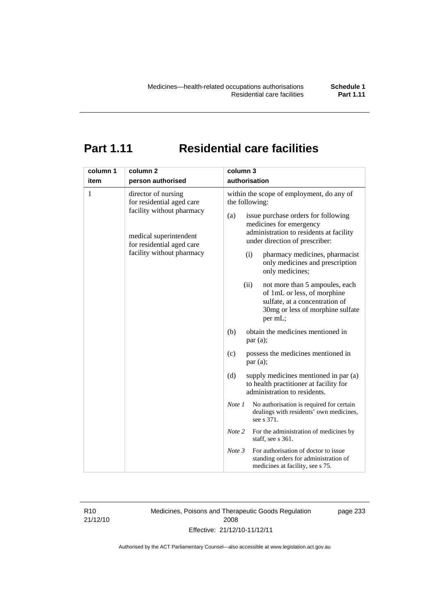# **Part 1.11 Residential care facilities**

| column 1 | column <sub>2</sub>                                                                                                                                               | column 3                                                                                                                                                                                                                                                                                                                                                                                                                                                                                                                          |  |
|----------|-------------------------------------------------------------------------------------------------------------------------------------------------------------------|-----------------------------------------------------------------------------------------------------------------------------------------------------------------------------------------------------------------------------------------------------------------------------------------------------------------------------------------------------------------------------------------------------------------------------------------------------------------------------------------------------------------------------------|--|
| item     | person authorised                                                                                                                                                 | authorisation                                                                                                                                                                                                                                                                                                                                                                                                                                                                                                                     |  |
| 1        | director of nursing<br>for residential aged care<br>facility without pharmacy<br>medical superintendent<br>for residential aged care<br>facility without pharmacy | within the scope of employment, do any of<br>the following:<br>issue purchase orders for following<br>(a)<br>medicines for emergency<br>administration to residents at facility<br>under direction of prescriber:<br>pharmacy medicines, pharmacist<br>(i)<br>only medicines and prescription<br>only medicines;<br>(ii)<br>not more than 5 ampoules, each<br>of 1mL or less, of morphine<br>sulfate, at a concentration of<br>30mg or less of morphine sulfate<br>per mL;<br>obtain the medicines mentioned in<br>(b)<br>par(a); |  |
|          |                                                                                                                                                                   | possess the medicines mentioned in<br>(c)                                                                                                                                                                                                                                                                                                                                                                                                                                                                                         |  |
|          |                                                                                                                                                                   | par(a);                                                                                                                                                                                                                                                                                                                                                                                                                                                                                                                           |  |
|          |                                                                                                                                                                   | (d)<br>supply medicines mentioned in par (a)<br>to health practitioner at facility for<br>administration to residents.                                                                                                                                                                                                                                                                                                                                                                                                            |  |
|          |                                                                                                                                                                   | Note 1<br>No authorisation is required for certain<br>dealings with residents' own medicines,<br>see s 371.                                                                                                                                                                                                                                                                                                                                                                                                                       |  |
|          |                                                                                                                                                                   | For the administration of medicines by<br>Note 2<br>staff, see s 361.                                                                                                                                                                                                                                                                                                                                                                                                                                                             |  |
|          |                                                                                                                                                                   | Note 3<br>For authorisation of doctor to issue.<br>standing orders for administration of<br>medicines at facility, see s 75.                                                                                                                                                                                                                                                                                                                                                                                                      |  |

R10 21/12/10 Medicines, Poisons and Therapeutic Goods Regulation 2008 Effective: 21/12/10-11/12/11

page 233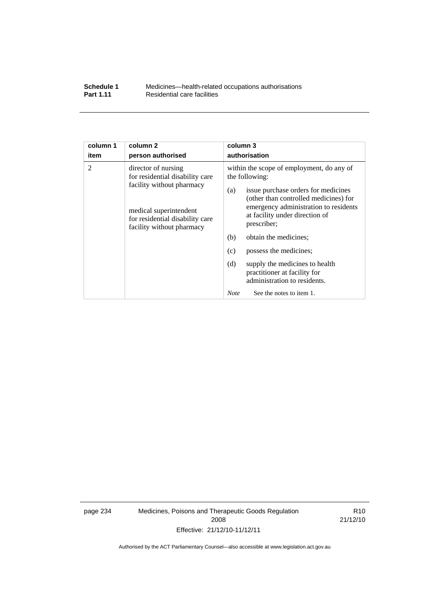### **Schedule 1** Medicines—health-related occupations authorisations<br>**Part 1.11** Residential care facilities **Residential care facilities**

| column 1                                                                               | column 2                                                                               | column 3                                                                                                                                           |  |
|----------------------------------------------------------------------------------------|----------------------------------------------------------------------------------------|----------------------------------------------------------------------------------------------------------------------------------------------------|--|
| item                                                                                   | person authorised                                                                      | authorisation                                                                                                                                      |  |
| 2                                                                                      | director of nursing<br>for residential disability care<br>facility without pharmacy    | within the scope of employment, do any of<br>the following:<br>issue purchase orders for medicines<br>(a)<br>(other than controlled medicines) for |  |
| medical superintendent<br>for residential disability care<br>facility without pharmacy | emergency administration to residents<br>at facility under direction of<br>prescriber; |                                                                                                                                                    |  |
|                                                                                        |                                                                                        | (b)<br>obtain the medicines;                                                                                                                       |  |
|                                                                                        |                                                                                        | possess the medicines;<br>(c)                                                                                                                      |  |
|                                                                                        |                                                                                        | (d)<br>supply the medicines to health<br>practitioner at facility for<br>administration to residents.                                              |  |
|                                                                                        |                                                                                        | See the notes to item 1.<br><b>Note</b>                                                                                                            |  |

page 234 Medicines, Poisons and Therapeutic Goods Regulation 2008 Effective: 21/12/10-11/12/11

R10 21/12/10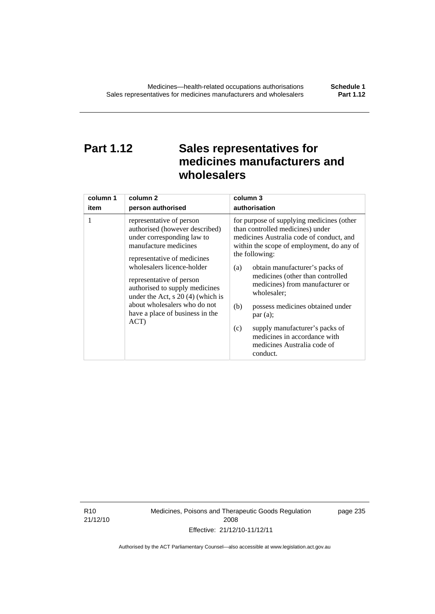# **Part 1.12 Sales representatives for medicines manufacturers and wholesalers**

| column 1 | column <sub>2</sub>                                                                                                                                                                                                                                                                                                                                            | column 3                                                                                                                                                                                                                                                                                                                                                                                                                                                                                          |
|----------|----------------------------------------------------------------------------------------------------------------------------------------------------------------------------------------------------------------------------------------------------------------------------------------------------------------------------------------------------------------|---------------------------------------------------------------------------------------------------------------------------------------------------------------------------------------------------------------------------------------------------------------------------------------------------------------------------------------------------------------------------------------------------------------------------------------------------------------------------------------------------|
| item     | person authorised                                                                                                                                                                                                                                                                                                                                              | authorisation                                                                                                                                                                                                                                                                                                                                                                                                                                                                                     |
| 1        | representative of person<br>authorised (however described)<br>under corresponding law to<br>manufacture medicines<br>representative of medicines<br>wholesalers licence-holder<br>representative of person<br>authorised to supply medicines<br>under the Act, $s$ 20 (4) (which is<br>about wholesalers who do not<br>have a place of business in the<br>ACT) | for purpose of supplying medicines (other<br>than controlled medicines) under<br>medicines Australia code of conduct, and<br>within the scope of employment, do any of<br>the following:<br>obtain manufacturer's packs of<br>(a)<br>medicines (other than controlled<br>medicines) from manufacturer or<br>wholesaler;<br>(b)<br>possess medicines obtained under<br>par(a);<br>supply manufacturer's packs of<br>(c)<br>medicines in accordance with<br>medicines Australia code of<br>conduct. |

R10 21/12/10 Medicines, Poisons and Therapeutic Goods Regulation 2008 Effective: 21/12/10-11/12/11

page 235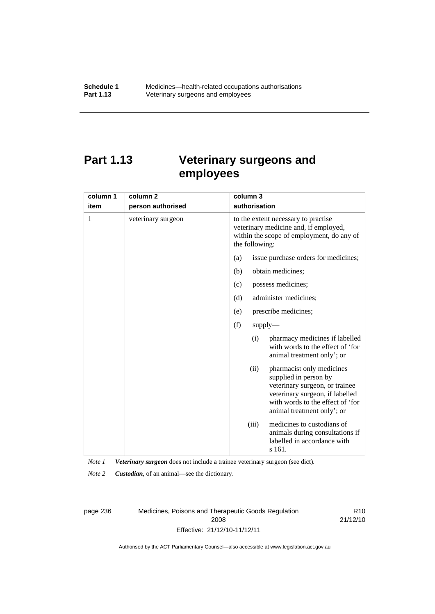# **Part 1.13 Veterinary surgeons and employees**

| column 1 | column <sub>2</sub> | column 3                                                                                                                                                                                          |
|----------|---------------------|---------------------------------------------------------------------------------------------------------------------------------------------------------------------------------------------------|
| item     | person authorised   | authorisation                                                                                                                                                                                     |
| 1        | veterinary surgeon  | to the extent necessary to practise<br>veterinary medicine and, if employed,<br>within the scope of employment, do any of<br>the following:                                                       |
|          |                     | (a)<br>issue purchase orders for medicines;                                                                                                                                                       |
|          |                     | obtain medicines;<br>(b)                                                                                                                                                                          |
|          |                     | possess medicines;<br>(c)                                                                                                                                                                         |
|          |                     | (d)<br>administer medicines;                                                                                                                                                                      |
|          |                     | prescribe medicines;<br>(e)                                                                                                                                                                       |
|          |                     | (f)<br>$supply$ —                                                                                                                                                                                 |
|          |                     | pharmacy medicines if labelled<br>(i)<br>with words to the effect of 'for<br>animal treatment only'; or                                                                                           |
|          |                     | pharmacist only medicines<br>(ii)<br>supplied in person by<br>veterinary surgeon, or trainee<br>veterinary surgeon, if labelled<br>with words to the effect of 'for<br>animal treatment only'; or |
|          |                     | medicines to custodians of<br>(iii)<br>animals during consultations if<br>labelled in accordance with<br>s 161.                                                                                   |

*Note 1 Veterinary surgeon* does not include a trainee veterinary surgeon (see dict).

*Note 2 Custodian*, of an animal—see the dictionary.

page 236 Medicines, Poisons and Therapeutic Goods Regulation 2008 Effective: 21/12/10-11/12/11

R10 21/12/10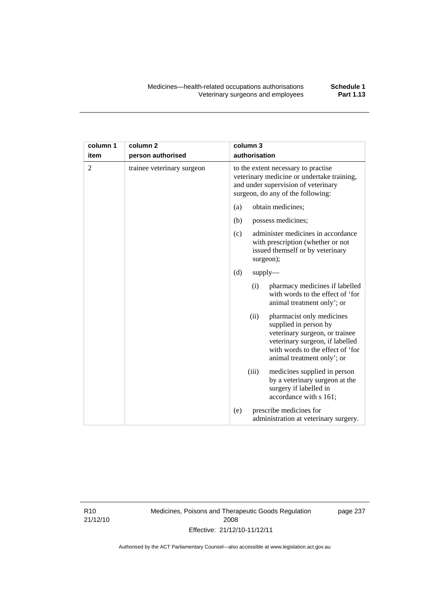| column 1<br>item | column 2<br>person authorised | column 3<br>authorisation                                                                                                                                                                         |
|------------------|-------------------------------|---------------------------------------------------------------------------------------------------------------------------------------------------------------------------------------------------|
| 2                | trainee veterinary surgeon    | to the extent necessary to practise<br>veterinary medicine or undertake training,<br>and under supervision of veterinary<br>surgeon, do any of the following:                                     |
|                  |                               | obtain medicines;<br>(a)                                                                                                                                                                          |
|                  |                               | (b)<br>possess medicines;                                                                                                                                                                         |
|                  |                               | administer medicines in accordance<br>(c)<br>with prescription (whether or not<br>issued themself or by veterinary<br>surgeon);                                                                   |
|                  |                               | (d)<br>$supply$ —                                                                                                                                                                                 |
|                  |                               | pharmacy medicines if labelled<br>(i)<br>with words to the effect of 'for<br>animal treatment only'; or                                                                                           |
|                  |                               | pharmacist only medicines<br>(ii)<br>supplied in person by<br>veterinary surgeon, or trainee<br>veterinary surgeon, if labelled<br>with words to the effect of 'for<br>animal treatment only'; or |
|                  |                               | (iii)<br>medicines supplied in person<br>by a veterinary surgeon at the<br>surgery if labelled in<br>accordance with s 161;                                                                       |
|                  |                               | (e)<br>prescribe medicines for<br>administration at veterinary surgery.                                                                                                                           |

R10 21/12/10 Medicines, Poisons and Therapeutic Goods Regulation 2008 Effective: 21/12/10-11/12/11

page 237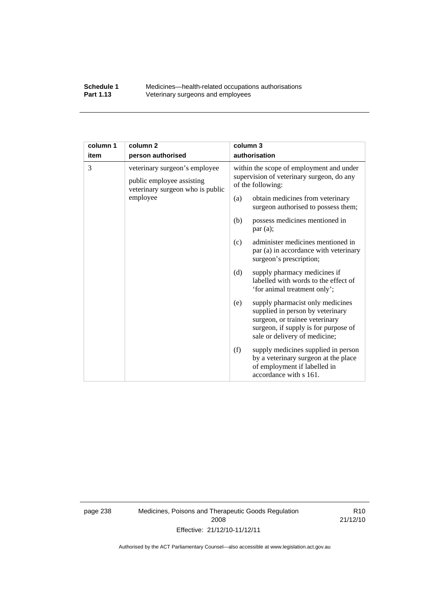### **Schedule 1** Medicines—health-related occupations authorisations<br>**Part 1.13** Veterinary surgeons and employees Veterinary surgeons and employees

| column 1 | column <sub>2</sub>                                                                            | column 3                                                                                                   |                                                                                                                                                                                 |
|----------|------------------------------------------------------------------------------------------------|------------------------------------------------------------------------------------------------------------|---------------------------------------------------------------------------------------------------------------------------------------------------------------------------------|
| item     | person authorised                                                                              |                                                                                                            | authorisation                                                                                                                                                                   |
| 3        | veterinary surgeon's employee<br>public employee assisting<br>veterinary surgeon who is public | within the scope of employment and under<br>supervision of veterinary surgeon, do any<br>of the following: |                                                                                                                                                                                 |
|          | employee                                                                                       | (a)                                                                                                        | obtain medicines from veterinary<br>surgeon authorised to possess them;                                                                                                         |
|          |                                                                                                | (b)                                                                                                        | possess medicines mentioned in<br>par(a);                                                                                                                                       |
|          |                                                                                                | (c)                                                                                                        | administer medicines mentioned in<br>par (a) in accordance with veterinary<br>surgeon's prescription;                                                                           |
|          |                                                                                                | (d)                                                                                                        | supply pharmacy medicines if<br>labelled with words to the effect of<br>'for animal treatment only';                                                                            |
|          |                                                                                                | (e)                                                                                                        | supply pharmacist only medicines<br>supplied in person by veterinary<br>surgeon, or trainee veterinary<br>surgeon, if supply is for purpose of<br>sale or delivery of medicine; |
|          |                                                                                                | (f)                                                                                                        | supply medicines supplied in person<br>by a veterinary surgeon at the place<br>of employment if labelled in<br>accordance with s 161.                                           |

page 238 Medicines, Poisons and Therapeutic Goods Regulation 2008 Effective: 21/12/10-11/12/11

R10 21/12/10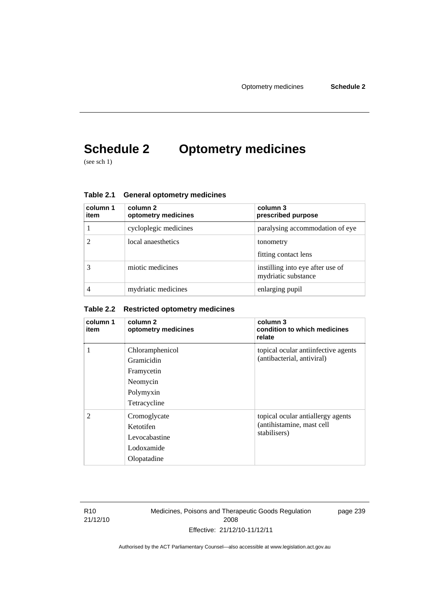# **Schedule 2 Optometry medicines**

(see sch 1)

|  | Table 2.1 General optometry medicines |
|--|---------------------------------------|
|--|---------------------------------------|

| column 1<br>item | column 2<br>optometry medicines | column 3<br>prescribed purpose                          |
|------------------|---------------------------------|---------------------------------------------------------|
|                  | cycloplegic medicines           | paralysing accommodation of eye                         |
|                  | local anaesthetics              | tonometry<br>fitting contact lens                       |
|                  | miotic medicines                | instilling into eye after use of<br>mydriatic substance |
|                  | mydriatic medicines             | enlarging pupil                                         |

### **Table 2.2 Restricted optometry medicines**

| column 1<br>item | column <sub>2</sub><br>optometry medicines                                           | column 3<br>condition to which medicines<br>relate                             |
|------------------|--------------------------------------------------------------------------------------|--------------------------------------------------------------------------------|
| 1                | Chloramphenicol<br>Gramicidin<br>Framycetin<br>Neomycin<br>Polymyxin<br>Tetracycline | topical ocular antiinfective agents<br>(antibacterial, antiviral)              |
| $\mathfrak{D}$   | Cromoglycate<br>Ketotifen<br>Levocabastine<br>Lodoxamide<br>Olopatadine              | topical ocular antiallergy agents<br>(antihistamine, mast cell<br>stabilisers) |

R10 21/12/10 Medicines, Poisons and Therapeutic Goods Regulation 2008 Effective: 21/12/10-11/12/11

page 239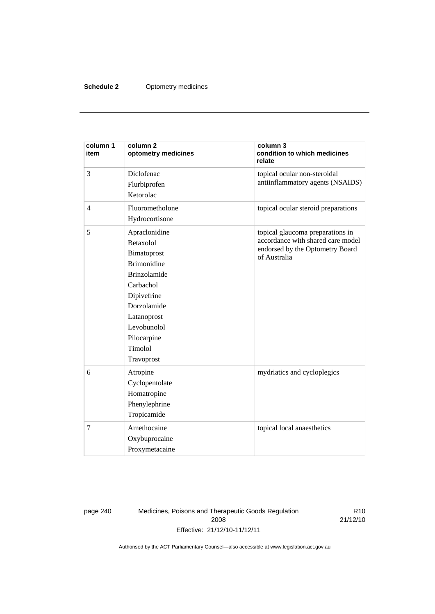### **Schedule 2** Optometry medicines

| column 1<br>item | column <sub>2</sub><br>optometry medicines                                                                                                                                                                     | column 3<br>condition to which medicines<br>relate                                                                       |
|------------------|----------------------------------------------------------------------------------------------------------------------------------------------------------------------------------------------------------------|--------------------------------------------------------------------------------------------------------------------------|
| 3                | Diclofenac<br>Flurbiprofen<br>Ketorolac                                                                                                                                                                        | topical ocular non-steroidal<br>antiinflammatory agents (NSAIDS)                                                         |
| $\overline{4}$   | Fluorometholone<br>Hydrocortisone                                                                                                                                                                              | topical ocular steroid preparations                                                                                      |
| 5                | Apraclonidine<br><b>Betaxolol</b><br>Bimatoprost<br><b>Brimonidine</b><br><b>Brinzolamide</b><br>Carbachol<br>Dipivefrine<br>Dorzolamide<br>Latanoprost<br>Levobunolol<br>Pilocarpine<br>Timolol<br>Travoprost | topical glaucoma preparations in<br>accordance with shared care model<br>endorsed by the Optometry Board<br>of Australia |
| 6                | Atropine<br>Cyclopentolate<br>Homatropine<br>Phenylephrine<br>Tropicamide                                                                                                                                      | mydriatics and cycloplegics                                                                                              |
| 7                | Amethocaine<br>Oxybuprocaine<br>Proxymetacaine                                                                                                                                                                 | topical local anaesthetics                                                                                               |

page 240 Medicines, Poisons and Therapeutic Goods Regulation 2008 Effective: 21/12/10-11/12/11

R10 21/12/10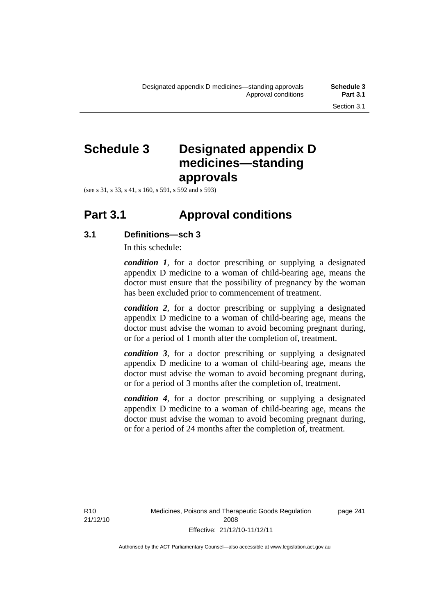# **Schedule 3 Designated appendix D medicines—standing approvals**

(see s 31, s 33, s 41, s 160, s 591, s 592 and s 593)

# **Part 3.1 Approval conditions**

# **3.1 Definitions—sch 3**

In this schedule:

*condition 1*, for a doctor prescribing or supplying a designated appendix D medicine to a woman of child-bearing age, means the doctor must ensure that the possibility of pregnancy by the woman has been excluded prior to commencement of treatment.

*condition 2*, for a doctor prescribing or supplying a designated appendix D medicine to a woman of child-bearing age, means the doctor must advise the woman to avoid becoming pregnant during, or for a period of 1 month after the completion of, treatment.

*condition 3*, for a doctor prescribing or supplying a designated appendix D medicine to a woman of child-bearing age, means the doctor must advise the woman to avoid becoming pregnant during, or for a period of 3 months after the completion of, treatment.

*condition 4*, for a doctor prescribing or supplying a designated appendix D medicine to a woman of child-bearing age, means the doctor must advise the woman to avoid becoming pregnant during, or for a period of 24 months after the completion of, treatment.

R10 21/12/10 page 241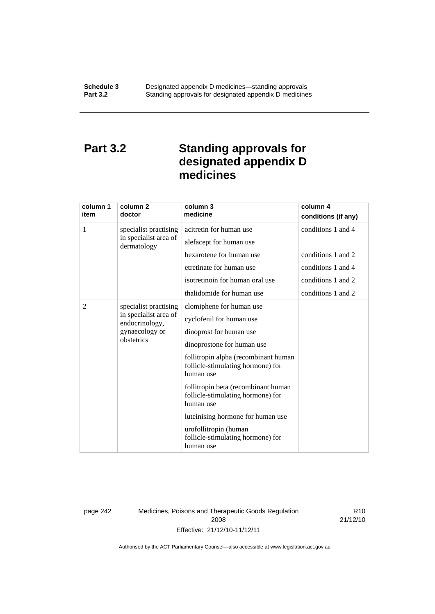### **Schedule 3 Designated appendix D medicines—standing approvals Part 3.2** Standing approvals for designated appendix D medicine Standing approvals for designated appendix D medicines

# **Part 3.2 Standing approvals for designated appendix D medicines**

| column 1       | column 2                                                  | column 3                                                                               | column 4            |
|----------------|-----------------------------------------------------------|----------------------------------------------------------------------------------------|---------------------|
| item<br>doctor |                                                           | medicine                                                                               | conditions (if any) |
| 1              | specialist practising                                     | acitretin for human use                                                                | conditions 1 and 4  |
|                | in specialist area of<br>dermatology                      | alefacept for human use                                                                |                     |
|                |                                                           | bexarotene for human use                                                               | conditions 1 and 2  |
|                |                                                           | etretinate for human use                                                               | conditions 1 and 4  |
|                |                                                           | isotretinoin for human oral use                                                        | conditions 1 and 2  |
|                |                                                           | thalidomide for human use                                                              | conditions 1 and 2  |
| 2              | specialist practising                                     | clomiphene for human use                                                               |                     |
|                | in specialist area of<br>endocrinology,<br>gynaecology or | cyclofenil for human use                                                               |                     |
|                |                                                           | dinoprost for human use                                                                |                     |
|                | obstetrics                                                | dinoprostone for human use                                                             |                     |
|                |                                                           | follitropin alpha (recombinant human<br>follicle-stimulating hormone) for<br>human use |                     |
|                |                                                           | follitropin beta (recombinant human<br>follicle-stimulating hormone) for<br>human use  |                     |
|                |                                                           | luteinising hormone for human use                                                      |                     |
|                |                                                           | urofollitropin (human<br>follicle-stimulating hormone) for<br>human use                |                     |

page 242 Medicines, Poisons and Therapeutic Goods Regulation 2008 Effective: 21/12/10-11/12/11

R10 21/12/10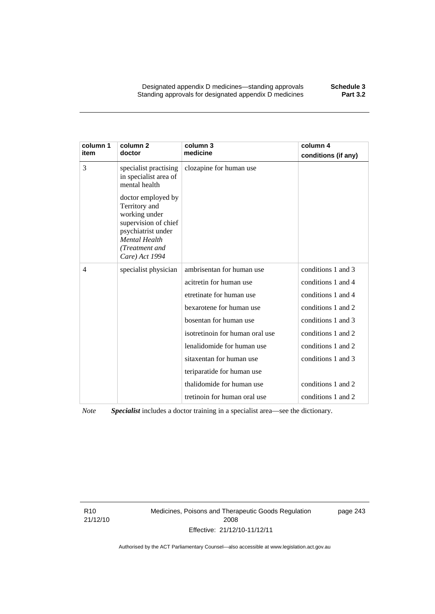Designated appendix D medicines—standing approvals **Schedule 3** Standing approvals for designated appendix D medicines

| column 1<br>item | column <sub>2</sub><br>doctor                                                                                                                                  | column 3<br>medicine            | column 4<br>conditions (if any) |
|------------------|----------------------------------------------------------------------------------------------------------------------------------------------------------------|---------------------------------|---------------------------------|
| 3                | specialist practising<br>in specialist area of<br>mental health                                                                                                | clozapine for human use         |                                 |
|                  | doctor employed by<br>Territory and<br>working under<br>supervision of chief<br>psychiatrist under<br><b>Mental Health</b><br>(Treatment and<br>Care) Act 1994 |                                 |                                 |
| 4                | specialist physician                                                                                                                                           | ambrisentan for human use       | conditions 1 and 3              |
|                  |                                                                                                                                                                | acitretin for human use         | conditions 1 and 4              |
|                  |                                                                                                                                                                | etretinate for human use        | conditions 1 and 4              |
|                  |                                                                                                                                                                | bexarotene for human use        | conditions 1 and 2              |
|                  |                                                                                                                                                                | bosentan for human use          | conditions 1 and 3              |
|                  |                                                                                                                                                                | isotretinoin for human oral use | conditions 1 and 2              |
|                  |                                                                                                                                                                | lenalidomide for human use      | conditions 1 and 2              |
|                  |                                                                                                                                                                | sitaxentan for human use        | conditions 1 and 3              |
|                  |                                                                                                                                                                | teriparatide for human use      |                                 |
|                  |                                                                                                                                                                | thalidomide for human use       | conditions 1 and 2              |
|                  |                                                                                                                                                                | tretinoin for human oral use    | conditions 1 and 2              |

*Note Specialist* includes a doctor training in a specialist area—see the dictionary.

R10 21/12/10 Medicines, Poisons and Therapeutic Goods Regulation 2008 Effective: 21/12/10-11/12/11

page 243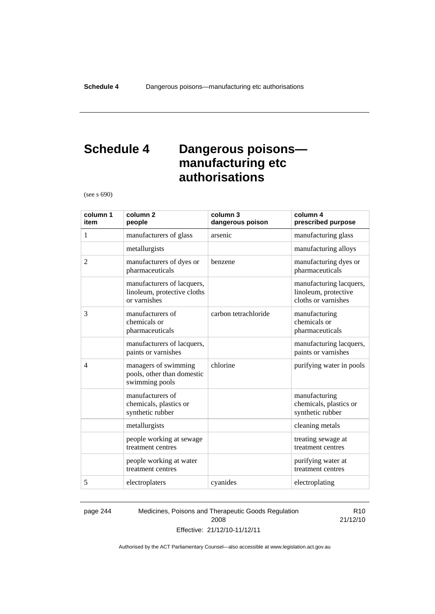# **Schedule 4 Dangerous poisons manufacturing etc authorisations**

(see s 690)

| column 1<br>item | column <sub>2</sub><br>people                                             | column 3<br>dangerous poison | column 4<br>prescribed purpose                                         |
|------------------|---------------------------------------------------------------------------|------------------------------|------------------------------------------------------------------------|
| 1                | manufacturers of glass                                                    | arsenic                      | manufacturing glass                                                    |
|                  | metallurgists                                                             |                              | manufacturing alloys                                                   |
| $\overline{2}$   | manufacturers of dyes or<br>pharmaceuticals                               | benzene                      | manufacturing dyes or<br>pharmaceuticals                               |
|                  | manufacturers of lacquers,<br>linoleum, protective cloths<br>or varnishes |                              | manufacturing lacquers,<br>linoleum, protective<br>cloths or varnishes |
| 3                | manufacturers of<br>chemicals or<br>pharmaceuticals                       | carbon tetrachloride         | manufacturing<br>chemicals or<br>pharmaceuticals                       |
|                  | manufacturers of lacquers,<br>paints or varnishes                         |                              | manufacturing lacquers,<br>paints or varnishes                         |
| $\overline{4}$   | managers of swimming<br>pools, other than domestic<br>swimming pools      | chlorine                     | purifying water in pools                                               |
|                  | manufacturers of<br>chemicals, plastics or<br>synthetic rubber            |                              | manufacturing<br>chemicals, plastics or<br>synthetic rubber            |
|                  | metallurgists                                                             |                              | cleaning metals                                                        |
|                  | people working at sewage<br>treatment centres                             |                              | treating sewage at<br>treatment centres                                |
|                  | people working at water<br>treatment centres                              |                              | purifying water at<br>treatment centres                                |
| 5                | electroplaters                                                            | cyanides                     | electroplating                                                         |

page 244 Medicines, Poisons and Therapeutic Goods Regulation 2008 Effective: 21/12/10-11/12/11

R10 21/12/10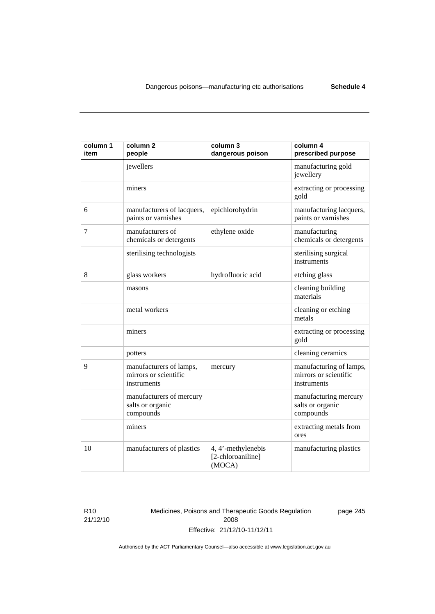| column 1<br>item | column <sub>2</sub><br>people                                   | column 3<br>dangerous poison                      | column 4<br>prescribed purpose                                  |
|------------------|-----------------------------------------------------------------|---------------------------------------------------|-----------------------------------------------------------------|
|                  | jewellers                                                       |                                                   | manufacturing gold<br>jewellery                                 |
|                  | miners                                                          |                                                   | extracting or processing<br>gold                                |
| 6                | manufacturers of lacquers,<br>paints or varnishes               | epichlorohydrin                                   | manufacturing lacquers,<br>paints or varnishes                  |
| 7                | manufacturers of<br>chemicals or detergents                     | ethylene oxide                                    | manufacturing<br>chemicals or detergents                        |
|                  | sterilising technologists                                       |                                                   | sterilising surgical<br>instruments                             |
| 8                | glass workers                                                   | hydrofluoric acid                                 | etching glass                                                   |
|                  | masons                                                          |                                                   | cleaning building<br>materials                                  |
|                  | metal workers                                                   |                                                   | cleaning or etching<br>metals                                   |
|                  | miners                                                          |                                                   | extracting or processing<br>gold                                |
|                  | potters                                                         |                                                   | cleaning ceramics                                               |
| 9                | manufacturers of lamps,<br>mirrors or scientific<br>instruments | mercury                                           | manufacturing of lamps,<br>mirrors or scientific<br>instruments |
|                  | manufacturers of mercury<br>salts or organic<br>compounds       |                                                   | manufacturing mercury<br>salts or organic<br>compounds          |
|                  | miners                                                          |                                                   | extracting metals from<br>ores                                  |
| 10               | manufacturers of plastics                                       | 4, 4'-methylenebis<br>[2-chloroaniline]<br>(MOCA) | manufacturing plastics                                          |

R10 21/12/10 Medicines, Poisons and Therapeutic Goods Regulation 2008 Effective: 21/12/10-11/12/11

page 245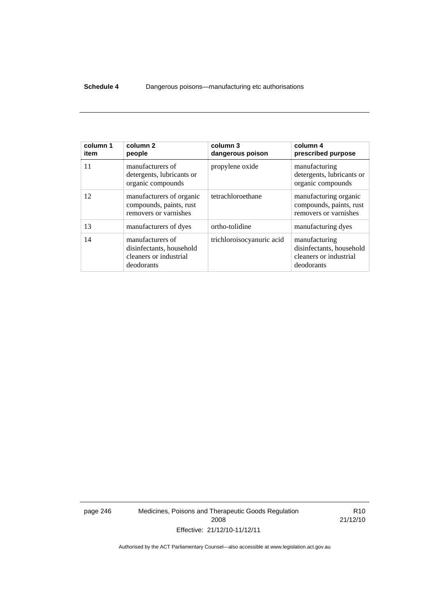### **Schedule 4** Dangerous poisons—manufacturing etc authorisations

| column 1<br>item | column 2<br>people                                                                   | column 3<br>dangerous poison | column 4<br>prescribed purpose                                                    |
|------------------|--------------------------------------------------------------------------------------|------------------------------|-----------------------------------------------------------------------------------|
| 11               | manufacturers of<br>detergents, lubricants or<br>organic compounds                   | propylene oxide              | manufacturing<br>detergents, lubricants or<br>organic compounds                   |
| 12               | manufacturers of organic<br>compounds, paints, rust<br>removers or varnishes         | tetrachloroethane            | manufacturing organic<br>compounds, paints, rust<br>removers or varnishes         |
| 13               | manufacturers of dyes                                                                | ortho-tolidine               | manufacturing dyes                                                                |
| 14               | manufacturers of<br>disinfectants, household<br>cleaners or industrial<br>deodorants | trichloroisocyanuric acid    | manufacturing<br>disinfectants, household<br>cleaners or industrial<br>deodorants |

page 246 Medicines, Poisons and Therapeutic Goods Regulation 2008 Effective: 21/12/10-11/12/11

R10 21/12/10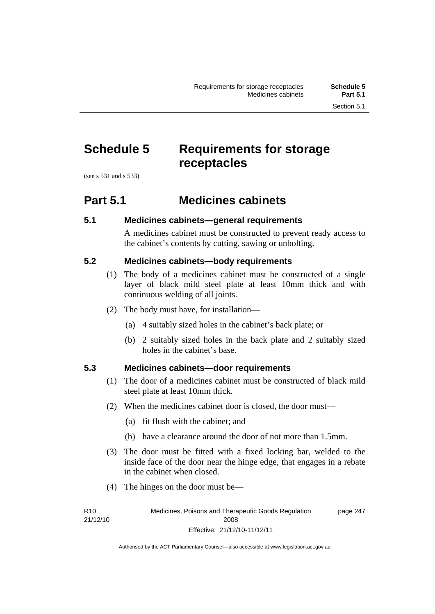# **Schedule 5 Requirements for storage receptacles**

(see s 531 and s 533)

# **Part 5.1 Medicines cabinets**

# **5.1 Medicines cabinets—general requirements**

A medicines cabinet must be constructed to prevent ready access to the cabinet's contents by cutting, sawing or unbolting.

# **5.2 Medicines cabinets—body requirements**

- (1) The body of a medicines cabinet must be constructed of a single layer of black mild steel plate at least 10mm thick and with continuous welding of all joints.
- (2) The body must have, for installation—
	- (a) 4 suitably sized holes in the cabinet's back plate; or
	- (b) 2 suitably sized holes in the back plate and 2 suitably sized holes in the cabinet's base.

# **5.3 Medicines cabinets—door requirements**

- (1) The door of a medicines cabinet must be constructed of black mild steel plate at least 10mm thick.
- (2) When the medicines cabinet door is closed, the door must—
	- (a) fit flush with the cabinet; and
	- (b) have a clearance around the door of not more than 1.5mm.
- (3) The door must be fitted with a fixed locking bar, welded to the inside face of the door near the hinge edge, that engages in a rebate in the cabinet when closed.
- (4) The hinges on the door must be—

 $R10$ 21/12/10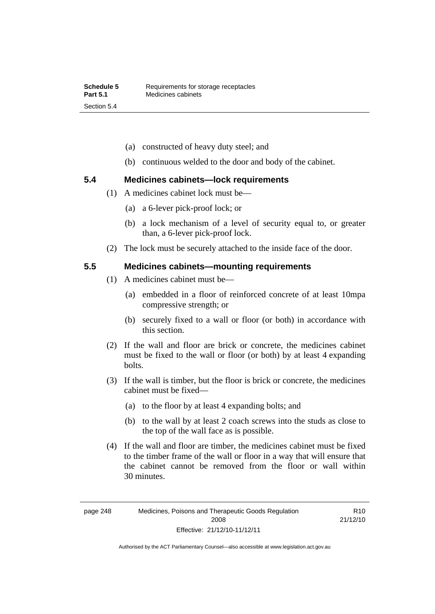- (a) constructed of heavy duty steel; and
- (b) continuous welded to the door and body of the cabinet.

# **5.4 Medicines cabinets—lock requirements**

- (1) A medicines cabinet lock must be—
	- (a) a 6-lever pick-proof lock; or
	- (b) a lock mechanism of a level of security equal to, or greater than, a 6-lever pick-proof lock.
- (2) The lock must be securely attached to the inside face of the door.

### **5.5 Medicines cabinets—mounting requirements**

- (1) A medicines cabinet must be—
	- (a) embedded in a floor of reinforced concrete of at least 10mpa compressive strength; or
	- (b) securely fixed to a wall or floor (or both) in accordance with this section.
- (2) If the wall and floor are brick or concrete, the medicines cabinet must be fixed to the wall or floor (or both) by at least 4 expanding bolts.
- (3) If the wall is timber, but the floor is brick or concrete, the medicines cabinet must be fixed—
	- (a) to the floor by at least 4 expanding bolts; and
	- (b) to the wall by at least 2 coach screws into the studs as close to the top of the wall face as is possible.
- (4) If the wall and floor are timber, the medicines cabinet must be fixed to the timber frame of the wall or floor in a way that will ensure that the cabinet cannot be removed from the floor or wall within 30 minutes.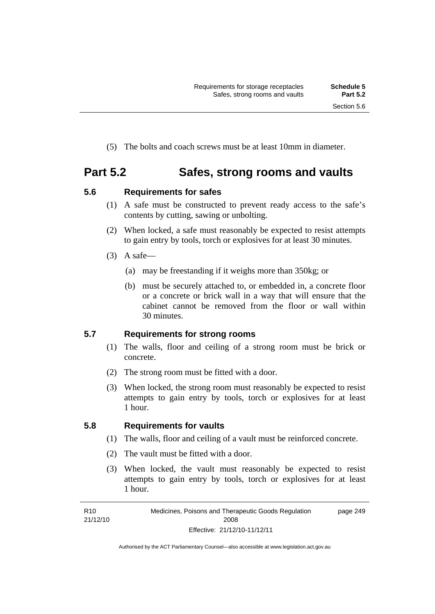(5) The bolts and coach screws must be at least 10mm in diameter.

# **Part 5.2 Safes, strong rooms and vaults**

# **5.6 Requirements for safes**

- (1) A safe must be constructed to prevent ready access to the safe's contents by cutting, sawing or unbolting.
- (2) When locked, a safe must reasonably be expected to resist attempts to gain entry by tools, torch or explosives for at least 30 minutes.
- $(3)$  A safe—
	- (a) may be freestanding if it weighs more than 350kg; or
	- (b) must be securely attached to, or embedded in, a concrete floor or a concrete or brick wall in a way that will ensure that the cabinet cannot be removed from the floor or wall within 30 minutes.

# **5.7 Requirements for strong rooms**

- (1) The walls, floor and ceiling of a strong room must be brick or concrete.
- (2) The strong room must be fitted with a door.
- (3) When locked, the strong room must reasonably be expected to resist attempts to gain entry by tools, torch or explosives for at least 1 hour.

# **5.8 Requirements for vaults**

- (1) The walls, floor and ceiling of a vault must be reinforced concrete.
- (2) The vault must be fitted with a door.
- (3) When locked, the vault must reasonably be expected to resist attempts to gain entry by tools, torch or explosives for at least 1 hour.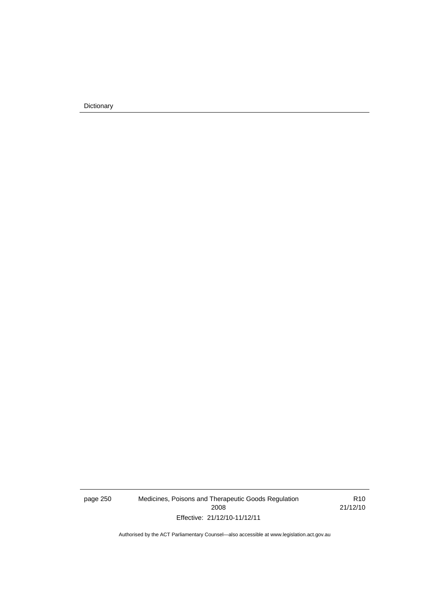Dictionary

page 250 Medicines, Poisons and Therapeutic Goods Regulation 2008 Effective: 21/12/10-11/12/11

R10 21/12/10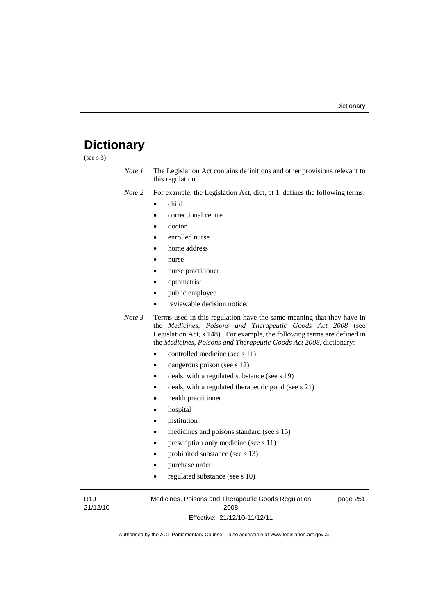# **Dictionary**

(see s 3)

- *Note 1* The Legislation Act contains definitions and other provisions relevant to this regulation.
- *Note 2* For example, the Legislation Act, dict, pt 1, defines the following terms:
	- child
		- correctional centre
		- doctor
		- enrolled nurse
		- home address
		- nurse
		- nurse practitioner
		- optometrist
		- public employee
		- reviewable decision notice.

*Note 3* Terms used in this regulation have the same meaning that they have in the *Medicines, Poisons and Therapeutic Goods Act 2008* (see Legislation Act, s 148). For example, the following terms are defined in the *Medicines, Poisons and Therapeutic Goods Act 2008*, dictionary:

- controlled medicine (see s 11)
- dangerous poison (see s 12)
- deals, with a regulated substance (see s 19)
- deals, with a regulated therapeutic good (see s 21)
- health practitioner
- hospital
- institution
- medicines and poisons standard (see s 15)
- prescription only medicine (see s 11)
- prohibited substance (see s 13)
- purchase order
- regulated substance (see s 10)

R10 21/12/10 Medicines, Poisons and Therapeutic Goods Regulation 2008 Effective: 21/12/10-11/12/11

page 251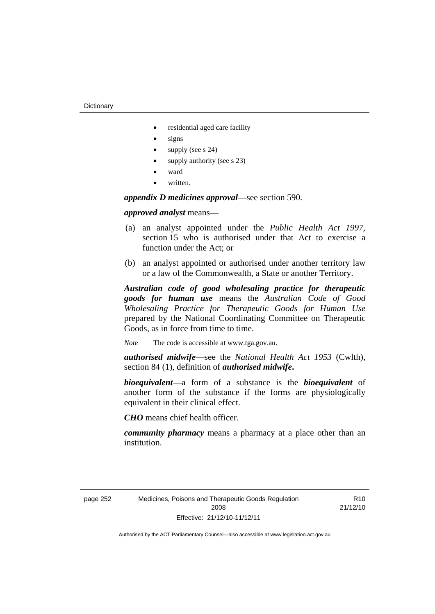- residential aged care facility
- signs
- supply (see s 24)
- supply authority (see s 23)
- ward
- written.

*appendix D medicines approval*—see section 590.

# *approved analyst* means—

- (a) an analyst appointed under the *Public Health Act 1997*, section 15 who is authorised under that Act to exercise a function under the Act; or
- (b) an analyst appointed or authorised under another territory law or a law of the Commonwealth, a State or another Territory.

*Australian code of good wholesaling practice for therapeutic goods for human use* means the *Australian Code of Good Wholesaling Practice for Therapeutic Goods for Human Use*  prepared by the National Coordinating Committee on Therapeutic Goods, as in force from time to time.

*Note* The code is accessible at www.tga.gov.au.

*authorised midwife*—see the *National Health Act 1953* (Cwlth), section 84 (1), definition of *authorised midwife***.**

*bioequivalent*—a form of a substance is the *bioequivalent* of another form of the substance if the forms are physiologically equivalent in their clinical effect.

*CHO* means chief health officer.

*community pharmacy* means a pharmacy at a place other than an institution.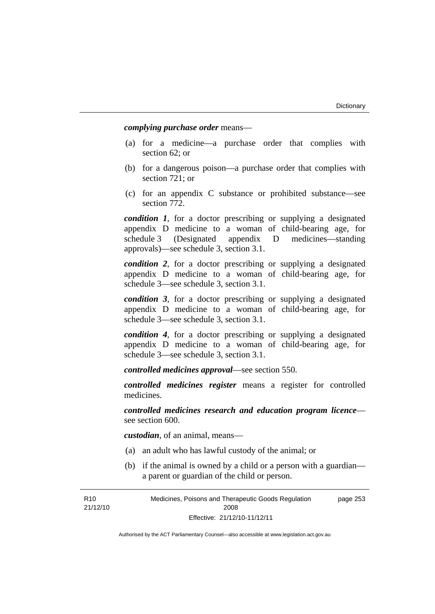*complying purchase order* means—

- (a) for a medicine—a purchase order that complies with section 62; or
- (b) for a dangerous poison—a purchase order that complies with section 721; or
- (c) for an appendix C substance or prohibited substance—see section 772.

*condition 1*, for a doctor prescribing or supplying a designated appendix D medicine to a woman of child-bearing age, for schedule 3 (Designated appendix D medicines—standing approvals)—see schedule 3, section 3.1.

*condition 2*, for a doctor prescribing or supplying a designated appendix D medicine to a woman of child-bearing age, for schedule 3—see schedule 3, section 3.1.

*condition 3*, for a doctor prescribing or supplying a designated appendix D medicine to a woman of child-bearing age, for schedule 3—see schedule 3, section 3.1.

*condition 4*, for a doctor prescribing or supplying a designated appendix D medicine to a woman of child-bearing age, for schedule 3—see schedule 3, section 3.1.

*controlled medicines approval*—see section 550.

*controlled medicines register* means a register for controlled medicines.

*controlled medicines research and education program licence* see section 600.

*custodian*, of an animal, means—

- (a) an adult who has lawful custody of the animal; or
- (b) if the animal is owned by a child or a person with a guardian a parent or guardian of the child or person.

R10 21/12/10 Medicines, Poisons and Therapeutic Goods Regulation 2008 Effective: 21/12/10-11/12/11 page 253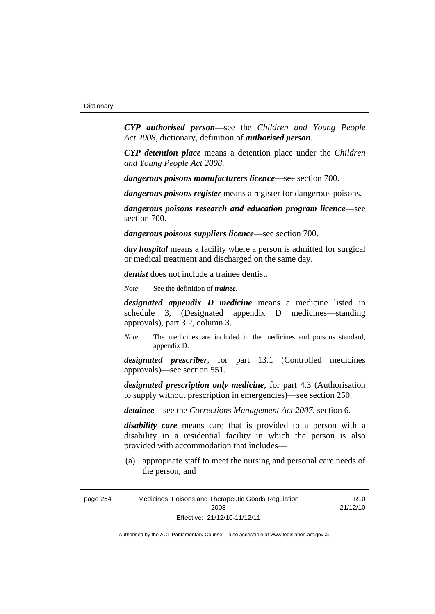*CYP authorised person*—see the *Children and Young People Act 2008*, dictionary, definition of *authorised person*.

*CYP detention place* means a detention place under the *Children and Young People Act 2008*.

*dangerous poisons manufacturers licence*—see section 700.

*dangerous poisons register* means a register for dangerous poisons.

*dangerous poisons research and education program licence*—see section 700.

*dangerous poisons suppliers licence*—see section 700.

*day hospital* means a facility where a person is admitted for surgical or medical treatment and discharged on the same day.

*dentist* does not include a trainee dentist.

*Note* See the definition of *trainee*.

*designated appendix D medicine* means a medicine listed in schedule 3, (Designated appendix D medicines—standing approvals), part 3.2, column 3.

*Note* The medicines are included in the medicines and poisons standard, appendix D.

*designated prescriber*, for part 13.1 (Controlled medicines approvals)—see section 551.

*designated prescription only medicine*, for part 4.3 (Authorisation to supply without prescription in emergencies)—see section 250.

*detainee*—see the *Corrections Management Act 2007*, section 6.

*disability care* means care that is provided to a person with a disability in a residential facility in which the person is also provided with accommodation that includes—

 (a) appropriate staff to meet the nursing and personal care needs of the person; and

R10 21/12/10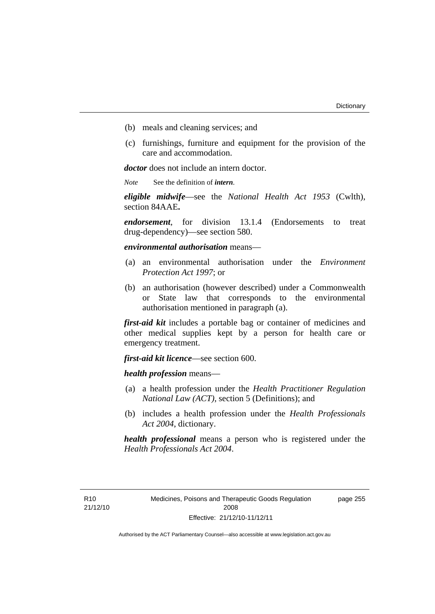- (b) meals and cleaning services; and
- (c) furnishings, furniture and equipment for the provision of the care and accommodation.

*doctor* does not include an intern doctor.

*Note* See the definition of *intern*.

*eligible midwife*—see the *National Health Act 1953* (Cwlth), section 84AAE**.**

*endorsement*, for division 13.1.4 (Endorsements to treat drug-dependency)—see section 580.

*environmental authorisation* means—

- (a) an environmental authorisation under the *Environment Protection Act 1997*; or
- (b) an authorisation (however described) under a Commonwealth or State law that corresponds to the environmental authorisation mentioned in paragraph (a).

*first-aid kit* includes a portable bag or container of medicines and other medical supplies kept by a person for health care or emergency treatment.

*first-aid kit licence*—see section 600.

*health profession* means—

- (a) a health profession under the *Health Practitioner Regulation National Law (ACT)*, section 5 (Definitions); and
- (b) includes a health profession under the *Health Professionals Act 2004*, dictionary.

*health professional* means a person who is registered under the *Health Professionals Act 2004*.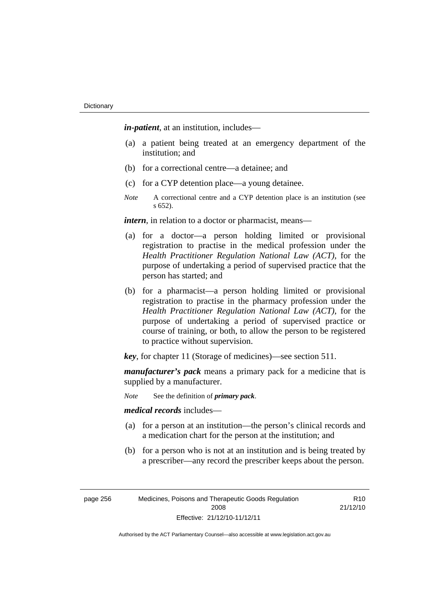*in-patient*, at an institution, includes—

- (a) a patient being treated at an emergency department of the institution; and
- (b) for a correctional centre—a detainee; and
- (c) for a CYP detention place—a young detainee.
- *Note* A correctional centre and a CYP detention place is an institution (see s 652).

*intern*, in relation to a doctor or pharmacist, means—

- (a) for a doctor—a person holding limited or provisional registration to practise in the medical profession under the *Health Practitioner Regulation National Law (ACT)*, for the purpose of undertaking a period of supervised practice that the person has started; and
- (b) for a pharmacist—a person holding limited or provisional registration to practise in the pharmacy profession under the *Health Practitioner Regulation National Law (ACT)*, for the purpose of undertaking a period of supervised practice or course of training, or both, to allow the person to be registered to practice without supervision.

*key*, for chapter 11 (Storage of medicines)—see section 511.

*manufacturer's pack* means a primary pack for a medicine that is supplied by a manufacturer.

*Note* See the definition of *primary pack*.

*medical records* includes—

- (a) for a person at an institution—the person's clinical records and a medication chart for the person at the institution; and
- (b) for a person who is not at an institution and is being treated by a prescriber—any record the prescriber keeps about the person.

| page 256 | Medicines, Poisons and Therapeutic Goods Regulation |
|----------|-----------------------------------------------------|
|          | 2008                                                |
|          | Effective: 21/12/10-11/12/11                        |

R10 21/12/10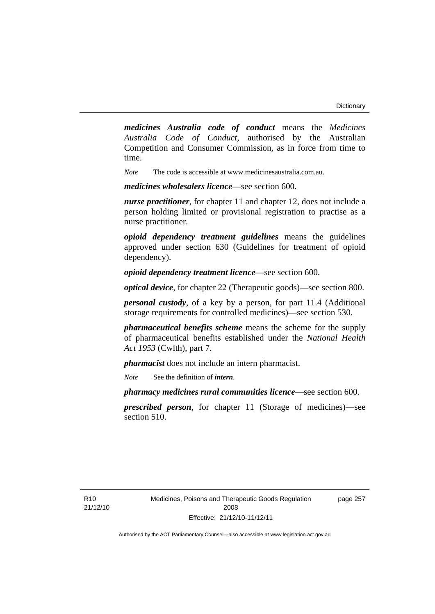*medicines Australia code of conduct* means the *Medicines Australia Code of Conduct*, authorised by the Australian Competition and Consumer Commission, as in force from time to time.

*Note* The code is accessible at www.medicinesaustralia.com.au.

*medicines wholesalers licence*—see section 600.

*nurse practitioner*, for chapter 11 and chapter 12, does not include a person holding limited or provisional registration to practise as a nurse practitioner.

*opioid dependency treatment guidelines* means the guidelines approved under section 630 (Guidelines for treatment of opioid dependency).

*opioid dependency treatment licence*—see section 600.

*optical device*, for chapter 22 (Therapeutic goods)—see section 800.

*personal custody*, of a key by a person, for part 11.4 (Additional storage requirements for controlled medicines)—see section 530.

*pharmaceutical benefits scheme* means the scheme for the supply of pharmaceutical benefits established under the *National Health Act 1953* (Cwlth), part 7.

*pharmacist* does not include an intern pharmacist.

*Note* See the definition of *intern*.

*pharmacy medicines rural communities licence*—see section 600.

*prescribed person*, for chapter 11 (Storage of medicines)—see section 510.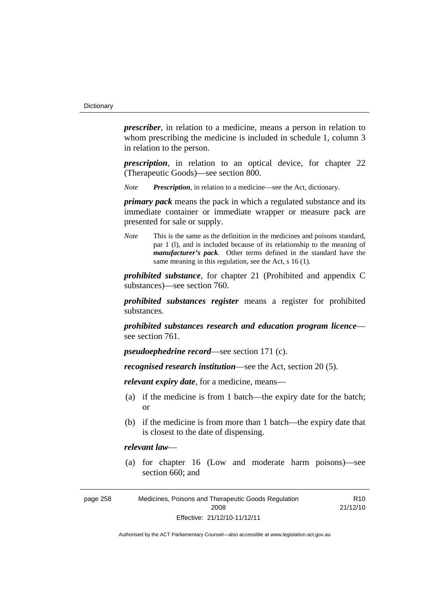*prescriber*, in relation to a medicine, means a person in relation to whom prescribing the medicine is included in schedule 1, column 3 in relation to the person.

*prescription*, in relation to an optical device, for chapter 22 (Therapeutic Goods)—see section 800.

*Note Prescription*, in relation to a medicine—see the Act, dictionary.

*primary pack* means the pack in which a regulated substance and its immediate container or immediate wrapper or measure pack are presented for sale or supply.

*Note* This is the same as the definition in the medicines and poisons standard, par 1 (l), and is included because of its relationship to the meaning of *manufacturer's pack*. Other terms defined in the standard have the same meaning in this regulation, see the Act, s 16 (1).

*prohibited substance*, for chapter 21 (Prohibited and appendix C substances)—see section 760.

*prohibited substances register* means a register for prohibited substances.

*prohibited substances research and education program licence* see section 761.

*pseudoephedrine record*—see section 171 (c).

*recognised research institution*—see the Act, section 20 (5).

*relevant expiry date*, for a medicine, means—

- (a) if the medicine is from 1 batch—the expiry date for the batch; or
- (b) if the medicine is from more than 1 batch—the expiry date that is closest to the date of dispensing.

### *relevant law*—

 (a) for chapter 16 (Low and moderate harm poisons)—see section 660; and

| page 258 | Medicines, Poisons and Therapeutic Goods Regulation | R <sub>10</sub> |
|----------|-----------------------------------------------------|-----------------|
|          | 2008                                                | 21/12/10        |
|          | Effective: 21/12/10-11/12/11                        |                 |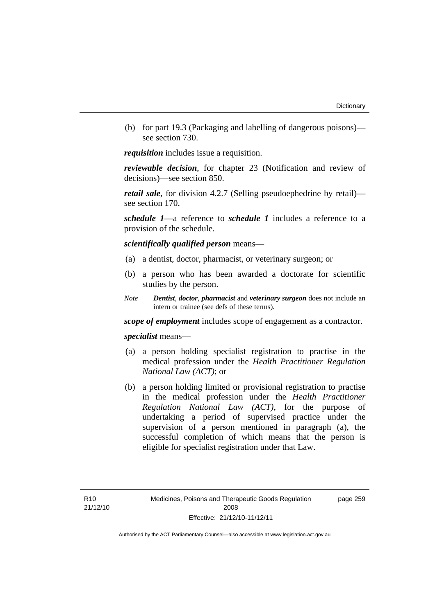(b) for part 19.3 (Packaging and labelling of dangerous poisons) see section 730.

*requisition* includes issue a requisition.

*reviewable decision*, for chapter 23 (Notification and review of decisions)—see section 850.

*retail sale*, for division 4.2.7 (Selling pseudoephedrine by retail) see section 170.

*schedule 1*—a reference to *schedule 1* includes a reference to a provision of the schedule.

*scientifically qualified person* means—

- (a) a dentist, doctor, pharmacist, or veterinary surgeon; or
- (b) a person who has been awarded a doctorate for scientific studies by the person.
- *Note Dentist*, *doctor*, *pharmacist* and *veterinary surgeon* does not include an intern or trainee (see defs of these terms).

*scope of employment* includes scope of engagement as a contractor.

*specialist* means—

- (a) a person holding specialist registration to practise in the medical profession under the *Health Practitioner Regulation National Law (ACT)*; or
- (b) a person holding limited or provisional registration to practise in the medical profession under the *Health Practitioner Regulation National Law (ACT)*, for the purpose of undertaking a period of supervised practice under the supervision of a person mentioned in paragraph (a), the successful completion of which means that the person is eligible for specialist registration under that Law.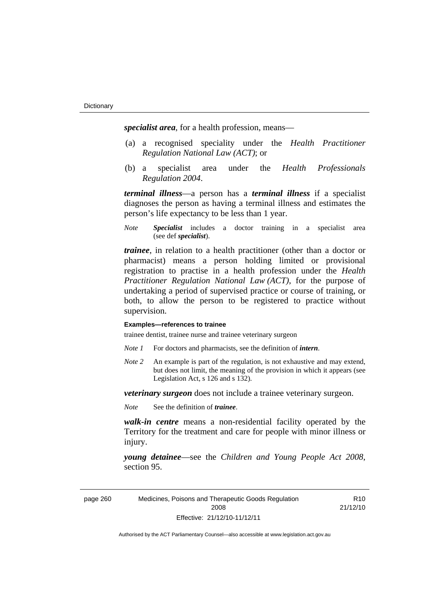*specialist area*, for a health profession, means—

- (a) a recognised speciality under the *Health Practitioner Regulation National Law (ACT)*; or
- (b) a specialist area under the *Health Professionals Regulation 2004*.

*terminal illness*—a person has a *terminal illness* if a specialist diagnoses the person as having a terminal illness and estimates the person's life expectancy to be less than 1 year.

*Note Specialist* includes a doctor training in a specialist area (see def *specialist*).

*trainee*, in relation to a health practitioner (other than a doctor or pharmacist) means a person holding limited or provisional registration to practise in a health profession under the *Health Practitioner Regulation National Law (ACT)*, for the purpose of undertaking a period of supervised practice or course of training, or both, to allow the person to be registered to practice without supervision.

#### **Examples—references to trainee**

trainee dentist, trainee nurse and trainee veterinary surgeon

- *Note 1* For doctors and pharmacists, see the definition of *intern*.
- *Note 2* An example is part of the regulation, is not exhaustive and may extend, but does not limit, the meaning of the provision in which it appears (see Legislation Act, s 126 and s 132).

*veterinary surgeon* does not include a trainee veterinary surgeon.

*Note* See the definition of *trainee*.

*walk-in centre* means a non-residential facility operated by the Territory for the treatment and care for people with minor illness or injury.

*young detainee*—see the *Children and Young People Act 2008*, section 95.

page 260 Medicines, Poisons and Therapeutic Goods Regulation 2008 Effective: 21/12/10-11/12/11

R10 21/12/10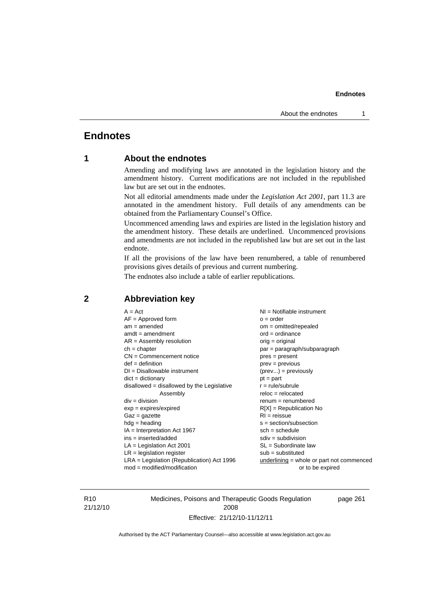# **Endnotes**

# **1 About the endnotes**

Amending and modifying laws are annotated in the legislation history and the amendment history. Current modifications are not included in the republished law but are set out in the endnotes.

Not all editorial amendments made under the *Legislation Act 2001*, part 11.3 are annotated in the amendment history. Full details of any amendments can be obtained from the Parliamentary Counsel's Office.

Uncommenced amending laws and expiries are listed in the legislation history and the amendment history. These details are underlined. Uncommenced provisions and amendments are not included in the republished law but are set out in the last endnote.

If all the provisions of the law have been renumbered, a table of renumbered provisions gives details of previous and current numbering.

The endnotes also include a table of earlier republications.

# **2 Abbreviation key**

R10 21/12/10 Medicines, Poisons and Therapeutic Goods Regulation 2008 Effective: 21/12/10-11/12/11

page 261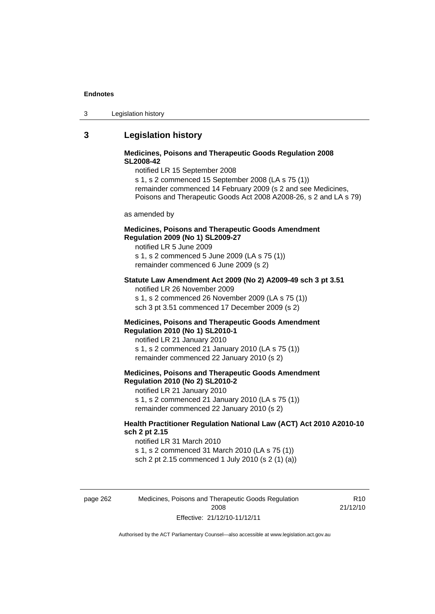| Legislation history<br>-3 |
|---------------------------|
|---------------------------|

### **3 Legislation history**

### **Medicines, Poisons and Therapeutic Goods Regulation 2008 SL2008-42**

notified LR 15 September 2008 s 1, s 2 commenced 15 September 2008 (LA s 75 (1)) remainder commenced 14 February 2009 (s 2 and see Medicines, Poisons and Therapeutic Goods Act 2008 A2008-26, s 2 and LA s 79)

as amended by

### **Medicines, Poisons and Therapeutic Goods Amendment Regulation 2009 (No 1) SL2009-27**

notified LR 5 June 2009 s 1, s 2 commenced 5 June 2009 (LA s 75 (1)) remainder commenced 6 June 2009 (s 2)

#### **Statute Law Amendment Act 2009 (No 2) A2009-49 sch 3 pt 3.51**  notified LR 26 November 2009

s 1, s 2 commenced 26 November 2009 (LA s 75 (1)) sch 3 pt 3.51 commenced 17 December 2009 (s 2)

#### **Medicines, Poisons and Therapeutic Goods Amendment Regulation 2010 (No 1) SL2010-1**

notified LR 21 January 2010 s 1, s 2 commenced 21 January 2010 (LA s 75 (1)) remainder commenced 22 January 2010 (s 2)

### **Medicines, Poisons and Therapeutic Goods Amendment Regulation 2010 (No 2) SL2010-2**

notified LR 21 January 2010 s 1, s 2 commenced 21 January 2010 (LA s 75 (1)) remainder commenced 22 January 2010 (s 2)

### **Health Practitioner Regulation National Law (ACT) Act 2010 A2010-10 sch 2 pt 2.15**

notified LR 31 March 2010 s 1, s 2 commenced 31 March 2010 (LA s 75 (1)) sch 2 pt 2.15 commenced 1 July 2010 (s 2 (1) (a))

page 262 Medicines, Poisons and Therapeutic Goods Regulation 2008 Effective: 21/12/10-11/12/11

R10 21/12/10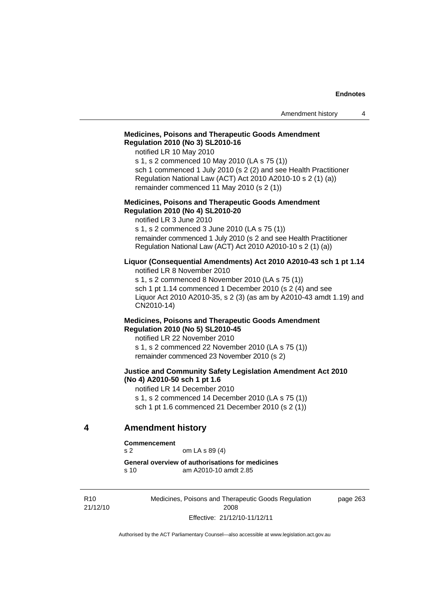### **Medicines, Poisons and Therapeutic Goods Amendment Regulation 2010 (No 3) SL2010-16**

notified LR 10 May 2010

s 1, s 2 commenced 10 May 2010 (LA s 75 (1)) sch 1 commenced 1 July 2010 (s 2 (2) and see Health Practitioner Regulation National Law (ACT) Act 2010 A2010-10 s 2 (1) (a)) remainder commenced 11 May 2010 (s 2 (1))

#### **Medicines, Poisons and Therapeutic Goods Amendment Regulation 2010 (No 4) SL2010-20**

notified LR 3 June 2010

s 1, s 2 commenced 3 June 2010 (LA s 75 (1)) remainder commenced 1 July 2010 (s 2 and see Health Practitioner Regulation National Law (ACT) Act 2010 A2010-10 s 2 (1) (a))

### **Liquor (Consequential Amendments) Act 2010 A2010-43 sch 1 pt 1.14**

notified LR 8 November 2010

s 1, s 2 commenced 8 November 2010 (LA s 75 (1)) sch 1 pt 1.14 commenced 1 December 2010 (s 2 (4) and see Liquor Act 2010 A2010-35, s 2 (3) (as am by A2010-43 amdt 1.19) and CN2010-14)

### **Medicines, Poisons and Therapeutic Goods Amendment Regulation 2010 (No 5) SL2010-45**

notified LR 22 November 2010 s 1, s 2 commenced 22 November 2010 (LA s 75 (1)) remainder commenced 23 November 2010 (s 2)

#### **Justice and Community Safety Legislation Amendment Act 2010 (No 4) A2010-50 sch 1 pt 1.6**

notified LR 14 December 2010 s 1, s 2 commenced 14 December 2010 (LA s 75 (1)) sch 1 pt 1.6 commenced 21 December 2010 (s 2 (1))

### **4 Amendment history**

#### **Commencement**

s 2 om LA s 89 (4)

**General overview of authorisations for medicines**  s 10 am A2010-10 amdt 2.85

R10 21/12/10 Medicines, Poisons and Therapeutic Goods Regulation 2008 Effective: 21/12/10-11/12/11

page 263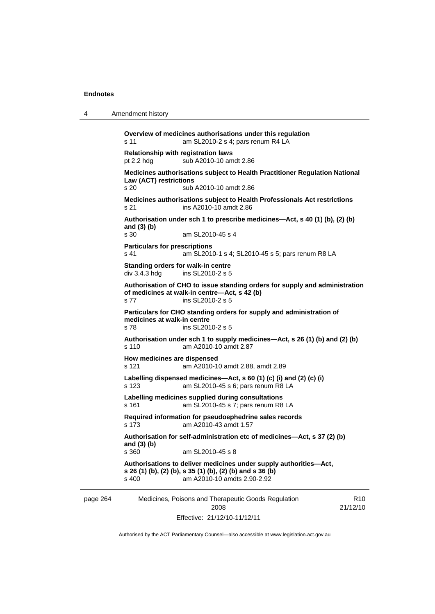4 Amendment history

|          | Overview of medicines authorisations under this regulation<br>am SL2010-2 s 4; pars renum R4 LA<br>s 11                                                                |
|----------|------------------------------------------------------------------------------------------------------------------------------------------------------------------------|
|          | Relationship with registration laws<br>pt $2.2$ hdg<br>sub A2010-10 amdt 2.86                                                                                          |
|          | Medicines authorisations subject to Health Practitioner Regulation National<br>Law (ACT) restrictions<br>s 20<br>sub A2010-10 amdt 2.86                                |
|          | Medicines authorisations subject to Health Professionals Act restrictions<br>ins A2010-10 amdt 2.86<br>s <sub>21</sub>                                                 |
|          | Authorisation under sch 1 to prescribe medicines—Act, s 40 (1) (b), (2) (b)<br>and $(3)$ $(b)$<br>s 30<br>am SL2010-45 s 4                                             |
|          | <b>Particulars for prescriptions</b><br>s 41<br>am SL2010-1 s 4; SL2010-45 s 5; pars renum R8 LA                                                                       |
|          | Standing orders for walk-in centre<br>div 3.4.3 hdg<br>ins SL2010-2 s 5                                                                                                |
|          | Authorisation of CHO to issue standing orders for supply and administration<br>of medicines at walk-in centre-Act, s 42 (b)<br>ins SL2010-2 s 5<br>s 77                |
|          | Particulars for CHO standing orders for supply and administration of<br>medicines at walk-in centre<br>ins SL2010-2 s 5<br>s 78                                        |
|          | Authorisation under sch 1 to supply medicines—Act, s 26 (1) (b) and (2) (b)<br>s 110<br>am A2010-10 amdt 2.87                                                          |
|          | How medicines are dispensed<br>s 121<br>am A2010-10 amdt 2.88, amdt 2.89                                                                                               |
|          | Labelling dispensed medicines—Act, s 60 (1) (c) (i) and (2) (c) (i)<br>s 123<br>am SL2010-45 s 6; pars renum R8 LA                                                     |
|          | Labelling medicines supplied during consultations<br>s 161<br>am SL2010-45 s 7; pars renum R8 LA                                                                       |
|          | Required information for pseudoephedrine sales records<br>s 173<br>am A2010-43 amdt 1.57                                                                               |
|          | Authorisation for self-administration etc of medicines-Act, s 37 (2) (b)<br>and (3) (b)<br>s 360<br>am SL2010-45 s 8                                                   |
|          | Authorisations to deliver medicines under supply authorities-Act,<br>s 26 (1) (b), (2) (b), s 35 (1) (b), (2) (b) and s 36 (b)<br>s 400<br>am A2010-10 amdts 2.90-2.92 |
| page 264 | Medicines, Poisons and Therapeutic Goods Regulation<br>R <sub>10</sub><br>2008<br>21/12/10                                                                             |

Effective: 21/12/10-11/12/11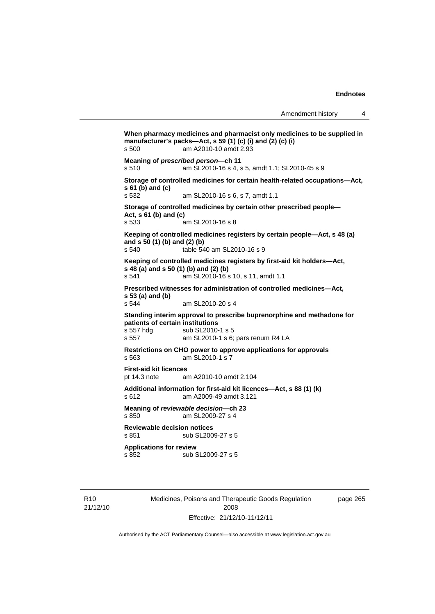```
When pharmacy medicines and pharmacist only medicines to be supplied in 
manufacturer's packs—Act, s 59 (1) (c) (i) and (2) (c) (i) 
s 500 am A2010-10 amdt 2.93 
Meaning of prescribed person—ch 11 
s 510 am SL2010-16 s 4, s 5, amdt 1.1; SL2010-45 s 9 
Storage of controlled medicines for certain health-related occupations—Act, 
s 61 (b) and (c) 
s 532 am SL2010-16 s 6, s 7, amdt 1.1 
Storage of controlled medicines by certain other prescribed people—
Act, s 61 (b) and (c) 
s 533 am SL2010-16 s 8 
Keeping of controlled medicines registers by certain people—Act, s 48 (a) 
and s 50 (1) (b) and (2) (b) 
s 540 table 540 am SL2010-16 s 9 
Keeping of controlled medicines registers by first-aid kit holders—Act, 
s 48 (a) and s 50 (1) (b) and (2) (b) 
s 541 am SL2010-16 s 10, s 11, amdt 1.1 
Prescribed witnesses for administration of controlled medicines—Act, 
s 53 (a) and (b) 
s 544 am SL2010-20 s 4 
Standing interim approval to prescribe buprenorphine and methadone for 
patients of certain institutions 
                 sub SL2010-1 s 5
s 557 am SL2010-1 s 6; pars renum R4 LA 
Restrictions on CHO power to approve applications for approvals 
s 563 am SL2010-1 s 7 
First-aid kit licences 
pt 14.3 note am A2010-10 amdt 2.104 
Additional information for first-aid kit licences—Act, s 88 (1) (k) 
s 612 am A2009-49 amdt 3.121 
Meaning of reviewable decision—ch 23 
s 850 am SL2009-27 s 4 
Reviewable decision notices 
s 851 sub SL2009-27 s 5
Applications for review 
s 852 sub SL2009-27 s 5
```
R10 21/12/10 Medicines, Poisons and Therapeutic Goods Regulation 2008 Effective: 21/12/10-11/12/11

page 265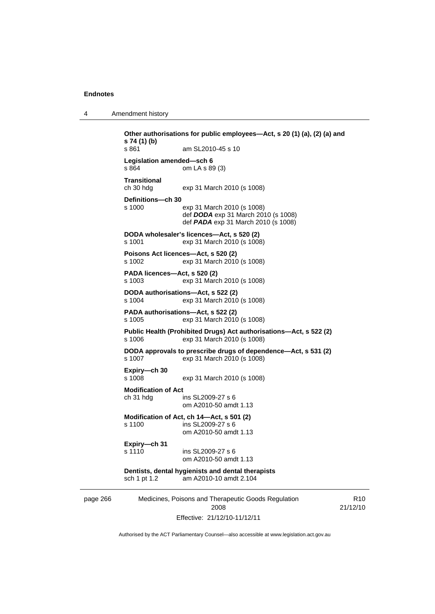4 Amendment history

**Other authorisations for public employees—Act, s 20 (1) (a), (2) (a) and s 74 (1) (b)**  s 861 am SL2010-45 s 10 **Legislation amended—sch 6**  s 864 om LA s 89 (3) **Transitional**  ch 30 hdg exp 31 March 2010 (s 1008) **Definitions—ch 30**  s 1000 exp 31 March 2010 (s 1008) def *DODA* exp 31 March 2010 (s 1008) def *PADA* exp 31 March 2010 (s 1008) **DODA wholesaler's licences—Act, s 520 (2)**  s 1001 exp 31 March 2010 (s 1008) **Poisons Act licences—Act, s 520 (2)**  s 1002 exp 31 March 2010 (s 1008) **PADA licences—Act, s 520 (2)**  s 1003 exp 31 March 2010 (s 1008) **DODA authorisations—Act, s 522 (2)**  s 1004 exp 31 March 2010 (s 1008) **PADA authorisations—Act, s 522 (2)**  s 1005 exp 31 March 2010 (s 1008) **Public Health (Prohibited Drugs) Act authorisations—Act, s 522 (2)**  s 1006 exp 31 March 2010 (s 1008) **DODA approvals to prescribe drugs of dependence—Act, s 531 (2)**  s 1007 exp 31 March 2010 (s 1008) **Expiry—ch 30**  s 1008 exp 31 March 2010 (s 1008) **Modification of Act**  ch 31 hdg ins SL2009-27 s 6 om A2010-50 amdt 1.13 **Modification of Act, ch 14—Act, s 501 (2)**  s 1100 ins SL2009-27 s 6 om A2010-50 amdt 1.13 **Expiry—ch 31**  s 1110 ins SL2009-27 s 6 om A2010-50 amdt 1.13 **Dentists, dental hygienists and dental therapists**  sch 1 pt 1.2 am A2010-10 amdt 2.104

page 266 Medicines, Poisons and Therapeutic Goods Regulation 2008 Effective: 21/12/10-11/12/11

R10 21/12/10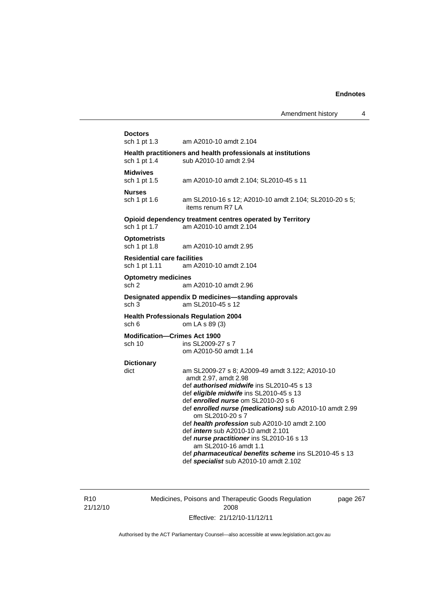| <b>Doctors</b><br>sch 1 pt 1.3      | am A2010-10 amdt 2.104                                                                  |
|-------------------------------------|-----------------------------------------------------------------------------------------|
|                                     |                                                                                         |
| sch 1 pt 1.4                        | Health practitioners and health professionals at institutions<br>sub A2010-10 amdt 2.94 |
|                                     |                                                                                         |
| <b>Midwives</b>                     |                                                                                         |
| sch 1 pt 1.5                        | am A2010-10 amdt 2.104; SL2010-45 s 11                                                  |
| <b>Nurses</b>                       |                                                                                         |
| sch 1 pt 1.6                        | am SL2010-16 s 12; A2010-10 amdt 2.104; SL2010-20 s 5;                                  |
|                                     | items renum R7 LA                                                                       |
|                                     | Opioid dependency treatment centres operated by Territory                               |
| sch 1 pt 1.7                        | am A2010-10 amdt 2.104                                                                  |
| <b>Optometrists</b>                 |                                                                                         |
| sch 1 pt 1.8                        | am A2010-10 amdt 2.95                                                                   |
| <b>Residential care facilities</b>  |                                                                                         |
| sch 1 pt 1.11                       | am A2010-10 amdt 2.104                                                                  |
|                                     |                                                                                         |
| <b>Optometry medicines</b>          |                                                                                         |
| sch 2                               | am A2010-10 amdt 2.96                                                                   |
|                                     | Designated appendix D medicines-standing approvals                                      |
| sch $3$                             | am SL 2010-45 s 12                                                                      |
|                                     | <b>Health Professionals Regulation 2004</b>                                             |
| sch 6                               | om LA s 89 (3)                                                                          |
| <b>Modification-Crimes Act 1900</b> |                                                                                         |
| sch 10                              | ins SL2009-27 s 7                                                                       |
|                                     | om A2010-50 amdt 1.14                                                                   |
| <b>Dictionary</b>                   |                                                                                         |
| dict                                | am SL2009-27 s 8; A2009-49 amdt 3.122; A2010-10                                         |
|                                     | amdt 2.97, amdt 2.98                                                                    |
|                                     | def <i>authorised midwife</i> ins SL2010-45 s 13                                        |
|                                     | def eligible midwife ins SL2010-45 s 13                                                 |
|                                     | def enrolled nurse om SL2010-20 s 6                                                     |
|                                     | def enrolled nurse (medications) sub A2010-10 amdt 2.99<br>om SL2010-20 s 7             |
|                                     | def health profession sub A2010-10 amdt 2.100                                           |
|                                     | def <i>intern</i> sub A2010-10 amdt 2.101                                               |
|                                     | def nurse practitioner ins SL2010-16 s 13<br>am SL2010-16 amdt 1.1                      |
|                                     | def pharmaceutical benefits scheme ins SL2010-45 s 13                                   |
|                                     | def specialist sub A2010-10 amdt 2.102                                                  |
|                                     |                                                                                         |
|                                     |                                                                                         |
|                                     |                                                                                         |

R10 21/12/10 Medicines, Poisons and Therapeutic Goods Regulation 2008 Effective: 21/12/10-11/12/11

page 267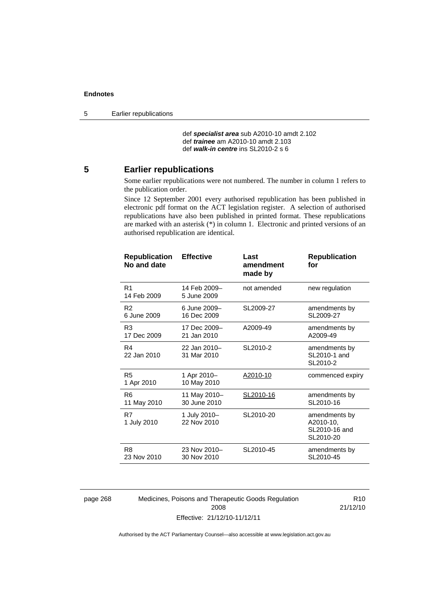5 Earlier republications

 def *specialist area* sub A2010-10 amdt 2.102 def *trainee* am A2010-10 amdt 2.103 def *walk-in centre* ins SL2010-2 s 6

# **5 Earlier republications**

Some earlier republications were not numbered. The number in column 1 refers to the publication order.

Since 12 September 2001 every authorised republication has been published in electronic pdf format on the ACT legislation register. A selection of authorised republications have also been published in printed format. These republications are marked with an asterisk (\*) in column 1. Electronic and printed versions of an authorised republication are identical.

| <b>Republication</b><br>No and date | <b>Effective</b>             | Last<br>amendment<br>made by | <b>Republication</b><br>for                              |
|-------------------------------------|------------------------------|------------------------------|----------------------------------------------------------|
| R1<br>14 Feb 2009                   | 14 Feb 2009-<br>5 June 2009  | not amended                  | new regulation                                           |
| R2<br>6 June 2009                   | 6 June 2009-<br>16 Dec 2009  | SL2009-27                    | amendments by<br>SL2009-27                               |
| R3<br>17 Dec 2009                   | 17 Dec 2009-<br>21 Jan 2010  | A2009-49                     | amendments by<br>A2009-49                                |
| R4<br>22 Jan 2010                   | 22 Jan 2010-<br>31 Mar 2010  | SL2010-2                     | amendments by<br>SL2010-1 and<br>SL2010-2                |
| R5<br>1 Apr 2010                    | 1 Apr 2010–<br>10 May 2010   | A2010-10                     | commenced expiry                                         |
| R6<br>11 May 2010                   | 11 May 2010-<br>30 June 2010 | SL2010-16                    | amendments by<br>SL2010-16                               |
| R7<br>1 July 2010                   | 1 July 2010-<br>22 Nov 2010  | SL2010-20                    | amendments by<br>A2010-10,<br>SL2010-16 and<br>SL2010-20 |
| R <sub>8</sub><br>23 Nov 2010       | 23 Nov 2010-<br>30 Nov 2010  | SL2010-45                    | amendments by<br>SL2010-45                               |

page 268 Medicines, Poisons and Therapeutic Goods Regulation 2008 Effective: 21/12/10-11/12/11

R10 21/12/10